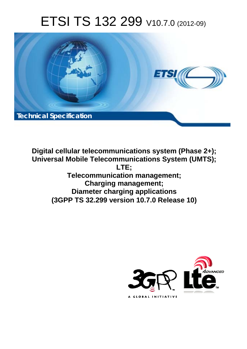# ETSI TS 132 299 V10.7.0 (2012-09)



**Digital cellular telecommunications system (Phase 2+); Universal Mobile Telecommunications System (UMTS); LTE; Telecommunication management; Charging management; Diameter charging applications (3GPP TS 32.299 version 10.7.0 Release 10)** 

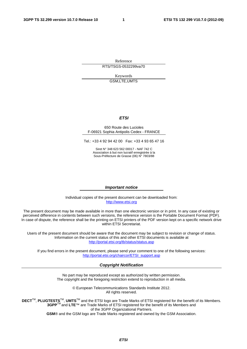Reference RTS/TSGS-0532299va70

> Keywords GSM,LTE,UMTS

#### *ETSI*

#### 650 Route des Lucioles F-06921 Sophia Antipolis Cedex - FRANCE

Tel.: +33 4 92 94 42 00 Fax: +33 4 93 65 47 16

Siret N° 348 623 562 00017 - NAF 742 C Association à but non lucratif enregistrée à la Sous-Préfecture de Grasse (06) N° 7803/88

#### *Important notice*

Individual copies of the present document can be downloaded from: [http://www.etsi.org](http://www.etsi.org/)

The present document may be made available in more than one electronic version or in print. In any case of existing or perceived difference in contents between such versions, the reference version is the Portable Document Format (PDF). In case of dispute, the reference shall be the printing on ETSI printers of the PDF version kept on a specific network drive within ETSI Secretariat.

Users of the present document should be aware that the document may be subject to revision or change of status. Information on the current status of this and other ETSI documents is available at <http://portal.etsi.org/tb/status/status.asp>

If you find errors in the present document, please send your comment to one of the following services: [http://portal.etsi.org/chaircor/ETSI\\_support.asp](http://portal.etsi.org/chaircor/ETSI_support.asp)

#### *Copyright Notification*

No part may be reproduced except as authorized by written permission. The copyright and the foregoing restriction extend to reproduction in all media.

> © European Telecommunications Standards Institute 2012. All rights reserved.

DECT<sup>™</sup>, PLUGTESTS<sup>™</sup>, UMTS<sup>™</sup> and the ETSI logo are Trade Marks of ETSI registered for the benefit of its Members. **3GPP**TM and **LTE**™ are Trade Marks of ETSI registered for the benefit of its Members and of the 3GPP Organizational Partners.

**GSM**® and the GSM logo are Trade Marks registered and owned by the GSM Association.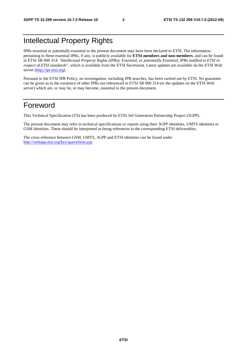# Intellectual Property Rights

IPRs essential or potentially essential to the present document may have been declared to ETSI. The information pertaining to these essential IPRs, if any, is publicly available for **ETSI members and non-members**, and can be found in ETSI SR 000 314: *"Intellectual Property Rights (IPRs); Essential, or potentially Essential, IPRs notified to ETSI in respect of ETSI standards"*, which is available from the ETSI Secretariat. Latest updates are available on the ETSI Web server [\(http://ipr.etsi.org](http://webapp.etsi.org/IPR/home.asp)).

Pursuant to the ETSI IPR Policy, no investigation, including IPR searches, has been carried out by ETSI. No guarantee can be given as to the existence of other IPRs not referenced in ETSI SR 000 314 (or the updates on the ETSI Web server) which are, or may be, or may become, essential to the present document.

## Foreword

This Technical Specification (TS) has been produced by ETSI 3rd Generation Partnership Project (3GPP).

The present document may refer to technical specifications or reports using their 3GPP identities, UMTS identities or GSM identities. These should be interpreted as being references to the corresponding ETSI deliverables.

The cross reference between GSM, UMTS, 3GPP and ETSI identities can be found under <http://webapp.etsi.org/key/queryform.asp>.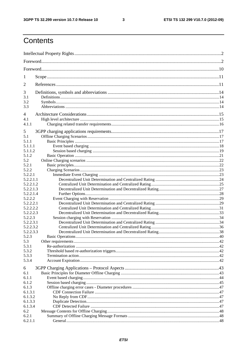$\mathbf{3}$ 

# Contents

| 1                      |  |  |  |
|------------------------|--|--|--|
| 2                      |  |  |  |
| 3                      |  |  |  |
| 3.1                    |  |  |  |
| 3.2                    |  |  |  |
| 3.3                    |  |  |  |
| 4                      |  |  |  |
| 4.1                    |  |  |  |
| 4.1.1                  |  |  |  |
| 5                      |  |  |  |
| 5.1                    |  |  |  |
| 5.1.1                  |  |  |  |
| 5.1.1.1                |  |  |  |
| 5.1.1.2                |  |  |  |
| 5.1.2                  |  |  |  |
| 5.2                    |  |  |  |
| 5.2.1<br>5.2.2         |  |  |  |
| 5.2.2.1                |  |  |  |
| 5.2.2.1.1              |  |  |  |
| 5.2.2.1.2              |  |  |  |
| 5.2.2.1.3              |  |  |  |
| 5.2.2.1.4              |  |  |  |
| 5.2.2.2                |  |  |  |
| 5.2.2.2.1              |  |  |  |
| 5.2.2.2.2              |  |  |  |
| 5.2.2.2.3              |  |  |  |
| 5.2.2.3                |  |  |  |
| 5.2.2.3.1<br>5.2.2.3.2 |  |  |  |
| 5.2.2.3.3              |  |  |  |
| 5.2.3                  |  |  |  |
| 5.3                    |  |  |  |
| 5.3.1                  |  |  |  |
| 5.3.2                  |  |  |  |
| 5.3.3                  |  |  |  |
| 5.3.4                  |  |  |  |
| 6                      |  |  |  |
| 6.1                    |  |  |  |
| 6.1.1                  |  |  |  |
| 6.1.2                  |  |  |  |
| 6.1.3                  |  |  |  |
| 6.1.3.1                |  |  |  |
| 6.1.3.2                |  |  |  |
| 6.1.3.3                |  |  |  |
| 6.1.3.4<br>6.2         |  |  |  |
| 6.2.1                  |  |  |  |
| 6.2.1.1                |  |  |  |
|                        |  |  |  |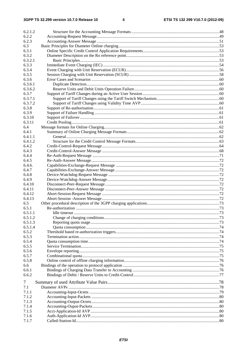| 6.2.1.2          |  |
|------------------|--|
| 6.2.2            |  |
| 6.2.3            |  |
| 6.3              |  |
| 6.3.1            |  |
| 6.3.2            |  |
| 6.3.2.1<br>6.3.3 |  |
| 6.3.4            |  |
| 6.3.5            |  |
| 6.3.6            |  |
| 6.3.6.1          |  |
| 6.3.6.2          |  |
| 6.3.7            |  |
| 6.3.7.1          |  |
| 6.3.7.2          |  |
| 6.3.8            |  |
| 6.3.9            |  |
| 6.3.10           |  |
| 6.3.11           |  |
| 6.4              |  |
| 6.4.1            |  |
| 6.4.1.1          |  |
| 6.4.1.2          |  |
| 6.4.2            |  |
| 6.4.3            |  |
| 6.4.4            |  |
| 6.4.5            |  |
| 6.4.6.           |  |
| 6.4.7            |  |
| 6.4.8            |  |
| 6.4.9            |  |
| 6.4.10           |  |
| 6.4.11           |  |
| 6.4.12           |  |
| 6.4.13           |  |
| 6.5              |  |
| 6.5.1            |  |
| 6.5.1.1          |  |
| 6.5.1.2          |  |
| 6.5.1.3          |  |
| 6.5.1.4          |  |
| 6.5.2            |  |
| 6.5.3            |  |
| 6.5.4            |  |
| 6.5.5            |  |
| 6.5.6            |  |
| 6.5.7<br>6.5.8   |  |
| 6.6              |  |
| 6.6.1            |  |
| 6.6.2            |  |
|                  |  |
| 7                |  |
| 7.1              |  |
| 7.1.1            |  |
| 7.1.2            |  |
| 7.1.3            |  |
| 7.1.4            |  |
| 7.1.5            |  |
| 7.1.6            |  |
| 7.1.7            |  |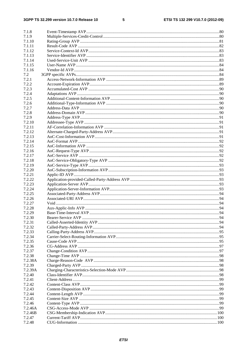### $5\phantom{a}$

| 7.1.8   |  |
|---------|--|
| 7.1.9   |  |
| 7.1.10  |  |
| 7.1.11  |  |
| 7.1.12  |  |
|         |  |
| 7.1.13  |  |
| 7.1.14  |  |
| 7.1.15  |  |
| 7.1.16  |  |
| 7.2     |  |
| 7.2.1   |  |
| 7.2.2   |  |
| 7.2.3   |  |
| 7.2.4   |  |
| 7.2.5   |  |
| 7.2.6   |  |
| 7.2.7   |  |
| 7.2.8   |  |
| 7.2.9   |  |
| 7.2.10  |  |
| 7.2.11  |  |
| 7.2.12  |  |
|         |  |
| 7.2.13  |  |
| 7.2.14  |  |
| 7.2.15  |  |
| 7.2.16  |  |
| 7.2.17  |  |
| 7.2.18  |  |
| 7.2.19  |  |
| 7.2.20  |  |
| 7.2.21  |  |
| 7.2.22  |  |
| 7.2.23  |  |
| 7.2.24  |  |
| 7.2.25  |  |
| 7.2.26  |  |
| 7.2.27  |  |
| 7.2.28  |  |
| 7.2.29  |  |
| 7.2.30  |  |
| 7.2.31  |  |
|         |  |
| 7.2.32  |  |
| 7.2.33  |  |
| 7.2.34  |  |
| 7.2.35  |  |
| 7.2.36  |  |
| 7.2.37  |  |
| 7.2.38  |  |
| 7.2.38A |  |
| 7.2.39  |  |
| 7.2.39A |  |
| 7.2.40  |  |
| 7.2.41  |  |
| 7.2.42  |  |
| 7.2.43  |  |
| 7.2.44  |  |
| 7.2.45  |  |
| 7.2.46  |  |
| 7.2.46A |  |
| 7.2.46B |  |
| 7.2.47  |  |
| 7.2.48  |  |
|         |  |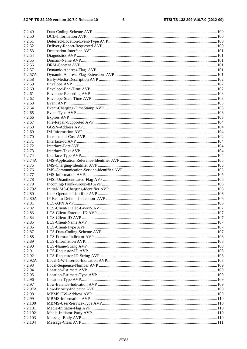$\bf 6$ 

| 7.2.49  |  |
|---------|--|
| 7.2.50  |  |
|         |  |
| 7.2.51  |  |
| 7.2.52  |  |
| 7.2.53  |  |
| 7.2.54  |  |
| 7.2.55  |  |
| 7.2.56  |  |
| 7.2.57  |  |
| 7.2.57A |  |
| 7.2.58  |  |
| 7.2.59  |  |
| 7.2.60  |  |
| 7.2.61  |  |
|         |  |
| 7.2.62  |  |
| 7.2.63  |  |
| 7.2.64  |  |
| 7.2.65  |  |
| 7.2.66  |  |
| 7.2.67  |  |
| 7.2.68  |  |
| 7.2.69  |  |
| 7.2.70  |  |
| 7.2.71  |  |
| 7.2.72  |  |
| 7.2.73  |  |
| 7.2.74  |  |
| 7.2.74A |  |
| 7.2.75  |  |
| 7.2.76  |  |
| 7.2.77  |  |
|         |  |
| 7.2.78  |  |
| 7.2.79  |  |
| 7.2.79A |  |
| 7.2.80  |  |
| 7.2.80A |  |
| 7.2.81  |  |
| 7.2.82  |  |
| 7.2.83  |  |
| 7.2.84  |  |
| 7.2.85  |  |
| 7.2.86  |  |
| 7.2.87  |  |
| 7.2.88  |  |
| 7.2.89  |  |
| 7.2.90  |  |
| 7.2.91  |  |
| 7.2.92  |  |
|         |  |
| 7.2.92A |  |
| 7.2.93  |  |
| 7.2.94  |  |
| 7.2.95  |  |
| 7.2.96  |  |
| 7.2.97  |  |
| 7.2.97A |  |
| 7.2.98  |  |
| 7.2.99  |  |
| 7.2.100 |  |
| 7.2.101 |  |
| 7.2.102 |  |
| 7.2.103 |  |
| 7.2.104 |  |
|         |  |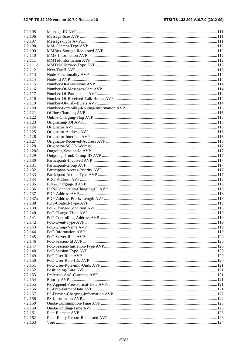#### $\overline{7}$

| 7.2.105  |  |
|----------|--|
| 7.2.106  |  |
| 7.2.107  |  |
| 7.2.108  |  |
| 7.2.109  |  |
| 7.2.110  |  |
| 7.2.111  |  |
| 7.2.111A |  |
| 7.2.112  |  |
| 7.2.113  |  |
| 7.2.114  |  |
| 7.2.115  |  |
| 7.2.116  |  |
| 7.2.117  |  |
| 7.2.118  |  |
| 7.2.119  |  |
| 7.2.120  |  |
| 7.2.121  |  |
| 7.2.122  |  |
| 7.2.123  |  |
| 7.2.124  |  |
| 7.2.125  |  |
| 7.2.126  |  |
| 7.2.127  |  |
| 7.2.128  |  |
|          |  |
| 7.2.128A |  |
| 7.2.129  |  |
| 7.2.130  |  |
| 7.2.131  |  |
| 7.2.132  |  |
| 7.2.133  |  |
| 7.2.134  |  |
| 7.2.135  |  |
| 7.2.136  |  |
| 7.2.137  |  |
| 7.2.137a |  |
| 7.2.138  |  |
| 7.2.139  |  |
| 7.2.140  |  |
| 7.2.141  |  |
| 7.2.142  |  |
| 7.2.143  |  |
| 7.2.144  |  |
| 7.2.145  |  |
| 7.2.146  |  |
| 7.2.147  |  |
| 7.2.148  |  |
| 7.2.149  |  |
| 7.2.150  |  |
| 7.2.151  |  |
| 7.2.152  |  |
| 7.2.153  |  |
| 7.2.154  |  |
| 7.2.155  |  |
| 7.2.156  |  |
| 7.2.157  |  |
| 7.2.158  |  |
| 7.2.159  |  |
| 7.2.160  |  |
| 7.2.161  |  |
| 7.2.162  |  |
| 7.2.163  |  |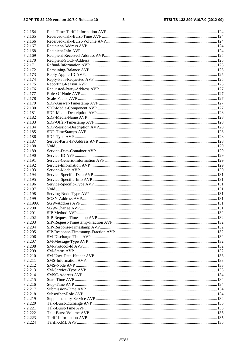$\bf{8}$ 

| 7.2.164  |  |
|----------|--|
|          |  |
| 7.2.165  |  |
| 7.2.166  |  |
| 7.2.167  |  |
| 7.2.168  |  |
| 7.2.169  |  |
| 7.2.170  |  |
| 7.2.171  |  |
| 7.2.172  |  |
| 7.2.173  |  |
|          |  |
| 7.2.174  |  |
| 7.2.175  |  |
| 7.2.176  |  |
| 7.2.177  |  |
| 7.2.178  |  |
| 7.2.179  |  |
| 7.2.180  |  |
| 7.2.181  |  |
| 7.2.182  |  |
| 7.2.183  |  |
| 7.2.184  |  |
| 7.2.185  |  |
| 7.2.186  |  |
|          |  |
| 7.2.187  |  |
| 7.2.188  |  |
| 7.2.189  |  |
| 7.2.190  |  |
| 7.2.191  |  |
| 7.2.192  |  |
| 7.2.193  |  |
| 7.2.194  |  |
| 7.2.195  |  |
| 7.2.196  |  |
| 7.2.197  |  |
| 7.2.198  |  |
| 7.2.199  |  |
| 7.2.199A |  |
| 7.2.200  |  |
|          |  |
| 7.2.201  |  |
| 7.2.202  |  |
| 7.2.203  |  |
| 7.2.204  |  |
| 7.2.205  |  |
| 7.2.206  |  |
| 7.2.207  |  |
| 7.2.208  |  |
| 7.2.209  |  |
| 7.2.210  |  |
| 7.2.211  |  |
| 7.2.212  |  |
| 7.2.213  |  |
|          |  |
| 7.2.214  |  |
| 7.2.215  |  |
| 7.2.216  |  |
| 7.2.217  |  |
| 7.2.218  |  |
| 7.2.219  |  |
| 7.2.220  |  |
| 7.2.221  |  |
| 7.2.222  |  |
| 7.2.223  |  |
| 7.2.224  |  |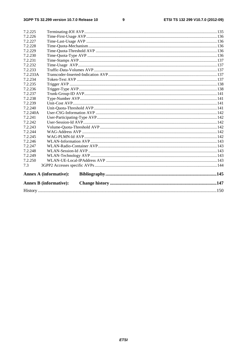| 7.2.225  |                               |  |
|----------|-------------------------------|--|
| 7.2.226  |                               |  |
| 7.2.227  |                               |  |
| 7.2.228  |                               |  |
| 7.2.229  |                               |  |
| 7.2.230  |                               |  |
| 7.2.231  |                               |  |
| 7.2.232  |                               |  |
| 7.2.233  |                               |  |
| 7.2.233A |                               |  |
| 7.2.234  |                               |  |
| 7.2.235  |                               |  |
| 7.2.236  |                               |  |
| 7.2.237  |                               |  |
| 7.2.238  |                               |  |
| 7.2.239  |                               |  |
| 7.2.240  |                               |  |
| 7.2.240A |                               |  |
| 7.2.241  |                               |  |
| 7.2.242  |                               |  |
| 7.2.243  |                               |  |
| 7.2.244  |                               |  |
| 7.2.245  |                               |  |
| 7.2.246  |                               |  |
| 7.2.247  |                               |  |
| 7.2.248  |                               |  |
| 7.2.249  |                               |  |
| 7.2.250  |                               |  |
| 7.3      |                               |  |
|          | <b>Annex A (informative):</b> |  |
|          | <b>Annex B</b> (informative): |  |
|          |                               |  |
|          |                               |  |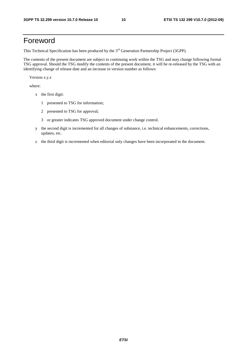# Foreword

This Technical Specification has been produced by the 3<sup>rd</sup> Generation Partnership Project (3GPP).

The contents of the present document are subject to continuing work within the TSG and may change following formal TSG approval. Should the TSG modify the contents of the present document, it will be re-released by the TSG with an identifying change of release date and an increase in version number as follows:

Version x.y.z

where:

- x the first digit:
	- 1 presented to TSG for information;
	- 2 presented to TSG for approval;
	- 3 or greater indicates TSG approved document under change control.
- y the second digit is incremented for all changes of substance, i.e. technical enhancements, corrections, updates, etc.
- z the third digit is incremented when editorial only changes have been incorporated in the document.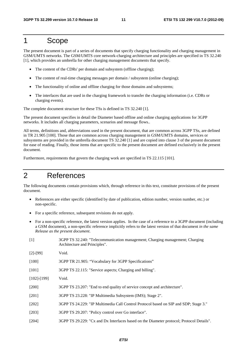### 1 Scope

The present document is part of a series of documents that specify charging functionality and charging management in GSM/UMTS networks. The GSM/UMTS core network-charging architecture and principles are specified in TS 32.240 [1], which provides an umbrella for other charging management documents that specify.

- The content of the CDRs' per domain and subsystem (offline charging);
- The content of real-time charging messages per domain / subsystem (online charging);
- The functionality of online and offline charging for those domains and subsystems;
- The interfaces that are used in the charging framework to transfer the charging information (i.e. CDRs or charging events).

The complete document structure for these TSs is defined in TS 32.240 [1].

The present document specifies in detail the Diameter based offline and online charging applications for 3GPP networks. It includes all charging parameters, scenarios and message flows..

All terms, definitions and, abbreviations used in the present document, that are common across 3GPP TSs, are defined in TR 21.905 [100]. Those that are common across charging management in GSM/UMTS domains, services or subsystems are provided in the umbrella document TS 32.240 [1] and are copied into clause 3 of the present document for ease of reading. Finally, those items that are specific to the present document are defined exclusively in the present document.

Furthermore, requirements that govern the charging work are specified in TS 22.115 [101].

# 2 References

The following documents contain provisions which, through reference in this text, constitute provisions of the present document.

- References are either specific (identified by date of publication, edition number, version number, etc.) or non-specific.
- For a specific reference, subsequent revisions do not apply.
- For a non-specific reference, the latest version applies. In the case of a reference to a 3GPP document (including a GSM document), a non-specific reference implicitly refers to the latest version of that document *in the same Release as the present document*.

| [1] | 3GPP TS 32.240: "Telecommunication management; Charging management; Charging |
|-----|------------------------------------------------------------------------------|
|     | Architecture and Principles".                                                |
|     |                                                                              |

| $[2]-[99]$ | Void. |
|------------|-------|
|------------|-------|

- [100] 3GPP TR 21.905: "Vocabulary for 3GPP Specifications"
- [101] 3GPP TS 22.115: "Service aspects; Charging and billing".
- [102]-[199] Void.
- [200] 3GPP TS 23.207: "End to end quality of service concept and architecture".
- [201] 3GPP TS 23.228: "IP Multimedia Subsystem (IMS); Stage 2".
- [202] 3GPP TS 24.229: "IP Multimedia Call Control Protocol based on SIP and SDP; Stage 3."
- [203] 3GPP TS 29.207: "Policy control over Go interface".
- [204] 3GPP TS 29.229: "Cx and Dx Interfaces based on the Diameter protocol; Protocol Details".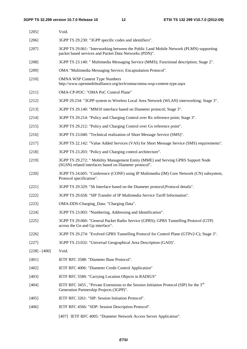| $[205]$         | Void.                                                                                                                                            |
|-----------------|--------------------------------------------------------------------------------------------------------------------------------------------------|
| $[206]$         | 3GPP TS 29.230: "3GPP specific codes and identifiers".                                                                                           |
| $[207]$         | 3GPP TS 29.061: "Interworking between the Public Land Mobile Network (PLMN) supporting<br>packet based services and Packet Data Networks (PDN)". |
| $[208]$         | 3GPP TS 23.140: " Multimedia Messaging Service (MMS); Functional description; Stage 2".                                                          |
| $[209]$         | OMA "Multimedia Messaging Service; Encapsulation Protocol".                                                                                      |
| $[210]$         | <b>OMNA WSP Content Type Numbers</b><br>http://www.openmobilealliance.org/tech/omna/omna-wsp-content-type.aspx                                   |
| $[211]$         | OMA-CP-POC: "OMA PoC Control Plane"                                                                                                              |
| $[212]$         | 3GPP 29.234: "3GPP system to Wireless Local Area Network (WLAN) interworking; Stage 3".                                                          |
| $[213]$         | 3GPP TS 29.140: "MM10 interface based on Diameter protocol; Stage 3".                                                                            |
| $[214]$         | 3GPP TS 29.214: "Policy and Charging Control over Rx reference point; Stage 3".                                                                  |
| $[215]$         | 3GPP TS 29.212: "Policy and Charging Control over Gx reference point".                                                                           |
| [216]           | 3GPP TS 23.040: "Technical realization of Short Message Service (SMS)".                                                                          |
| $[217]$         | 3GPP TS 22.142: "Value Added Services (VAS) for Short Message Service (SMS) requirements".                                                       |
| $[218]$         | 3GPP TS 23.203: "Policy and Charging control architecture".                                                                                      |
| [219]           | 3GPP TS 29.272: " Mobility Management Entity (MME) and Serving GPRS Support Node<br>(SGSN) related interfaces based on Diameter protocol".       |
| $[220]$         | 3GPP TS 24.605: "Conference (CONF) using IP Multimedia (IM) Core Network (CN) subsystem;<br>Protocol specification".                             |
| $[221]$         | 3GPP TS 29.329: "Sh Interface based on the Diameter protocol; Protocol details".                                                                 |
| $[222]$         | 3GPP TS 29.658: "SIP Transfer of IP Multimedia Service Tariff Information".                                                                      |
| $[223]$         | OMA-DDS-Charging_Data: "Charging Data".                                                                                                          |
| [224]           | 3GPP TS 23.003: "Numbering, Addressing and Identification".                                                                                      |
| $[225]$         | 3GPP TS 29.060: "General Packet Radio Service (GPRS); GPRS Tunnelling Protocol (GTP)<br>across the Gn and Gp interface".                         |
| $[226]$         | 3GPP TS 29.274: "Evolved GPRS Tunnelling Protocol for Control Plane (GTPv2-C); Stage 3".                                                         |
| $[227]$         | 3GPP TS 23.032: "Universal Geographical Area Description (GAD)".                                                                                 |
| $[228] - [400]$ | Void.                                                                                                                                            |
| $[401]$         | IETF RFC 3588: "Diameter Base Protocol".                                                                                                         |
| $[402]$         | IETF RFC 4006: "Diameter Credit Control Application"                                                                                             |
| [403]           | IETF RFC 5580: "Carrying Location Objects in RADIUS"                                                                                             |
| [404]           | IETF RFC 3455, "Private Extensions to the Session Initiation Protocol (SIP) for the $3^{rd}$<br>Generation Partnership Projects (3GPP)".         |
| [405]           | IETF RFC 3261: "SIP: Session Initiation Protocol".                                                                                               |
| [406]           | IETF RFC 4566: "SDP: Session Description Protocol".                                                                                              |

[407] IETF RFC 4005: "Diameter Network Access Server Application".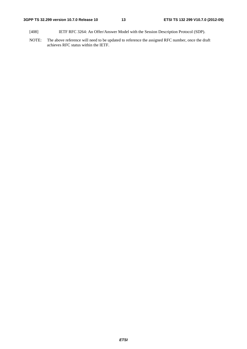- [408] IETF RFC 3264: An Offer/Answer Model with the Session Description Protocol (SDP).
- NOTE: The above reference will need to be updated to reference the assigned RFC number, once the draft achieves RFC status within the IETF.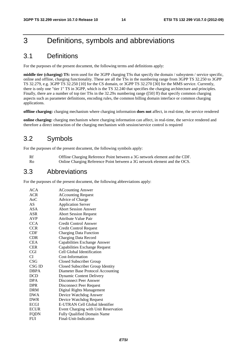# 3 Definitions, symbols and abbreviations

### 3.1 Definitions

For the purposes of the present document, the following terms and definitions apply:

**middle tier (charging) TS:** term used for the 3GPP charging TSs that specify the domain / subsystem / service specific, online and offline, charging functionality. These are all the TSs in the numbering range from 3GPP TS 32.250 to 3GPP TS 32.279, e.g. 3GPP TS 32.250 [10] for the CS domain, or 3GPP TS 32.270 [30] for the MMS service. Currently, there is only one "tier 1" TS in 3GPP, which is the TS 32.240 that specifies the charging architecture and principles. Finally, there are a number of top tier TSs in the 32.29x numbering range ([50] ff) that specify common charging aspects such as parameter definitions, encoding rules, the common billing domain interface or common charging applications.

**offline charging:** charging mechanism where charging information **does not** affect, in real-time, the service rendered

**online charging:** charging mechanism where charging information can affect, in real-time, the service rendered and therefore a direct interaction of the charging mechanism with session/service control is required

### 3.2 Symbols

For the purposes of the present document, the following symbols apply:

| Rf   | Offline Charging Reference Point between a 3G network element and the CDF. |
|------|----------------------------------------------------------------------------|
| - Ro | Online Charging Reference Point between a 3G network element and the OCS.  |

### 3.3 Abbreviations

For the purposes of the present document, the following abbreviations apply:

| ACA         | <b>ACcounting Answer</b>             |
|-------------|--------------------------------------|
| <b>ACR</b>  | <b>ACcounting Request</b>            |
| $A_0C$      | Advice of Charge                     |
| AS          | <b>Application Server</b>            |
| ASA         | <b>Abort Session Answer</b>          |
| ASR         | <b>Abort Session Request</b>         |
| <b>AVP</b>  | Attribute Value Pair                 |
| <b>CCA</b>  | Credit Control Answer                |
| <b>CCR</b>  | Credit Control Request               |
| CDF         | <b>Charging Data Function</b>        |
| <b>CDR</b>  | Charging Data Record                 |
| <b>CEA</b>  | Capabilities Exchange Answer         |
| <b>CER</b>  | Capabilities Exchange Request        |
| <b>CGI</b>  | Cell Global Identification           |
| СI          | Cost-Information                     |
| CSG         | <b>Closed Subscriber Group</b>       |
| CSG ID      | Closed Subscriber Group Identity     |
| <b>DBPA</b> | Diameter Base Protocol Accounting    |
| DCD         | <b>Dynamic Content Delivery</b>      |
| <b>DPA</b>  | Disconnect Peer Answer               |
| <b>DPR</b>  | Disconnect Peer Request              |
| <b>DRM</b>  | Digital Rights Management            |
| DWA         | Device Watchdog Answer               |
| <b>DWR</b>  | Device Watchdog Request              |
| <b>ECGI</b> | E-UTRAN Cell Global Identifier       |
| <b>ECUR</b> | Event Charging with Unit Reservation |
| FQDN        | <b>Fully Qualified Domain Name</b>   |
| <b>FUI</b>  | Final-Unit-Indication                |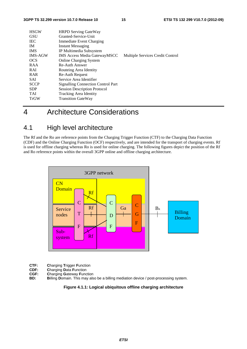| <b>HSGW</b><br><b>GSU</b><br><b>IEC</b><br>IM.<br><b>IMS</b><br><b>IMS-AGW</b><br><b>OCS</b><br>RAA<br>RAI | <b>HRPD Serving GateWay</b><br>Granted-Service-Unit<br>Immediate Event Charging<br>Instant Messaging<br>IP Multimedia Subsystem<br><b>IMS</b> Access Media GatewayMSCC<br><b>Online Charging System</b><br>Re-Auth Answer<br>Routeing Area Identity | Multiple Services Credit Control |
|------------------------------------------------------------------------------------------------------------|-----------------------------------------------------------------------------------------------------------------------------------------------------------------------------------------------------------------------------------------------------|----------------------------------|
| <b>RAR</b>                                                                                                 | <b>Re-Auth Request</b>                                                                                                                                                                                                                              |                                  |
| <b>SAI</b>                                                                                                 | Service Area Identifier                                                                                                                                                                                                                             |                                  |
| <b>SCCP</b>                                                                                                | <b>Signalling Connection Control Part</b>                                                                                                                                                                                                           |                                  |
| <b>SDP</b>                                                                                                 | <b>Session Description Protocol</b>                                                                                                                                                                                                                 |                                  |
| <b>TAI</b>                                                                                                 | <b>Tracking Area Identity</b>                                                                                                                                                                                                                       |                                  |
| <b>TrGW</b>                                                                                                | <b>Transition GateWay</b>                                                                                                                                                                                                                           |                                  |
|                                                                                                            |                                                                                                                                                                                                                                                     |                                  |

# 4 Architecture Considerations

# 4.1 High level architecture

The Rf and the Ro are reference points from the Charging Trigger Function (CTF) to the Charging Data Function (CDF) and the Online Charging Function (OCF) respectively, and are intended for the transport of charging events. Rf is used for offline charging whereas Ro is used for online charging. The following figures depict the position of the Rf and Ro reference points within the overall 3GPP online and offline charging architecture.



- **CTF:** Charging Trigger Function<br> **CDF:** Charging Data Function
- **CDF: Charging Data Function**<br>**CGF: Charging Gateway Function**
- **CGF: Charging Gateway Function**<br>**BD: Billing Domain**. This may als
- **Billing Domain.** This may also be a billing mediation device / post-processing system.

#### **Figure 4.1.1: Logical ubiquitous offline charging architecture**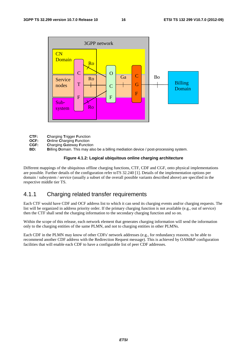

- **CTF: C**harging **T**rigger **F**unction
- **OCF: O**nline **C**harging **F**unction
- **CGF: Charging Gateway Function**<br>**BD: Billing Domain**, This may als
- Billing Domain. This may also be a billing mediation device / post-processing system.

### **Figure 4.1.2: Logical ubiquitous online charging architecture**

Different mappings of the ubiquitous offline charging functions, CTF, CDF and CGF, onto physical implementations are possible. Further details of the configuration refer toTS 32.240 [1]. Details of the implementation options per domain / subsystem / service (usually a subset of the overall possible variants described above) are specified in the respective middle tier TS.

### 4.1.1 Charging related transfer requirements

Each CTF would have CDF and OCF address list to which it can send its charging events and/or charging requests. The list will be organized in address priority order. If the primary charging function is not available (e.g., out of service) then the CTF shall send the charging information to the secondary charging function and so on.

Within the scope of this release, each network element that generates charging information will send the information only to the charging entities of the same PLMN, and not to charging entities in other PLMNs.

Each CDF in the PLMN may know of other CDFs' network addresses (e.g., for redundancy reasons, to be able to recommend another CDF address with the Redirection Request message). This is achieved by OAM&P configuration facilities that will enable each CDF to have a configurable list of peer CDF addresses.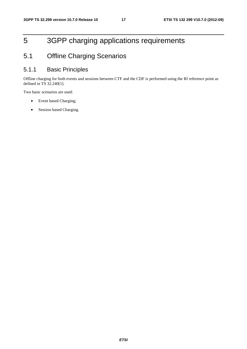# 5 3GPP charging applications requirements

# 5.1 Offline Charging Scenarios

### 5.1.1 Basic Principles

Offline charging for both events and sessions between CTF and the CDF is performed using the Rf reference point as defined in TS 32.240[1].

Two basic scenarios are used:

- Event based Charging;
- Session based Charging.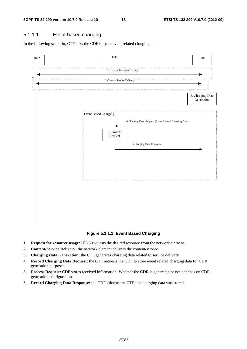### 5.1.1.1 Event based charging

In the following scenario, CTF asks the CDF to store event related charging data.



### **Figure 5.1.1.1: Event Based Charging**

- 1. **Request for resource usage:** UE-A requests the desired resource from the network element.
- 2. **Content/Service Delivery:** the network element delivers the content/service.
- 3. **Charging Data Generation:** the CTF generates charging data related to service delivery
- 4. **Record Charging Data Request:** the CTF requests the CDF to store event related charging data for CDR generation purposes.
- 5. **Process Request:** CDF stores received information. Whether the CDR is generated or not depends on CDR generation configuration.
- 6. **Record Charging Data Response:** the CDF informs the CTF that charging data was stored.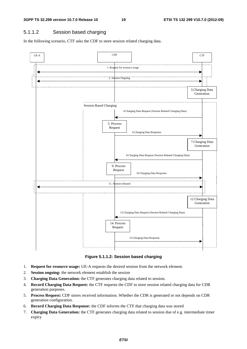### 5.1.1.2 Session based charging

In the following scenario, CTF asks the CDF to store session related charging data.



**Figure 5.1.1.2: Session based charging** 

- 1. **Request for resource usage:** UE-A requests the desired session from the network element.
- 2. **Session ongoing:** the network element establish the session
- 3. **Charging Data Generation:** the CTF generates charging data related to session.
- 4. **Record Charging Data Request:** the CTF requests the CDF to store session related charging data for CDR generation purposes.
- 5. **Process Request:** CDF stores received information. Whether the CDR is generated or not depends on CDR generation configuration.
- 6. **Record Charging Data Response:** the CDF informs the CTF that charging data was stored
- 7. **Charging Data Generation:** the CTF generates charging data related to session due of e.g. intermediate timer expiry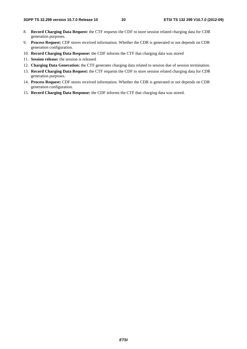- 8. **Record Charging Data Request:** the CTF requests the CDF to store session related charging data for CDR generation purposes.
- 9. **Process Request:** CDF stores received information. Whether the CDR is generated or not depends on CDR generation configuration.
- 10. **Record Charging Data Response:** the CDF informs the CTF that charging data was stored
- 11. **Session release:** the session is released
- 12. **Charging Data Generation:** the CTF generates charging data related to session due of session termination.
- 13. **Record Charging Data Request:** the CTF requests the CDF to store session related charging data for CDR generation purposes.
- 14. **Process Request:** CDF stores received information. Whether the CDR is generated or not depends on CDR generation configuration.
- 15. **Record Charging Data Response:** the CDF informs the CTF that charging data was stored.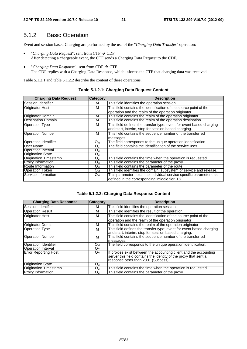### 5.1.2 Basic Operation

Event and session based Charging are performed by the use of the "*Charging Data Transfer*" operation:

- *"Charging Data Request"*; sent from  $CTF \rightarrow CDF$ After detecting a chargeable event, the CTF sends a Charging Data Request to the CDF.
- *"Charging Data Response"*; sent from  $CDF \rightarrow CTF$ The CDF replies with a Charging Data Response, which informs the CTF that charging data was received.

Table 5.1.2.1 and table 5.1.2.2 describe the content of these operations.

| <b>Charging Data Request</b> | <b>Category</b> | <b>Description</b>                                                   |
|------------------------------|-----------------|----------------------------------------------------------------------|
| Session Identifier           | м               | This field identifies the operation session.                         |
| <b>Originator Host</b>       | м               | This field contains the identification of the source point of the    |
|                              |                 | operation and the realm of the operation originator.                 |
| <b>Originator Domain</b>     | м               | This field contains the realm of the operation originator.           |
| <b>Destination Domain</b>    | м               | This field contains the realm of the operation destination.          |
| <b>Operation Type</b>        | м               | This field defines the transfer type: event for event based charging |
|                              |                 | and start, interim, stop for session based charging.                 |
| <b>Operation Number</b>      | м               | This field contains the sequence number of the transferred           |
|                              |                 | messages.                                                            |
| <b>Operation Identifier</b>  | O <sub>M</sub>  | The field corresponds to the unique operation identification.        |
| User Name                    | O <sub>C</sub>  | The field contains the identification of the service user.           |
| Operation Interval           | O <sub>C</sub>  |                                                                      |
| <b>Origination State</b>     | O <sub>C</sub>  |                                                                      |
| <b>Origination Timestamp</b> | $O_{C}$         | This field contains the time when the operation is requested.        |
| <b>Proxy Information</b>     | O <sub>C</sub>  | This field contains the parameter of the proxy.                      |
| Route Information            | O <sub>C</sub>  | This field contains the parameter of the route.                      |
| <b>Operation Token</b>       | $O_{M}$         | This field identifies the domain, subsystem or service and release.  |
| Service information          | O <sub>M</sub>  | This parameter holds the individual service specific parameters as   |
|                              |                 | defined in the corresponding 'middle tier' TS.                       |

### **Table 5.1.2.1: Charging Data Request Content**

### **Table 5.1.2.2: Charging Data Response Content**

| <b>Charging Data Response</b> | <b>Category</b> | <b>Description</b>                                                   |
|-------------------------------|-----------------|----------------------------------------------------------------------|
| Session Identifier            | м               | This field identifies the operation session.                         |
| <b>Operation Result</b>       | м               | This field identifies the result of the operation.                   |
| <b>Originator Host</b>        | м               | This field contains the identification of the source point of the    |
|                               |                 | operation and the realm of the operation originator.                 |
| Originator Domain             | M               | This field contains the realm of the operation originator.           |
| <b>Operation Type</b>         | м               | This field defines the transfer type: event for event based charging |
|                               |                 | and start, interim, stop for session based charging.                 |
| <b>Operation Number</b>       | м               | This field contains the sequence number of the transferred           |
|                               |                 | messages.                                                            |
| <b>Operation Identifier</b>   | Oм              | The field corresponds to the unique operation identification.        |
| <b>Operation Interval</b>     | O <sub>C</sub>  |                                                                      |
| <b>Error Reporting Host</b>   | O <sub>C</sub>  | If proxies exist between the accounting client and the accounting    |
|                               |                 | server this field contains the identity of the proxy that sent a     |
|                               |                 | response other than 2001 (Success).                                  |
| <b>Origination State</b>      | Oc.             |                                                                      |
| Origination Timestamp         | O <sub>C</sub>  | This field contains the time when the operation is requested.        |
| <b>Proxy Information</b>      | O <sub>C</sub>  | This field contains the parameter of the proxy.                      |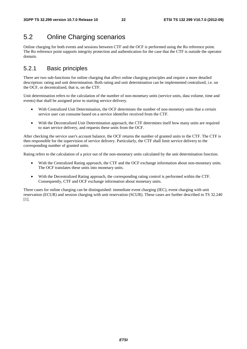### 5.2 Online Charging scenarios

Online charging for both events and sessions between CTF and the OCF is performed using the Ro reference point. The Ro reference point supports integrity protection and authentication for the case that the CTF is outside the operator domain.

### 5.2.1 Basic principles

There are two sub-functions for online charging that affect online charging principles and require a more detailed description: rating and unit determination. Both rating and unit determination can be implemented centralized, i.e. on the OCF, or decentralized, that is, on the CTF.

Unit determination refers to the calculation of the number of non-monetary units (service units, data volume, time and events) that shall be assigned prior to starting service delivery.

- With Centralized Unit Determination, the OCF determines the number of non-monetary units that a certain service user can consume based on a service identifier received from the CTF.
- With the Decentralized Unit Determination approach, the CTF determines itself how many units are required to start service delivery, and requests these units from the OCF.

After checking the service user's account balance, the OCF returns the number of granted units to the CTF. The CTF is then responsible for the supervision of service delivery. Particularly, the CTF shall limit service delivery to the corresponding number of granted units.

Rating refers to the calculation of a price out of the non-monetary units calculated by the unit determination function.

- With the Centralized Rating approach, the CTF and the OCF exchange information about non-monetary units. The OCF translates these units into monetary units.
- With the Decentralized Rating approach, the corresponding rating control is performed within the CTF. Consequently, CTF and OCF exchange information about monetary units.

Three cases for online charging can be distinguished: immediate event charging (IEC), event charging with unit reservation (ECUR) and session charging with unit reservation (SCUR). These cases are further described in TS 32.240 [1].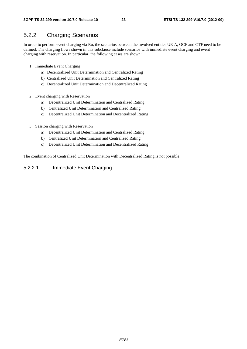### 5.2.2 Charging Scenarios

In order to perform event charging via Ro, the scenarios between the involved entities UE-A, OCF and CTF need to be defined. The charging flows shown in this subclause include scenarios with immediate event charging and event charging with reservation. In particular, the following cases are shown:

- 1 Immediate Event Charging
	- a) Decentralized Unit Determination and Centralized Rating
	- b) Centralized Unit Determination and Centralized Rating
	- c) Decentralized Unit Determination and Decentralized Rating
- 2 Event charging with Reservation
	- a) Decentralized Unit Determination and Centralized Rating
	- b) Centralized Unit Determination and Centralized Rating
	- c) Decentralized Unit Determination and Decentralized Rating
- 3 Session charging with Reservation
	- a) Decentralized Unit Determination and Centralized Rating
	- b) Centralized Unit Determination and Centralized Rating
	- c) Decentralized Unit Determination and Decentralized Rating

The combination of Centralized Unit Determination with Decentralized Rating is not possible.

### 5.2.2.1 Immediate Event Charging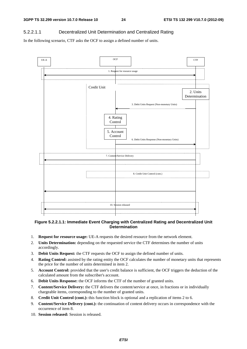### 5.2.2.1.1 Decentralized Unit Determination and Centralized Rating

In the following scenario, CTF asks the OCF to assign a defined number of units.



### **Figure 5.2.2.1.1: Immediate Event Charging with Centralized Rating and Decentralized Unit Determination**

- 1. **Request for resource usage:** UE-A requests the desired resource from the network element.
- 2. **Units Determination:** depending on the requested service the CTF determines the number of units accordingly.
- 3. **Debit Units Request:** the CTF requests the OCF to assign the defined number of units.
- 4. **Rating Control:** assisted by the rating entity the OCF calculates the number of monetary units that represents the price for the number of units determined in item 2.
- 5. **Account Control:** provided that the user's credit balance is sufficient, the OCF triggers the deduction of the calculated amount from the subscriber's account.
- 6. **Debit Units Response:** the OCF informs the CTF of the number of granted units.
- 7. **Content/Service Delivery:** the CTF delivers the content/service at once, in fractions or in individually chargeable items, corresponding to the number of granted units.
- 8. **Credit Unit Control (cont.):** this function block is optional and a replication of items 2 to 6.
- 9. **Content/Service Delivery (cont.):** the continuation of content delivery occurs in correspondence with the occurrence of item 8.
- 10. **Session released:** Session is released.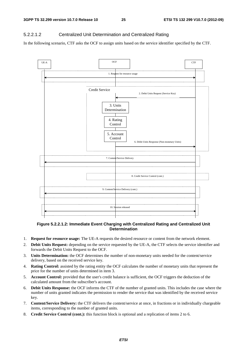### 5.2.2.1.2 Centralized Unit Determination and Centralized Rating

In the following scenario, CTF asks the OCF to assign units based on the service identifier specified by the CTF.



#### **Figure 5.2.2.1.2: Immediate Event Charging with Centralized Rating and Centralized Unit Determination**

- 1. **Request for resource usage:** The UE-A requests the desired resource or content from the network element.
- 2. **Debit Units Request:** depending on the service requested by the UE-A, the CTF selects the service identifier and forwards the Debit Units Request to the OCF.
- 3. **Units Determination:** the OCF determines the number of non-monetary units needed for the content/service delivery, based on the received service key.
- 4. **Rating Control:** assisted by the rating entity the OCF calculates the number of monetary units that represent the price for the number of units determined in item 3.
- 5. **Account Control:** provided that the user's credit balance is sufficient, the OCF triggers the deduction of the calculated amount from the subscriber's account.
- 6. **Debit Units Response:** the OCF informs the CTF of the number of granted units. This includes the case where the number of units granted indicates the permission to render the service that was identified by the received service key.
- 7. **Content/Service Delivery:** the CTF delivers the content/service at once, in fractions or in individually chargeable items, corresponding to the number of granted units.
- 8. **Credit Service Control (cont.):** this function block is optional and a replication of items 2 to 6.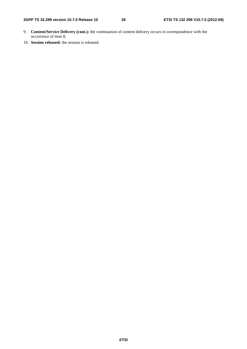- 9. **Content/Service Delivery (cont.):** the continuation of content delivery occurs in correspondence with the occurrence of item 8.
- 10. **Session released:** the session is released.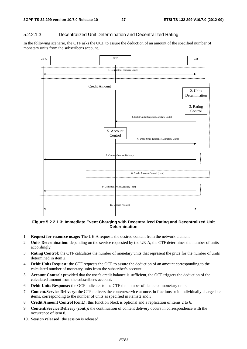### 5.2.2.1.3 Decentralized Unit Determination and Decentralized Rating

In the following scenario, the CTF asks the OCF to assure the deduction of an amount of the specified number of monetary units from the subscriber's account.



### **Figure 5.2.2.1.3: Immediate Event Charging with Decentralized Rating and Decentralized Unit Determination**

- 1. **Request for resource usage:** The UE-A requests the desired content from the network element.
- 2. **Units Determination:** depending on the service requested by the UE-A, the CTF determines the number of units accordingly.
- 3. **Rating Control:** the CTF calculates the number of monetary units that represent the price for the number of units determined in item 2.
- 4. **Debit Units Request:** the CTF requests the OCF to assure the deduction of an amount corresponding to the calculated number of monetary units from the subscriber's account.
- 5. **Account Control:** provided that the user's credit balance is sufficient, the OCF triggers the deduction of the calculated amount from the subscriber's account.
- 6. **Debit Units Response:** the OCF indicates to the CTF the number of deducted monetary units.
- 7. **Content/Service Delivery:** the CTF delivers the content/service at once, in fractions or in individually chargeable items, corresponding to the number of units as specified in items 2 and 3.
- 8. **Credit Amount Control (cont.):** this function block is optional and a replication of items 2 to 6.
- 9. **Content/Service Delivery (cont.):** the continuation of content delivery occurs in correspondence with the occurrence of item 8.
- 10. **Session released:** the session is released.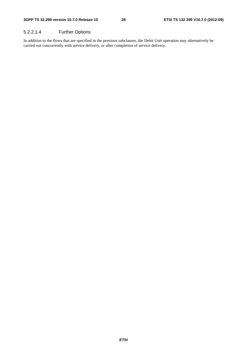### 5.2.2.1.4 Further Options

In addition to the flows that are specified in the previous subclauses, the Debit Unit operation may alternatively be carried out concurrently with service delivery, or after completion of service delivery.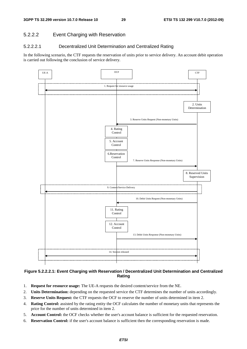### 5.2.2.2 Event Charging with Reservation

#### 5.2.2.2.1 Decentralized Unit Determination and Centralized Rating

In the following scenario, the CTF requests the reservation of units prior to service delivery. An account debit operation is carried out following the conclusion of service delivery.



### **Figure 5.2.2.2.1: Event Charging with Reservation / Decentralized Unit Determination and Centralized Rating**

- 1. **Request for resource usage:** The UE-A requests the desired content/service from the NE.
- 2. **Units Determination:** depending on the requested service the CTF determines the number of units accordingly.
- 3. **Reserve Units Request:** the CTF requests the OCF to reserve the number of units determined in item 2.
- 4. **Rating Control:** assisted by the rating entity the OCF calculates the number of monetary units that represents the price for the number of units determined in item 2.
- 5. **Account Control:** the OCF checks whether the user's account balance is sufficient for the requested reservation.
- 6. **Reservation Control:** if the user's account balance is sufficient then the corresponding reservation is made.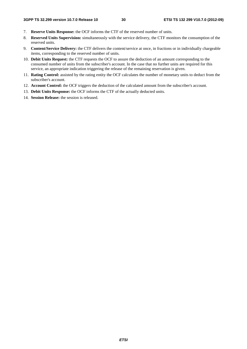- 7. **Reserve Units Response:** the OCF informs the CTF of the reserved number of units.
- 8. **Reserved Units Supervision:** simultaneously with the service delivery, the CTF monitors the consumption of the reserved units.
- 9. **Content/Service Delivery:** the CTF delivers the content/service at once, in fractions or in individually chargeable items, corresponding to the reserved number of units.
- 10. **Debit Units Request:** the CTF requests the OCF to assure the deduction of an amount corresponding to the consumed number of units from the subscriber's account. In the case that no further units are required for this service, an appropriate indication triggering the release of the remaining reservation is given.
- 11. **Rating Control:** assisted by the rating entity the OCF calculates the number of monetary units to deduct from the subscriber's account.
- 12. **Account Control:** the OCF triggers the deduction of the calculated amount from the subscriber's account.
- 13. **Debit Units Response:** the OCF informs the CTF of the actually deducted units.
- 14. **Session Release:** the session is released.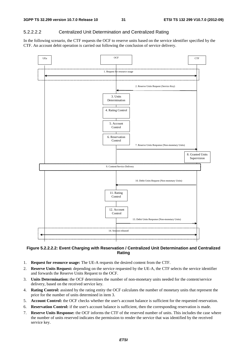### 5.2.2.2.2 Centralized Unit Determination and Centralized Rating

In the following scenario, the CTF requests the OCF to reserve units based on the service identifier specified by the CTF. An account debit operation is carried out following the conclusion of service delivery.



### **Figure 5.2.2.2.2: Event Charging with Reservation / Centralized Unit Determination and Centralized Rating**

- 1. **Request for resource usage:** The UE-A requests the desired content from the CTF.
- 2. **Reserve Units Request:** depending on the service requested by the UE-A, the CTF selects the service identifier and forwards the Reserve Units Request to the OCF.
- 3. **Units Determination:** the OCF determines the number of non-monetary units needed for the content/service delivery, based on the received service key.
- 4. **Rating Control:** assisted by the rating entity the OCF calculates the number of monetary units that represent the price for the number of units determined in item 3.
- 5. **Account Control:** the OCF checks whether the user's account balance is sufficient for the requested reservation.
- 6. **Reservation Control:** if the user's account balance is sufficient, then the corresponding reservation is made.
- 7. **Reserve Units Response:** the OCF informs the CTF of the reserved number of units. This includes the case where the number of units reserved indicates the permission to render the service that was identified by the received service key.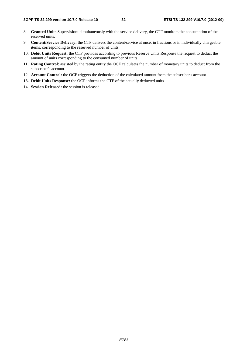- 8. **Granted Units** Supervision**:** simultaneously with the service delivery, the CTF monitors the consumption of the reserved units.
- 9. **Content/Service Delivery:** the CTF delivers the content/service at once, in fractions or in individually chargeable items, corresponding to the reserved number of units.
- 10. **Debit Units Request:** the CTF provides according to previous Reserve Units Response the request to deduct the amount of units corresponding to the consumed number of units.
- **11. Rating Control:** assisted by the rating entity the OCF calculates the number of monetary units to deduct from the subscriber's account.
- 12. **Account Control:** the OCF triggers the deduction of the calculated amount from the subscriber's account.
- **13. Debit Units Response:** the OCF informs the CTF of the actually deducted units.
- 14. **Session Released:** the session is released.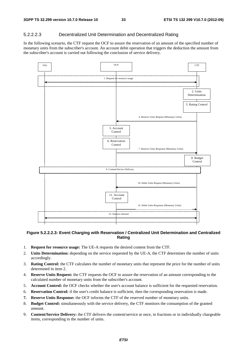### 5.2.2.2.3 Decentralized Unit Determination and Decentralized Rating

In the following scenario, the CTF request the OCF to assure the reservation of an amount of the specified number of monetary units from the subscriber's account. An account debit operation that triggers the deduction the amount from the subscriber's account is carried out following the conclusion of service delivery.



#### **Figure 5.2.2.2.3: Event Charging with Reservation / Centralized Unit Determination and Centralized Rating**

- 1. **Request for resource usage:** The UE-A requests the desired content from the CTF.
- 2. **Units Determination:** depending on the service requested by the UE-A, the CTF determines the number of units accordingly.
- 3. **Rating Control:** the CTF calculates the number of monetary units that represent the price for the number of units determined in item 2.
- 4. **Reserve Units Request:** the CTF requests the OCF to assure the reservation of an amount corresponding to the calculated number of monetary units from the subscriber's account.
- 5. **Account Control:** the OCF checks whether the user's account balance is sufficient for the requested reservation.
- 6. **Reservation Control:** if the user's credit balance is sufficient, then the corresponding reservation is made.
- **7. Reserve Units Response:** the OCF informs the CTF of the reserved number of monetary units.
- 8. **Budget Control:** simultaneously with the service delivery, the CTF monitors the consumption of the granted amount.
- 9. **Content/Service Delivery:** the CTF delivers the content/service at once, in fractions or in individually chargeable items, corresponding to the number of units.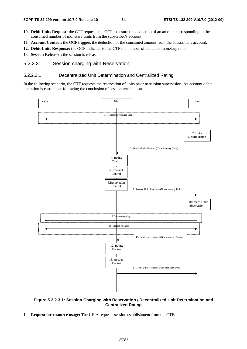- **10. Debit Units Request:** the CTF requests the OCF to assure the deduction of an amount corresponding to the consumed number of monetary units from the subscriber's account.
- 11. **Account Control:** the OCF triggers the deduction of the consumed amount from the subscriber's account.
- **12. Debit Units Response:** the OCF indicates to the CTF the number of deducted monetary units.
- 13. **Session Released:** the session is released.

### 5.2.2.3 Session charging with Reservation

### 5.2.2.3.1 Decentralized Unit Determination and Centralized Rating

In the following scenario, the CTF requests the reservation of units prior to session supervision. An account debit operation is carried out following the conclusion of session termination.



### **Figure 5.2.2.3.1: Session Charging with Reservation / Decentralized Unit Determination and Centralized Rating**

1. **Request for resource usage:** The UE-A requests session establishment from the CTF.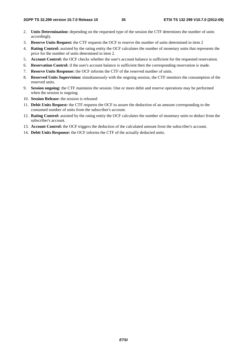- 2. **Units Determination:** depending on the requested type of the session the CTF determines the number of units accordingly.
- 3. **Reserve Units Request:** the CTF requests the OCF to reserve the number of units determined in item 2
- 4. **Rating Control:** assisted by the rating entity the OCF calculates the number of monetary units that represents the price for the number of units determined in item 2.
- 5. **Account Control:** the OCF checks whether the user's account balance is sufficient for the requested reservation.
- 6. **Reservation Control:** if the user's account balance is sufficient then the corresponding reservation is made.
- 7. **Reserve Units Response:** the OCF informs the CTF of the reserved number of units.
- 8. **Reserved Units Supervision:** simultaneously with the ongoing session, the CTF monitors the consumption of the reserved units.
- 9. **Session ongoing:** the CTF maintains the session. One or more debit and reserve operations may be performed when the session is ongoing.
- 10. **Session Release:** the session is released
- 11. **Debit Units Request:** the CTF requests the OCF to assure the deduction of an amount corresponding to the consumed number of units from the subscriber's account.
- 12. **Rating Control:** assisted by the rating entity the OCF calculates the number of monetary units to deduct from the subscriber's account.
- 13. **Account Control:** the OCF triggers the deduction of the calculated amount from the subscriber's account.
- 14. **Debit Units Response:** the OCF informs the CTF of the actually deducted units.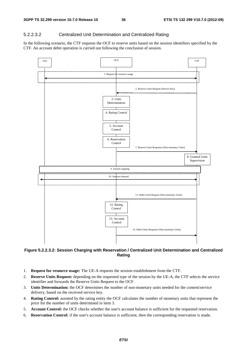#### 5.2.2.3.2 Centralized Unit Determination and Centralized Rating

In the following scenario, the CTF requests the OCF to reserve units based on the session identifiers specified by the CTF. An account debit operation is carried out following the conclusion of session.



**Figure 5.2.2.3.2: Session Charging with Reservation / Centralized Unit Determination and Centralized Rating**

- 1. **Request for resource usage:** The UE-A requests the session establishment from the CTF.
- 2. **Reserve Units Request:** depending on the requested type of the session by the UE-A, the CTF selects the service identifier and forwards the Reserve Units Request to the OCF.
- 3. **Units Determination:** the OCF determines the number of non-monetary units needed for the content/service delivery, based on the received service key.
- 4. **Rating Control:** assisted by the rating entity the OCF calculates the number of monetary units that represent the price for the number of units determined in item 3.
- 5. **Account Control:** the OCF checks whether the user's account balance is sufficient for the requested reservation.
- 6. **Reservation Control:** if the user's account balance is sufficient, then the corresponding reservation is made.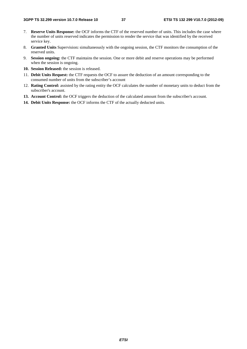- 7. **Reserve Units Response:** the OCF informs the CTF of the reserved number of units. This includes the case where the number of units reserved indicates the permission to render the service that was identified by the received service key.
- 8. **Granted Units** Supervision**:** simultaneously with the ongoing session, the CTF monitors the consumption of the reserved units.
- 9. **Session ongoing:** the CTF maintains the session. One or more debit and reserve operations may be performed when the session is ongoing.
- **10. Session Released:** the session is released.
- 11. **Debit Units Request:** the CTF requests the OCF to assure the deduction of an amount corresponding to the consumed number of units from the subscriber's account
- 12. **Rating Control:** assisted by the rating entity the OCF calculates the number of monetary units to deduct from the subscriber's account.
- **13. Account Control:** the OCF triggers the deduction of the calculated amount from the subscriber's account.
- **14. Debit Units Response:** the OCF informs the CTF of the actually deducted units.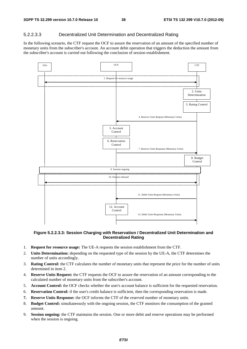#### 5.2.2.3.3 Decentralized Unit Determination and Decentralized Rating

In the following scenario, the CTF request the OCF to assure the reservation of an amount of the specified number of monetary units from the subscriber's account. An account debit operation that triggers the deduction the amount from the subscriber's account is carried out following the conclusion of session establishment.



#### **Figure 5.2.2.3.3: Session Charging with Reservation / Decentralized Unit Determination and Decentralized Rating**

- 1. **Request for resource usage:** The UE-A requests the session establishment from the CTF.
- 2. **Units Determination:** depending on the requested type of the session by the UE-A, the CTF determines the number of units accordingly.
- 3. **Rating Control:** the CTF calculates the number of monetary units that represent the price for the number of units determined in item 2.
- 4. **Reserve Units Request:** the CTF requests the OCF to assure the reservation of an amount corresponding to the calculated number of monetary units from the subscriber's account.
- 5. **Account Control:** the OCF checks whether the user's account balance is sufficient for the requested reservation.
- 6. **Reservation Control:** if the user's credit balance is sufficient, then the corresponding reservation is made.
- **7. Reserve Units Response:** the OCF informs the CTF of the reserved number of monetary units.
- 8. **Budget Control:** simultaneously with the ongoing session, the CTF monitors the consumption of the granted amount.
- 9. **Session ongoing:** the CTF maintains the session. One or more debit and reserve operations may be performed when the session is ongoing.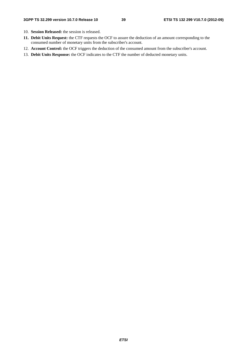- 10. **Session Released:** the session is released.
- **11. Debit Units Request:** the CTF requests the OCF to assure the deduction of an amount corresponding to the consumed number of monetary units from the subscriber's account.
- 12. **Account Control:** the OCF triggers the deduction of the consumed amount from the subscriber's account.
- 13. **Debit Units Response:** the OCF indicates to the CTF the number of deducted monetary units.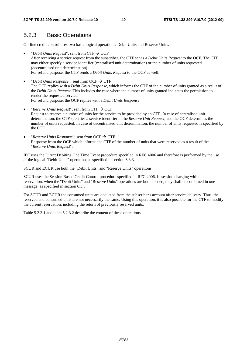### 5.2.3 Basic Operations

On-line credit control uses two basic logical operations: Debit Units and Reserve Units.

- "*Debit Units Request*"; sent from CTF  $\rightarrow$  OCF After receiving a service request from the subscriber, the CTF sends a *Debit Units Request* to the OCF. The CTF may either specify a service identifier (centralised unit determination) or the number of units requested (decentralised unit determination). For refund purpose, the CTF sends a *Debit Units Request* to the OCF as well.
- "*Debit Units Response*"; sent from OCF  $\rightarrow$  CTF The OCF replies with a *Debit Units Response*, which informs the CTF of the number of units granted as a result of the *Debit Units Request*. This includes the case where the number of units granted indicates the permission to render the requested service. For refund purpose, the OCF replies with a *Debit Units Response*.
- *"Reserve Units Request"*; sent from CTF  $\rightarrow$  OCF Request to reserve a number of units for the service to be provided by an CTF. In case of centralised unit determination, the CTF specifies a service identifier in the *Reserve Unit Request*, and the OCF determines the number of units requested. In case of decentralised unit determination, the number of units requested is specified by the CTF.
- "*Reserve Units Response*"; sent from OCF  $\rightarrow$  CTF Response from the OCF which informs the CTF of the number of units that were reserved as a result of the "*Reserve Units Request*".

IEC uses the Direct Debiting One Time Event procedure specified in RFC 4006 and therefore is performed by the use of the logical "Debit Units" operation, as specified in section 6.3.3.

SCUR and ECUR use both the "Debit Units" and "Reserve Units" operations.

SCUR uses the Session Based Credit Control procedure specified in RFC 4006. In session charging with unit reservation, when the "Debit Units" and "Reserve Units" operations are both needed, they shall be combined in one message, as specified in section 6.3.5.

For SCUR and ECUR the consumed units are deducted from the subscriber's account after service delivery. Thus, the reserved and consumed units are not necessarily the same. Using this operation, it is also possible for the CTF to modify the current reservation, including the return of previously reserved units.

Table 5.2.3.1 and table 5.2.3.2 describe the content of these operations.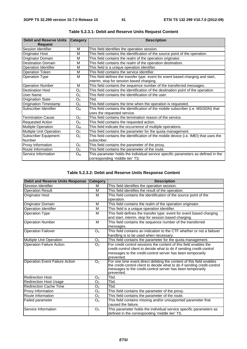| <b>Debit and Reserve Units</b> | <b>Category</b> | <b>Description</b>                                                                    |
|--------------------------------|-----------------|---------------------------------------------------------------------------------------|
| <b>Request</b>                 |                 |                                                                                       |
| Session Identifier             | M               | This field identifies the operation session.                                          |
| <b>Originator Host</b>         | M               | This field contains the identification of the source point of the operation.          |
| Originator Domain              | м               | This field contains the realm of the operation originator.                            |
| <b>Destination Domain</b>      | M               | This field contains the realm of the operation destination.                           |
| <b>Operation Identifier</b>    | M               | This field is a unique operation identifier.                                          |
| <b>Operation Token</b>         | M               | This field contains the service identifier.                                           |
| <b>Operation Type</b>          | M               | This field defines the transfer type: event for event based charging and start,       |
|                                |                 | interim, stop for session based charging.                                             |
| <b>Operation Number</b>        | M               | This field contains the sequence number of the transferred messages.                  |
| <b>Destination Host</b>        | O <sub>C</sub>  | This field contains the identification of the destination point of the operation.     |
| User Name                      | O <sub>C</sub>  | This field contains the identification of the user.                                   |
| <b>Origination State</b>       | O <sub>C</sub>  | Tbd.                                                                                  |
| <b>Origination Timestamp</b>   | O <sub>C</sub>  | This field contains the time when the operation is requested.                         |
| Subscriber Identifier          | Oм              | This field contains the identification of the mobile subscriber (i.e. MSISDN) that    |
|                                |                 | uses the requested service.                                                           |
| <b>Termination Cause</b>       | O <sub>c</sub>  | This field contains the termination reason of the service.                            |
| <b>Requested Action</b>        | O <sub>C</sub>  | This field contains the requested action.                                             |
| <b>Multiple Operation</b>      | $O_{M}$         | This field indicate the occurrence of multiple operations.                            |
| <b>Multiple Unit Operation</b> | O <sub>c</sub>  | This field contains the parameter for the quota management.                           |
| Subscriber Equipment           | O <sub>C</sub>  | This field contains the identification of the mobile device (i.e. IMEI) that uses the |
| Number                         |                 | subscriber.                                                                           |
| Proxy Information              | O <sub>C</sub>  | This field contains the parameter of the proxy.                                       |
| Route Information              | O <sub>C</sub>  | This field contains the parameter of the route.                                       |
| Service Information            | $O_{M}$         | This parameter holds the individual service specific parameters as defined in the     |
|                                |                 | corresponding 'middle tier' TS.                                                       |

**Table 5.2.3.1: Debit and Reserve Units Request Content** 

### **Table 5.2.3.2: Debit and Reserve Units Response Content**

| <b>Debit and Reserve Units Response</b> | <b>Category</b> | <b>Description</b>                                                                                                                     |
|-----------------------------------------|-----------------|----------------------------------------------------------------------------------------------------------------------------------------|
| Session Identifier                      | м               | This field identifies the operation session.                                                                                           |
| <b>Operation Result</b>                 | M               | This field identifies the result of the operation.                                                                                     |
| Originator Host                         | M               | This field contains the identification of the source point of the                                                                      |
|                                         |                 | operation.                                                                                                                             |
| Originator Domain                       | M               | This field contains the realm of the operation originator.                                                                             |
| <b>Operation Identifier</b>             | M               | This field is a unique operation identifier.                                                                                           |
| <b>Operation Type</b>                   | M               | This field defines the transfer type: event for event based charging                                                                   |
|                                         |                 | and start, interim, stop for session based charging.                                                                                   |
| <b>Operation Number</b>                 | M               | This field contains the sequence number of the transferred                                                                             |
|                                         |                 | messages.                                                                                                                              |
| <b>Operation Failover</b>               | O <sub>C</sub>  | This field contains an indication to the CTF whether or not a failover                                                                 |
|                                         |                 | handling is to be used when necessary.                                                                                                 |
| Multiple Unit Operation                 | O <sub>C</sub>  | This field contains the parameter for the quota management.                                                                            |
| <b>Operation Failure Action</b>         | O <sub>C</sub>  | For credit control sessions the content of this field enables the                                                                      |
|                                         |                 | credit-control client to decide what to do if sending credit-control                                                                   |
|                                         |                 | messages to the credit-control server has been temporarily                                                                             |
|                                         |                 | prevented.                                                                                                                             |
| <b>Operation Event Failure Action</b>   | O <sub>C</sub>  | For one time event direct debiting the content of this field enables                                                                   |
|                                         |                 | the credit-control client to decide what to do if sending credit-control<br>messages to the credit-control server has been temporarily |
|                                         |                 | prevented.                                                                                                                             |
| <b>Redirection Host</b>                 | O <sub>C</sub>  | Tbd.                                                                                                                                   |
| <b>Redirection Host Usage</b>           | O <sub>C</sub>  | Tbd.                                                                                                                                   |
| <b>Redirection Cache Time</b>           | O <sub>C</sub>  | Tbd.                                                                                                                                   |
| Proxy Information                       | O <sub>C</sub>  | This field contains the parameter of the proxy.                                                                                        |
| Route Information                       | O <sub>C</sub>  | This field contains the parameter of the route.                                                                                        |
| Failed parameter                        | O <sub>C</sub>  | This field contains missing and/or unsupported parameter that                                                                          |
|                                         |                 | caused the failure.                                                                                                                    |
| Service Information                     | O <sub>C</sub>  | This parameter holds the individual service specific parameters as                                                                     |
|                                         |                 | defined in the corresponding 'middle tier' TS.                                                                                         |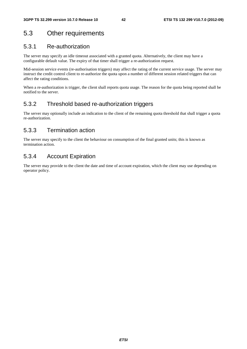## 5.3 Other requirements

## 5.3.1 Re-authorization

The server may specify an idle timeout associated with a granted quota. Alternatively, the client may have a configurable default value. The expiry of that timer shall trigger a re-authorization request.

Mid-session service events (re-authorisation triggers) may affect the rating of the current service usage. The server may instruct the credit control client to re-authorize the quota upon a number of different session related triggers that can affect the rating conditions.

When a re-authorization is trigger, the client shall reports quota usage. The reason for the quota being reported shall be notified to the server.

## 5.3.2 Threshold based re-authorization triggers

The server may optionally include an indication to the client of the remaining quota threshold that shall trigger a quota re-authorization.

## 5.3.3 Termination action

The server may specify to the client the behaviour on consumption of the final granted units; this is known as termination action.

## 5.3.4 Account Expiration

The server may provide to the client the date and time of account expiration, which the client may use depending on operator policy.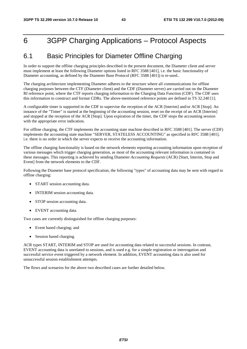# 6 3GPP Charging Applications – Protocol Aspects

## 6.1 Basic Principles for Diameter Offline Charging

In order to support the offline charging principles described in the present document, the Diameter client and server must implement at least the following Diameter options listed in RFC 3588 [401], i.e. the basic functionality of Diameter accounting, as defined by the Diameter Base Protocol (RFC 3588 [401]) is re-used..

The charging architecture implementing Diameter adheres to the structure where all communications for offline charging purposes between the CTF (Diameter client) and the CDF (Diameter server) are carried out on the Diameter Rf reference point, where the CTF reports charging information to the Charging Data Function (CDF). The CDF uses this information to construct and format CDRs. The above-mentioned reference points are defined in TS 32.240 [1].

A configurable timer is supported in the CDF to supervise the reception of the ACR [Interim] and/or ACR [Stop]. An instance of the "Timer" is started at the beginning of the accounting session, reset on the receipt of an ACR [Interim] and stopped at the reception of the ACR [Stop]. Upon expiration of the timer, the CDF stops the accounting session with the appropriate error indication.

For offline charging, the CTF implements the accounting state machine described in RFC 3588 [401]. The server (CDF) implements the accounting state machine "SERVER, STATELESS ACCOUNTING" as specified in RFC 3588 [401], i.e. there is no order in which the server expects to receive the accounting information.

The offline charging functionality is based on the network elements reporting accounting information upon reception of various messages which trigger charging generation, as most of the accounting relevant information is contained in these messages. This reporting is achieved by sending Diameter *Accounting Requests* (ACR) [Start, Interim, Stop and Event] from the network elements to the CDF.

Following the Diameter base protocol specification, the following "types" of accounting data may be sent with regard to offline charging:

- START session accounting data.
- INTERIM session accounting data.
- STOP session accounting data.
- EVENT accounting data.

Two cases are currently distinguished for offline charging purposes:

- Event based charging; and
- Session based charging.

ACR types START, INTERIM and STOP are used for accounting data related to successful sessions. In contrast, EVENT accounting data is unrelated to sessions, and is used e.g. for a simple registration or interrogation and successful service event triggered by a network element. In addition, EVENT accounting data is also used for unsuccessful session establishment attempts.

The flows and scenarios for the above two described cases are further detailed below.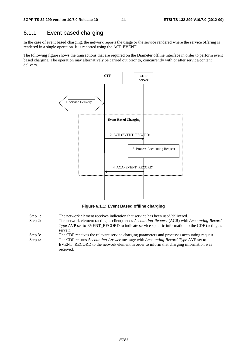## 6.1.1 Event based charging

In the case of event based charging, the network reports the usage or the service rendered where the service offering is rendered in a single operation. It is reported using the ACR EVENT.

The following figure shows the transactions that are required on the Diameter offline interface in order to perform event based charging. The operation may alternatively be carried out prior to, concurrently with or after service/content delivery.



**Figure 6.1.1: Event Based offline charging** 

- Step 1: The network element receives indication that service has been used/delivered.
- Step 2: The network element (acting as client) sends *Accounting-Request* (ACR) with *Accounting-Record-Type* AVP set to EVENT\_RECORD to indicate service specific information to the CDF (acting as server).
- Step 3: The CDF receives the relevant service charging parameters and processes accounting request.
- Step 4: The CDF returns *Accounting-Answer* message with *Accounting-Record-Type* AVP set to EVENT\_RECORD to the network element in order to inform that charging information was received.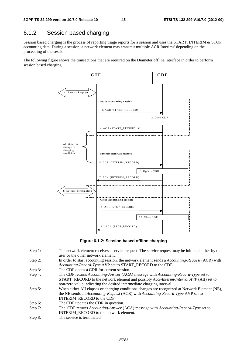## 6.1.2 Session based charging

Session based charging is the process of reporting usage reports for a session and uses the START, INTERIM & STOP accounting data. During a session, a network element may transmit multiple ACR Interims' depending on the proceeding of the session.

The following figure shows the transactions that are required on the Diameter offline interface in order to perform session based charging.



**Figure 6.1.2: Session based offline charging** 

- Step 1: The network element receives a service request. The service request may be initiated either by the user or the other network element.
- Step 2: In order to start accounting session, the network element sends a *Accounting-Request* (ACR) with *Accounting-Record-Type* AVP set to START\_RECORD to the CDF.
- Step 3: The CDF opens a CDR for current session.
- Step 4: The CDF returns *Accounting-Answer* (ACA) message with *Accounting-Record-Type* set to START\_RECORD to the network element and possibly *Acct-Interim-Interval AVP* (AII) set to non-zero value indicating the desired intermediate charging interval.
- Step 5: When either AII elapses or charging conditions changes are recognized at Network Element (NE), the NE sends an *Accounting-Request* (ACR) with *Accounting-Record-Type* AVP set to INTERIM\_RECORD to the CDF.
- Step 6: The CDF updates the CDR in question.
- Step 7: The CDF returns *Accounting-Answer* (ACA) message with *Accounting-Record-Type* set to INTERIM\_RECORD to the network element.
- Step 8: The service is terminated.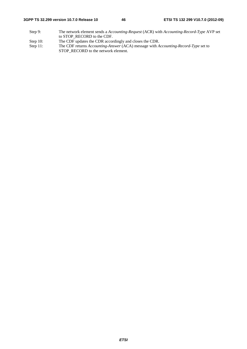#### **3GPP TS 32.299 version 10.7.0 Release 10 46 ETSI TS 132 299 V10.7.0 (2012-09)**

- Step 9: The network element sends a *Accounting-Request* (ACR) with *Accounting-Record-Type* AVP set to STOP\_RECORD to the CDF.
- 
- Step 10: The CDF updates the CDR accordingly and closes the CDR.<br>Step 11: The CDF returns Accounting-Answer (ACA) message with A The CDF returns *Accounting-Answer* (ACA) message with *Accounting-Record-Type* set to STOP\_RECORD to the network element.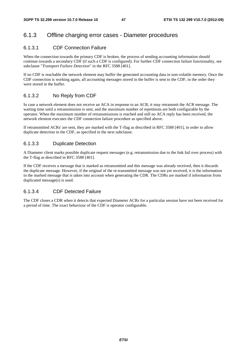### 6.1.3 Offline charging error cases - Diameter procedures

#### 6.1.3.1 CDF Connection Failure

When the connection towards the primary CDF is broken, the process of sending accounting information should continue towards a secondary CDF (if such a CDF is configured). For further CDF connection failure functionality, see subclause "*Transport Failure Detection*" in the RFC 3588 [401].

If no CDF is reachable the network element may buffer the generated accounting data in non-volatile memory. Once the CDF connection is working again, all accounting messages stored in the buffer is sent to the CDF, in the order they were stored in the buffer.

#### 6.1.3.2 No Reply from CDF

In case a network element does not receive an ACA in response to an ACR, it may retransmit the ACR message. The waiting time until a retransmission is sent, and the maximum number of repetitions are both configurable by the operator. When the maximum number of retransmissions is reached and still no ACA reply has been received, the network element executes the CDF connection failure procedure as specified above.

If retransmitted ACRs' are sent, they are marked with the T-flag as described in RFC 3588 [401], in order to allow duplicate detection in the CDF, as specified in the next subclause.

#### 6.1.3.3 Duplicate Detection

A Diameter client marks possible duplicate request messages (e.g. retransmission due to the link fail over process) with the T-flag as described in RFC 3588 [401].

If the CDF receives a message that is marked as retransmitted and this message was already received, then it discards the duplicate message. However, if the original of the re-transmitted message was not yet received, it is the information in the marked message that is taken into account when generating the CDR. The CDRs are marked if information from duplicated message(s) is used.

#### 6.1.3.4 CDF Detected Failure

The CDF closes a CDR when it detects that expected Diameter ACRs for a particular session have not been received for a period of time. The exact behaviour of the CDF is operator configurable.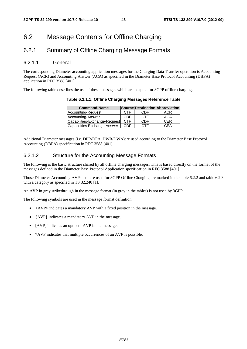## 6.2 Message Contents for Offline Charging

## 6.2.1 Summary of Offline Charging Message Formats

#### 6.2.1.1 General

The corresponding Diameter accounting application messages for the Charging Data Transfer operation is Accounting Request (ACR) and Accounting Answer (ACA) as specified in the Diameter Base Protocol Accounting (DBPA) application in RFC 3588 [401].

The following table describes the use of these messages which are adapted for 3GPP offline charging.

**Table 6.2.1.1: Offline Charging Messages Reference Table** 

| <b>Command-Name</b>           |            |            | Source Destination Abbreviation |
|-------------------------------|------------|------------|---------------------------------|
| Accounting-Request            | <b>CTF</b> | CDE        | <b>ACR</b>                      |
| Accounting-Answer             | CDF        | <b>CTF</b> | <b>ACA</b>                      |
| Capabilities-Exchange-Request | <b>CTF</b> | CDF        | <b>CFR</b>                      |
| Capabilities Exchange Answer  | <b>CDF</b> | <b>CTF</b> | CFA                             |

Additional Diameter messages (i.e. DPR/DPA, DWR/DWA)are used according to the Diameter Base Protocol Accounting (DBPA) specification in RFC 3588 [401].

#### 6.2.1.2 Structure for the Accounting Message Formats

The following is the basic structure shared by all offline charging messages. This is based directly on the format of the messages defined in the Diameter Base Protocol Application specification in RFC 3588 [401].

Those Diameter Accounting AVPs that are used for 3GPP Offline Charging are marked in the table 6.2.2 and table 6.2.3 with a category as specified in TS 32.240 [1].

An AVP in grey strikethrough in the message format (in grey in the tables) is not used by 3GPP.

The following symbols are used in the message format definition:

- $\langle$  AVP $>$  indicates a mandatory AVP with a fixed position in the message.
- {AVP} indicates a mandatory AVP in the message.
- [AVP] indicates an optional AVP in the message.
- \*AVP indicates that multiple occurrences of an AVP is possible.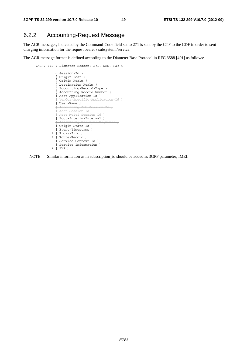## 6.2.2 Accounting-Request Message

The ACR messages, indicated by the Command-Code field set to 271 is sent by the CTF to the CDF in order to sent charging information for the request bearer / subsystem /service.

The ACR message format is defined according to the Diameter Base Protocol in RFC 3588 [401] as follows:

```
 <ACR> ::= < Diameter Header: 271, REQ, PXY > 
                < Session-Id > 
                { Origin-Host } 
                { Origin-Realm } 
                { Destination-Realm } 
{ Accounting-Record-Type } 
{ Accounting-Record-Number } 
                [ Acct-Application-Id ] 
                [ Vendor-Specific-Application-Id ]
                [ User-Name ] 
                [ Accounting-Sub-Session-Id ]
                [ Acct-Session-Id ]
               [ Acct-Multi-Session-Id ]
                [ Acct-Interim-Interval ] 
                [ Accounting-Realtime-Required ]
              [ Origin-State-Id ]
                [ Event-Timestamp ] 
              * [ Proxy-Info ] 
              * [ Route-Record ] 
                [ Service-Context-Id ] 
                [ Service-Information ] 
              * [ AVP ]
```
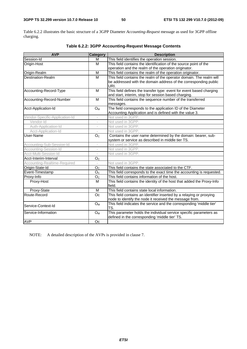Table 6.2.2 illustrates the basic structure of a 3GPP Diameter *Accounting-Request* message as used for 3GPP offline charging.

| <b>AVP</b>                     | <b>Category</b>          | <b>Description</b>                                                               |
|--------------------------------|--------------------------|----------------------------------------------------------------------------------|
| Session-Id                     | M                        | This field identifies the operation session.                                     |
| Origin-Host                    | M                        | This field contains the identification of the source point of the                |
|                                |                          | operation and the realm of the operation originator.                             |
| Origin-Realm                   | M                        | This field contains the realm of the operation originator.                       |
| Destination-Realm              | M                        | This field contains the realm of the operator domain. The realm will             |
|                                |                          | be addressed with the domain address of the corresponding public<br>URI.         |
| Accounting-Record-Type         | M                        | This field defines the transfer type: event for event based charging             |
|                                |                          | and start, interim, stop for session based charging.                             |
| Accounting-Record-Number       | M                        | This field contains the sequence number of the transferred<br>messages.          |
| Acct-Application-Id            | $O_{M}$                  | The field corresponds to the application ID of the Diameter                      |
|                                |                          | Accounting Application and is defined with the value 3.                          |
| Vendor-Specific-Application-Id | $\overline{\phantom{a}}$ | Not used in 3GPP.                                                                |
| Vendor-Id                      | ä,                       | Not used in 3GPP.                                                                |
| Auth-Application-Id            | $\overline{\phantom{m}}$ | Not used in 3GPP.                                                                |
| Acct-Application-Id            |                          | Not used in 3GPP.                                                                |
| User-Name                      | O <sub>C</sub>           | Contains the user name determined by the domain: bearer, sub-                    |
|                                |                          | system or service as described in middle tier TS.                                |
| Accounting-Sub-Session-Id      | $\bar{a}$                | Not used in 3GPP.                                                                |
| Accounting-Session-Id          | J.                       | Not used in 3GPP.                                                                |
| Acct-Multi-Session-Id          |                          | Not used in 3GPP.                                                                |
| Acct-Interim-Interval          | O <sub>C</sub>           |                                                                                  |
| Accounting-Realtime-Required   |                          | Not used in 3GPP.                                                                |
| Origin-State-Id                | O <sub>C</sub>           | This field contains the state associated to the CTF.                             |
| Event-Timestamp                | O <sub>C</sub>           | This field corresponds to the exact time the accounting is requested.            |
| Proxy-Info                     | O <sub>C</sub>           | This field contains information of the host.                                     |
| Proxy-Host                     | M                        | This field contains the identity of the host that added the Proxy-Info<br>field. |
| Proxy-State                    | M                        | This field contains state local information.                                     |
| Route-Record                   | Oc                       | This field contains an identifier inserted by a relaying or proxying             |
|                                |                          | node to identify the node it received the message from.                          |
| Service-Context-Id             | O <sub>M</sub>           | This field indicates the service and the corresponding 'middle tier'<br>TS.      |
| Service-Information            | $O_{M}$                  | This parameter holds the individual service specific parameters as               |
|                                |                          | defined in the corresponding 'middle tier' TS.                                   |
| <b>AVP</b>                     | Oc                       |                                                                                  |

### **Table 6.2.2: 3GPP Accounting-Request Message Contents**

NOTE: A detailed description of the AVPs is provided in clause 7.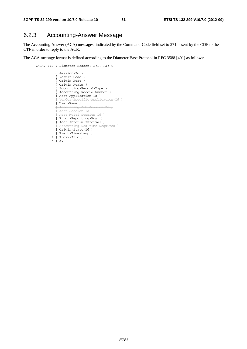## 6.2.3 Accounting-Answer Message

The Accounting Answer (ACA) messages, indicated by the Command-Code field set to 271 is sent by the CDF to the CTF in order to reply to the ACR.

The ACA message format is defined according to the Diameter Base Protocol in RFC 3588 [401] as follows:

```
 <ACA> ::= < Diameter Header: 271, PXY > 
                < Session-Id > 
                { Result-Code } 
                { Origin-Host } 
                { Origin-Realm } 
{ Accounting-Record-Type } 
{ Accounting-Record-Number } 
               [ Acct-Application-Id ] 
                [ Vendor-Specific-Application-Id ]
               [ User-Name ] 
                [ Accounting-Sub-Session-Id ]
               [ Acct-Session-Id ]
               [ Acct-Multi-Session-Id ]
               [ Error-Reporting-Host ] 
               [ Acct-Interim-Interval ] 
               [ Accounting-Realtime-Required ]
               [ Origin-State-Id ] 
               [ Event-Timestamp ] 
             * [ Proxy-Info ] 
             * [ AVP ]
```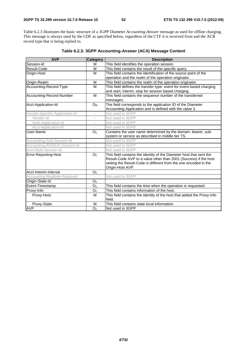Table 6.2.3 illustrates the basic structure of a 3GPP Diameter *Accounting-Answer* message as used for offline charging. This message is always used by the CDF as specified below, regardless of the CTF it is received from and the ACR record type that is being replied to.

| <b>AVP</b>                     | Category                 | <b>Description</b>                                                               |
|--------------------------------|--------------------------|----------------------------------------------------------------------------------|
| Session-Id                     | M                        | This field identifies the operation session.                                     |
| Result-Code                    | M                        | This field contains the result of the specific query.                            |
| Origin-Host                    | M                        | This field contains the identification of the source point of the                |
|                                |                          | operation and the realm of the operation originator.                             |
| Origin-Realm                   | M                        | This field contains the realm of the operation originator.                       |
| Accounting-Record-Type         | M                        | This field defines the transfer type: event for event based charging             |
|                                |                          | and start, interim, stop for session based charging.                             |
| Accounting-Record-Number       | M                        | This field contains the sequence number of the transferred                       |
|                                |                          | messages.                                                                        |
| Acct-Application-Id            | <b>O</b> <sub>M</sub>    | The field corresponds to the application ID of the Diameter                      |
|                                |                          | Accounting Application and is defined with the value 3.                          |
| Vendor-Specific-Application-Id |                          | Not used in 3GPP                                                                 |
| Vendor-Id                      |                          | Not used in 3GPP                                                                 |
| Auth-Application-Id            | $\overline{\phantom{a}}$ | Not used in 3GPP                                                                 |
| Acct-Application-Id            | ÷,                       | Not used in 3GPP                                                                 |
| User-Name                      | O <sub>C</sub>           | Contains the user name determined by the domain: bearer, sub-                    |
|                                |                          | system or service as described in middle tier TS.                                |
| Accounting-Sub-Session-Id      |                          | Not used in 3GPP                                                                 |
| Accounting-RADIUS-Session-Id   |                          | Not used in 3GPP                                                                 |
| Acct-Multi-Session-Id          |                          | Not used in 3GPP                                                                 |
| Error-Reporting-Host           | O <sub>C</sub>           | This field contains the identity of the Diameter host that sent the              |
|                                |                          | Result-Code AVP to a value other than 2001 (Success) if the host                 |
|                                |                          | setting the Result-Code is different from the one encoded in the                 |
|                                |                          | Origin-Host AVP.                                                                 |
| Acct-Interim-Interval          | O <sub>c</sub>           |                                                                                  |
| Accounting-Realtime-Required   | $\overline{\phantom{a}}$ | Not used in 3GPP                                                                 |
| Origin-State-Id                | O <sub>C</sub>           |                                                                                  |
| Event-Timestamp                | O <sub>C</sub>           | This field contains the time when the operation is requested.                    |
| Proxy-Info                     | O <sub>c</sub>           | This field contains information of the host.                                     |
| Proxy-Host                     | M                        | This field contains the identity of the host that added the Proxy-Info<br>field. |
| Proxy-State                    | M                        | This field contains state local information.                                     |
| <b>AVP</b>                     | O <sub>C</sub>           | Not used in 3GPP                                                                 |

**Table 6.2.3: 3GPP Accounting-Answer (ACA) Message Content**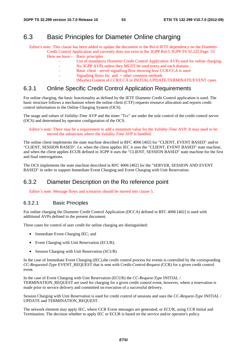## 6.3 Basic Principles for Diameter Online charging

Editor's note: This clause has been added to update the document to the Rel-6 IETF dependency on the Diameter Credit Control Application and currently does not exist in the 3GPP Rel-5 3GPP TS 32.225 Page: 53 Here we have:- Basic principles

- List of mandatory Diameter Credit Control Application AVPs used for online charging,
- No 3GPP AVPs unless they MUST be used every and each domain
- Basic client server signalling flow showing how CCR/CCA is used
- Signalling flows for and  $+$  other common methods
	- (Maybe) Content of CCR/CCA in INITIAL/UPDATE/TERMINATE/EVENT cases

### 6.3.1 Online Specific Credit Control Application Requirements

For online charging, the basic functionality as defined by the IETF Diameter Credit Control application is used. The basic structure follows a mechanism where the online client (CTF) requests resource allocation and reports credit control information to the Online Charging System (OCS).

The usage and values of *Validity-Time* AVP and the timer "Tcc" are under the sole control of the credit control server (OCS) and determined by operator configuration of the OCS.

Editor's note: There may be a requirement to add a minimum value for the *Validity-Time* AVP. It may need to be moved the subsection where the *Validity-Time AVP* is handled.

The online client implements the state machine described in RFC 4006 [402] for "CLIENT, EVENT BASED" and/or "CLIENT, SESSION BASED". I.e. when the client applies IEC it uses the "CLIENT, EVENT BASED" state machine, and when the client applies ECUR defined in 3GPP it uses the "CLIENT, SESSION BASED" state machine for the first and final interrogations.

The OCS implements the state machine described in RFC 4006 [402] for the "SERVER, SESSION AND EVENT BASED" in order to support Immediate Event Charging and Event Charging with Unit Reservation.

### 6.3.2 Diameter Description on the Ro reference point

Editor's note: Message flows and scenarios should be moved into clause 5.

#### 6.3.2.1 Basic Principles

For online charging the Diameter Credit Control Application (DCCA) defined in RFC 4006 [402] is used with additional AVPs defined in the present document.

Three cases for control of user credit for online charging are distinguished:

- Immediate Event Charging IEC; and
- Event Charging with Unit Reservation (ECUR).
- Session Charging with Unit Reservation (SCUR)

In the case of Immediate Event Charging (IEC),the credit control process for events is controlled by the corresponding *CC-Requested-Type* EVENT\_REQUEST that is sent with Credit*-Control-Request (*CCR) for a given credit control event.

In the case of Event Charging with Unit Reservation (ECUR) the *CC-Request-Type* INITIAL / TERMINATION\_REQUEST are used for charging for a given credit control event, however, where a reservation is made prior to service delivery and committed on execution of a successful delivery.

Session Charging with Unit Reservation is used for credit control of sessions and uses the *CC-Request-Type* INITIAL / UPDATE and TERMINATION\_REQUEST.

The network element may apply IEC, where CCR Event messages are generated, or ECUR, using CCR Initial and Termination. The decision whether to apply IEC or ECUR is based on the service and/or operator's policy.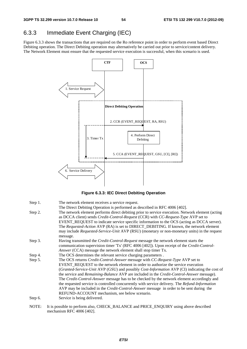## 6.3.3 Immediate Event Charging (IEC)

Figure 6.3.3 shows the transactions that are required on the Ro reference point in order to perform event based Direct Debiting operation. The Direct Debiting operation may alternatively be carried out prior to service/content delivery. The Network Element must ensure that the requested service execution is successful, when this scenario is used.



**Figure 6.3.3: IEC Direct Debiting Operation** 

| Step 1. | The network element receives a service request.                                                                                                                                                                                                                                                                                                                                                                                                                                                                                                                                                                                                                                                                                  |
|---------|----------------------------------------------------------------------------------------------------------------------------------------------------------------------------------------------------------------------------------------------------------------------------------------------------------------------------------------------------------------------------------------------------------------------------------------------------------------------------------------------------------------------------------------------------------------------------------------------------------------------------------------------------------------------------------------------------------------------------------|
| Step 2. | The Direct Debiting Operation is performed as described in RFC 4006 [402].<br>The network element performs direct debiting prior to service execution. Network element (acting<br>as DCCA client) sends <i>Credit-Control-Request</i> (CCR) with <i>CC-Request-Type</i> AVP set to<br>EVENT_REQUEST to indicate service specific information to the OCS (acting as DCCA server).<br>The Requested-Action AVP (RA) is set to DIRECT_DEBITING. If known, the network element<br>may include Requested-Service-Unit AVP (RSU) (monetary or non-monetary units) in the request<br>message.                                                                                                                                           |
| Step 3. | Having transmitted the <i>Credit-Control-Request</i> message the network element starts the<br>communication supervision timer 'Tx' (RFC 4006 [402]). Upon receipt of the Credit-Control-<br><i>Answer</i> (CCA) message the network element shall stop timer Tx.                                                                                                                                                                                                                                                                                                                                                                                                                                                                |
| Step 4. | The OCS determines the relevant service charging parameters.                                                                                                                                                                                                                                                                                                                                                                                                                                                                                                                                                                                                                                                                     |
| Step 5. | The OCS returns Credit-Control-Answer message with CC-Request-Type AVP set to<br>EVENT_REQUEST to the network element in order to authorize the service execution<br>(Granted-Service-Unit AVP (GSU) and possibly Cost-Information AVP (CI) indicating the cost of<br>the service and <i>Remaining-Balance</i> AVP are included in the <i>Credit-Control-Answer</i> message).<br>The Credit-Control-Answer message has to be checked by the network element accordingly and<br>the requested service is controlled concurrently with service delivery. The Refund-Information<br>AVP may be included in the <i>Credit-Control-Answer</i> message in order to be sent during the<br>REFUND-ACCOUNT mechanism, see below scenario. |
| Step 6. | Service is being delivered.                                                                                                                                                                                                                                                                                                                                                                                                                                                                                                                                                                                                                                                                                                      |
| NOTF    | It is possible to perform also CHECK, BALANCE and PRICE ENOURY using above described                                                                                                                                                                                                                                                                                                                                                                                                                                                                                                                                                                                                                                             |

NOTE: It is possible to perform also, CHECK\_BALANCE and PRICE\_ENQUIRY using above described mechanism RFC 4006 [402].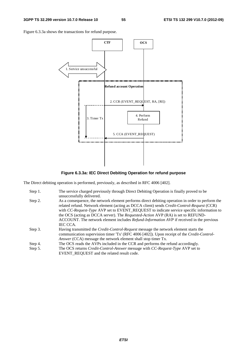Figure 6.3.3a shows the transactions for refund purpose.



**Figure 6.3.3a: IEC Direct Debiting Operation for refund purpose** 

The Direct debiting operation is performed, previously, as described in RFC 4006 [402].

| Step 1. | The service charged previously through Direct Debiting Operation is finally proved to be<br>unsuccessfully delivered.                                                                                                                                                                                                                                                                                                                                                                                               |
|---------|---------------------------------------------------------------------------------------------------------------------------------------------------------------------------------------------------------------------------------------------------------------------------------------------------------------------------------------------------------------------------------------------------------------------------------------------------------------------------------------------------------------------|
| Step 2. | As a consequence, the network element performs direct debiting operation in order to perform the<br>related refund. Network element (acting as DCCA client) sends <i>Credit-Control-Request</i> (CCR)<br>with CC-Request-Type AVP set to EVENT_REQUEST to indicate service specific information to<br>the OCS (acting as DCCA server). The <i>Requested-Action</i> AVP (RA) is set to REFUND-<br>ACCOUNT. The network element includes <i>Refund-Information AVP</i> if received in the previous<br><b>IEC CCA.</b> |
| Step 3. | Having transmitted the <i>Credit-Control-Request</i> message the network element starts the<br>communication supervision timer 'Tx' (RFC 4006 [402]). Upon receipt of the Credit-Control-<br>Answer (CCA) message the network element shall stop timer Tx.                                                                                                                                                                                                                                                          |
| Step 4. | The OCS reads the AVPs included in the CCR and performs the refund accordingly.                                                                                                                                                                                                                                                                                                                                                                                                                                     |
| Step 5. | The OCS returns <i>Credit-Control-Answer</i> message with <i>CC-Request-Type</i> AVP set to<br>EVENT REQUEST and the related result code.                                                                                                                                                                                                                                                                                                                                                                           |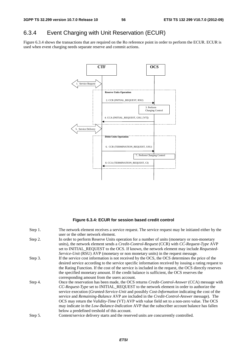## 6.3.4 Event Charging with Unit Reservation (ECUR)

Figure 6.3.4 shows the transactions that are required on the Ro reference point in order to perform the ECUR. ECUR is used when event charging needs separate reserve and commit actions.



#### **Figure 6.3.4: ECUR for session based credit control**

| Step 1. | The network element receives a service request. The service request may be initiated either by the      |
|---------|---------------------------------------------------------------------------------------------------------|
|         | user or the other network element.                                                                      |
| Step 2. | In order to perform Reserve Units operation for a number of units (monetary or non-monetary             |
|         | units), the network element sends a <i>Credit-Control-Request</i> (CCR) with <i>CC-Request-Type</i> AVP |
|         | set to INITIAL_REQUEST to the OCS. If known, the network element may include Requested-                 |
|         | Service-Unit (RSU) AVP (monetary or non monetary units) in the request message.                         |
| Step 3. | If the service cost information is not received by the OCS, the OCS determines the price of the         |
|         | desired service according to the service specific information received by issuing a rating request to   |
|         | the Rating Function. If the cost of the service is included in the request, the OCS directly reserves   |
|         | the specified monetary amount. If the credit balance is sufficient, the OCS reserves the                |
|         | corresponding amount from the users account.                                                            |
| Step 4. | Once the reservation has been made, the OCS returns <i>Credit-Control-Answer</i> (CCA) message with     |
|         | CC-Request-Type set to INITIAL_REQUEST to the network element in order to authorize the                 |
|         | service execution (Granted-Service-Unit and possibly Cost-Information indicating the cost of the        |
|         | service and Remaining-Balance AVP are included in the Credit-Control-Answer message). The               |
|         | OCS may return the <i>Validity-Time</i> (VT) AVP with value field set to a non-zero value. The OCS      |
|         | may indicate in the <i>Low-Balance-Indication</i> AVP that the subscriber account balance has fallen    |
|         | below a predefined treshold of this account.                                                            |
| Step 5. | Content/service delivery starts and the reserved units are concurrently controlled.                     |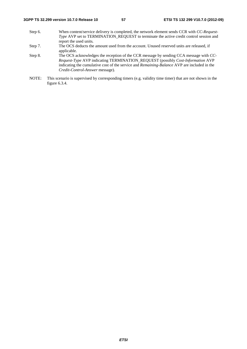- Step 6. When content/service delivery is completed, the network element sends CCR with *CC-Request-Type* AVP set to TERMINATION\_REQUEST to terminate the active credit control session and report the used units*.*
- Step 7. The OCS deducts the amount used from the account. Unused reserved units are released, if applicable.
- Step 8. The OCS acknowledges the reception of the CCR message by sending CCA message with *CC-Request-Type* AVP indicating TERMINATION\_REQUEST (possibly *Cost-Information* AVP indicating the cumulative cost of the service and *Remaining-Balance* AVP are included in the *Credit-Control-Answer* message).
- NOTE: This scenario is supervised by corresponding timers (e.g. validity time timer) that are not shown in the figure 6.3.4.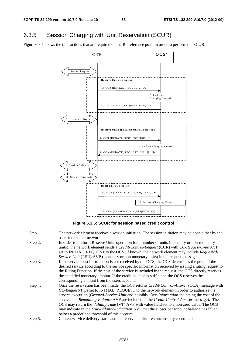## 6.3.5 Session Charging with Unit Reservation (SCUR)

Figure 6.3.5 shows the transactions that are required on the Ro reference point in order to perform the SCUR.



**Figure 6.3.5: SCUR for session based credit control** 

Step 1. The network element receives a session initiation. The session initiation may be done either by the user or the other network element. Step 2. In order to perform Reserve Units operation for a number of units (monetary or non-monetary units), the network element sends a *Credit-Control-Request* (CCR) with *CC-Request-Type* AVP set to INITIAL\_REQUEST to the OCS. If known, the network element may include *Requested-Service-Unit* (RSU) AVP (monetary or non monetary units) in the request message. Step 3. If the service cost information is not received by the OCS, the OCS determines the price of the desired service according to the service specific information received by issuing a rating request to the Rating Function. If the cost of the service is included in the request, the OCS directly reserves the specified monetary amount. If the credit balance is sufficient, the OCS reserves the corresponding amount from the users account. Step 4. Once the reservation has been made, the OCS returns *Credit-Control-Answer* (CCA) message with *CC-Request-Type* set to INITIAL\_REQUEST to the network element in order to authorize the service execution (*Granted-Service-Unit* and possibly *Cost-Information* indicating the cost of the service and *Remaining-Balance* AVP are included in the *Credit-Control-Answer* message). The OCS may return the *Validity-Time* (VT) AVP with value field set to a non-zero value. The OCS may indicate in the *Low-Balance-Indication* AVP that the subscriber account balance has fallen below a predefined threshold of this account. Step 5. Content/service delivery starts and the reserved units are concurrently controlled.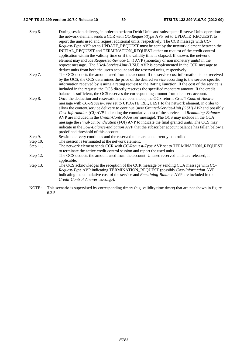#### **3GPP TS 32.299 version 10.7.0 Release 10 59 ETSI TS 132 299 V10.7.0 (2012-09)**

| Step 6.     | During session delivery, in order to perform Debit Units and subsequent Reserve Units operations,        |
|-------------|----------------------------------------------------------------------------------------------------------|
|             | the network element sends a CCR with CC-Request-Type AVP set to UPDATE_REQUEST, to                       |
|             | report the units used and request additional units, respectively. The CCR message with CC-               |
|             | Request-Type AVP set to UPDATE_REQUEST must be sent by the network element between the                   |
|             | INITIAL_REQUEST and TERMINATION_REQUEST either on request of the credit control                          |
|             | application within the validity time or if the validity time is elapsed. If known, the network           |
|             | element may include <i>Requested-Service-Unit</i> AVP (monetary or non monetary units) in the            |
|             | request message. The Used-Service-Unit (USU) AVP is complemented in the CCR message to                   |
|             | deduct units from both the user's account and the reserved units, respectively.                          |
| Step 7.     | The OCS deducts the amount used from the account. If the service cost information is not received        |
|             | by the OCS, the OCS determines the price of the desired service according to the service specific        |
|             | information received by issuing a rating request to the Rating Function. If the cost of the service is   |
|             | included in the request, the OCS directly reserves the specified monetary amount. If the credit          |
|             | balance is sufficient, the OCS reserves the corresponding amount from the users account.                 |
| Step 8.     | Once the deduction and reservation have been made, the OCS returns Credit-Control-Answer                 |
|             | message with CC-Request-Type set to UPDATE_REQUEST to the network element, in order to                   |
|             | allow the content/service delivery to continue (new Granted-Service-Unit (GSU) AVP and possibly          |
|             | Cost-Information (CI) AVP indicating the cumulative cost of the service and Remaining-Balance            |
|             | AVP are included in the <i>Credit-Control-Answer</i> message). The OCS may include in the CCA            |
|             | message the <i>Final-Unit-Indication</i> (FUI) AVP to indicate the final granted units. The OCS may      |
|             | indicate in the <i>Low-Balance-Indication</i> AVP that the subscriber account balance has fallen below a |
|             | predefined threshold of this account.                                                                    |
| Step 9.     | Session delivery continues and the reserved units are concurrently controlled.                           |
| Step $10$ . | The session is terminated at the network element.                                                        |
| Step 11.    | The network element sends CCR with CC-Request-Type AVP set to TERMINATION_REQUEST                        |
|             | to terminate the active credit control session and report the used units.                                |
| Step 12.    | The OCS deducts the amount used from the account. Unused reserved units are released, if                 |

applicable. Step 13. The OCS acknowledges the reception of the CCR message by sending CCA message with *CC-Request-Type* AVP indicating TERMINATION\_REQUEST (possibly *Cost-Information* AVP indicating the cumulative cost of the service and *Remaining-Balance* AVP are included in the *Credit-Control-Answer* message).

NOTE: This scenario is supervised by corresponding timers (e.g. validity time timer) that are not shown in figure 6.3.5.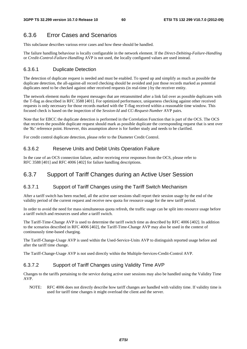### 6.3.6 Error Cases and Scenarios

This subclause describes various error cases and how these should be handled.

The failure handling behaviour is locally configurable in the network element. If the *Direct-Debiting-Failure-Handling* or *Credit-Control-Failure-Handling* AVP is not used, the locally configured values are used instead.

#### 6.3.6.1 Duplicate Detection

The detection of duplicate request is needed and must be enabled. To speed up and simplify as much as possible the duplicate detection, the all-against-all record checking should be avoided and just those records marked as potential duplicates need to be checked against other received requests (in real-time ) by the receiver entity.

The network element marks the request messages that are retransmitted after a link fail over as possible duplicates with the T-flag as described in RFC 3588 [401]. For optimized performance, uniqueness checking against other received requests is only necessary for those records marked with the T-flag received within a reasonable time window. This focused check is based on the inspection of the *Session-Id* and *CC-Request-Number* AVP pairs.

Note that for EBCC the duplicate detection is performed in the Correlation Function that is part of the OCS. The OCS that receives the possible duplicate request should mark as possible duplicate the corresponding request that is sent over the 'Rc' reference point. However, this assumption above is for further study and needs to be clarified.

For credit control duplicate detection, please refer to the Diameter Credit Control.

#### 6.3.6.2 Reserve Units and Debit Units Operation Failure

In the case of an OCS connection failure, and/or receiving error responses from the OCS, please refer to RFC 3588 [401] and RFC 4006 [402] for failure handling descriptions.

### 6.3.7 Support of Tariff Changes during an Active User Session

#### 6.3.7.1 Support of Tariff Changes using the Tariff Switch Mechanism

After a tariff switch has been reached, all the active user sessions shall report their session usage by the end of the validity period of the current request and receive new quota for resource usage for the new tariff period.

In order to avoid the need for mass simultaneous quota refresh, the traffic usage can be split into resource usage before a tariff switch and resources used after a tariff switch.

The Tariff-Time-Change AVP is used to determine the tariff switch time as described by RFC 4006 [402]. In addition to the scenarios described in RFC 4006 [402], the Tariff-Time-Change AVP may also be used in the context of continuously time-based charging.

The Tariff-Change-Usage AVP is used within the Used-Service-Units AVP to distinguish reported usage before and after the tariff time change.

The Tariff-Change-Usage AVP is not used directly within the Multiple-Services-Credit-Control AVP.

#### 6.3.7.2 Support of Tariff Changes using Validity Time AVP

Changes to the tariffs pertaining to the service during active user sessions may also be handled using the Validity Time AVP.

NOTE: RFC 4006 does not directly describe how tariff changes are handled with validity time. If validity time is used for tariff time changes it might overload the client and the server.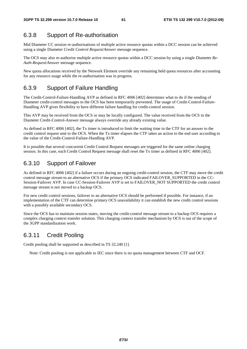### 6.3.8 Support of Re-authorisation

Mid Diameter CC session re-authorisations of multiple active resource quotas within a DCC session can be achieved using a single Diameter *Credit Control Request/Answer* message sequence.

The OCS may also re-authorise multiple active resource quotas within a DCC session by using a single Diameter *Re-Auth-Request/Answer* message sequence.

New quota allocations received by the Network Element override any remaining held quota resources after accounting for any resource usage while the re-authorisation was in progress.

### 6.3.9 Support of Failure Handling

The Credit-Control-Failure-Handling AVP as defined in RFC 4006 [402] determines what to do if the sending of Diameter credit-control messages to the OCS has been temporarily prevented. The usage of Credit-Control-Failure-Handling AVP gives flexibility to have different failure handling for credit-control session.

This AVP may be received from the OCS or may be locally configured. The value received from the OCS in the Diameter Credit-Control-Answer message always override any already existing value.

As defined in RFC 4006 [402], the Tx timer is introduced to limit the waiting time in the CTF for an answer to the credit control request sent to the OCS. When the Tx timer elapses the CTF takes an action to the end user according to the value of the Credit-Control-Failure-Handling AVP.

It is possible that several concurrent Credit Control Request messages are triggered for the same online charging session. In this case, each Credit Control Request message shall reset the Tx timer as defined in RFC 4006 [402].

## 6.3.10 Support of Failover

As defined in RFC 4006 [402] if a failure occurs during an ongoing credit-control session, the CTF may move the credit control message stream to an alternative OCS if the primary OCS indicated FAILOVER\_SUPPORTED in the CC-Session-Failover AVP. In case CC-Session-Failover AVP is set to FAILOVER\_NOT SUPPORTED the credit control message stream is not moved to a backup OCS.

For new credit control sessions, failover to an alternative OCS should be performed if possible. For instance, if an implementation of the CTF can determine primary OCS unavailability it can establish the new credit control sessions with a possibly available secondary OCS.

Since the OCS has to maintain session states, moving the credit-control message stream to a backup OCS requires a complex charging context transfer solution. This charging context transfer mechanism by OCS is out of the scope of the 3GPP standardization work.

## 6.3.11 Credit Pooling

Credit pooling shall be supported as described in TS 32.240 [1].

Note: Credit pooling is not applicable to IEC since there is no quota management between CTF and OCF.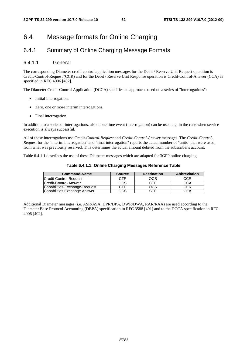## 6.4 Message formats for Online Charging

### 6.4.1 Summary of Online Charging Message Formats

#### 6.4.1.1 General

The corresponding Diameter credit control application messages for the Debit / Reserve Unit Request operation is Credit-Control-Request (CCR) and for the Debit / Reserve Unit Response operation is Credit-Control-Answer (CCA) as specified in RFC 4006 [402].

The Diameter Credit-Control Application (DCCA) specifies an approach based on a series of "interrogations":

- Initial interrogation.
- Zero, one or more interim interrogations.
- Final interrogation.

In addition to a series of interrogations, also a one time event (interrogation) can be used e.g. in the case when service execution is always successful.

All of these interrogations use Credit*-Control-Request* and *Credit-Control-Answer* messages. The *Credit-Control-Request* for the "interim interrogation" and "final interrogation" reports the actual number of "units" that were used, from what was previously reserved. This determines the actual amount debited from the subscriber's account.

Table 6.4.1.1 describes the use of these Diameter messages which are adapted for 3GPP online charging.

| <b>Command-Name</b>           | <b>Source</b> | <b>Destination</b> | <b>Abbreviation</b> |
|-------------------------------|---------------|--------------------|---------------------|
| Credit-Control-Request        | <b>CTF</b>    | <b>OCS</b>         | CCR                 |
| <b>Credit-Control-Answer</b>  | OCS           | CTF                | CCA                 |
| Capabilities-Exchange-Request | CTF           | ocs                | CER                 |
| Capabilities Exchange Answer  | OCS           | CTF                |                     |

Additional Diameter messages (i.e. ASR/ASA, DPR/DPA, DWR/DWA, RAR/RAA) are used according to the Diameter Base Protocol Accounting (DBPA) specification in RFC 3588 [401] and to the DCCA specification in RFC 4006 [402].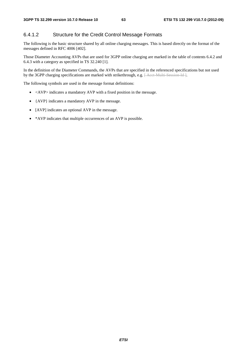#### 6.4.1.2 Structure for the Credit Control Message Formats

The following is the basic structure shared by all online charging messages. This is based directly on the format of the messages defined in RFC 4006 [402].

Those Diameter Accounting AVPs that are used for 3GPP online charging are marked in the table of contents 6.4.2 and 6.4.3 with a category as specified in TS 32.240 [1].

In the definition of the Diameter Commands, the AVPs that are specified in the referenced specifications but not used by the 3GPP charging specifications are marked with strikethrough, e.g. [Acct Multi-Session-Id ].

The following symbols are used in the message format definitions:

- <AVP> indicates a mandatory AVP with a fixed position in the message.
- {AVP} indicates a mandatory AVP in the message.
- [AVP] indicates an optional AVP in the message.
- \*AVP indicates that multiple occurrences of an AVP is possible.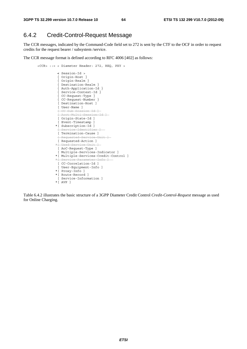### 6.4.2 Credit-Control-Request Message

The CCR messages, indicated by the Command-Code field set to 272 is sent by the CTF to the OCF in order to request credits for the request bearer / subsystem /service.

The CCR message format is defined according to RFC 4006 [402] as follows:

```
 <CCR> ::= < Diameter Header: 272, REQ, PXY > 
                 < Session-Id > 
                 { Origin-Host } 
                 { Origin-Realm } 
                 { Destination-Realm } 
                  { Auth-Application-Id } 
                 { Service-Context-Id } 
{ CC-Request-Type } 
{ CC-Request-Number } 
                 [ Destination-Host ] 
                 [ User-Name ] 
                 [ CC-Sub-Session-Id ] 
                 [ Acct-Multi-Session-Id ] 
                 [ Origin-State-Id ] 
                 [ Event-Timestamp ] 
                *[ Subscription-Id ] 
                 [ Service-Identifier ] 
                 [ Termination-Cause ] 
                  Requested-Service-Unit ]
                [ Requested-Action ]
                *[ Used-Service-Unit ] 
                 [ AoC-Request-Type ] 
                 [ Multiple-Services-Indicator ] 
                *[ Multiple-Services-Credit-Control ] 
               *[ Service Parameter Info
                 [ CC-Correlation-Id ] 
                 [ User-Equipment-Info ] 
                *[ Proxy-Info ] 
                *[ Route-Record ] 
                 [ Service-Information ] 
                *[ AVP ]
```
Table 6.4.2 illustrates the basic structure of a 3GPP Diameter Credit Control *Credit-Control-Request* message as used for Online Charging.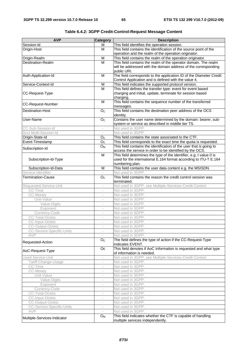| This field identifies the operation session.<br>Session-Id<br>М<br>Origin-Host<br>M<br>This field contains the identification of the source point of the<br>operation and the realm of the operation originator.<br>Origin-Realm<br>M<br>This field contains the realm of the operation originator.<br>Destination-Realm<br>M<br>This field contains the realm of the operator domain. The realm<br>will be addressed with the domain address of the corresponding<br>public URI.<br>The field corresponds to the application ID of the Diameter Credit<br>Auth-Application-Id<br>M<br>Control Application and is defined with the value 4.<br>Service-Context-Id<br>This field indicates the supported protocol version.<br>M<br>$\overline{M}$<br>This field defines the transfer type: event for event based<br>CC-Request-Type<br>charging and initial, update, terminate for session based<br>charging.<br>This field contains the sequence number of the transferred<br>M<br><b>CC-Request-Number</b><br>messages.<br>This field contains the destination peer address of the OCS<br><b>Destination-Host</b><br>O <sub>C</sub><br>identity.<br>Contains the user name determined by the domain: bearer, sub-<br>User-Name<br>O <sub>c</sub><br>system or service as described in middle tier TS.<br>CC-Sub-Session-Id<br>Not used in 3GPP.<br>Acct-Multi-Session-Id<br>Not used in 3GPP.<br>Origin-State-Id<br>This field contains the state associated to the CTF.<br>O <sub>c</sub><br>Event-Timestamp<br>$\overline{O}_{C}$<br>This field corresponds to the exact time the quota is requested.<br>This field contains the identification of the user that is going to<br>$O_{M}$<br>Subscription-Id<br>access the service in order to be identified by the OCS.<br>M<br>This field determines the type of the identifier, e.g. t value 0 is<br>used for the international E.164 format according to ITU-T E.164<br>Subscription-Id-Type<br>numbering plan.<br>This field contains the user data content e.g. the MSISDN.<br>M<br>Subscription-Id-Data<br>Service-Identifier<br>Not used in 3GPP.<br><b>Termination-Cause</b><br>O <sub>c</sub><br>This field contains the reason the credit control session was<br>terminated.<br>Requested-Service-Unit<br>Not used in 3GPP, see Multiple-Services-Credit-Control.<br>CC-Time<br>Not used in 3GPP.<br>CC-Money<br>Not used in 3GPP.<br>Unit-Value<br>Not used in 3GPP.<br>$\overline{\phantom{a}}$<br>Not used in 3GPP.<br>Value-Digits<br>$\overline{\phantom{a}}$<br>Not used in 3GPP.<br>Exponent<br>$\bar{ }$<br>Currency-Code<br>Not used in 3GPP.<br>÷<br><b>CC-Total-Octets</b><br>Not used in 3GPP.<br>$\overline{\phantom{a}}$<br>Not used in 3GPP.<br>CC-Input-Octets<br><b>CC-Output-Octets</b><br>Not used in 3GPP.<br>Not used in 3GPP.<br>CC-Service-Specific-Units<br>AVP<br>Not used in 3GPP.<br>The field defines the type of action if the CC-Request-Type<br>O <sub>c</sub><br>Requested-Action<br>indicates EVENT.<br>This field denotes if AoC Information is requested and what type<br>Oc<br>AoC-Request-Type<br>of information is needed.<br>Not used in 3GPP, see Multiple-Services-Credit-Control.<br>Used-Service-Unit<br>Tariff-Change-Usage<br>Not used in 3GPP.<br>CC-Time<br>Not used in 3GPP.<br>$\overline{\phantom{a}}$<br>CC-Money<br>Not used in 3GPP.<br>$\overline{\phantom{a}}$<br>Not used in 3GPP.<br>Unit-Value<br>Not used in 3GPP.<br>Value-Digits<br>Not used in 3GPP.<br>Exponent<br>Currency-Code<br>Not used in 3GPP.<br>$\overline{\phantom{a}}$<br><b>CC-Total-Octets</b><br>Not used in 3GPP.<br>$\overline{\phantom{a}}$<br>Not used in 3GPP.<br>CC-Input-Octets<br>$\overline{\phantom{0}}$<br><b>CC-Output-Octets</b><br>Not used in 3GPP.<br>CC-Service-Specific-Units<br>Not used in 3GPP.<br>AVP<br>Not used in 3GPP. | This field indicates whether the CTF is capable of handling<br>$O_{M}$<br>Multiple-Services-Indicator<br>multiple services independently. | <b>AVP</b> | Category | <b>Description</b> |
|-------------------------------------------------------------------------------------------------------------------------------------------------------------------------------------------------------------------------------------------------------------------------------------------------------------------------------------------------------------------------------------------------------------------------------------------------------------------------------------------------------------------------------------------------------------------------------------------------------------------------------------------------------------------------------------------------------------------------------------------------------------------------------------------------------------------------------------------------------------------------------------------------------------------------------------------------------------------------------------------------------------------------------------------------------------------------------------------------------------------------------------------------------------------------------------------------------------------------------------------------------------------------------------------------------------------------------------------------------------------------------------------------------------------------------------------------------------------------------------------------------------------------------------------------------------------------------------------------------------------------------------------------------------------------------------------------------------------------------------------------------------------------------------------------------------------------------------------------------------------------------------------------------------------------------------------------------------------------------------------------------------------------------------------------------------------------------------------------------------------------------------------------------------------------------------------------------------------------------------------------------------------------------------------------------------------------------------------------------------------------------------------------------------------------------------------------------------------------------------------------------------------------------------------------------------------------------------------------------------------------------------------------------------------------------------------------------------------------------------------------------------------------------------------------------------------------------------------------------------------------------------------------------------------------------------------------------------------------------------------------------------------------------------------------------------------------------------------------------------------------------------------------------------------------------------------------------------------------------------------------------------------------------------------------------------------------------------------------------------------------------------------------------------------------------------------------------------------------------------------------------------------------------------------------------------------------------------------------------------------------------------------------------------------------------------------------------------------------------------------------------------------------------------------------------------------------------------------|-------------------------------------------------------------------------------------------------------------------------------------------|------------|----------|--------------------|
|                                                                                                                                                                                                                                                                                                                                                                                                                                                                                                                                                                                                                                                                                                                                                                                                                                                                                                                                                                                                                                                                                                                                                                                                                                                                                                                                                                                                                                                                                                                                                                                                                                                                                                                                                                                                                                                                                                                                                                                                                                                                                                                                                                                                                                                                                                                                                                                                                                                                                                                                                                                                                                                                                                                                                                                                                                                                                                                                                                                                                                                                                                                                                                                                                                                                                                                                                                                                                                                                                                                                                                                                                                                                                                                                                                                                                                           |                                                                                                                                           |            |          |                    |
|                                                                                                                                                                                                                                                                                                                                                                                                                                                                                                                                                                                                                                                                                                                                                                                                                                                                                                                                                                                                                                                                                                                                                                                                                                                                                                                                                                                                                                                                                                                                                                                                                                                                                                                                                                                                                                                                                                                                                                                                                                                                                                                                                                                                                                                                                                                                                                                                                                                                                                                                                                                                                                                                                                                                                                                                                                                                                                                                                                                                                                                                                                                                                                                                                                                                                                                                                                                                                                                                                                                                                                                                                                                                                                                                                                                                                                           |                                                                                                                                           |            |          |                    |
|                                                                                                                                                                                                                                                                                                                                                                                                                                                                                                                                                                                                                                                                                                                                                                                                                                                                                                                                                                                                                                                                                                                                                                                                                                                                                                                                                                                                                                                                                                                                                                                                                                                                                                                                                                                                                                                                                                                                                                                                                                                                                                                                                                                                                                                                                                                                                                                                                                                                                                                                                                                                                                                                                                                                                                                                                                                                                                                                                                                                                                                                                                                                                                                                                                                                                                                                                                                                                                                                                                                                                                                                                                                                                                                                                                                                                                           |                                                                                                                                           |            |          |                    |
|                                                                                                                                                                                                                                                                                                                                                                                                                                                                                                                                                                                                                                                                                                                                                                                                                                                                                                                                                                                                                                                                                                                                                                                                                                                                                                                                                                                                                                                                                                                                                                                                                                                                                                                                                                                                                                                                                                                                                                                                                                                                                                                                                                                                                                                                                                                                                                                                                                                                                                                                                                                                                                                                                                                                                                                                                                                                                                                                                                                                                                                                                                                                                                                                                                                                                                                                                                                                                                                                                                                                                                                                                                                                                                                                                                                                                                           |                                                                                                                                           |            |          |                    |
|                                                                                                                                                                                                                                                                                                                                                                                                                                                                                                                                                                                                                                                                                                                                                                                                                                                                                                                                                                                                                                                                                                                                                                                                                                                                                                                                                                                                                                                                                                                                                                                                                                                                                                                                                                                                                                                                                                                                                                                                                                                                                                                                                                                                                                                                                                                                                                                                                                                                                                                                                                                                                                                                                                                                                                                                                                                                                                                                                                                                                                                                                                                                                                                                                                                                                                                                                                                                                                                                                                                                                                                                                                                                                                                                                                                                                                           |                                                                                                                                           |            |          |                    |
|                                                                                                                                                                                                                                                                                                                                                                                                                                                                                                                                                                                                                                                                                                                                                                                                                                                                                                                                                                                                                                                                                                                                                                                                                                                                                                                                                                                                                                                                                                                                                                                                                                                                                                                                                                                                                                                                                                                                                                                                                                                                                                                                                                                                                                                                                                                                                                                                                                                                                                                                                                                                                                                                                                                                                                                                                                                                                                                                                                                                                                                                                                                                                                                                                                                                                                                                                                                                                                                                                                                                                                                                                                                                                                                                                                                                                                           |                                                                                                                                           |            |          |                    |
|                                                                                                                                                                                                                                                                                                                                                                                                                                                                                                                                                                                                                                                                                                                                                                                                                                                                                                                                                                                                                                                                                                                                                                                                                                                                                                                                                                                                                                                                                                                                                                                                                                                                                                                                                                                                                                                                                                                                                                                                                                                                                                                                                                                                                                                                                                                                                                                                                                                                                                                                                                                                                                                                                                                                                                                                                                                                                                                                                                                                                                                                                                                                                                                                                                                                                                                                                                                                                                                                                                                                                                                                                                                                                                                                                                                                                                           |                                                                                                                                           |            |          |                    |
|                                                                                                                                                                                                                                                                                                                                                                                                                                                                                                                                                                                                                                                                                                                                                                                                                                                                                                                                                                                                                                                                                                                                                                                                                                                                                                                                                                                                                                                                                                                                                                                                                                                                                                                                                                                                                                                                                                                                                                                                                                                                                                                                                                                                                                                                                                                                                                                                                                                                                                                                                                                                                                                                                                                                                                                                                                                                                                                                                                                                                                                                                                                                                                                                                                                                                                                                                                                                                                                                                                                                                                                                                                                                                                                                                                                                                                           |                                                                                                                                           |            |          |                    |
|                                                                                                                                                                                                                                                                                                                                                                                                                                                                                                                                                                                                                                                                                                                                                                                                                                                                                                                                                                                                                                                                                                                                                                                                                                                                                                                                                                                                                                                                                                                                                                                                                                                                                                                                                                                                                                                                                                                                                                                                                                                                                                                                                                                                                                                                                                                                                                                                                                                                                                                                                                                                                                                                                                                                                                                                                                                                                                                                                                                                                                                                                                                                                                                                                                                                                                                                                                                                                                                                                                                                                                                                                                                                                                                                                                                                                                           |                                                                                                                                           |            |          |                    |
|                                                                                                                                                                                                                                                                                                                                                                                                                                                                                                                                                                                                                                                                                                                                                                                                                                                                                                                                                                                                                                                                                                                                                                                                                                                                                                                                                                                                                                                                                                                                                                                                                                                                                                                                                                                                                                                                                                                                                                                                                                                                                                                                                                                                                                                                                                                                                                                                                                                                                                                                                                                                                                                                                                                                                                                                                                                                                                                                                                                                                                                                                                                                                                                                                                                                                                                                                                                                                                                                                                                                                                                                                                                                                                                                                                                                                                           |                                                                                                                                           |            |          |                    |
|                                                                                                                                                                                                                                                                                                                                                                                                                                                                                                                                                                                                                                                                                                                                                                                                                                                                                                                                                                                                                                                                                                                                                                                                                                                                                                                                                                                                                                                                                                                                                                                                                                                                                                                                                                                                                                                                                                                                                                                                                                                                                                                                                                                                                                                                                                                                                                                                                                                                                                                                                                                                                                                                                                                                                                                                                                                                                                                                                                                                                                                                                                                                                                                                                                                                                                                                                                                                                                                                                                                                                                                                                                                                                                                                                                                                                                           |                                                                                                                                           |            |          |                    |
|                                                                                                                                                                                                                                                                                                                                                                                                                                                                                                                                                                                                                                                                                                                                                                                                                                                                                                                                                                                                                                                                                                                                                                                                                                                                                                                                                                                                                                                                                                                                                                                                                                                                                                                                                                                                                                                                                                                                                                                                                                                                                                                                                                                                                                                                                                                                                                                                                                                                                                                                                                                                                                                                                                                                                                                                                                                                                                                                                                                                                                                                                                                                                                                                                                                                                                                                                                                                                                                                                                                                                                                                                                                                                                                                                                                                                                           |                                                                                                                                           |            |          |                    |
|                                                                                                                                                                                                                                                                                                                                                                                                                                                                                                                                                                                                                                                                                                                                                                                                                                                                                                                                                                                                                                                                                                                                                                                                                                                                                                                                                                                                                                                                                                                                                                                                                                                                                                                                                                                                                                                                                                                                                                                                                                                                                                                                                                                                                                                                                                                                                                                                                                                                                                                                                                                                                                                                                                                                                                                                                                                                                                                                                                                                                                                                                                                                                                                                                                                                                                                                                                                                                                                                                                                                                                                                                                                                                                                                                                                                                                           |                                                                                                                                           |            |          |                    |
|                                                                                                                                                                                                                                                                                                                                                                                                                                                                                                                                                                                                                                                                                                                                                                                                                                                                                                                                                                                                                                                                                                                                                                                                                                                                                                                                                                                                                                                                                                                                                                                                                                                                                                                                                                                                                                                                                                                                                                                                                                                                                                                                                                                                                                                                                                                                                                                                                                                                                                                                                                                                                                                                                                                                                                                                                                                                                                                                                                                                                                                                                                                                                                                                                                                                                                                                                                                                                                                                                                                                                                                                                                                                                                                                                                                                                                           |                                                                                                                                           |            |          |                    |
|                                                                                                                                                                                                                                                                                                                                                                                                                                                                                                                                                                                                                                                                                                                                                                                                                                                                                                                                                                                                                                                                                                                                                                                                                                                                                                                                                                                                                                                                                                                                                                                                                                                                                                                                                                                                                                                                                                                                                                                                                                                                                                                                                                                                                                                                                                                                                                                                                                                                                                                                                                                                                                                                                                                                                                                                                                                                                                                                                                                                                                                                                                                                                                                                                                                                                                                                                                                                                                                                                                                                                                                                                                                                                                                                                                                                                                           |                                                                                                                                           |            |          |                    |
|                                                                                                                                                                                                                                                                                                                                                                                                                                                                                                                                                                                                                                                                                                                                                                                                                                                                                                                                                                                                                                                                                                                                                                                                                                                                                                                                                                                                                                                                                                                                                                                                                                                                                                                                                                                                                                                                                                                                                                                                                                                                                                                                                                                                                                                                                                                                                                                                                                                                                                                                                                                                                                                                                                                                                                                                                                                                                                                                                                                                                                                                                                                                                                                                                                                                                                                                                                                                                                                                                                                                                                                                                                                                                                                                                                                                                                           |                                                                                                                                           |            |          |                    |
|                                                                                                                                                                                                                                                                                                                                                                                                                                                                                                                                                                                                                                                                                                                                                                                                                                                                                                                                                                                                                                                                                                                                                                                                                                                                                                                                                                                                                                                                                                                                                                                                                                                                                                                                                                                                                                                                                                                                                                                                                                                                                                                                                                                                                                                                                                                                                                                                                                                                                                                                                                                                                                                                                                                                                                                                                                                                                                                                                                                                                                                                                                                                                                                                                                                                                                                                                                                                                                                                                                                                                                                                                                                                                                                                                                                                                                           |                                                                                                                                           |            |          |                    |
|                                                                                                                                                                                                                                                                                                                                                                                                                                                                                                                                                                                                                                                                                                                                                                                                                                                                                                                                                                                                                                                                                                                                                                                                                                                                                                                                                                                                                                                                                                                                                                                                                                                                                                                                                                                                                                                                                                                                                                                                                                                                                                                                                                                                                                                                                                                                                                                                                                                                                                                                                                                                                                                                                                                                                                                                                                                                                                                                                                                                                                                                                                                                                                                                                                                                                                                                                                                                                                                                                                                                                                                                                                                                                                                                                                                                                                           |                                                                                                                                           |            |          |                    |
|                                                                                                                                                                                                                                                                                                                                                                                                                                                                                                                                                                                                                                                                                                                                                                                                                                                                                                                                                                                                                                                                                                                                                                                                                                                                                                                                                                                                                                                                                                                                                                                                                                                                                                                                                                                                                                                                                                                                                                                                                                                                                                                                                                                                                                                                                                                                                                                                                                                                                                                                                                                                                                                                                                                                                                                                                                                                                                                                                                                                                                                                                                                                                                                                                                                                                                                                                                                                                                                                                                                                                                                                                                                                                                                                                                                                                                           |                                                                                                                                           |            |          |                    |
|                                                                                                                                                                                                                                                                                                                                                                                                                                                                                                                                                                                                                                                                                                                                                                                                                                                                                                                                                                                                                                                                                                                                                                                                                                                                                                                                                                                                                                                                                                                                                                                                                                                                                                                                                                                                                                                                                                                                                                                                                                                                                                                                                                                                                                                                                                                                                                                                                                                                                                                                                                                                                                                                                                                                                                                                                                                                                                                                                                                                                                                                                                                                                                                                                                                                                                                                                                                                                                                                                                                                                                                                                                                                                                                                                                                                                                           |                                                                                                                                           |            |          |                    |
|                                                                                                                                                                                                                                                                                                                                                                                                                                                                                                                                                                                                                                                                                                                                                                                                                                                                                                                                                                                                                                                                                                                                                                                                                                                                                                                                                                                                                                                                                                                                                                                                                                                                                                                                                                                                                                                                                                                                                                                                                                                                                                                                                                                                                                                                                                                                                                                                                                                                                                                                                                                                                                                                                                                                                                                                                                                                                                                                                                                                                                                                                                                                                                                                                                                                                                                                                                                                                                                                                                                                                                                                                                                                                                                                                                                                                                           |                                                                                                                                           |            |          |                    |
|                                                                                                                                                                                                                                                                                                                                                                                                                                                                                                                                                                                                                                                                                                                                                                                                                                                                                                                                                                                                                                                                                                                                                                                                                                                                                                                                                                                                                                                                                                                                                                                                                                                                                                                                                                                                                                                                                                                                                                                                                                                                                                                                                                                                                                                                                                                                                                                                                                                                                                                                                                                                                                                                                                                                                                                                                                                                                                                                                                                                                                                                                                                                                                                                                                                                                                                                                                                                                                                                                                                                                                                                                                                                                                                                                                                                                                           |                                                                                                                                           |            |          |                    |
|                                                                                                                                                                                                                                                                                                                                                                                                                                                                                                                                                                                                                                                                                                                                                                                                                                                                                                                                                                                                                                                                                                                                                                                                                                                                                                                                                                                                                                                                                                                                                                                                                                                                                                                                                                                                                                                                                                                                                                                                                                                                                                                                                                                                                                                                                                                                                                                                                                                                                                                                                                                                                                                                                                                                                                                                                                                                                                                                                                                                                                                                                                                                                                                                                                                                                                                                                                                                                                                                                                                                                                                                                                                                                                                                                                                                                                           |                                                                                                                                           |            |          |                    |
|                                                                                                                                                                                                                                                                                                                                                                                                                                                                                                                                                                                                                                                                                                                                                                                                                                                                                                                                                                                                                                                                                                                                                                                                                                                                                                                                                                                                                                                                                                                                                                                                                                                                                                                                                                                                                                                                                                                                                                                                                                                                                                                                                                                                                                                                                                                                                                                                                                                                                                                                                                                                                                                                                                                                                                                                                                                                                                                                                                                                                                                                                                                                                                                                                                                                                                                                                                                                                                                                                                                                                                                                                                                                                                                                                                                                                                           |                                                                                                                                           |            |          |                    |
|                                                                                                                                                                                                                                                                                                                                                                                                                                                                                                                                                                                                                                                                                                                                                                                                                                                                                                                                                                                                                                                                                                                                                                                                                                                                                                                                                                                                                                                                                                                                                                                                                                                                                                                                                                                                                                                                                                                                                                                                                                                                                                                                                                                                                                                                                                                                                                                                                                                                                                                                                                                                                                                                                                                                                                                                                                                                                                                                                                                                                                                                                                                                                                                                                                                                                                                                                                                                                                                                                                                                                                                                                                                                                                                                                                                                                                           |                                                                                                                                           |            |          |                    |
|                                                                                                                                                                                                                                                                                                                                                                                                                                                                                                                                                                                                                                                                                                                                                                                                                                                                                                                                                                                                                                                                                                                                                                                                                                                                                                                                                                                                                                                                                                                                                                                                                                                                                                                                                                                                                                                                                                                                                                                                                                                                                                                                                                                                                                                                                                                                                                                                                                                                                                                                                                                                                                                                                                                                                                                                                                                                                                                                                                                                                                                                                                                                                                                                                                                                                                                                                                                                                                                                                                                                                                                                                                                                                                                                                                                                                                           |                                                                                                                                           |            |          |                    |
|                                                                                                                                                                                                                                                                                                                                                                                                                                                                                                                                                                                                                                                                                                                                                                                                                                                                                                                                                                                                                                                                                                                                                                                                                                                                                                                                                                                                                                                                                                                                                                                                                                                                                                                                                                                                                                                                                                                                                                                                                                                                                                                                                                                                                                                                                                                                                                                                                                                                                                                                                                                                                                                                                                                                                                                                                                                                                                                                                                                                                                                                                                                                                                                                                                                                                                                                                                                                                                                                                                                                                                                                                                                                                                                                                                                                                                           |                                                                                                                                           |            |          |                    |
|                                                                                                                                                                                                                                                                                                                                                                                                                                                                                                                                                                                                                                                                                                                                                                                                                                                                                                                                                                                                                                                                                                                                                                                                                                                                                                                                                                                                                                                                                                                                                                                                                                                                                                                                                                                                                                                                                                                                                                                                                                                                                                                                                                                                                                                                                                                                                                                                                                                                                                                                                                                                                                                                                                                                                                                                                                                                                                                                                                                                                                                                                                                                                                                                                                                                                                                                                                                                                                                                                                                                                                                                                                                                                                                                                                                                                                           |                                                                                                                                           |            |          |                    |
|                                                                                                                                                                                                                                                                                                                                                                                                                                                                                                                                                                                                                                                                                                                                                                                                                                                                                                                                                                                                                                                                                                                                                                                                                                                                                                                                                                                                                                                                                                                                                                                                                                                                                                                                                                                                                                                                                                                                                                                                                                                                                                                                                                                                                                                                                                                                                                                                                                                                                                                                                                                                                                                                                                                                                                                                                                                                                                                                                                                                                                                                                                                                                                                                                                                                                                                                                                                                                                                                                                                                                                                                                                                                                                                                                                                                                                           |                                                                                                                                           |            |          |                    |
|                                                                                                                                                                                                                                                                                                                                                                                                                                                                                                                                                                                                                                                                                                                                                                                                                                                                                                                                                                                                                                                                                                                                                                                                                                                                                                                                                                                                                                                                                                                                                                                                                                                                                                                                                                                                                                                                                                                                                                                                                                                                                                                                                                                                                                                                                                                                                                                                                                                                                                                                                                                                                                                                                                                                                                                                                                                                                                                                                                                                                                                                                                                                                                                                                                                                                                                                                                                                                                                                                                                                                                                                                                                                                                                                                                                                                                           |                                                                                                                                           |            |          |                    |
|                                                                                                                                                                                                                                                                                                                                                                                                                                                                                                                                                                                                                                                                                                                                                                                                                                                                                                                                                                                                                                                                                                                                                                                                                                                                                                                                                                                                                                                                                                                                                                                                                                                                                                                                                                                                                                                                                                                                                                                                                                                                                                                                                                                                                                                                                                                                                                                                                                                                                                                                                                                                                                                                                                                                                                                                                                                                                                                                                                                                                                                                                                                                                                                                                                                                                                                                                                                                                                                                                                                                                                                                                                                                                                                                                                                                                                           |                                                                                                                                           |            |          |                    |
|                                                                                                                                                                                                                                                                                                                                                                                                                                                                                                                                                                                                                                                                                                                                                                                                                                                                                                                                                                                                                                                                                                                                                                                                                                                                                                                                                                                                                                                                                                                                                                                                                                                                                                                                                                                                                                                                                                                                                                                                                                                                                                                                                                                                                                                                                                                                                                                                                                                                                                                                                                                                                                                                                                                                                                                                                                                                                                                                                                                                                                                                                                                                                                                                                                                                                                                                                                                                                                                                                                                                                                                                                                                                                                                                                                                                                                           |                                                                                                                                           |            |          |                    |
|                                                                                                                                                                                                                                                                                                                                                                                                                                                                                                                                                                                                                                                                                                                                                                                                                                                                                                                                                                                                                                                                                                                                                                                                                                                                                                                                                                                                                                                                                                                                                                                                                                                                                                                                                                                                                                                                                                                                                                                                                                                                                                                                                                                                                                                                                                                                                                                                                                                                                                                                                                                                                                                                                                                                                                                                                                                                                                                                                                                                                                                                                                                                                                                                                                                                                                                                                                                                                                                                                                                                                                                                                                                                                                                                                                                                                                           |                                                                                                                                           |            |          |                    |
|                                                                                                                                                                                                                                                                                                                                                                                                                                                                                                                                                                                                                                                                                                                                                                                                                                                                                                                                                                                                                                                                                                                                                                                                                                                                                                                                                                                                                                                                                                                                                                                                                                                                                                                                                                                                                                                                                                                                                                                                                                                                                                                                                                                                                                                                                                                                                                                                                                                                                                                                                                                                                                                                                                                                                                                                                                                                                                                                                                                                                                                                                                                                                                                                                                                                                                                                                                                                                                                                                                                                                                                                                                                                                                                                                                                                                                           |                                                                                                                                           |            |          |                    |
|                                                                                                                                                                                                                                                                                                                                                                                                                                                                                                                                                                                                                                                                                                                                                                                                                                                                                                                                                                                                                                                                                                                                                                                                                                                                                                                                                                                                                                                                                                                                                                                                                                                                                                                                                                                                                                                                                                                                                                                                                                                                                                                                                                                                                                                                                                                                                                                                                                                                                                                                                                                                                                                                                                                                                                                                                                                                                                                                                                                                                                                                                                                                                                                                                                                                                                                                                                                                                                                                                                                                                                                                                                                                                                                                                                                                                                           |                                                                                                                                           |            |          |                    |
|                                                                                                                                                                                                                                                                                                                                                                                                                                                                                                                                                                                                                                                                                                                                                                                                                                                                                                                                                                                                                                                                                                                                                                                                                                                                                                                                                                                                                                                                                                                                                                                                                                                                                                                                                                                                                                                                                                                                                                                                                                                                                                                                                                                                                                                                                                                                                                                                                                                                                                                                                                                                                                                                                                                                                                                                                                                                                                                                                                                                                                                                                                                                                                                                                                                                                                                                                                                                                                                                                                                                                                                                                                                                                                                                                                                                                                           |                                                                                                                                           |            |          |                    |
|                                                                                                                                                                                                                                                                                                                                                                                                                                                                                                                                                                                                                                                                                                                                                                                                                                                                                                                                                                                                                                                                                                                                                                                                                                                                                                                                                                                                                                                                                                                                                                                                                                                                                                                                                                                                                                                                                                                                                                                                                                                                                                                                                                                                                                                                                                                                                                                                                                                                                                                                                                                                                                                                                                                                                                                                                                                                                                                                                                                                                                                                                                                                                                                                                                                                                                                                                                                                                                                                                                                                                                                                                                                                                                                                                                                                                                           |                                                                                                                                           |            |          |                    |
|                                                                                                                                                                                                                                                                                                                                                                                                                                                                                                                                                                                                                                                                                                                                                                                                                                                                                                                                                                                                                                                                                                                                                                                                                                                                                                                                                                                                                                                                                                                                                                                                                                                                                                                                                                                                                                                                                                                                                                                                                                                                                                                                                                                                                                                                                                                                                                                                                                                                                                                                                                                                                                                                                                                                                                                                                                                                                                                                                                                                                                                                                                                                                                                                                                                                                                                                                                                                                                                                                                                                                                                                                                                                                                                                                                                                                                           |                                                                                                                                           |            |          |                    |
|                                                                                                                                                                                                                                                                                                                                                                                                                                                                                                                                                                                                                                                                                                                                                                                                                                                                                                                                                                                                                                                                                                                                                                                                                                                                                                                                                                                                                                                                                                                                                                                                                                                                                                                                                                                                                                                                                                                                                                                                                                                                                                                                                                                                                                                                                                                                                                                                                                                                                                                                                                                                                                                                                                                                                                                                                                                                                                                                                                                                                                                                                                                                                                                                                                                                                                                                                                                                                                                                                                                                                                                                                                                                                                                                                                                                                                           |                                                                                                                                           |            |          |                    |
|                                                                                                                                                                                                                                                                                                                                                                                                                                                                                                                                                                                                                                                                                                                                                                                                                                                                                                                                                                                                                                                                                                                                                                                                                                                                                                                                                                                                                                                                                                                                                                                                                                                                                                                                                                                                                                                                                                                                                                                                                                                                                                                                                                                                                                                                                                                                                                                                                                                                                                                                                                                                                                                                                                                                                                                                                                                                                                                                                                                                                                                                                                                                                                                                                                                                                                                                                                                                                                                                                                                                                                                                                                                                                                                                                                                                                                           |                                                                                                                                           |            |          |                    |
|                                                                                                                                                                                                                                                                                                                                                                                                                                                                                                                                                                                                                                                                                                                                                                                                                                                                                                                                                                                                                                                                                                                                                                                                                                                                                                                                                                                                                                                                                                                                                                                                                                                                                                                                                                                                                                                                                                                                                                                                                                                                                                                                                                                                                                                                                                                                                                                                                                                                                                                                                                                                                                                                                                                                                                                                                                                                                                                                                                                                                                                                                                                                                                                                                                                                                                                                                                                                                                                                                                                                                                                                                                                                                                                                                                                                                                           |                                                                                                                                           |            |          |                    |
|                                                                                                                                                                                                                                                                                                                                                                                                                                                                                                                                                                                                                                                                                                                                                                                                                                                                                                                                                                                                                                                                                                                                                                                                                                                                                                                                                                                                                                                                                                                                                                                                                                                                                                                                                                                                                                                                                                                                                                                                                                                                                                                                                                                                                                                                                                                                                                                                                                                                                                                                                                                                                                                                                                                                                                                                                                                                                                                                                                                                                                                                                                                                                                                                                                                                                                                                                                                                                                                                                                                                                                                                                                                                                                                                                                                                                                           |                                                                                                                                           |            |          |                    |
|                                                                                                                                                                                                                                                                                                                                                                                                                                                                                                                                                                                                                                                                                                                                                                                                                                                                                                                                                                                                                                                                                                                                                                                                                                                                                                                                                                                                                                                                                                                                                                                                                                                                                                                                                                                                                                                                                                                                                                                                                                                                                                                                                                                                                                                                                                                                                                                                                                                                                                                                                                                                                                                                                                                                                                                                                                                                                                                                                                                                                                                                                                                                                                                                                                                                                                                                                                                                                                                                                                                                                                                                                                                                                                                                                                                                                                           |                                                                                                                                           |            |          |                    |
|                                                                                                                                                                                                                                                                                                                                                                                                                                                                                                                                                                                                                                                                                                                                                                                                                                                                                                                                                                                                                                                                                                                                                                                                                                                                                                                                                                                                                                                                                                                                                                                                                                                                                                                                                                                                                                                                                                                                                                                                                                                                                                                                                                                                                                                                                                                                                                                                                                                                                                                                                                                                                                                                                                                                                                                                                                                                                                                                                                                                                                                                                                                                                                                                                                                                                                                                                                                                                                                                                                                                                                                                                                                                                                                                                                                                                                           |                                                                                                                                           |            |          |                    |
|                                                                                                                                                                                                                                                                                                                                                                                                                                                                                                                                                                                                                                                                                                                                                                                                                                                                                                                                                                                                                                                                                                                                                                                                                                                                                                                                                                                                                                                                                                                                                                                                                                                                                                                                                                                                                                                                                                                                                                                                                                                                                                                                                                                                                                                                                                                                                                                                                                                                                                                                                                                                                                                                                                                                                                                                                                                                                                                                                                                                                                                                                                                                                                                                                                                                                                                                                                                                                                                                                                                                                                                                                                                                                                                                                                                                                                           |                                                                                                                                           |            |          |                    |
|                                                                                                                                                                                                                                                                                                                                                                                                                                                                                                                                                                                                                                                                                                                                                                                                                                                                                                                                                                                                                                                                                                                                                                                                                                                                                                                                                                                                                                                                                                                                                                                                                                                                                                                                                                                                                                                                                                                                                                                                                                                                                                                                                                                                                                                                                                                                                                                                                                                                                                                                                                                                                                                                                                                                                                                                                                                                                                                                                                                                                                                                                                                                                                                                                                                                                                                                                                                                                                                                                                                                                                                                                                                                                                                                                                                                                                           |                                                                                                                                           |            |          |                    |
|                                                                                                                                                                                                                                                                                                                                                                                                                                                                                                                                                                                                                                                                                                                                                                                                                                                                                                                                                                                                                                                                                                                                                                                                                                                                                                                                                                                                                                                                                                                                                                                                                                                                                                                                                                                                                                                                                                                                                                                                                                                                                                                                                                                                                                                                                                                                                                                                                                                                                                                                                                                                                                                                                                                                                                                                                                                                                                                                                                                                                                                                                                                                                                                                                                                                                                                                                                                                                                                                                                                                                                                                                                                                                                                                                                                                                                           |                                                                                                                                           |            |          |                    |
|                                                                                                                                                                                                                                                                                                                                                                                                                                                                                                                                                                                                                                                                                                                                                                                                                                                                                                                                                                                                                                                                                                                                                                                                                                                                                                                                                                                                                                                                                                                                                                                                                                                                                                                                                                                                                                                                                                                                                                                                                                                                                                                                                                                                                                                                                                                                                                                                                                                                                                                                                                                                                                                                                                                                                                                                                                                                                                                                                                                                                                                                                                                                                                                                                                                                                                                                                                                                                                                                                                                                                                                                                                                                                                                                                                                                                                           |                                                                                                                                           |            |          |                    |
|                                                                                                                                                                                                                                                                                                                                                                                                                                                                                                                                                                                                                                                                                                                                                                                                                                                                                                                                                                                                                                                                                                                                                                                                                                                                                                                                                                                                                                                                                                                                                                                                                                                                                                                                                                                                                                                                                                                                                                                                                                                                                                                                                                                                                                                                                                                                                                                                                                                                                                                                                                                                                                                                                                                                                                                                                                                                                                                                                                                                                                                                                                                                                                                                                                                                                                                                                                                                                                                                                                                                                                                                                                                                                                                                                                                                                                           |                                                                                                                                           |            |          |                    |
|                                                                                                                                                                                                                                                                                                                                                                                                                                                                                                                                                                                                                                                                                                                                                                                                                                                                                                                                                                                                                                                                                                                                                                                                                                                                                                                                                                                                                                                                                                                                                                                                                                                                                                                                                                                                                                                                                                                                                                                                                                                                                                                                                                                                                                                                                                                                                                                                                                                                                                                                                                                                                                                                                                                                                                                                                                                                                                                                                                                                                                                                                                                                                                                                                                                                                                                                                                                                                                                                                                                                                                                                                                                                                                                                                                                                                                           |                                                                                                                                           |            |          |                    |
|                                                                                                                                                                                                                                                                                                                                                                                                                                                                                                                                                                                                                                                                                                                                                                                                                                                                                                                                                                                                                                                                                                                                                                                                                                                                                                                                                                                                                                                                                                                                                                                                                                                                                                                                                                                                                                                                                                                                                                                                                                                                                                                                                                                                                                                                                                                                                                                                                                                                                                                                                                                                                                                                                                                                                                                                                                                                                                                                                                                                                                                                                                                                                                                                                                                                                                                                                                                                                                                                                                                                                                                                                                                                                                                                                                                                                                           |                                                                                                                                           |            |          |                    |
|                                                                                                                                                                                                                                                                                                                                                                                                                                                                                                                                                                                                                                                                                                                                                                                                                                                                                                                                                                                                                                                                                                                                                                                                                                                                                                                                                                                                                                                                                                                                                                                                                                                                                                                                                                                                                                                                                                                                                                                                                                                                                                                                                                                                                                                                                                                                                                                                                                                                                                                                                                                                                                                                                                                                                                                                                                                                                                                                                                                                                                                                                                                                                                                                                                                                                                                                                                                                                                                                                                                                                                                                                                                                                                                                                                                                                                           |                                                                                                                                           |            |          |                    |
|                                                                                                                                                                                                                                                                                                                                                                                                                                                                                                                                                                                                                                                                                                                                                                                                                                                                                                                                                                                                                                                                                                                                                                                                                                                                                                                                                                                                                                                                                                                                                                                                                                                                                                                                                                                                                                                                                                                                                                                                                                                                                                                                                                                                                                                                                                                                                                                                                                                                                                                                                                                                                                                                                                                                                                                                                                                                                                                                                                                                                                                                                                                                                                                                                                                                                                                                                                                                                                                                                                                                                                                                                                                                                                                                                                                                                                           |                                                                                                                                           |            |          |                    |
|                                                                                                                                                                                                                                                                                                                                                                                                                                                                                                                                                                                                                                                                                                                                                                                                                                                                                                                                                                                                                                                                                                                                                                                                                                                                                                                                                                                                                                                                                                                                                                                                                                                                                                                                                                                                                                                                                                                                                                                                                                                                                                                                                                                                                                                                                                                                                                                                                                                                                                                                                                                                                                                                                                                                                                                                                                                                                                                                                                                                                                                                                                                                                                                                                                                                                                                                                                                                                                                                                                                                                                                                                                                                                                                                                                                                                                           |                                                                                                                                           |            |          |                    |
|                                                                                                                                                                                                                                                                                                                                                                                                                                                                                                                                                                                                                                                                                                                                                                                                                                                                                                                                                                                                                                                                                                                                                                                                                                                                                                                                                                                                                                                                                                                                                                                                                                                                                                                                                                                                                                                                                                                                                                                                                                                                                                                                                                                                                                                                                                                                                                                                                                                                                                                                                                                                                                                                                                                                                                                                                                                                                                                                                                                                                                                                                                                                                                                                                                                                                                                                                                                                                                                                                                                                                                                                                                                                                                                                                                                                                                           |                                                                                                                                           |            |          |                    |
|                                                                                                                                                                                                                                                                                                                                                                                                                                                                                                                                                                                                                                                                                                                                                                                                                                                                                                                                                                                                                                                                                                                                                                                                                                                                                                                                                                                                                                                                                                                                                                                                                                                                                                                                                                                                                                                                                                                                                                                                                                                                                                                                                                                                                                                                                                                                                                                                                                                                                                                                                                                                                                                                                                                                                                                                                                                                                                                                                                                                                                                                                                                                                                                                                                                                                                                                                                                                                                                                                                                                                                                                                                                                                                                                                                                                                                           |                                                                                                                                           |            |          |                    |
|                                                                                                                                                                                                                                                                                                                                                                                                                                                                                                                                                                                                                                                                                                                                                                                                                                                                                                                                                                                                                                                                                                                                                                                                                                                                                                                                                                                                                                                                                                                                                                                                                                                                                                                                                                                                                                                                                                                                                                                                                                                                                                                                                                                                                                                                                                                                                                                                                                                                                                                                                                                                                                                                                                                                                                                                                                                                                                                                                                                                                                                                                                                                                                                                                                                                                                                                                                                                                                                                                                                                                                                                                                                                                                                                                                                                                                           |                                                                                                                                           |            |          |                    |
|                                                                                                                                                                                                                                                                                                                                                                                                                                                                                                                                                                                                                                                                                                                                                                                                                                                                                                                                                                                                                                                                                                                                                                                                                                                                                                                                                                                                                                                                                                                                                                                                                                                                                                                                                                                                                                                                                                                                                                                                                                                                                                                                                                                                                                                                                                                                                                                                                                                                                                                                                                                                                                                                                                                                                                                                                                                                                                                                                                                                                                                                                                                                                                                                                                                                                                                                                                                                                                                                                                                                                                                                                                                                                                                                                                                                                                           |                                                                                                                                           |            |          |                    |
|                                                                                                                                                                                                                                                                                                                                                                                                                                                                                                                                                                                                                                                                                                                                                                                                                                                                                                                                                                                                                                                                                                                                                                                                                                                                                                                                                                                                                                                                                                                                                                                                                                                                                                                                                                                                                                                                                                                                                                                                                                                                                                                                                                                                                                                                                                                                                                                                                                                                                                                                                                                                                                                                                                                                                                                                                                                                                                                                                                                                                                                                                                                                                                                                                                                                                                                                                                                                                                                                                                                                                                                                                                                                                                                                                                                                                                           |                                                                                                                                           |            |          |                    |

|--|--|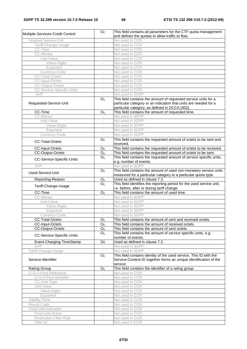| Multiple-Services-Credit Control | O <sub>c</sub>           | This field contains all parameters for the CTF quota management<br>and defines the quotas to allow traffic to flow.                                                                   |
|----------------------------------|--------------------------|---------------------------------------------------------------------------------------------------------------------------------------------------------------------------------------|
| Granted-Service-Unit             | $\overline{\phantom{a}}$ | Not used in CCR.                                                                                                                                                                      |
| Tariff-Change-Usage              | $\overline{\phantom{a}}$ | Not used in CCR.                                                                                                                                                                      |
| CC-Time                          |                          | Not used in CCR.                                                                                                                                                                      |
| CC-Money                         |                          | Not used in CCR.                                                                                                                                                                      |
| Unit-Value                       |                          | Not used in CCR.                                                                                                                                                                      |
| Value-Digits                     | $\overline{\phantom{a}}$ | Not used in CCR.                                                                                                                                                                      |
| Exponent                         | $\overline{\phantom{a}}$ | Not used in CCR.                                                                                                                                                                      |
| Currency-Code                    |                          | Not used in CCR.                                                                                                                                                                      |
| <b>CC-Total-Octets</b>           |                          | Not used in CCR.                                                                                                                                                                      |
| <b>CC-Input-Octets</b>           |                          | Not used in CCR.                                                                                                                                                                      |
| <b>CC-Output-Octets</b>          | $\frac{1}{2}$            | Not used in CCR.                                                                                                                                                                      |
| <b>CC-Service-Specific-Units</b> | $\overline{\phantom{a}}$ | Not used in CCR.                                                                                                                                                                      |
| AVP                              |                          | Not used in 3GPP.                                                                                                                                                                     |
| Requested-Service-Unit           | O <sub>c</sub>           | This field contains the amount of requested service units for a<br>particular category or an indication that units are needed for a<br>particular category, as defined in DCCA [402]. |
| CC-Time                          | O <sub>C</sub>           | This field contains the amount of requested time.                                                                                                                                     |
| CC-Money                         |                          | Not used in 3GPP.                                                                                                                                                                     |
| Unit-Value                       |                          | Not used in 3GPP.                                                                                                                                                                     |
| Value-Digits                     |                          | Not used in 3GPP.                                                                                                                                                                     |
| Exponent                         | $\overline{\phantom{a}}$ | Not used in 3GPP.                                                                                                                                                                     |
| Currency-Code                    | $\overline{\phantom{a}}$ | Not used in 3GPP.                                                                                                                                                                     |
| <b>CC-Total-Octets</b>           | O <sub>C</sub>           | This field contains the requested amount of octets to be sent and<br>received.                                                                                                        |
| <b>CC-Input-Octets</b>           | O <sub>C</sub>           | This field contains the requested amount of octets to be received.                                                                                                                    |
| <b>CC-Output-Octets</b>          | O <sub>C</sub>           | This field contains the requested amount of octets to be sent.                                                                                                                        |
| CC-Service-Specific-Units        | $\overline{O}_C$         | This field contains the requested amount of service specific units,<br>e.g. number of events.                                                                                         |
| AVP                              |                          | Not used in 3GPP.                                                                                                                                                                     |
| Used-Service-Unit                | O <sub>C</sub>           | This field contains the amount of used non-monetary service units                                                                                                                     |
|                                  |                          | measured for a particular category to a particular quota type.                                                                                                                        |
| Reporting-Reason                 | O <sub>c</sub>           | Used as defined in clause 7.2.                                                                                                                                                        |
| Tariff-Change-Usage              | O <sub>C</sub>           | This field identifies the reporting period for the used service unit,<br>i.e. before, after or during tariff change.                                                                  |
| CC-Time                          | $\overline{O}_C$         | This field contains the amount of used time.                                                                                                                                          |
| CC-Money                         | $\overline{\phantom{a}}$ | Not used in 3GPP.                                                                                                                                                                     |
| Unit-Value                       | $\overline{\phantom{a}}$ | Not used in 3GPP.                                                                                                                                                                     |
| Value-Digits                     | $\overline{\phantom{a}}$ | Not used in 3GPP.                                                                                                                                                                     |
| Exponent                         | $\overline{\phantom{a}}$ | Not used in 3GPP.                                                                                                                                                                     |
| Currency-Code                    |                          | Not used in 3GPP.                                                                                                                                                                     |
| <b>CC-Total-Octets</b>           | O <sub>C</sub>           | This field contains the amount of sent and received octets.                                                                                                                           |
| CC-Input-Octets                  | O <sub>C</sub>           | This field contains the amount of received octets.                                                                                                                                    |
| <b>CC-Output-Octets</b>          | O <sub>C</sub>           | This field contains the amount of sent octets.                                                                                                                                        |
| CC-Service-Specific-Units        | O <sub>C</sub>           | This field contains the amount of service specific units, e.g.<br>number of events.                                                                                                   |
| Event-Charging-TimeStamp         | Oc                       | Used as defined in clause 7.2.                                                                                                                                                        |
| AVP                              | $\overline{\phantom{a}}$ | Not used in 3GPP.                                                                                                                                                                     |
| Tariff-Change-Usage              |                          | Not used in 3GPP.                                                                                                                                                                     |
| Service-Identifier               | O <sub>C</sub>           | This field contains identity of the used service. This ID with the<br>Service-Context-ID together forms an unique identification of the<br>service.                                   |
| Rating-Group                     | $O_{C}$                  | This field contains the identifier of a rating group.                                                                                                                                 |
| G-S-U-Pool-Reference             |                          | Not used in CCR.                                                                                                                                                                      |
| G-S-U-Pool-Identifier            |                          | Not used in CCR.                                                                                                                                                                      |
| CC-Unit-Type                     | $\frac{1}{2}$            | Not used in CCR.                                                                                                                                                                      |
| Unit-Value                       | $\overline{\phantom{a}}$ | Not used in CCR.                                                                                                                                                                      |
| Value-Digits                     | $\overline{\phantom{a}}$ | Not used in CCR.                                                                                                                                                                      |
| Exponent                         |                          | Not used in CCR.                                                                                                                                                                      |
| Validity-Time                    |                          | Not used in CCR.                                                                                                                                                                      |
| Result-Code                      |                          | Not used in CCR.                                                                                                                                                                      |
| Final-Unit-Indication            | $\overline{\phantom{a}}$ | Not used in CCR.                                                                                                                                                                      |
| Final-Unit-Action                | $\overline{\phantom{a}}$ | Not used in CCR.                                                                                                                                                                      |
| Restriction-Filter-Rule          | $\overline{\phantom{a}}$ | Not used in CCR.                                                                                                                                                                      |
| Filter-Id                        |                          | Not used in CCR.                                                                                                                                                                      |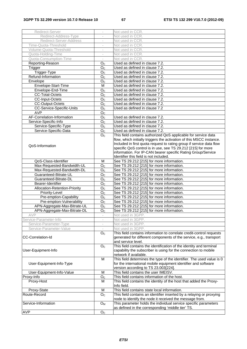| Redirect-Server               | $\overline{\phantom{a}}$ | Not used in CCR.                                                      |
|-------------------------------|--------------------------|-----------------------------------------------------------------------|
| Redirect-Address-Type         |                          | Not used in CCR.                                                      |
| Redirect-Server-Address       |                          | Not used in CCR.                                                      |
| Time-Quota-Threshold          |                          | Not used in CCR.                                                      |
| Volume-Quota-Threshold        | $\overline{\phantom{a}}$ | Not used in CCR.                                                      |
| Quota-Holding-Time            | $\overline{\phantom{a}}$ | Not used in CCR.                                                      |
| Quota-Consumption-Time        |                          | Not used in CCR.                                                      |
| Reporting-Reason              | O <sub>C</sub>           | Used as defined in clause 7.2.                                        |
| Trigger                       | O <sub>C</sub>           | Used as defined in clause 7.2.                                        |
| Trigger-Type                  | O <sub>C</sub>           | Used as defined in clause 7.2.                                        |
| Refund-Information            | O <sub>c</sub>           | Used as defined in clause 7.2.                                        |
| Envelope                      | O <sub>c</sub>           | Used as defined in clause 7.2.                                        |
| Envelope-Start-Time           | M                        | Used as defined in clause 7.2.                                        |
| Envelope-End-Time             | O <sub>C</sub>           | Used as defined in clause 7.2.                                        |
| <b>CC-Total-Octets</b>        | O <sub>c</sub>           | Used as defined in clause 7.2.                                        |
| <b>CC-Input-Octets</b>        | $\overline{O}_C$         | Used as defined in clause 7.2.                                        |
| CC-Output-Octets              | O <sub>c</sub>           | Used as defined in clause 7.2.                                        |
| CC-Service-Specific-Units     | O <sub>C</sub>           | Used as defined in clause 7.2                                         |
| <b>AVP</b>                    | O <sub>C</sub>           |                                                                       |
| AF-Correlation-Information    | O <sub>C</sub>           | Used as defined in clause 7.2.                                        |
| Service-Specific-Info         | O <sub>C</sub>           | Used as defined in clause 7.2.                                        |
| Service-Specific-Type         |                          | Used as defined in clause 7.2.                                        |
| Service-Specific-Data         | O <sub>C</sub>           | Used as defined in clause 7.2.                                        |
|                               | O <sub>c</sub>           | This field contains authorized QoS applicable for service data        |
|                               | O <sub>C</sub>           | flow, which initially triggers the activation of this MSCC instance.  |
|                               |                          | Included in first quota request to rating group if service data flow  |
| QoS-Information               |                          | specific QoS control is in use, see TS 29.212 [215] for more          |
|                               |                          | information. For IP-CAN bearer specific Rating Group/Service          |
|                               |                          | Identifier this field is not included.                                |
| QoS-Class-Identifier          | м                        | See TS 29.212 [215] for more information.                             |
| Max-Requested-Bandwidth-UL    | O <sub>c</sub>           | See TS 29.212 [215] for more information.                             |
| Max-Requested-Bandwidth-DL    | O <sub>C</sub>           | See TS 29.212 [215] for more information.                             |
| Guaranteed-Bitrate-UL         | O <sub>C</sub>           | See TS 29.212 [215] for more information.                             |
| Guaranteed-Bitrate-DL         | O <sub>C</sub>           | See TS 29.212 [215] for more information.                             |
| Bearer-Identifier             | O <sub>c</sub>           | See TS 29.212 [215] for more information.                             |
| Allocation-Retention-Priority | O <sub>c</sub>           | See TS 29.212 [215] for more information.                             |
| Priority-Level                | $\overline{O}_C$         | See TS 29.212 [215] for more information.                             |
| Pre-emption-Capability        | O <sub>c</sub>           | See TS 29.212 [215] for more information.                             |
| Pre-emption-Vulnerability     | O <sub>C</sub>           | See TS 29.212 [215] for more information.                             |
| APN-Aggregate-Max-Bitrate-UL  | $\overline{O}_C$         | See TS 29.212 [215] for more information.                             |
| APN-Aggregate-Max-Bitrate-DL  | O <sub>c</sub>           | See TS 29.212 [215] for more information.                             |
|                               |                          |                                                                       |
| AVP<br>Service-Parameter-Info |                          | Not used in 3GPP.<br>Not used in 3GPP.                                |
| Service-Parameter-Type        | $\overline{\phantom{a}}$ | Not used in 3GPP.                                                     |
| Service-Parameter-Value       |                          | Not used in 3GPP.                                                     |
|                               | O <sub>c</sub>           | This field contains information to correlate credit-control requests  |
| <b>CC-Correlation-Id</b>      |                          | generated for different components of the service, e.g., transport    |
|                               |                          | and service level.                                                    |
|                               | O <sub>c</sub>           | This field contains the identification of the identity and terminal   |
| User-Equipment-Info           |                          | capability the subscriber is using for the connection to mobile       |
|                               |                          | network if available.                                                 |
|                               | M                        | This field determines the type of the identifier. The used value is 0 |
| User-Equipment-Info-Type      |                          | for the international mobile equipment identifier and software        |
|                               |                          | version according to TS 23.003[224].                                  |
| User-Equipment-Info-Value     | M                        | This field contains the user IMEISV.                                  |
| Proxy-Info                    | O <sub>C</sub>           | This field contains information of the host.                          |
| Proxy-Host                    | M                        | This field contains the identity of the host that added the Proxy-    |
|                               |                          | Info field.                                                           |
| Proxy-State                   | M                        | This field contains state local information.                          |
| Route-Record                  | O <sub>c</sub>           | This field contains an identifier inserted by a relaying or proxying  |
|                               |                          | node to identify the node it received the message from.               |
| Service-Information           | O <sub>M</sub>           | This parameter holds the individual service specific parameters       |
|                               |                          | as defined in the corresponding 'middle tier' TS.                     |
| <b>AVP</b>                    | O <sub>C</sub>           |                                                                       |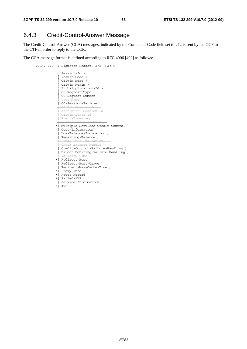## 6.4.3 Credit-Control-Answer Message

The Credit-Control-Answer (CCA) messages, indicated by the Command-Code field set to 272 is sent by the OCF to the CTF in order to reply to the CCR.

The CCA message format is defined according to RFC 4006 [402] as follows:

```
 <CCA> ::= < Diameter Header: 272, PXY > 
                < Session-Id > 
                 { Result-Code } 
                 { Origin-Host } 
{ Origin-Realm } 
{ Auth-Application-Id } 
{ CC-Request-Type } 
{ CC-Request-Number } 
                [ \text{Hear-Nam} [ CC-Session-Failover ] 
                [ CC-Sub-Session-Id ] 
                [ Acct-Multi-Session-Id ] 
                [ Origin-State-Id ] 
                [ Event-Timestamp ] 
                [ Granted-Service-Unit ] 
               *[ Multiple-Services-Credit-Control ] 
                [ Cost-Information] 
               [ Low-Balance-Indication ] 
               [ Remaining-Balance ] 
                [ Final-Unit-Indication ] 
               [Chack-RA]ance-Result
                [ Credit-Control-Failure-Handling ] 
                [ Direct-Debiting-Failure-Handling ] 
                     idity-Tim
               *[ Redirect-Host] 
                [ Redirect-Host-Usage ] 
                [ Redirect-Max-Cache-Time ] 
               *[ Proxy-Info ] 
               *[ Route-Record ] 
               *[ Failed-AVP ] 
                [ Service-Information ] 
               *[ AVP ]
```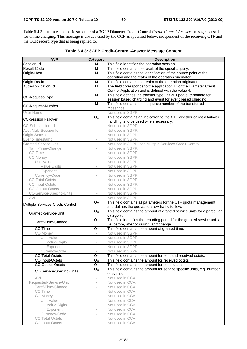Table 6.4.3 illustrates the basic structure of a 3GPP Diameter Credit-Control *Credit-Control-Answer* message as used for online charging. This message is always used by the OCF as specified below, independent of the receiving CTF and the CCR record type that is being replied to.

| <b>AVP</b>                       | <b>Category</b>          | <b>Description</b>                                                                                                       |
|----------------------------------|--------------------------|--------------------------------------------------------------------------------------------------------------------------|
| Session-Id                       | м                        | This field identifies the operation session.                                                                             |
| Result-Code                      | M                        | This field contains the result of the specific query.                                                                    |
| Origin-Host                      | M                        | This field contains the identification of the source point of the                                                        |
|                                  |                          | operation and the realm of the operation originator.                                                                     |
| Origin-Realm                     | M                        | This field contains the realm of the operation originator.                                                               |
| Auth-Application-Id              | M                        | The field corresponds to the application ID of the Diameter Credit                                                       |
|                                  |                          | Control Application and is defined with the value 4.                                                                     |
|                                  | M                        | This field defines the transfer type: initial, update, terminate for                                                     |
| CC-Request-Type                  |                          | session based charging and event for event based charging.                                                               |
| <b>CC-Request-Number</b>         | M                        | This field contains the sequence number of the transferred<br>messages.                                                  |
| User-Name                        |                          | Not used in 3GPP.                                                                                                        |
|                                  | O <sub>C</sub>           | This field contains an indication to the CTF whether or not a failover                                                   |
| <b>CC-Session Failover</b>       |                          | handling is to be used when necessary.                                                                                   |
| CC-Sub-session-Id                | $\overline{\phantom{a}}$ | Not used in 3GPP.                                                                                                        |
| Acct-Multi-Session-Id            | i.                       | Not used in 3GPP.                                                                                                        |
| Origin-State-Id                  |                          | Not used in 3GPP.                                                                                                        |
| Event-Timestamp                  | $\overline{\phantom{a}}$ | Not used in 3GPP.                                                                                                        |
| Granted-Service-Unit             | $\overline{\phantom{a}}$ | Not used in 3GPP, see Multiple-Services-Credit-Control.                                                                  |
| Tariff-Time-Change               | $\overline{\phantom{a}}$ | Not used in 3GPP.                                                                                                        |
| CC-Time                          |                          | Not used in 3GPP.                                                                                                        |
| CC-Money                         |                          | Not used in 3GPP.                                                                                                        |
| Unit-Value                       | $\overline{\phantom{a}}$ | Not used in 3GPP.                                                                                                        |
| Value-Digits                     | $\overline{\phantom{a}}$ | Not used in 3GPP.                                                                                                        |
| Exponent                         | $\overline{\phantom{a}}$ | Not used in 3GPP.                                                                                                        |
| Currency-Code                    | $\overline{\phantom{a}}$ | Not used in 3GPP.                                                                                                        |
| <b>CC-Total-Octets</b>           | $\bar{a}$                | Not used in 3GPP.                                                                                                        |
| <b>CC-Input-Octets</b>           | $\overline{\phantom{a}}$ | Not used in 3GPP.                                                                                                        |
| <b>CC-Output-Octets</b>          | $\bar{ }$                | Not used in 3GPP.                                                                                                        |
| <b>CC-Service-Specific-Units</b> | $\overline{\phantom{a}}$ | Not used in 3GPP.                                                                                                        |
| AVP                              | $\overline{\phantom{a}}$ | Not used in 3GPP.                                                                                                        |
| Multiple-Services-Credit-Control | O <sub>c</sub>           | This field contains all parameters for the CTF quota management<br>and defines the quotas to allow traffic to flow.      |
| Granted-Service-Unit             | O <sub>C</sub>           | This field contains the amount of granted service units for a particular<br>category.                                    |
| Tariff-Time-Change               | $\overline{O}_C$         | This field identifies the reporting period for the granted service units,<br>i.e. before, after or during tariff change. |
| CC-Time                          | O <sub>C</sub>           | This field contains the amount of granted time.                                                                          |
| CC-Money                         | $\overline{\phantom{a}}$ | Not used in 3GPP.                                                                                                        |
| Unit-Value                       | $\overline{\phantom{a}}$ | Not used in 3GPP.                                                                                                        |
| Value-Digits                     |                          | Not used in 3GPP.                                                                                                        |
| Exponent                         |                          | Not used in 3GPP.                                                                                                        |
| Currency-Code                    | $\overline{\phantom{a}}$ | Not used in 3GPP.                                                                                                        |
| <b>CC-Total-Octets</b>           | O <sub>C</sub>           | This field contains the amount for sent and received octets.                                                             |
| CC-Input-Octets                  | O <sub>C</sub>           | This field contains the amount for received octets.                                                                      |
| <b>CC-Output-Octets</b>          | O <sub>C</sub>           | This field contains the amount for sent octets.                                                                          |
|                                  | O <sub>C</sub>           | This field contains the amount for service specific units, e.g. number                                                   |
| CC-Service-Specific-Units        |                          | of events.                                                                                                               |
| AVP                              | $\overline{\phantom{a}}$ | Not used in CCA.                                                                                                         |
| Requested-Service-Unit           | $\bar{ }$                | Not used in CCA.                                                                                                         |
| Tariff-Time-Change               |                          | Not used in CCA.                                                                                                         |
| CC-Time                          |                          | Not used in CCA.                                                                                                         |
| CC-Money                         | $\bar{ }$                | Not used in CCA.                                                                                                         |
| Unit-Value                       | $\overline{\phantom{a}}$ | Not used in CCA.                                                                                                         |
| Value-Digits                     | $\overline{\phantom{a}}$ | Not used in CCA.                                                                                                         |
| Exponent                         |                          | Not used in CCA.                                                                                                         |
| Currency-Code                    |                          | Not used in CCA.                                                                                                         |
| <b>CC-Total-Octets</b>           | $\overline{\phantom{a}}$ | Not used in CCA.                                                                                                         |
| CC-Input-Octets                  | $\overline{\phantom{a}}$ | Not used in CCA.                                                                                                         |

#### **Table 6.4.3: 3GPP Credit-Control-Answer Message Content**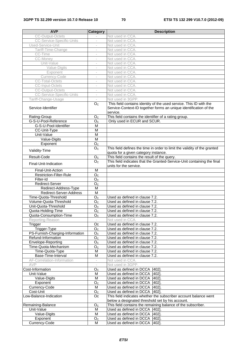| <b>AVP</b>                            | <b>Category</b>          | <b>Description</b>                                                                                                                                  |
|---------------------------------------|--------------------------|-----------------------------------------------------------------------------------------------------------------------------------------------------|
| <b>CC-Output-Octets</b>               |                          | Not used in CCA.                                                                                                                                    |
| <b>CC-Service-Specific-Units</b>      | $\overline{\phantom{a}}$ | Not used in CCA.                                                                                                                                    |
| Used-Service-Unit                     | $\overline{\phantom{a}}$ | Not used in CCA.                                                                                                                                    |
| Tariff-Time-Change                    | $\overline{\phantom{a}}$ | Not used in CCA.                                                                                                                                    |
| CC-Time                               | $\overline{\phantom{a}}$ | Not used in CCA.                                                                                                                                    |
| CC-Money                              | $\sim$                   | Not used in CCA.                                                                                                                                    |
| Unit-Value                            | $\sim$                   | Not used in CCA.                                                                                                                                    |
| Value-Digits                          |                          | Not used in CCA.                                                                                                                                    |
| Exponent                              | $\overline{\phantom{a}}$ | Not used in CCA.                                                                                                                                    |
| Currency-Code                         | $\overline{\phantom{a}}$ | Not used in CCA.                                                                                                                                    |
| <b>CC-Total-Octets</b>                | $\overline{\phantom{a}}$ | Not used in CCA.                                                                                                                                    |
| <b>CC-Input-Octets</b>                | $\overline{\phantom{a}}$ | Not used in CCA.                                                                                                                                    |
| <b>CC-Output-Octets</b>               | $\overline{\phantom{a}}$ | Not used in CCA.                                                                                                                                    |
| <b>CC-Service-Specific-Units</b>      | $\bar{a}$                | Not used in CCA.                                                                                                                                    |
| Tariff-Change-Usage                   | $\overline{\phantom{a}}$ | Not used in 3GPP.                                                                                                                                   |
| Service-Identifier                    | O <sub>C</sub>           | This field contains identity of the used service. This ID with the<br>Service-Context-ID together forms an unique identification of the<br>service. |
| Rating-Group                          | O <sub>C</sub>           | This field contains the identifier of a rating group.                                                                                               |
| G-S-U-Pool-Reference                  | O <sub>C</sub>           | Only used in ECUR and SCUR.                                                                                                                         |
| G-S-U-Pool-Identifier                 | M                        |                                                                                                                                                     |
| CC-Unit-Type                          | M                        |                                                                                                                                                     |
| Unit-Value                            | M                        |                                                                                                                                                     |
| Value-Digits                          | $\overline{\mathsf{M}}$  |                                                                                                                                                     |
| Exponent                              | O <sub>C</sub>           |                                                                                                                                                     |
| Validity-Time                         | O <sub>C</sub>           | This field defines the time in order to limit the validity of the granted<br>quota for a given category instance.                                   |
| Result-Code                           | $\overline{O}_C$         | This field contains the result of the query.                                                                                                        |
|                                       | O <sub>c</sub>           | This field indicates that the Granted-Service-Unit containing the final                                                                             |
| Final-Unit-Indication                 |                          | units for the service.                                                                                                                              |
| Final-Unit-Action                     | M                        |                                                                                                                                                     |
| <b>Restriction-Filter-Rule</b>        | O <sub>C</sub>           |                                                                                                                                                     |
| Filter-Id                             | O <sub>C</sub>           |                                                                                                                                                     |
| Redirect-Server                       | O <sub>C</sub>           |                                                                                                                                                     |
| Redirect-Address-Type                 | M                        |                                                                                                                                                     |
| Redirect-Server-Address               | $\overline{M}$           |                                                                                                                                                     |
| Time-Quota-Threshold                  | O <sub>C</sub>           | Used as defined in clause 7.2.                                                                                                                      |
| Volume-Quota-Threshold                | $\overline{O}_C$         | Used as defined in clause 7.2.                                                                                                                      |
| Unit-Quota-Threshold                  | O <sub>C</sub>           | Used as defined in clause 7.2.                                                                                                                      |
| Quota-Holding-Time                    | O <sub>C</sub>           | Used as defined in clause 7.2.                                                                                                                      |
| Quota-Consumption-Time                | O <sub>C</sub>           | Used as defined in clause 7.2.                                                                                                                      |
| Reporting-Reason                      |                          | Not used in CCA.                                                                                                                                    |
| Trigger                               | Oc                       | Used as defined in clause 7.2.                                                                                                                      |
| Trigger-Type                          | O <sub>C</sub>           | Used as defined in clause 7.2.                                                                                                                      |
| PS-Furnish-Charging-Information       | O <sub>C</sub>           | Used as defined in clause 7.2.                                                                                                                      |
| Refund-Information                    | O <sub>C</sub>           | Used as defined in clause 7.2.                                                                                                                      |
| Envelope-Reporting                    | O <sub>C</sub>           | Used as defined in clause 7.2.                                                                                                                      |
| Time-Quota-Mechanism                  | O <sub>C</sub>           | Used as defined in clause 7.2.                                                                                                                      |
| Time-Quota-Type<br>Base-Time-Interval | M                        | Used as defined in clause 7.2.                                                                                                                      |
| AF-Correlation-Information            | M                        | Used as defined in clause 7.2.<br>Not used in CCA.                                                                                                  |
| <b>AVP</b>                            |                          | Not used in 3GPP.                                                                                                                                   |
| Cost-Information                      | O <sub>C</sub>           | Used as defined in DCCA [402].                                                                                                                      |
| Unit-Value                            | M                        | Used as defined in DCCA [402].                                                                                                                      |
| Value-Digits                          | М                        | Used as defined in DCCA [402].                                                                                                                      |
| Exponent                              | $O_{C}$                  | Used as defined in DCCA [402].                                                                                                                      |
| Currency-Code                         | M                        | Used as defined in DCCA [402].                                                                                                                      |
| Cost-Unit                             | O <sub>C</sub>           | Used as defined in DCCA [402].                                                                                                                      |
| Low-Balance-Indication                | Oc.                      | This field indicates whether the subscriber account balance went                                                                                    |
|                                       |                          | below a designated threshold set by his account.                                                                                                    |
| Remaining-Balance                     | O <sub>C</sub>           | This field contains the remaining balance of the subscriber.                                                                                        |
| Unit-Value                            | M                        | Used as defined in DCCA [402].                                                                                                                      |
| Value-Digits                          | М                        | Used as defined in DCCA [402].                                                                                                                      |
| Exponent                              | O <sub>C</sub>           | Used as defined in DCCA [402].                                                                                                                      |
| Currency-Code                         | м                        | Used as defined in DCCA [402].                                                                                                                      |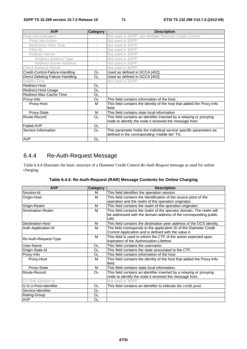| <b>AVP</b>                       | <b>Category</b>          | <b>Description</b>                                                               |
|----------------------------------|--------------------------|----------------------------------------------------------------------------------|
| Final-Unit-Indication            |                          | Not used in 3GPP, see Multiple-Services-Credit-Control.                          |
| Final-Unit-Action                | $\overline{\phantom{a}}$ | Not used in 3GPP.                                                                |
| <b>Restriction-Filter-Rule</b>   | $\overline{\phantom{a}}$ | Not used in 3GPP.                                                                |
| Filter-Id                        | ÷,                       | Not used in 3GPP.                                                                |
| Redirect-Server                  | ÷,                       | Not used in 3GPP.                                                                |
| Redirect-Address-Type            | $\overline{\phantom{a}}$ | Not used in 3GPP.                                                                |
| Redirect-Server-Address          | $\overline{\phantom{a}}$ | Not used in 3GPP.                                                                |
| Check-Balance-Result             | ÷                        | Not used in 3GPP.                                                                |
| Credit-Control-Failure-Handling  | O <sub>C</sub>           | Used as defined in DCCA [402].                                                   |
| Direct-Debiting-Failure-Handling | O <sub>C</sub>           | Used as defined in DCCA [402].                                                   |
| Validity-Time                    |                          | Not used in 3GPP.                                                                |
| Redirect-Host                    | O <sub>C</sub>           |                                                                                  |
| Redirect-Host-Usage              | O <sub>C</sub>           |                                                                                  |
| Redirect-Max-Cache-Time          | O <sub>C</sub>           |                                                                                  |
| Proxy-Info                       | O <sub>C</sub>           | This field contains information of the host.                                     |
| Proxy-Host                       | м                        | This field contains the identity of the host that added the Proxy-Info<br>field. |
| Proxy-State                      | м                        | This field contains state local information.                                     |
| Route-Record                     | O <sub>C</sub>           | This field contains an identifier inserted by a relaying or proxying             |
|                                  |                          | node to identify the node it received the message from.                          |
| Failed-AVP                       | O <sub>C</sub>           |                                                                                  |
| Service-Information              | O <sub>C</sub>           | This parameter holds the individual service specific parameters as               |
|                                  |                          | defined in the corresponding 'middle tier' TS.                                   |
| <b>AVP</b>                       | O <sub>C</sub>           |                                                                                  |

## 6.4.4 Re-Auth-Request Message

Table 6.4.4 illustrates the basic structure of a Diameter Credit Control *Re-Auth-Request* message as used for online charging.

| <b>AVP</b>            | <b>Category</b>          | <b>Description</b>                                                     |
|-----------------------|--------------------------|------------------------------------------------------------------------|
| Session-Id            | м                        | This field identifies the operation session.                           |
| Origin-Host           | м                        | This field contains the identification of the source point of the      |
|                       |                          | operation and the realm of the operation originator.                   |
| Origin-Realm          | M                        | This field contains the realm of the operation originator.             |
| Destination-Realm     | M                        | This field contains the realm of the operator domain. The realm will   |
|                       |                          | be addressed with the domain address of the corresponding public       |
|                       |                          | URI.                                                                   |
| Destination-Host      | м                        | This field contains the destination peer address of the OCS identity.  |
| Auth-Application-Id   | м                        | The field corresponds to the application ID of the Diameter Credit     |
|                       |                          | Control Application and is defined with the value 4.                   |
| Re-Auth-Request-Type  | M                        | This field is used to inform the CTF of the action expected upon       |
|                       |                          | expiration of the Authorization-Lifetime                               |
| lUser-Name            | O <sub>C</sub>           | This field contains the username.                                      |
| Origin-State-Id       | O <sub>C</sub>           | This field contains the state associated to the CTF.                   |
| Proxy-Info            | O <sub>C</sub>           | This field contains information of the host.                           |
| Proxy-Host            | м                        | This field contains the identity of the host that added the Proxy-Info |
|                       |                          | field.                                                                 |
| Proxy-State           | м                        | This field contains state local information.                           |
| Route-Record          | O <sub>C</sub>           | This field contains an identifier inserted by a relaying or proxying   |
|                       |                          | node to identify the node it received the message from.                |
| CC-Sub-Session-Id     | $\overline{\phantom{a}}$ | Not used in 3GPP.                                                      |
| G-S-U-Pool-Identifier | O <sub>C</sub>           | This field contains an identifier to indicate the credit pool.         |
| Service-Identifier    | O <sub>C</sub>           |                                                                        |
| Rating-Group          | O <sub>C</sub>           |                                                                        |
| <b>AVP</b>            | O <sub>C</sub>           |                                                                        |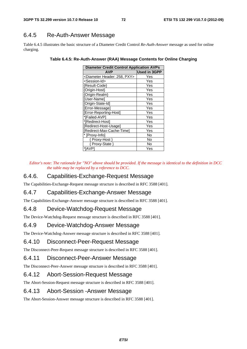### 6.4.5 Re-Auth-Answer Message

Table 6.4.5 illustrates the basic structure of a Diameter Credit Control *Re-Auth-Answer* message as used for online charging.

| <b>Diameter Credit Control Application AVPs</b> |                     |  |  |  |  |  |
|-------------------------------------------------|---------------------|--|--|--|--|--|
| <b>AVP</b>                                      | <b>Used in 3GPP</b> |  |  |  |  |  |
| <diameter 258,="" header:="" pxy=""></diameter> | Yes                 |  |  |  |  |  |
| <session-id></session-id>                       | Yes                 |  |  |  |  |  |
| {Result-Code}                                   | Yes                 |  |  |  |  |  |
| {Origin-Host}                                   | Yes                 |  |  |  |  |  |
| {Origin-Realm}                                  | Yes                 |  |  |  |  |  |
| [User-Name]                                     | Yes                 |  |  |  |  |  |
| [Origin-State-Id]                               | Yes                 |  |  |  |  |  |
| [Error-Message]                                 | Yes                 |  |  |  |  |  |
| [Error-Reporting-Host]                          | Yes                 |  |  |  |  |  |
| *[Failed-AVP]                                   | Yes                 |  |  |  |  |  |
| *[Redirect-Host]                                | Yes                 |  |  |  |  |  |
| [Redirect-Host-Usage]                           | Yes                 |  |  |  |  |  |
| [Redirect-Max-Cache-Time]                       | Yes                 |  |  |  |  |  |
| * [Proxy-Info]                                  | No                  |  |  |  |  |  |
| Proxy-Host }                                    | No                  |  |  |  |  |  |
| Proxy-State }                                   | No                  |  |  |  |  |  |
| *[AVP]                                          | Yes                 |  |  |  |  |  |

#### **Table 6.4.5: Re-Auth-Answer (RAA) Message Contents for Online Charging**

*Editor's note: The rationale for "NO" above should be provided. If the message is identical to the definition in DCC the table may be replaced by a reference to DCC.* 

### 6.4.6. Capabilities-Exchange-Request Message

The Capabilities-Exchange-Request message structure is described in RFC 3588 [401].

### 6.4.7 Capabilities-Exchange-Answer Message

The Capabilities-Exchange-Answer message structure is described in RFC 3588 [401].

### 6.4.8 Device-Watchdog-Request Message

The Device-Watchdog-Request message structure is described in RFC 3588 [401].

#### 6.4.9 Device-Watchdog-Answer Message

The Device-Watchdog-Answer message structure is described in RFC 3588 [401].

#### 6.4.10 Disconnect-Peer-Request Message

The Disconnect-Peer-Request message structure is described in RFC 3588 [401].

#### 6.4.11 Disconnect-Peer-Answer Message

The Disconnect-Peer-Answer message structure is described in RFC 3588 [401].

#### 6.4.12 Abort-Session-Request Message

The Abort-Session-Request message structure is described in RFC 3588 [401].

#### 6.4.13 Abort-Session -Answer Message

The Abort-Session-Answer message structure is described in RFC 3588 [401].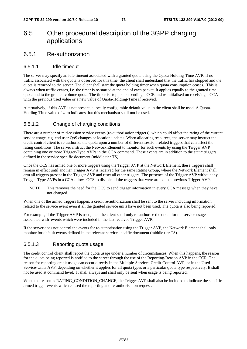# 6.5 Other procedural description of the 3GPP charging applications

### 6.5.1 Re-authorization

#### 6.5.1.1 Idle timeout

The server may specify an idle timeout associated with a granted quota using the Quota-Holding-Time AVP. If no traffic associated with the quota is observed for this time, the client shall understand that the traffic has stopped and the quota is returned to the server. The client shall start the quota holding timer when quota consumption ceases. This is always when traffic ceases, i.e. the timer is re-started at the end of each packet. It applies equally to the granted time quota and to the granted volume quota. The timer is stopped on sending a CCR and re-initialised on receiving a CCA with the previous used value or a new value of Quota-Holding-Time if received.

Alternatively, if this AVP is not present, a locally configurable default value in the client shall be used. A Quota-Holding-Time value of zero indicates that this mechanism shall not be used.

#### 6.5.1.2 Change of charging conditions

There are a number of mid-session service events (re-authorisation triggers), which could affect the rating of the current service usage, e.g. end user QoS changes or location updates. When allocating resources, the server may instruct the credit control client to re-authorize the quota upon a number of different session related triggers that can affect the rating conditions. The server instruct the Network Element to monitor for such events by using the Trigger AVP containing one or more Trigger-Type AVPs in the CCA command. These events are in addition to the static triggers defined in the service specific document (middle tier TS).

Once the OCS has armed one or more triggers using the Trigger AVP at the Network Element, these triggers shall remain in effect until another Trigger AVP is received for the same Rating Group, where the Network Element shall arm all triggers present in the Trigger AVP and reset all other triggers. The presence of the Trigger AVP without any Trigger-Type AVPs in a CCA allows OCS to disable all the triggers that were armed in a previous Trigger AVP.

NOTE: This removes the need for the OCS to send trigger information in every CCA message when they have not changed.

When one of the armed triggers happen, a credit re-authorization shall be sent to the server including information related to the service event even if all the granted service units have not been used. The quota is also being reported.

For example, if the Trigger AVP is used, then the client shall only re-authorise the quota for the service usage associated with events which were included in the last received Trigger AVP.

If the server does not control the events for re-authorisation using the Trigger AVP, the Network Element shall only monitor for default events defined in the relevant service specific document (middle tier TS).

#### 6.5.1.3 Reporting quota usage

The credit control client shall report the quota usage under a number of circumstances. When this happens, the reason for the quota being reported is notified to the server through the use of the Reporting-Reason AVP in the CCR. The reason for reporting credit usage can occur directly in the Multiple-Services-Credit-Control AVP, or in the Used-Service-Units AVP, depending on whether it applies for all quota types or a particular quota type respectively. It shall not be used at command level. It shall always and shall only be sent when usage is being reported.

When the reason is RATING\_CONDITION\_CHANGE, the Trigger AVP shall also be included to indicate the specific armed trigger events which caused the reporting and re-authorisation request.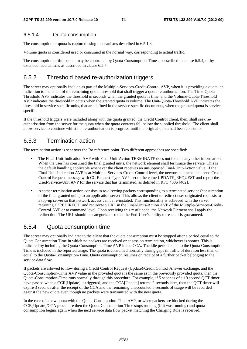#### 6.5.1.4 Quota consumption

The consumption of quota is captured using mechanisms described in 6.5.1.3.

Volume quota is considered used or consumed in the normal way, corresponding to actual traffic.

The consumption of time quota may be controlled by Quota-Consumption-Time as described in clause 6.5.4, or by extended mechanisms as described in clause 6.5.7.

### 6.5.2 Threshold based re-authorization triggers

The server may optionally include as part of the Multiple-Services-Credit-Control AVP, when it is providing a quota, an indication to the client of the remaining quota threshold that shall trigger a quota re-authorization. The Time-Quota-Threshold AVP indicates the threshold in seconds when the granted quota is time, and the Volume-Quota-Threshold AVP indicates the threshold in octets when the granted quota is volume. The Unit-Quota-Threshold AVP indicates the threshold in service specific units, that are defined in the service specific documents, when the granted quota is service specific.

If the threshold triggers were included along with the quota granted, the Credit Control client, then, shall seek reauthorisation from the server for the quota when the quota contents fall below the supplied threshold. The client shall allow service to continue whilst the re-authorisation is progress, until the original quota had been consumed.

### 6.5.3 Termination action

The termination action is sent over the Ro reference point. Two different approaches are specified:

- The Final-Unit-Indication AVP with Final-Unit-Action TERMINATE does not include any other information. When the user has consumed the final granted units, the network element shall terminate the service. This is the default handling applicable whenever the client receives an unsupported Final-Unit-Action value. If the Final-Unit-Indication AVP is at Multiple-Services-Credit-Control level, the network element shall send Credit Control Request message with CC-Request-Type AVP set to the value UPDATE\_REQUEST and report the Used-Service-Unit AVP for the service that has terminated, as defined in RFC 4006 [402].
- Another termination action consists in re-directing packets corresponding to a terminated service (consumption of the final granted units) to an application server. This allows the client to redirect user originated requ a top-up server so that network access can be re-instated. This functionality is achieved with the server returning a "REDIRECT" and redirect-to URL in the Final-Units-Action AVP of the Multiple-Services-Credit-Control AVP or at command level. Upon receiving this result code, the Network Element shall apply the redirection. The URL should be categorized so that the End-User's ability to reach it is guaranteed.

### 6.5.4 Quota consumption time

The server may optionally indicate to the client that the quota consumption must be stopped after a period equal to the Quota Consumption Time in which no packets are received or at session termination, whichever is sooner. This is indicated by including the Quota-Consumption-Time AVP in the CCA. The idle period equal to the Quota Consumption Time is included in the reported usage. The quota is consumed normally during gaps in traffic of duration less than or equal to the Quota-Consumption-Time. Quota consumption resumes on receipt of a further packet belonging to the service data flow.

If packets are allowed to flow during a Credit Control Request (Update)/Credit Control Answer exchange, and the Quota-Consumption-Time AVP value in the provided quota is the same as in the previously provided quota, then the Quota-Consumption-Time runs normally through this procedure. For example, if 5 seconds of a 10 second QCT timer have passed when a CCR[Update] is triggered, and the CCA[Update] returns 2 seconds later, then the QCT timer will expire 3 seconds after the receipt of the CCA and the remaining unaccounted 5 seconds of usage will be recorded against the new quota even though no packets were transmitted with the new quota.

In the case of a new quota with the Quota-Consumption-Time AVP, or when packets are blocked during the CCR[Update]/CCA procedure then the Quota-Consumption-Time stops running (if it was running) and quota consumption begins again when the next service data flow packet matching the Charging Rule is received.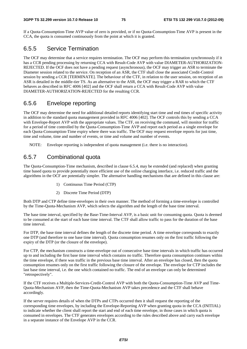If a Quota-Consumption-Time AVP value of zero is provided, or if no Quota-Consumption-Time AVP is present in the CCA, the quota is consumed continuously from the point at which it is granted.

### 6.5.5 Service Termination

The OCF may determine that a service requires termination. The OCF may perform this termination synchronously if it has a CCR pending processing by returning CCA with Result-Code AVP with value DIAMETER-AUTHORIZATION-REJECTED. If the OCF does not have a pending request (asynchronous), the OCF may trigger an ASR to terminate the Diameter session related to the service. On reception of an ASR, the CTF shall close the associated Credit-Control session by sending a CCR [TERMINATE]. The behaviour of the CTF, in relation to the user session, on reception of an ASR is detailed in the middle-tier TS. As an alternative to the ASR, the OCF may trigger a RAR to which the CTF behaves as described in RFC 4006 [402] and the OCF shall return a CCA with Result-Code AVP with value DIAMETER-AUTHORIZATION-REJECTED for the resulting CCR.

### 6.5.6 Envelope reporting

The OCF may determine the need for additional detailed reports identifying start time and end times of specific activity in addition to the standard quota management provided in RFC 4006 [402]. The OCF controls this by sending a CCA with Envelope-Report AVP with the appropriate values. The CTF, on receiving the command, will monitor for traffic for a period of time controlled by the Quota-Consumption-Time AVP and report each period as a single envelope for each Quota-Consumption-Time expiry where there was traffic. The OCF may request envelope reports for just time, time and volume, time and number of events, or time and volume and number of events.

NOTE: Envelope reporting is independent of quota management (i.e. there is no interaction).

### 6.5.7 Combinational quota

The Quota-Consumption-Time mechanism, described in clause 6.5.4, may be extended (and replaced) when granting time based quota to provide potentially more efficient use of the online charging interface, i.e. reduced traffic and the algorithms in the OCF are potentially simpler. The alternative handling mechanisms that are defined in this clause are:

- 1) Continuous Time Period (CTP)
- 2) Discrete Time Period (DTP)

Both DTP and CTP define time-envelopes in their own manner. The method of forming a time-envelope is controlled by the Time-Quota-Mechanism AVP, which selects the algorithm and the length of the base time interval.

The base time interval, specified by the Base-Time-Interval AVP, is a basic unit for consuming quota. Quota is deemed to be consumed at the start of each base time interval. The CTF shall allow traffic to pass for the duration of the base time interval.

For DTP, the base time interval defines the length of the discrete time period. A time envelope corresponds to exactly one DTP (and therefore to one base time interval). Quota consumption resumes only on the first traffic following the expiry of the DTP (or the closure of the envelope).

For CTP, the mechanism constructs a time-envelope out of consecutive base time intervals in which traffic has occurred up to and including the first base time interval which contains no traffic. Therefore quota consumption continues within the time envelope, if there was traffic in the previous base time interval. After an envelope has closed, then the quota consumption resumes only on the first traffic following the closure of the envelope. The envelope for CTP includes the last base time interval, i.e. the one which contained no traffic. The end of an envelope can only be determined "retrospectively".

If the CTF receives a Multiple-Services-Credit-Control AVP with both the Quota-Consumption-Time AVP and Time-Quota-Mechanism AVP, then the Time-Quota-Mechanism AVP takes precedence and the CTF shall behave accordingly.

If the server requires details of when the DTPs and CTPs occurred then it shall request the reporting of the corresponding time envelopes, by including the Envelope-Reporting AVP when granting quota in the CCA (INITIAL) to indicate whether the client shall report the start and end of each time envelope, in those cases in which quota is consumed in envelopes. The CTF generates envelopes according to the rules described above and carry each envelope in a separate instance of the Envelope AVP in the CCR.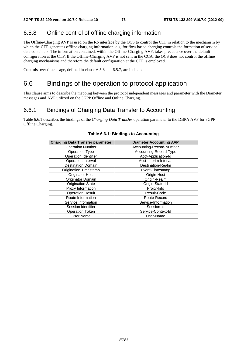### 6.5.8 Online control of offline charging information

The Offline-Charging AVP is used on the Ro interface by the OCS to control the CTF in relation to the mechanism by which the CTF generates offline charging information, e.g. for flow based charging controls the formation of service data containers. The information contained, within the Offline-Charging AVP, takes precedence over the default configuration at the CTF. If the Offline-Charging AVP is not sent in the CCA, the OCS does not control the offline charging mechanisms and therefore the default configuration at the CTF is employed.

Controls over time usage, defined in clause 6.5.6 and 6.5.7, are included.

# 6.6 Bindings of the operation to protocol application

This clause aims to describe the mapping between the protocol independent messages and parameter with the Diameter messages and AVP utilized on the 3GPP Offline and Online Charging.

### 6.6.1 Bindings of Charging Data Transfer to Accounting

Table 6.6.1 describes the bindings of the *Charging Data Transfer* operation parameter to the DBPA AVP for 3GPP Offline Charging.

| <b>Charging Data Transfer parameter</b> | <b>Diameter Accounting AVP</b> |
|-----------------------------------------|--------------------------------|
| <b>Operation Number</b>                 | Accounting-Record-Number       |
| <b>Operation Type</b>                   | Accounting-Record-Type         |
| <b>Operation Identifier</b>             | Acct-Application-Id            |
| Operation Interval                      | Acct-Interim-Interval          |
| <b>Destination Domain</b>               | Destination-Realm              |
| <b>Origination Timestamp</b>            | Event-Timestamp                |
| Originator Host                         | Origin-Host                    |
| Originator Domain                       | Origin-Realm                   |
| <b>Origination State</b>                | Origin-State-Id                |
| Proxy Information                       | Proxy-Info                     |
| <b>Operation Result</b>                 | Result-Code                    |
| Route Information                       | Route-Record                   |
| Service Information                     | Service-Information            |
| Session Identifier                      | Session-Id                     |
| <b>Operation Token</b>                  | Service-Context-Id             |
| User Name                               | User-Name                      |

#### **Table 6.6.1: Bindings to Accounting**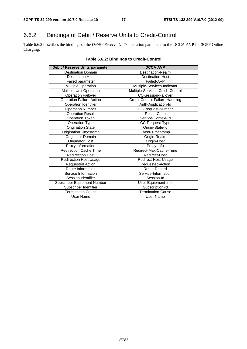# 6.6.2 Bindings of Debit / Reserve Units to Credit-Control

Table 6.6.2 describes the bindings of the *Debit / Reserve Units* operation parameter to the DCCA AVP for 3GPP Online Charging.

| Debit / Reserve Units parameter | <b>DCCA AVP</b>                  |
|---------------------------------|----------------------------------|
| <b>Destination Domain</b>       | Destination-Realm                |
| <b>Destination Host</b>         | <b>Destination-Host</b>          |
| Failed parameter                | Failed-AVP                       |
| Multiple Operation              | Multiple-Services-Indicator      |
| Multiple Unit Operation         | Multiple-Services-Credit Control |
| <b>Operation Failover</b>       | <b>CC-Session-Failover</b>       |
| <b>Operation Failure Action</b> | Credit-Control-Failure-Handling  |
| Operation Identifier            | Auth-Application-Id              |
| <b>Operation Number</b>         | CC-Request-Number                |
| <b>Operation Result</b>         | Result-Code                      |
| <b>Operation Token</b>          | Service-Context-Id               |
| Operation Type                  | CC-Request-Type                  |
| <b>Origination State</b>        | Origin-State-Id                  |
| Origination Timestamp           | Event-Timestamp                  |
| Originator Domain               | Origin-Realm                     |
| Originator Host                 | Origin-Host                      |
| Proxy Information               | Proxy-Info                       |
| <b>Redirection Cache Time</b>   | Redirect-Max-Cache-Time          |
| <b>Redirection Host</b>         | Redirect-Host                    |
| <b>Redirection Host Usage</b>   | Redirect-Host-Usage              |
| Requested Action                | Requested-Action                 |
| Route Information               | Route-Record                     |
| Service Information             | Service-Information              |
| Session Identifier              | Session-Id                       |
| Subscriber Equipment Number     | User-Equipment-Info              |
| Subscriber Identifier           | Subscription-Id                  |
| <b>Termination Cause</b>        | <b>Termination-Cause</b>         |
| User Name                       | User-Name                        |

#### **Table 6.6.2: Bindings to Credit-Control**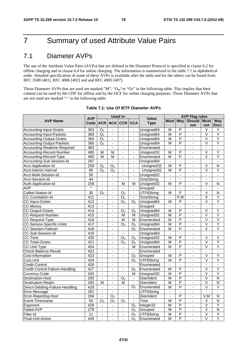# 7 Summary of used Attribute Value Pairs

# 7.1 Diameter AVPs

The use of the Attribute Value Pairs (AVPs) that are defined in the Diameter Protocol is specified in clause 6.2 for offline charging and in clause 6.4 for online charging. The information is summarized in the table 7.1 in alphabetical order. Detailed specification of some of these AVPs is available after the table and for the others can be found from RFC 3588 [401], RFC 4006 [402] and and RFC 4005 [407].

Those Diameter AVPs that are used are marked "M", "O<sub>M</sub>"or "Oc" in the following table. This implies that their content can be used by the CDF for offline and by the OCF for online charging purposes. Those Diameter AVPs that are not used are marked "-" in the following table.

|                                  | <b>AVP</b>      |                          |                          | <b>Used in</b>           |                          | Value              | <b>AVP Flag rules</b>    |                          |                |                          |                          |
|----------------------------------|-----------------|--------------------------|--------------------------|--------------------------|--------------------------|--------------------|--------------------------|--------------------------|----------------|--------------------------|--------------------------|
| <b>AVP Name</b>                  | Code            | <b>ACR</b>               |                          | ACA CCR CCA              |                          | <b>Type</b>        | Must I                   | <b>May</b>               | <b>Should</b>  | <b>Must</b>              | May                      |
|                                  |                 |                          |                          |                          |                          |                    |                          |                          | not            | not                      | Encr.                    |
| Accounting-Input-Octets          | 363             | O <sub>C</sub>           | $\mathbf{r}$             | $\blacksquare$           | $\mathbf{r}$             | Unsigned64         | M                        | P                        | $\blacksquare$ | V                        | Y                        |
| Accounting-Input-Packets         | 365             | O <sub>c</sub>           | $\blacksquare$           |                          | $\blacksquare$           | Unsigned64         | M                        | P                        | $\mathbf{r}$   | $\overline{\mathsf{v}}$  | Y                        |
| <b>Accounting-Output-Octets</b>  | 364             | O <sub>C</sub>           | $\blacksquare$           | ä,                       | $\blacksquare$           | Unsigned64         | $\overline{M}$           | $\overline{\mathsf{P}}$  | $\blacksquare$ | $\overline{\mathsf{v}}$  | Ÿ                        |
| Accounting-Output-Packets        | 366             | O <sub>C</sub>           | $\blacksquare$           | $\blacksquare$           | $\blacksquare$           | Unsigned64         | $\overline{\mathsf{M}}$  | $\overline{\mathsf{P}}$  | ä,             | $\overline{\mathsf{v}}$  | Ÿ                        |
| Accounting-Realtime-Required     | 483             | $\blacksquare$           | $\blacksquare$           | $\overline{a}$           | $\blacksquare$           | Enumerated         | ÷,                       | $\blacksquare$           | ä,             | $\blacksquare$           | $\blacksquare$           |
| Accounting-Record-Number         | 485             | M                        | M                        | $\blacksquare$           | $\blacksquare$           | Unsigned32         | M                        | P                        | $\blacksquare$ | $\overline{\mathsf{v}}$  | Ÿ                        |
| Accounting-Record-Type           | 480             | M                        | M                        | $\overline{\phantom{a}}$ | $\blacksquare$           | Enumerated         | M                        | P                        | $\blacksquare$ | $\overline{\mathsf{v}}$  | Ÿ                        |
| Accounting-Sub-Session-Id        | 287             | $\blacksquare$           | $\blacksquare$           | $\blacksquare$           | $\overline{\phantom{a}}$ | Unsigned64         | $\blacksquare$           | $\blacksquare$           | $\blacksquare$ | $\overline{\phantom{a}}$ | $\overline{\phantom{a}}$ |
| Acct-Application-Id              | 259             | $\overline{O_{C}}$       | $\overline{O_{C}}$       | $\blacksquare$           | $\blacksquare$           | Unsigned32         | $\overline{M}$           | $\overline{\mathsf{P}}$  | ÷,             | V                        | $\overline{N}$           |
| Acct-Interim-Interval            | 85              | O <sub>c</sub>           | $\overline{O}_C$         | $\overline{\phantom{a}}$ | $\blacksquare$           | Unsigned32         | $\overline{M}$           | $\overline{P}$           | ä,             | $\overline{\mathsf{v}}$  | Ϋ                        |
| Acct-Multi-Session-Id            | $\overline{50}$ | $\blacksquare$           |                          | ä,                       | $\blacksquare$           | Unsigned32         | $\overline{a}$           | $\overline{a}$           | $\blacksquare$ | ä,                       | $\blacksquare$           |
| Acct-Session-Id                  | 44              | $\overline{\phantom{a}}$ | $\blacksquare$           | $\blacksquare$           | $\blacksquare$           | <b>OctetString</b> | $\blacksquare$           | $\blacksquare$           | ÷,             | ÷,                       | $\blacksquare$           |
| Auth-Application-Id              | 258             | ÷,                       | ÷,                       | м                        | M                        | Unsigned32         | M                        | P                        | $\blacksquare$ | V                        | N                        |
| <b>AVP</b>                       |                 | $\overline{a}$           | $\blacksquare$           | $\blacksquare$           | $\blacksquare$           | Grouped            | $\overline{a}$           | L.                       | $\blacksquare$ | $\frac{1}{2}$            | L.                       |
| Called-Station-Id                | $\overline{30}$ | O <sub>C</sub>           | $\blacksquare$           | O <sub>C</sub>           | $\blacksquare$           | UTF8String         | M                        | P                        | $\blacksquare$ | V                        | N                        |
| <b>CC-Correlation-Id</b>         | 411             | $\blacksquare$           | $\blacksquare$           | O <sub>C</sub>           | $\blacksquare$           | OctetString        | $\blacksquare$           | P,M                      | $\blacksquare$ | $\overline{\mathsf{v}}$  | Ÿ                        |
| <b>CC-Input-Octets</b>           | 412             | $\blacksquare$           | $\blacksquare$           | O <sub>c</sub>           | O <sub>C</sub>           | Unsigned64         | M                        | P                        | ä,             | $\overline{\mathsf{v}}$  | Ÿ                        |
| <b>CC-Money</b>                  | 413             | ä,                       | $\blacksquare$           | $\blacksquare$           | $\blacksquare$           | Grouped            | ä,                       | ä,                       | $\blacksquare$ | ä,                       | ä,                       |
| <b>CC-Output-Octets</b>          | 414             | ä,                       | $\blacksquare$           | O <sub>C</sub>           | O <sub>C</sub>           | Unsigned64         | $\overline{\mathsf{M}}$  | P                        | ä,             | $\vee$                   | Ÿ                        |
| <b>CC-Request-Number</b>         | 415             | $\blacksquare$           | $\blacksquare$           | м                        | м                        | Unsigned32         | $\overline{\mathsf{M}}$  | $\overline{\mathsf{P}}$  | ä,             | $\overline{\mathsf{v}}$  | Ÿ                        |
| <b>CC-Request-Type</b>           | 416             | $\overline{a}$           | $\overline{a}$           | M                        | М                        | Enumerated         | $\overline{M}$           | $\overline{P}$           | ÷,             | $\overline{\mathsf{v}}$  | Y                        |
| <b>CC-Service-Specific-Units</b> | 417             | ÷,                       | $\blacksquare$           | O <sub>C</sub>           | O <sub>C</sub>           | Unsigned64         | $\overline{M}$           | $\overline{\mathsf{P}}$  | $\overline{a}$ | $\overline{\mathsf{v}}$  | Ÿ                        |
| <b>CC-Session-Failover</b>       | 418             | $\blacksquare$           | $\overline{\phantom{a}}$ | $\overline{\phantom{a}}$ | O <sub>C</sub>           | Enumerated         | $\overline{M}$           | $\overline{P}$           | $\blacksquare$ | $\overline{\vee}$        | Ÿ                        |
| CC-Sub-Session-Id                | 419             | $\blacksquare$           | $\blacksquare$           | $\blacksquare$           | $\blacksquare$           | Unsigned64         | $\blacksquare$           | $\blacksquare$           | ÷,             | $\blacksquare$           | ÷,                       |
| <b>CC-Time</b>                   | 420             | $\overline{a}$           | $\overline{\phantom{a}}$ | $\overline{O_{C}}$       | $\overline{O_{C}}$       | Unsigned32         | $\overline{M}$           | $\overline{\mathsf{P}}$  | L.             | $\overline{\mathsf{v}}$  | $\overline{Y}$           |
| <b>CC-Total-Octets</b>           | 421             | $\overline{a}$           | ÷,                       | O <sub>C</sub>           | O <sub>C</sub>           | Unsigned64         | $\overline{M}$           | P                        | $\blacksquare$ | V                        | Y                        |
| CC-Unit-Type                     | 454             |                          | $\overline{a}$           |                          | м                        | Enumerated         | $\overline{M}$           | $\overline{\mathsf{P}}$  | ä,             | $\overline{\vee}$        | Ÿ                        |
| Check-Balance-Result             | 422             | $\Box$                   | $\blacksquare$           | $\blacksquare$           | $\blacksquare$           | Enumerated         | ÷,                       | $\overline{\phantom{a}}$ | $\blacksquare$ | ÷,                       | $\blacksquare$           |
| Cost-Information                 | 423             | $\overline{a}$           | $\blacksquare$           | $\blacksquare$           | $\overline{O}_C$         | Grouped            | M                        | $\overline{P}$           | $\mathbf{r}$   | $\overline{\mathsf{v}}$  | Y                        |
| Cost-Unit                        | 424             | ÷,                       | $\blacksquare$           | ä,                       | O <sub>C</sub>           | UTF8String         | $\overline{M}$           | $\overline{\mathsf{P}}$  | $\blacksquare$ | $\overline{\mathsf{v}}$  | Ÿ                        |
| Credit-Control                   | 426             | $\overline{\phantom{a}}$ | $\blacksquare$           | $\blacksquare$           | $\overline{\phantom{a}}$ | Enumerated         | $\overline{\phantom{a}}$ | $\overline{a}$           | $\blacksquare$ | $\frac{1}{2}$            | $\blacksquare$           |
| Credit-Control-Failure-Handling  | 427             | $\blacksquare$           | $\blacksquare$           | ä,                       | O <sub>C</sub>           | Enumerated         | M                        | $\overline{\mathsf{P}}$  | $\blacksquare$ | $\overline{\vee}$        | Ÿ                        |
| Currency-Code                    | 425             | $\blacksquare$           | $\blacksquare$           | $\blacksquare$           | м                        | Unsigned32         | $\overline{M}$           | $\overline{\mathsf{P}}$  | $\blacksquare$ | $\overline{\mathsf{v}}$  | Ÿ                        |
| Destination-Host                 | 293             | $\blacksquare$           | $\blacksquare$           | $\overline{O}_C$         | $\blacksquare$           | <b>DiamIdent</b>   | M                        | P                        | $\blacksquare$ | $\overline{\mathsf{v}}$  | $\overline{N}$           |
| <b>Destination-Realm</b>         | 283             | $\overline{M}$           | $\blacksquare$           | M                        | $\blacksquare$           | DiamIdent          | $\overline{M}$           | $\overline{\mathsf{P}}$  | ä,             | $\overline{\mathsf{v}}$  | $\overline{N}$           |
| Direct-Debiting-Failure-Handling | 428             | $\blacksquare$           | ä,                       | $\mathbb{Z}^2$           | O <sub>C</sub>           | Enumerated         | $\overline{M}$           | $\overline{\mathsf{P}}$  | ÷.             | $\overline{\mathsf{v}}$  | Ÿ                        |
| Error-Message                    | 281             | $\blacksquare$           | $\blacksquare$           | $\overline{a}$           | $\blacksquare$           | UTF8String         | ä,                       | ä,                       | $\blacksquare$ | $\overline{a}$           | $\blacksquare$           |
| Error-Reporting-Host             | 294             | $\overline{\phantom{a}}$ | O <sub>C</sub>           | ä,                       | $\Box$                   | <b>DiamIdent</b>   | L                        | P                        | ÷.             | V.M                      | N                        |
| Event-Timestamp                  | $\overline{55}$ | O <sub>C</sub>           | O <sub>C</sub>           | O <sub>C</sub>           | $\omega$                 | Time               | $\overline{\mathsf{M}}$  | P                        | ÷,             | V                        | $\overline{N}$           |
| Exponent                         | 429             | $\blacksquare$           | $\blacksquare$           | $\blacksquare$           | $O_{C}$                  | Integer32          | M                        | $\overline{P}$           | ä,             | V                        | Y                        |
| Failed-AVP                       | 279             | $\blacksquare$           | $\blacksquare$           | $\blacksquare$           | O <sub>C</sub>           | Grouped            | M                        | P                        | ÷.             | $\overline{\mathsf{v}}$  | $\overline{N}$           |
| Filter-Id                        | 11              | ä,                       | $\mathbf{r}$             | $\blacksquare$           | $\overline{O}_C$         | UTF8String         | $\overline{M}$           | P                        | $\mathbf{r}$   | $\overline{\mathsf{v}}$  | Υ                        |
| Final-Unit-Action                | 449             | ä,                       | $\mathbf{r}$             | ÷,                       | $\overline{O}_{C}$       | Enumerated         | $\overline{\mathsf{M}}$  | $\overline{P}$           | ÷,             | V                        | Ÿ                        |

#### **Table 7.1: Use Of IETF Diameter AVPs**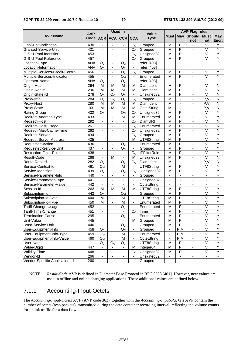|                                  |                  |                          |                              | <b>Used in</b>           |                          |                     | <b>AVP Flag rules</b>        |                          |                              |                              |                              |
|----------------------------------|------------------|--------------------------|------------------------------|--------------------------|--------------------------|---------------------|------------------------------|--------------------------|------------------------------|------------------------------|------------------------------|
| <b>AVP Name</b>                  | <b>AVP</b>       |                          |                              |                          |                          | <b>Value</b>        | <b>Must May</b>              |                          | <b>Should Must</b>           |                              | May                          |
|                                  | Code l           |                          | ACR ACA                      | <b>CCR</b>               | <b>CCA</b>               | <b>Type</b>         |                              |                          | not                          | not                          | Encr.                        |
| Final-Unit-Indication            | 430              | $\blacksquare$           | $\overline{\phantom{a}}$     | $\blacksquare$           | O <sub>C</sub>           | Grouped             | M                            | P                        | $\blacksquare$               | V                            | Υ                            |
| Granted-Service-Unit             | 431              | -                        | $\overline{\phantom{a}}$     | $\overline{\phantom{a}}$ | O <sub>c</sub>           | Grouped             | М                            | $\overline{P}$           | $\overline{\phantom{0}}$     | $\vee$                       | Ÿ                            |
| G-S-U-Pool-Identifier            | 453              | $\blacksquare$           | $\blacksquare$               | $\blacksquare$           | O <sub>C</sub>           | Unsigned32          | M                            | P                        | $\blacksquare$               | $\vee$                       | Ÿ                            |
| G-S-U-Pool-Reference             | 457              | $\blacksquare$           | $\blacksquare$               | $\blacksquare$           | O <sub>C</sub>           | Grouped             | M                            | P                        |                              | $\overline{\vee}$            | Ÿ                            |
| Location-Type                    | <b>IANA</b>      | O <sub>C</sub>           | $\overline{\phantom{a}}$     | O <sub>C</sub>           | $\overline{\phantom{a}}$ | refer [403]         |                              |                          |                              |                              |                              |
| Location-Information             | <b>IANA</b>      | $\overline{O}_C$         | $\blacksquare$               | O <sub>c</sub>           | $\blacksquare$           | refer [403]         |                              |                          |                              |                              |                              |
| Multiple-Services-Credit-Control | 456              | $\overline{\phantom{a}}$ | $\blacksquare$               | O <sub>C</sub>           | O <sub>C</sub>           | Grouped             | M                            | P                        | $\blacksquare$               | V                            | Υ                            |
| Multiple-Services-Indicator      | 455              | ÷,                       | $\overline{\phantom{a}}$     | $O_{M}$                  |                          | Enumerated          | M                            | P                        |                              | $\vee$                       | Ÿ                            |
| Operator-Name                    | <b>IANA</b>      | O <sub>C</sub>           | $\overline{\phantom{a}}$     | O <sub>C</sub>           | $\blacksquare$           | refer [403]         |                              |                          |                              |                              |                              |
| Origin-Host                      | 264              | M                        | M                            | M                        | M                        | DiamIdent           | M                            | $\overline{P}$           | $\overline{\phantom{a}}$     | V                            | N                            |
| Origin-Realm                     | 296              | M                        | M                            | M                        | M                        | DiamIdent           | M                            | $\overline{P}$           | $\overline{a}$               | $\overline{\vee}$            | $\overline{\mathsf{N}}$      |
| Origin-State-Id                  | $\overline{278}$ | O <sub>C</sub>           | O <sub>C</sub>               | O <sub>C</sub>           | $\overline{\phantom{a}}$ | Unsigned32          | M                            | P                        | $\blacksquare$               | $\overline{\vee}$            | N                            |
| Proxy-Info                       | 284              | O <sub>C</sub>           | $\mathsf{O}_\mathbb{C}$      | O <sub>C</sub>           | O <sub>C</sub>           | Grouped             | M                            | $\overline{a}$           | $\overline{\phantom{0}}$     | P.V                          | N                            |
| Proxy-Host                       | 280              | M                        | M                            | M                        | М                        | DiamIdent           | M                            | $\frac{1}{2}$            | $\overline{\phantom{a}}$     | P.V                          | N                            |
| Proxy-State                      | 33               | $\overline{M}$           | M                            | M                        | M                        | OctetString         | $\overline{M}$               | $\blacksquare$           | $\blacksquare$               | P, V                         | $\overline{\mathsf{N}}$      |
| Rating-Group                     | 432              | $\overline{O}_C$         | $\blacksquare$               | O <sub>c</sub>           | O <sub>C</sub>           | Unsigned32          | M                            | $\overline{P}$           | ÷.                           | $\vee$                       | Ÿ                            |
| Redirect-Address-Type            | 433              | $\blacksquare$           | $\blacksquare$               | M                        | M                        | Enumerated          | M                            | P                        | $\blacksquare$               | V                            | Ÿ                            |
| Redirect-Host                    | 292              |                          | $\overline{\phantom{a}}$     | $\overline{\phantom{a}}$ | O <sub>C</sub>           | DiamURI             | M                            | P                        | $\overline{\phantom{0}}$     | $\vee$                       | N                            |
| Redirect-Host-Usage              | 261              | $\blacksquare$           | $\blacksquare$               | $\blacksquare$           | O <sub>c</sub>           | Enumerated          | $\overline{\mathsf{M}}$      | $\overline{\mathsf{P}}$  | ÷,                           | $\overline{\mathsf{V}}$      | $\overline{\mathsf{N}}$      |
| Redirect-Max-Cache-Time          | 262              | $\blacksquare$           | $\overline{\phantom{a}}$     | $\blacksquare$           | O <sub>C</sub>           | Unsigned32          | M                            | $\overline{\mathsf{P}}$  | ÷,                           | $\overline{\mathsf{V}}$      | $\overline{\mathsf{N}}$      |
| Redirect-Server                  | 434              | ä,                       | ä,                           | $\blacksquare$           | O <sub>C</sub>           | Grouped             | M                            | $\overline{\mathsf{P}}$  | $\overline{a}$               | $\overline{\mathsf{v}}$      | Ÿ                            |
| Redirect-Server-Address          | 435              | $\blacksquare$           | $\overline{\phantom{a}}$     | $\blacksquare$           | M                        | UTF8String          | M                            | $\overline{P}$           | $\blacksquare$               | $\overline{\mathsf{V}}$      | Ÿ                            |
| Requested-Action                 | 436              | $\overline{\phantom{0}}$ | $\overline{\phantom{a}}$     | O <sub>C</sub>           | $\blacksquare$           | Enumerated          | M                            | $\overline{\mathsf{P}}$  | $\overline{\phantom{a}}$     | $\overline{\vee}$            | Ÿ                            |
| Requested-Service-Unit           | 437              | $\blacksquare$           | $\blacksquare$               | O <sub>c</sub>           | $\blacksquare$           | Grouped             | M                            | $\overline{P}$           | $\blacksquare$               | $\overline{\mathsf{V}}$      | Ÿ                            |
| <b>Restriction-Filter-Rule</b>   | 438              | ä,                       | $\blacksquare$               | ä,                       | O <sub>C</sub>           | <b>IPFilterRule</b> | M                            | $\overline{\mathsf{P}}$  | $\blacksquare$               | $\overline{\vee}$            | Ÿ                            |
| Result-Code                      | 268              | ä,                       | M                            | $\overline{a}$           | м                        | Unsigned32          | M                            | $\overline{P}$           | $\blacksquare$               | $\vee$                       | $\overline{\mathsf{N}}$      |
| Route-Record                     | 282              | O <sub>c</sub>           | $\blacksquare$               | O <sub>C</sub>           | O <sub>c</sub>           | DiamIdent           | $\overline{M}$               | $\overline{\phantom{a}}$ | $\blacksquare$               | P.V                          | $\overline{\mathsf{N}}$      |
| Service-Context-Id               | 461              | O <sub>M</sub>           | $\overline{\phantom{a}}$     | M                        | $\blacksquare$           | UTF8String          | M                            | P                        | $\overline{\phantom{a}}$     | V                            | Υ                            |
| Service-Identifier               | 439              | O <sub>c</sub>           | $\blacksquare$               | O <sub>C</sub>           | O <sub>C</sub>           | Unsigned32          | M                            | P                        |                              | $\overline{\vee}$            | Ÿ                            |
| Service-Parameter-Info           | 440              | $\blacksquare$           | $\blacksquare$               | $\blacksquare$           | $\blacksquare$           | Grouped             | $\blacksquare$               | $\blacksquare$           | $\blacksquare$               | $\blacksquare$               | $\blacksquare$               |
| Service-Parameter-Type           | 441              | $\blacksquare$           | $\overline{\phantom{a}}$     | $\blacksquare$           | $\overline{\phantom{a}}$ | Unsigned32          | $\qquad \qquad \blacksquare$ | $\blacksquare$           | $\qquad \qquad \blacksquare$ | $\qquad \qquad \blacksquare$ | $\qquad \qquad \blacksquare$ |
| Service-Parameter-Value          | 442              | $\Box$                   | $\blacksquare$               | $\blacksquare$           | $\blacksquare$           | OctetString         | $\blacksquare$               | $\blacksquare$           | ÷,                           | $\blacksquare$               | $\overline{\phantom{a}}$     |
| Session-Id                       | 263              | M                        | M                            | M                        | М                        | UTF8String          | M                            | P                        | $\blacksquare$               | $\vee$                       | Υ                            |
| Subscription-Id                  | 443              | O <sub>C</sub>           | $\blacksquare$               | $O_{M}$                  | $\blacksquare$           | Grouped             | M                            | $\overline{P}$           |                              | $\overline{\vee}$            | Ÿ                            |
| Subscription-Id-Data             | 444              | M                        | $\blacksquare$               | M                        | $\overline{\phantom{a}}$ | UTF8String          | $\overline{M}$               | $\overline{P}$           | $\blacksquare$               | $\overline{\mathsf{V}}$      | Ÿ                            |
| Subscription-Id-Type             | 450              | $\overline{M}$           | $\overline{\phantom{a}}$     | M                        | $\overline{\phantom{a}}$ | Enumerated          | $\overline{M}$               | $\overline{\mathsf{P}}$  | $\overline{\phantom{a}}$     | $\overline{\mathsf{V}}$      | Ÿ                            |
| Tariff-Change-Usage              | 452              | ÷.                       | $\blacksquare$               | O <sub>C</sub>           | $\mathbf{r}$             | Enumerated          | M                            | $\overline{P}$           | $\overline{a}$               | $\overline{\vee}$            | Ϋ                            |
| Tariff-Time-Change               | 451              | ÷,                       |                              | ä,                       | O <sub>c</sub>           | Time                | M                            | P                        | $\blacksquare$               | $\overline{\vee}$            | Ÿ                            |
| Termination-Cause                | 295              | $\blacksquare$           | -                            | $O_{C}$                  | $\overline{\phantom{a}}$ | Enumerated          | M                            | P                        | ۰                            | V                            | Y                            |
| Unit-Value                       | 445              | $\overline{\phantom{a}}$ |                              | $\blacksquare$           | M                        | Grouped             | M                            | $\overline{P}$           | $\blacksquare$               | $\overline{\mathsf{V}}$      | Y                            |
| Used-Service-Unit                | 446              |                          |                              | O <sub>C</sub>           | $\overline{\phantom{a}}$ | Grouped             | M                            | $\overline{P}$           |                              | $\overline{\mathsf{V}}$      | Ϋ                            |
| User-Equipment-Info              | 458              | O <sub>C</sub>           |                              | $\mathsf{O}_\mathbb{C}$  | $\blacksquare$           | Grouped             |                              | P,M                      |                              | $\overline{\vee}$            | Ÿ                            |
| User-Equipment-Info-Type         | 459              | O <sub>M</sub>           |                              | M                        | $\overline{\phantom{a}}$ | Enumerated          | $\overline{\phantom{a}}$     | P,M                      | $\overline{\phantom{a}}$     | $\overline{\mathsf{V}}$      | Y                            |
| User-Equipment-Info-Value        | 460              | $O_{M}$                  |                              | M                        | $\blacksquare$           | OctetString         | $\blacksquare$               | P,M                      | $\overline{\phantom{0}}$     | $\overline{\vee}$            | Y                            |
| User-Name                        | $\mathbf{1}$     | O <sub>C</sub>           | O <sub>C</sub>               | O <sub>C</sub>           | $\overline{\phantom{a}}$ | UTF8String          | M                            | P                        |                              | $\sf V$                      | Y                            |
| Value-Digits                     | 447              | $\overline{\phantom{a}}$ |                              |                          | M                        | Integer64           | M                            | $\overline{\mathsf{P}}$  | $\qquad \qquad \blacksquare$ | $\overline{\mathsf{V}}$      | Ÿ                            |
| Validity-Time                    | 448              |                          |                              | $\blacksquare$           | O <sub>C</sub>           | Unsigned32          | M                            | $\overline{P}$           |                              | $\overline{\vee}$            | Ÿ                            |
| Vendor-Id                        | 266              | $\overline{\phantom{0}}$ | $\overline{\phantom{a}}$     | $\overline{\phantom{a}}$ | $\overline{\phantom{a}}$ | Unsigned32          | $\overline{\phantom{a}}$     | -                        | $\overline{\phantom{a}}$     | $\blacksquare$               | $\overline{\phantom{a}}$     |
| Vendor-Specific-Application-Id   | 260              | $\overline{\phantom{0}}$ | $\qquad \qquad \blacksquare$ | $\overline{\phantom{a}}$ | $\blacksquare$           | Grouped             | $\overline{\phantom{a}}$     | ÷,                       | $\overline{\phantom{a}}$     | $\overline{\phantom{a}}$     |                              |

NOTE: *Result-Code* AVP is defined in Diameter Base Protocol in RFC 3588 [401]. However, new values are used in offline and online charging applications. These additional values are defined below.

# 7.1.1 Accounting-Input-Octets

The *Accounting-Input-Octets* AVP (AVP code 363) together with the *Accounting-Input-Packets* AVP contain the number of octets (resp packets) ,transmitted during the data container recording interval, reflecting the volume counts for uplink traffic for a data flow.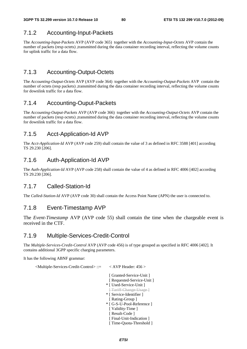### 7.1.2 Accounting-Input-Packets

The *Accounting-Input-Packets* AVP (AVP code 365) together with the *Accounting-Input-Octets* AVP contain the number of packets (resp octets) ,transmitted during the data container recording interval, reflecting the volume counts for uplink traffic for a data flow.

### 7.1.3 Accounting-Output-Octets

The *Accounting-Output-Octets* AVP (AVP code 364) together with the *Accounting-Output-Packets* AVP contain the number of octets (resp packets) ,transmitted during the data container recording interval, reflecting the volume counts for downlink traffic for a data flow.

### 7.1.4 Accounting-Ouput-Packets

The *Accounting-Output-Packets* AVP (AVP code 366) together with the *Accounting-Output-Octets* AVP contain the number of packets (resp octets) ,transmitted during the data container recording interval, reflecting the volume counts for downlink traffic for a data flow.

### 7.1.5 Acct-Application-Id AVP

The *Acct-Application-Id* AVP (AVP code 259) shall contain the value of 3 as defined in RFC 3588 [401] according TS 29.230 [206].

### 7.1.6 Auth-Application-Id AVP

The *Auth-Application-Id* AVP (AVP code 258) shall contain the value of 4 as defined in RFC 4006 [402] according TS 29.230 [206].

### 7.1.7 Called-Station-Id

The *Called-Station-Id* AVP (AVP code 30) shall contain the Access Point Name (APN) the user is connected to.

### 7.1.8 Event-Timestamp AVP

The *Event-Timestamp* AVP (AVP code 55) shall contain the time when the chargeable event is received in the CTF.

### 7.1.9 Multiple-Services-Credit-Control

The *Multiple-Services-Credit-Control* AVP (AVP code 456) is of type grouped as specified in RFC 4006 [402]. It contains additional 3GPP specific charging parameters.

It has the following ABNF grammar:

<Multiple-Services-Credit-Control> ::= < AVP Header: 456 >

 [ Granted-Service-Unit ] [ Requested-Service-Unit ] \* [ Used-Service-Unit ] [ Tariff-Change-Usage ] \* [ Service-Identifier ] [ Rating-Group ] \* [ G-S-U-Pool-Reference ] [ Validity-Time ] [ Result-Code ] [ Final-Unit-Indication ] [ Time-Quota-Threshold ]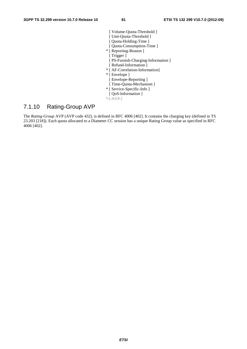- [ Volume-Quota-Threshold ] [ Unit-Quota-Threshold ] [ Quota-Holding-Time ] [ Quota-Consumption-Time ]
- \* [ Reporting-Reason ]
- [ Trigger ]
- [ PS-Furnish-Charging-Information ]
- [ Refund-Information ]
- \* [ AF-Correlation-Information]
- \* [ Envelope ]
- [ Envelope-Reporting ]
- [ Time-Quota-Mechanism ]
- \* [ Service-Specific-Info ]
- [ QoS-Information ]
- $*$   $\uparrow$  AVP ]

### 7.1.10 Rating-Group AVP

The *Rating-Group* AVP (AVP code 432), is defined in RFC 4006 [402]. It contains the charging key (defined in TS 23.203 [218]). Each quota allocated to a Diameter CC session has a unique Rating Group value as specified in RFC 4006 [402].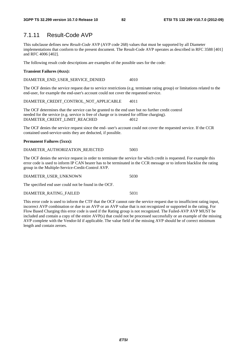### 7.1.11 Result-Code AVP

This subclause defines new *Result-Code* AVP (AVP code 268) values that must be supported by all Diameter implementations that conform to the present document. The Result-Code AVP operates as described in RFC 3588 [401] and RFC 4006 [402].

The following result code descriptions are examples of the possible uses for the code:

#### **Transient Failures (4xxx):**

DIAMETER\_END\_USER\_SERVICE\_DENIED 4010

The OCF denies the service request due to service restrictions (e.g. terminate rating group) or limitations related to the end-user, for example the end-user's account could not cover the requested service.

DIAMETER\_CREDIT\_CONTROL\_NOT\_APPLICABLE 4011

The OCF determines that the service can be granted to the end user but no further credit control needed for the service (e.g. service is free of charge or is treated for offline charging). DIAMETER\_CREDIT\_LIMIT\_REACHED 4012

The OCF denies the service request since the end- user's account could not cover the requested service. If the CCR contained used-service-units they are deducted, if possible.

#### **Permanent Failures (5xxx):**

| DIAMETER AUTHORIZATION REJECTED | 5003 |
|---------------------------------|------|
|---------------------------------|------|

The OCF denies the service request in order to terminate the service for which credit is requested. For example this error code is used to inform IP CAN bearer has to be terminated in the CCR message or to inform blacklist the rating group in the Multiple-Service-Credit-Control AVP.

|  | DIAMETER USER UNKNOWN |  |
|--|-----------------------|--|
|  |                       |  |

The specified end user could not be found in the OCF.

#### DIAMETER\_RATING\_FAILED 5031

This error code is used to inform the CTF that the OCF cannot rate the service request due to insufficient rating input, incorrect AVP combination or due to an AVP or an AVP value that is not recognized or supported in the rating. For Flow Based Charging this error code is used if the Rating group is not recognized. The Failed-AVP AVP MUST be included and contain a copy of the entire AVP(s) that could not be processed successfully or an example of the missing AVP complete with the Vendor-Id if applicable. The value field of the missing AVP should be of correct minimum length and contain zeroes.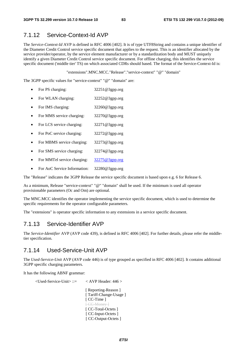### 7.1.12 Service-Context-Id AVP

The *Service-Context-Id* AVP is defined in RFC 4006 [402]. It is of type UTF8String and contains a unique identifier of the Diameter Credit Control service specific document that applies to the request. This is an identifier allocated by the service provider/operator, by the service element manufacturer or by a standardization body and MUST uniquely identify a given Diameter Credit Control service specific document. For offline charging, this identifies the service specific document ('middle tier' TS) on which associated CDRs should based. The format of the Service-Context-Id is:

"extensions".MNC.MCC."Release"."service-context" "@" "domain"

The 3GPP specific values for "service-context" "@" "domain" are:

- For PS charging: 32251@3gpp.org
- For WLAN charging: 32252@3gpp.org
- For IMS charging: 32260@3gpp.org
- For MMS service charging: 32270@3gpp.org
- For LCS service charging: 32271@3gpp.org
- For PoC service charging: 32272@3gpp.org
- For MBMS service charging: 32273@3gpp.org
- For SMS service charging: 32274@3gpp.org
- For MMTel service charging: [32275@3gpp.org](mailto:32275@3gpp.org)
- For AoC Service Information: 32280@3gpp.org

The "Release" indicates the 3GPP Release the service specific document is based upon e.g. 6 for Release 6.

As a minimum, Release "service-context" "@" "domain" shall be used. If the minimum is used all operator provisionable parameters (Oc and Om) are optional.

The MNC.MCC identifies the operator implementing the service specific document, which is used to determine the specific requirements for the operator configurable parameters.

The "extensions" is operator specific information to any extensions in a service specific document.

### 7.1.13 Service-Identifier AVP

The *Service-Identifier* AVP (AVP code 439), is defined in RFC 4006 [402]. For further details, please refer the middletier specification.

### 7.1.14 Used-Service-Unit AVP

The *Used-Service-Unit* AVP (AVP code 446) is of type grouped as specified in RFC 4006 [402]. It contains additional 3GPP specific charging parameters.

It has the following ABNF grammar:

```
 <Used-Service-Unit> ::= < AVP Header: 446 >
```
[ Reporting-Reason ] [ Tariff-Change-Usage ] [ CC-Time ] [ CC Money ] [ CC-Total-Octets ] [ CC-Input-Octets ] [ CC-Output-Octets ]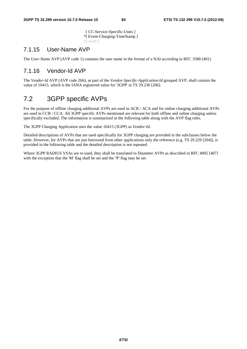[ CC-Service-Specific-Units ] \*[ Event-Charging-TimeStamp ]  $*$ [ AVP ]

### 7.1.15 User-Name AVP

The *User-Name* AVP (AVP code 1) contains the user name in the format of a NAI according to RFC 3588 [401].

### 7.1.16 Vendor-Id AVP

The *Vendor-Id* AVP (AVP code 266), as part of the *Vendor-Specific-Application-Id* grouped AVP, shall contain the value of 10415, which is the IANA registered value for '3GPP' in TS 29.230 [206].

# 7.2 3GPP specific AVPs

For the purpose of offline charging additional AVPs are used in ACR / ACA and for online charging additional AVPs are used in CCR / CCA. All 3GPP specific AVPs mentioned are relevant for both offline and online charging unless specifically excluded. The information is summarized in the following table along with the AVP flag rules.

The 3GPP Charging Application uses the value 10415 (3GPP) as *Vendor-Id.*

Detailed descriptions of AVPs that are used specifically for 3GPP charging are provided in the subclauses below the table. However, for AVPs that are just borrowed from other applications only the reference (e.g. TS 29.229 [204]), is provided in the following table and the detailed description is not repeated.

Where 3GPP RADIUS VSAs are re-used, they shall be translated to Diameter AVPs as described in RFC 4005 [407] with the exception that the 'M' flag shall be set and the ''P' flag may be set.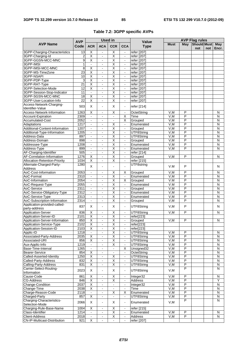|  |  |  | Table 7.2: 3GPP specific AVPs |  |
|--|--|--|-------------------------------|--|
|--|--|--|-------------------------------|--|

|                                            | <b>AVP</b>              | <b>Used in</b>               |                              |                         |                           | <b>AVP Flag rules</b><br><b>Value</b> |             |                         |                           |     |                |
|--------------------------------------------|-------------------------|------------------------------|------------------------------|-------------------------|---------------------------|---------------------------------------|-------------|-------------------------|---------------------------|-----|----------------|
| <b>AVP Name</b>                            | Code                    | <b>ACR</b>                   | <b>ACA</b>                   | <b>CCR</b>              | <b>CCA</b>                | <b>Type</b>                           | <b>Must</b> | May                     | <b>Should Must</b><br>not | not | May<br>Encr.   |
| 3GPP-Charging-Characteristics              | 13                      | $\overline{\mathsf{x}}$      | ÷,                           | $\overline{\mathsf{x}}$ |                           | refer [207]                           |             |                         |                           |     |                |
| 3GPP-Charging-Id                           | $\overline{\mathbf{c}}$ | $\overline{\mathsf{x}}$      | $\blacksquare$               | Χ                       | $\blacksquare$            | refer [207]                           |             |                         |                           |     |                |
| 3GPP-GGSN-MCC-MNC                          | 9                       | X                            | ÷,                           | $\overline{\mathsf{x}}$ | $\blacksquare$            | refer [207]                           |             |                         |                           |     |                |
| 3GPP-IMSI                                  | 1                       |                              | $\overline{a}$               | $\overline{\mathsf{x}}$ | $\blacksquare$            | refer [207]                           |             |                         |                           |     |                |
| 3GPP-IMSI-MCC-MNC                          | 8                       | $\overline{\mathsf{x}}$      | ÷,                           | $\overline{\mathsf{x}}$ | $\blacksquare$            | refer [207]                           |             |                         |                           |     |                |
| 3GPP-MS-TimeZone                           | $\overline{23}$         | $\overline{\mathsf{x}}$      | $\blacksquare$               | $\overline{\mathsf{x}}$ | $\blacksquare$            | refer [207]                           |             |                         |                           |     |                |
| 3GPP-NSAPI                                 | 10                      | $\overline{\mathsf{x}}$      | $\blacksquare$               | Χ                       | $\omega$                  | refer [207]                           |             |                         |                           |     |                |
| 3GPP-PDP-Type                              | 3                       | $\overline{\mathsf{x}}$      | ä,                           | Χ                       | $\blacksquare$            | refer [207]                           |             |                         |                           |     |                |
| 3GPP-RAT-Type                              | $\overline{21}$         | $\overline{\mathsf{x}}$      |                              | $\overline{\mathsf{x}}$ | $\blacksquare$            | refer [207]                           |             |                         |                           |     |                |
| 3GPP-Selection-Mode                        | 12                      | $\overline{\mathsf{x}}$      | $\overline{\phantom{a}}$     | $\overline{\mathsf{x}}$ | $\blacksquare$            | refer [207]                           |             |                         |                           |     |                |
| 3GPP-Session-Stop-Indicator                | 11                      | $\blacksquare$               | $\frac{1}{2}$                | $\overline{\mathsf{x}}$ | $\mathbf{r}$              | refer [207]                           |             |                         |                           |     |                |
| 3GPP-SGSN-MCC-MNC                          | 18                      | $\overline{\mathsf{x}}$      | ä,                           | $\overline{\mathsf{x}}$ | $\blacksquare$            | refer [207]                           |             |                         |                           |     |                |
| 3GPP-User-Location-Info                    | $\overline{22}$         | $\overline{\mathsf{x}}$      | ä,                           | $\overline{\mathsf{x}}$ |                           |                                       |             |                         |                           |     |                |
|                                            |                         |                              |                              |                         | $\blacksquare$            | refer [207]                           |             |                         |                           |     |                |
| Access-Network-Charging-                   | 503                     | X                            | $\overline{a}$               | X                       | $\blacksquare$            | refer [214]                           |             |                         |                           |     |                |
| Identifier-Value                           |                         |                              |                              |                         |                           |                                       |             |                         |                           |     |                |
| Access-Network-Information                 | 1263                    | Χ                            | ÷,                           | Χ                       | $\blacksquare$            | OctetString                           | V,M         | $\mathsf{P}$            |                           |     | N              |
| Account-Expiration                         | 2309                    | $\blacksquare$               | $\blacksquare$               | $\blacksquare$          | $\overline{\mathsf{x}}$   | Time                                  | V,M         | P                       |                           |     | N              |
| Accumulated-Cost                           | 2052                    | $\blacksquare$               | $\overline{\phantom{0}}$     | $\blacksquare$          | X                         | Grouped                               | V,M         | P                       |                           |     | N              |
| Adaptations                                | 1217                    | $\blacksquare$               | $\overline{a}$               | Χ                       | $\blacksquare$            | Enumerated                            | V,M         | P                       |                           |     | N              |
| Additional-Content-Information             | 1207                    | $\blacksquare$               | $\blacksquare$               | $\overline{\mathsf{x}}$ | $\omega$                  | Grouped                               | V, M        | P                       |                           |     | N              |
| Additional-Type-Information                | 1205                    | $\sim$                       | ä,                           | Χ                       | $\blacksquare$            | UTF8String                            | V,M         | P                       |                           |     | N              |
| Address-Data                               | 897                     | $\sim$                       | $\overline{a}$               | $\overline{\mathsf{x}}$ | $\blacksquare$            | UTF8String                            | V.M         | $\overline{P}$          |                           |     | N              |
| Address-Domain                             | 898                     | $\blacksquare$               | ÷,                           | X                       | $\blacksquare$            | Grouped                               | V, M        | P                       |                           |     | $\overline{N}$ |
| Addressee-Type                             | 1208                    | $\blacksquare$               | $\blacksquare$               | $\overline{\mathsf{x}}$ | $\blacksquare$            | Enumerated                            | V, M        | $\overline{P}$          |                           |     | N              |
| Address-Type                               | 899                     | $\blacksquare$               | L.                           | $\overline{\mathsf{x}}$ | $\mathbf{r}$              | Enumerated                            | V, M        | $\overline{P}$          |                           |     | N              |
| AF-Charging-Identifier                     | 505                     | $\sim$                       | ä,                           | $\overline{\mathsf{x}}$ | $\blacksquare$            | refer [214]                           |             |                         |                           |     |                |
| AF-Correlation-Information                 | 1276                    | $\overline{\mathsf{x}}$      |                              | $\overline{\mathsf{X}}$ | $\blacksquare$            | Grouped                               | V,M         | P                       |                           |     | N              |
| Allocation-Retention-Priority              | 1034                    | $\overline{\mathsf{x}}$      | ÷,                           | $\overline{\mathsf{x}}$ | $\blacksquare$            | refer [215]                           |             |                         |                           |     |                |
|                                            |                         |                              |                              |                         |                           |                                       |             |                         |                           |     |                |
| Alternate-Charged-Party-                   | 1280                    | X                            |                              | $\overline{a}$          |                           | UTF8string                            | V.M         | P                       |                           |     | N              |
| Address                                    |                         |                              |                              |                         |                           |                                       |             |                         |                           |     |                |
| AoC-Cost-Information                       | 2053                    | $\blacksquare$               | ÷,                           | Χ                       | X                         | Grouped                               | V,M         | P                       |                           |     | N              |
| AoC-Format                                 | 2310                    | $\blacksquare$               |                              | $\overline{\mathsf{x}}$ | $\blacksquare$            | Enumerated                            | V, M        | $\overline{P}$          |                           |     | N              |
| AoC-Information                            | 2054                    | $\blacksquare$               | $\blacksquare$               | $\overline{\mathsf{x}}$ | $\overline{\mathsf{x}}$   | Grouped                               | V.M         | P                       |                           |     | $\overline{N}$ |
| AoC-Request-Type                           | 2055                    | $\blacksquare$               | $\blacksquare$               | Χ                       | $\blacksquare$            | Enumerated                            | V.M         | $\overline{P}$          |                           |     | N              |
| AoC-Service                                | 2311                    | $\blacksquare$               | $\blacksquare$               | Χ                       | $\blacksquare$            | Grouped                               | V, M        | $\overline{P}$          |                           |     | N              |
| AoC-Service-Obligatory-Type                | 2312                    | $\blacksquare$               | $\overline{\phantom{0}}$     | $\overline{\mathsf{x}}$ | $\blacksquare$            | Enumerated                            | V, M        | P                       |                           |     | N              |
| AoC-Service-Type                           | 2313                    | $\sim$                       | $\blacksquare$               | Χ                       | $\sim$                    | Enumerated                            | V,M         | $\overline{P}$          |                           |     | $\overline{N}$ |
| AoC-Subscription-Information               | 2314                    | $\hat{\mathbf{r}}$           | $\overline{\phantom{a}}$     | $\overline{\mathsf{x}}$ | $\omega$                  | Grouped                               | V,M         | P                       |                           |     | N              |
| Application-provided-called-               |                         |                              |                              |                         |                           |                                       |             |                         |                           |     |                |
| party-address                              | 837                     | X                            | ä,                           | Х                       | $\blacksquare$            | UTF8String                            | V, M        | P                       |                           |     | N              |
| <b>Application-Server</b>                  | 836                     | Χ                            | ÷,                           | $\overline{\mathsf{x}}$ | $\blacksquare$            | UTF8String                            | V, M        | P                       |                           |     | N              |
| Application-Server-ID                      | 2101                    | $\overline{\mathsf{x}}$      | $\overline{a}$               | Χ                       | $\blacksquare$            | refer[223]                            |             |                         |                           |     |                |
| Application-Server-Information             | 850                     | $\overline{X}$               | L.                           | $\overline{\mathsf{x}}$ | $\mathbb{Z}^{\mathbb{Z}}$ | Grouped                               | V,M         | P                       |                           |     | N              |
| Application-Service-Type                   | 2102                    |                              |                              |                         |                           |                                       |             |                         |                           |     |                |
| Application-Session-ID                     | 2103                    | X<br>$\overline{\mathsf{x}}$ |                              | х<br>Χ                  |                           | refer[223]<br>refer[223]              |             |                         |                           |     |                |
|                                            |                         |                              |                              |                         |                           |                                       |             |                         |                           |     |                |
| Applic-ID                                  | 1218                    | $\blacksquare$               | ٠                            | Χ                       | $\blacksquare$            | UTF8String                            | V,M         | P                       |                           |     | N              |
| Associated-Party-Address                   | 2035                    | X                            | -                            | $\overline{\mathsf{X}}$ | $\blacksquare$            | UTF8String                            | V,M         | $\overline{P}$          |                           |     | N              |
| Associated-URI                             | 856                     | $\overline{\mathsf{x}}$      | ÷,                           | Χ                       | $\omega$                  | UTF8String                            | V, M        | $\overline{P}$          |                           |     | N              |
| Aux-Applic-Info                            | 1219                    | $\blacksquare$               | $\blacksquare$               | X                       | $\blacksquare$            | UTF8String                            | V,M         | $\overline{P}$          |                           |     | N              |
| Base-Time-Interval                         | 1265                    |                              |                              |                         | X                         | Unsigned32                            | V,M         | $\overline{\mathsf{P}}$ |                           |     | $\overline{N}$ |
| <b>Bearer-Service</b>                      | 854                     | $\overline{\mathsf{x}}$      | $\blacksquare$               | $\blacksquare$          | $\blacksquare$            | OctetString                           | V, M        | $\overline{P}$          |                           |     | $\overline{N}$ |
| Called-Asserted-Identity                   | 1250                    | $\overline{X}$               | $\overline{a}$               | X                       | $\blacksquare$            | UTF8String                            | V, M        | $\overline{P}$          |                           |     | N              |
| Called-Party-Address                       | 832                     | $\overline{X}$               | $\blacksquare$               | $\overline{\mathsf{X}}$ | $\blacksquare$            | UTF8String                            | V, M        | $\overline{\mathsf{P}}$ |                           |     | N              |
| Calling-Party-Address                      | 831                     | X                            | $\blacksquare$               | $\overline{\mathsf{X}}$ | $\blacksquare$            | UTF8String                            | V, M        | $\overline{P}$          |                           |     | N              |
| Carrier-Select-Routing-                    |                         |                              |                              |                         |                           |                                       |             | P                       |                           |     | ${\sf N}$      |
| Information                                | 2023                    | X                            | $\frac{1}{2}$                | X                       | $\blacksquare$            | UTF8String                            | V, M        |                         |                           |     |                |
| Cause-Code                                 | 861                     | $\overline{X}$               | ÷,                           | $\overline{X}$          | $\blacksquare$            | Integer32                             | V, M        | $\overline{P}$          |                           |     | N              |
| <b>CG-Address</b>                          | 846                     | $\overline{X}$               | $\blacksquare$               | $\overline{\mathsf{X}}$ | $\blacksquare$            | <b>Address</b>                        | V,M         | $\overline{P}$          |                           |     | Υ              |
| Change-Condition                           | 2037                    | $\overline{X}$               | ٠                            | $\blacksquare$          | $\blacksquare$            | Integer32                             | V, M        | P                       |                           |     | $\overline{N}$ |
| Change-Time                                | 2038                    | $\overline{\mathsf{x}}$      |                              |                         | $\blacksquare$            | Time                                  | V,M         | P                       |                           |     | N              |
| Charge-Reason-Code                         | 2118                    | $\blacksquare$               | $\blacksquare$               | χ                       | X                         | Enumerated                            | V, M        | $\overline{P}$          |                           |     | N              |
|                                            | 857                     | X                            | $\blacksquare$               |                         | $\blacksquare$            | UTF8String                            | V,M         | P                       |                           |     | N              |
| Charged-Party<br>Charging-Characteristics- |                         |                              |                              |                         |                           |                                       |             | P                       |                           |     | N              |
|                                            | 2066                    | Χ                            | $\qquad \qquad \blacksquare$ | X                       | $\blacksquare$            | Enumerated                            | V, M        |                         |                           |     |                |
| Selection-Mode                             |                         |                              |                              |                         |                           |                                       |             |                         |                           |     |                |
| Charging-Rule-Base-Name                    | 1004                    | X                            |                              | X                       |                           | refer [215]                           |             |                         |                           |     |                |
| Class-Identifier                           | 1214                    | $\blacksquare$               | $\blacksquare$               | $\overline{\mathsf{X}}$ | $\omega$                  | Enumerated                            | V,M         | $\overline{P}$          |                           |     | N              |
| <b>Client-Address</b>                      | 2018                    | $\blacksquare$               | $\blacksquare$               | $\overline{\mathsf{X}}$ | $\blacksquare$            | Address                               | V, M        | P                       |                           |     | N              |
| CN-IP-Multicast-Distribution               | 921                     | $\overline{\mathsf{x}}$      |                              |                         | $\blacksquare$            | refer [207]                           |             |                         |                           |     |                |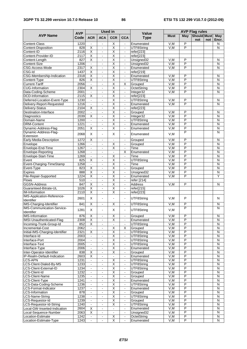|                                                     |                    |                                           | <b>Used in</b>                             |                                                    |                                  |                             |                   | <b>AVP Flag rules</b>            |                           |     |                         |  |  |
|-----------------------------------------------------|--------------------|-------------------------------------------|--------------------------------------------|----------------------------------------------------|----------------------------------|-----------------------------|-------------------|----------------------------------|---------------------------|-----|-------------------------|--|--|
| <b>AVP Name</b>                                     | <b>AVP</b><br>Code | <b>ACR</b>                                | <b>ACA</b>                                 | <b>CCR</b>                                         | <b>CCA</b>                       | <b>Value</b><br><b>Type</b> | <b>Must</b>       | May                              | <b>Should Must</b><br>not | not | <b>May</b><br>Encr.     |  |  |
| <b>Content-Class</b>                                | 1220               | $\blacksquare$                            | $\blacksquare$                             | X                                                  | $\blacksquare$                   | Enumerated                  | V.M               | P                                |                           |     | N                       |  |  |
| Content-Disposition                                 | 828                | $\overline{\mathsf{x}}$                   | ÷,                                         | $\overline{\mathsf{x}}$                            | $\blacksquare$                   | UTF8String                  | V,M               | P                                |                           |     | N                       |  |  |
| Content-ID                                          | 2116               | X                                         | ä,                                         | $\overline{\mathsf{X}}$                            | $\blacksquare$                   | refer[223]                  |                   |                                  |                           |     |                         |  |  |
| Content-Provider-ID                                 | 2117               | $\overline{\mathsf{x}}$                   | $\blacksquare$                             | Χ                                                  | $\blacksquare$                   | refer[223]                  |                   |                                  |                           |     |                         |  |  |
| Content-Length                                      | 827                | $\overline{\mathsf{x}}$                   | $\blacksquare$                             | Χ                                                  | $\mathbb{Z}^{\mathbb{Z}}$        | Unsigned32                  | V,M               | $\overline{P}$                   |                           |     | N                       |  |  |
| Content-Size                                        | 1206               | $\blacksquare$<br>$\overline{\mathsf{x}}$ | $\blacksquare$                             | X<br>$\overline{\mathsf{x}}$                       | $\blacksquare$                   | Unsigned32                  | V,M<br>V.M        | P<br>P                           |                           |     | N                       |  |  |
| CSG-Access-Mode<br>CSG-Id                           | 2317<br>1437       | $\overline{\mathsf{x}}$                   | ä,                                         | $\overline{\mathsf{x}}$                            | $\mathbf{r}$                     | Enumerated                  |                   |                                  |                           |     | N                       |  |  |
| CSG-Membership-Indication                           | 2318               | X                                         | ۰<br>ä,                                    | Χ                                                  | $\blacksquare$<br>$\blacksquare$ | refer[219]<br>Enumerated    | V,M               | P                                |                           |     | N                       |  |  |
| Content-Type                                        | 826                | $\overline{\mathsf{x}}$                   | $\blacksquare$                             | $\overline{\mathsf{x}}$                            | $\blacksquare$                   | UTF8String                  | V, M              | $\overline{P}$                   |                           |     | N                       |  |  |
| <b>Current-Tariff</b>                               | 2056               | $\sim$                                    | ä,                                         | Χ                                                  | Χ                                | Grouped                     | V.M               | $\overline{P}$                   |                           |     | N                       |  |  |
| <b>CUG-Information</b>                              | 2304               | $\overline{\mathsf{x}}$                   | $\blacksquare$                             | Χ                                                  | $\blacksquare$                   | OctetString                 | V,M               | $\overline{P}$                   |                           |     | N                       |  |  |
| Data-Coding-Scheme                                  | 2001               | $\blacksquare$                            | $\blacksquare$                             | $\overline{\mathsf{X}}$                            | $\blacksquare$                   | Integer32                   | V.M               | P                                |                           |     | N                       |  |  |
| <b>DCD-Information</b>                              | 2115               | X                                         | $\blacksquare$                             | X                                                  | $\blacksquare$                   | refer[223]                  |                   |                                  |                           |     |                         |  |  |
| Deferred-Location-Event-Type                        | 1230               | $\sim$                                    | $\blacksquare$                             | $\overline{\mathsf{x}}$                            | $\blacksquare$                   | UTF8String                  | V,M               | $\overline{P}$                   |                           |     | N                       |  |  |
| Delivery-Report-Requested                           | 1216               | $\blacksquare$                            | ۰                                          | $\overline{\mathsf{x}}$                            | $\blacksquare$                   | Enumerated                  | V,M               | $\overline{P}$                   |                           |     | N                       |  |  |
| Delivery-Status                                     | 2104               | $\overline{\mathsf{x}}$                   | $\blacksquare$                             | Χ                                                  | $\blacksquare$                   | refer[223]                  |                   |                                  |                           |     |                         |  |  |
| Destination-Interface                               | 2002               | $\blacksquare$                            | ä,                                         | $\overline{\mathsf{x}}$                            | $\blacksquare$                   | Grouped                     | V,M               | P                                |                           |     | N                       |  |  |
| Diagnostics                                         | 2039               | X                                         | $\overline{a}$                             | $\overline{\mathsf{x}}$                            | $\blacksquare$                   | Integer32                   | V,M               | P                                |                           |     | N                       |  |  |
| Domain-Name                                         | 1200               | $\blacksquare$                            |                                            | $\overline{\mathsf{X}}$                            | $\blacksquare$                   | UTF8String                  | V, M              | $\overline{P}$                   |                           |     | N                       |  |  |
| <b>DRM-Content</b>                                  | 1221               | $\blacksquare$                            | $\blacksquare$                             | $\overline{\mathsf{x}}$                            | $\blacksquare$                   | Enumerated                  | V, M              | $\overline{P}$                   |                           |     | $\overline{\mathsf{N}}$ |  |  |
| Dynamic-Address-Flag                                | 2051               | X                                         | ä,                                         | $\overline{\mathsf{x}}$                            | $\blacksquare$                   | Enumerated                  | V,M               | P                                |                           |     | N                       |  |  |
| Dynamic-Address-Flag-<br>Extension                  | 2068               | X                                         | $\overline{a}$                             | X                                                  | $\blacksquare$                   | Enumerated                  | V, M              | P                                |                           |     | N                       |  |  |
| Early-Media-Description                             | 1272               | $\overline{\mathsf{x}}$                   |                                            |                                                    |                                  | Grouped                     | V,M               | P                                |                           |     | N                       |  |  |
| Envelope                                            | 1266               | $\blacksquare$                            | $\blacksquare$                             | $\overline{\mathsf{x}}$                            | $\blacksquare$                   | Grouped                     | V, M              | $\overline{P}$                   |                           |     | $\overline{N}$          |  |  |
| Envelope-End-Time                                   | 1267               |                                           | ۰                                          | Χ                                                  | $\blacksquare$                   | Time                        | V,M               | P                                |                           |     | N                       |  |  |
| Envelope-Reporting                                  | 1268               | $\blacksquare$                            | $\sim$                                     | $\sim$                                             | X                                | Enumerated                  | V, M              | P                                |                           |     | N                       |  |  |
| Envelope-Start-Time                                 | 1269               | $\blacksquare$                            | $\overline{\phantom{0}}$                   | Χ                                                  | $\blacksquare$                   | Time                        | V,M               | P                                |                           |     | N                       |  |  |
| Event                                               | 825<br>1258        | X                                         | $\qquad \qquad \blacksquare$               | $\overline{\mathsf{x}}$                            | $\overline{\phantom{a}}$         | UTF8String                  | V,M<br>V.M        | $\overline{P}$<br>$\overline{P}$ |                           |     | N                       |  |  |
| Event-Charging-TimeStamp                            | 823                | $\Box$                                    | $\blacksquare$                             | $\overline{\mathsf{x}}$<br>X                       | $\omega$                         | Time                        | V,M               | P                                |                           |     | N<br>N                  |  |  |
| Event-Type<br><b>Expires</b>                        | 888                | Х<br>$\overline{\mathsf{x}}$              | $\blacksquare$<br>$\overline{a}$           | $\overline{\mathsf{x}}$                            | $\blacksquare$<br>$\blacksquare$ | Grouped<br>Unsigned32       | V,M               | $\overline{P}$                   |                           |     | N                       |  |  |
| File-Repair-Supported                               | 1224               | X                                         | ä,                                         | $\overline{\mathsf{x}}$                            | $\blacksquare$                   | Enumerated                  | V, M              | P                                |                           |     | Υ                       |  |  |
| <b>Flows</b>                                        | 510                | $\blacksquare$                            | $\blacksquare$                             | $\overline{\mathsf{x}}$                            | $\sim$                           | refer [214]                 |                   |                                  |                           |     |                         |  |  |
| <b>GGSN-Address</b>                                 | 847                | $\overline{\mathsf{x}}$                   | ä,                                         | $\overline{\mathsf{x}}$                            | $\blacksquare$                   | <b>Address</b>              | V,M               | $\overline{P}$                   |                           |     | N                       |  |  |
| Guaranteed-Bitrate-UL                               | 1026               | $\overline{\mathsf{x}}$                   | $\blacksquare$                             | $\overline{\mathsf{x}}$                            | $\blacksquare$                   | refer[215]                  |                   |                                  |                           |     |                         |  |  |
| <b>IM-Information</b>                               | 2110               | $\overline{\mathsf{x}}$                   |                                            | $\overline{\mathsf{X}}$                            | $\blacksquare$                   | refer[223]                  |                   |                                  |                           |     |                         |  |  |
| <b>IMS-Application-Reference-</b><br>Identifier     | 2601               | X                                         | $\blacksquare$                             |                                                    | $\blacksquare$                   | UTF8String                  | V, M              | P                                |                           |     | N                       |  |  |
| <b>IMS-Charging-Identifier</b>                      | 841                | Χ                                         | $\blacksquare$                             | $\overline{\mathsf{x}}$                            | $\blacksquare$                   | UTF8String                  | V,M               | P                                |                           |     | N                       |  |  |
| <b>IMS-Communication-Service-</b>                   |                    |                                           |                                            |                                                    |                                  |                             |                   | P                                |                           |     | N                       |  |  |
| Identifier                                          | 1281               | X                                         | ÷.                                         | X                                                  | $\blacksquare$                   | UTF8String                  | V, M              |                                  |                           |     |                         |  |  |
| <b>IMS-Information</b>                              | 876                | <u>X</u>                                  | $\blacksquare$                             | $\mathsf X$                                        | $\blacksquare$                   | Grouped                     | V,M               | P                                |                           |     | N                       |  |  |
| IMSI-Unauthenticated-Flag                           | 2308               | $\overline{X}$                            | ä,                                         | $\overline{\mathsf{X}}$                            | $\blacksquare$                   | Enumerated                  | V, M              | P                                |                           |     | N                       |  |  |
| Incoming-Trunk-Group-Id                             | 852<br>2062        | $\overline{\mathsf{x}}$                   | $\blacksquare$                             | $\blacksquare$                                     | $\mathbb{Z}^{\mathbb{Z}}$        | UTF8String                  | V,M               | $\overline{P}$                   |                           |     | ${\sf N}$               |  |  |
| Incremental-Cost<br>Initial-IMS-Charging-Identifier | 2321               | $\Box$<br>$\overline{\mathsf{x}}$         | $\blacksquare$                             | $\overline{\mathsf{X}}$<br>$\overline{\mathsf{X}}$ | Χ<br>$\blacksquare$              | Grouped<br>UTF8String       | V,M<br>V,M        | P<br>$\overline{P}$              |                           |     | N<br>N                  |  |  |
| Interface-Id                                        | 2003               | $\blacksquare$                            | $\blacksquare$                             | $\overline{X}$                                     | $\blacksquare$                   | UTF8String                  | V, M              | P                                |                           |     | N                       |  |  |
| Interface-Port                                      | 2004               | $\blacksquare$                            | ä,                                         | $\overline{X}$                                     | $\blacksquare$                   | UTF8String                  | V,M               | $\overline{P}$                   |                           |     | ${\sf N}$               |  |  |
| Interface-Text                                      | 2005               | $\Box$                                    | ÷,                                         | $\overline{X}$                                     | $\Box$                           | UTF8String                  | V, M              | $\overline{P}$                   |                           |     | N                       |  |  |
| Interface-Type                                      | 2006               | $\blacksquare$                            | $\overline{\phantom{0}}$                   | $\overline{\mathsf{X}}$                            | $\Box$                           | Enumerated                  | V, M              | P                                |                           |     | N                       |  |  |
| Inter-Operator-Identifier                           | 838                | $\overline{X}$                            | ۰                                          | Χ                                                  | $\blacksquare$                   | Grouped                     | V,M               | P                                |                           |     | N                       |  |  |
| IP-Realm-Default-Indication                         | 2603               | X                                         | ä,                                         | $\blacksquare$                                     | $\omega$                         | Enumerated                  | V, M              | P                                |                           |     | N                       |  |  |
| LCS-APN                                             | 1231               | $\blacksquare$                            | ä,                                         | $\overline{X}$                                     | $\blacksquare$                   | UTF8String                  | V,M               | P                                |                           |     | N                       |  |  |
| LCS-Client-Dialed-By-MS                             | 1233               |                                           | $\overline{a}$                             | Χ                                                  | $\blacksquare$                   | UTF8String                  | V,M               | $\overline{P}$                   |                           |     | N                       |  |  |
| LCS-Client-External-ID                              | 1234               | $\blacksquare$                            | $\frac{1}{2}$                              | Χ                                                  | $\blacksquare$                   | UTF8String                  | V, M              | P                                |                           |     | $\mathsf{N}$            |  |  |
| LCS-Client-Id                                       | 1232               | $\blacksquare$                            | ä,                                         | Χ                                                  | $\blacksquare$                   | Grouped                     | V, M              | $\overline{P}$                   |                           |     | N                       |  |  |
| <b>LCS-Client-Name</b>                              | 1235               | $\blacksquare$                            | $\overline{a}$                             | $\overline{\mathsf{X}}$                            | $\blacksquare$                   | Grouped                     | V,M               | $\overline{P}$                   |                           |     | N                       |  |  |
| <b>LCS-Client-Type</b>                              | 1241               | $\blacksquare$                            | $\overline{\phantom{0}}$                   | $\overline{\mathsf{X}}$                            | $\blacksquare$                   | Enumerated                  | V,M               | P                                |                           |     | N                       |  |  |
| LCS-Data-Coding-Scheme                              | 1236               |                                           |                                            | $\overline{\mathsf{X}}$                            |                                  | UTF8String                  | V, M              | $\overline{P}$                   |                           |     | $\mathsf{N}$            |  |  |
| LCS-Format-Indicator                                | 1237               | $\Box$                                    | ÷,                                         | $\overline{X}$                                     | $\blacksquare$                   | Enumerated                  | V, M              | P                                |                           |     | $\overline{N}$          |  |  |
| <b>LCS-Information</b>                              | 878                | $\blacksquare$                            | ۰                                          | $\overline{X}$                                     | $\blacksquare$                   | Grouped                     | V, M              | $\overline{P}$                   |                           |     | N                       |  |  |
| <b>LCS-Name-String</b>                              | 1238               | $\blacksquare$                            | $\overline{a}$                             | Χ                                                  | $\blacksquare$                   | UTF8String                  | V, M              | $\overline{P}$                   |                           |     | $\mathsf{N}$            |  |  |
| LCS-Requestor-Id                                    | 1239               | $\blacksquare$                            | $\overline{\phantom{0}}$                   | $\overline{X}$                                     | $\blacksquare$                   | Grouped                     | V, M              | P                                |                           |     | N                       |  |  |
| LCS-Requestor-Id-String                             | 1240               | $\blacksquare$                            | ۰                                          | Χ                                                  | $\blacksquare$                   | UTF8String                  | V, M              | P                                |                           |     | ${\sf N}$               |  |  |
| Local-GW-Inserted-Indication                        | 2604               | $\overline{X}$                            | ä,                                         | $\blacksquare$                                     | ä,                               | Enumerated                  | V, M              | P                                |                           |     | N                       |  |  |
| Local-Sequence-Number                               | 2063               | X                                         | $\frac{1}{2}$                              | $\blacksquare$                                     | $\blacksquare$                   | Unsigned32                  | $\overline{V}$ ,M | P                                |                           |     | N                       |  |  |
| Location-Estimate                                   | 1242               | $\blacksquare$                            | $\overline{\phantom{0}}$<br>$\overline{a}$ | $\overline{\mathsf{x}}$<br>$\overline{\mathsf{X}}$ | $\blacksquare$                   | OctetString                 | V,M<br>V,M        | P<br>P                           |                           |     | $\mathsf{N}$<br>N       |  |  |
| Location-Estimate-Type                              | 1243               |                                           |                                            |                                                    | $\blacksquare$                   | Enumerated                  |                   |                                  |                           |     |                         |  |  |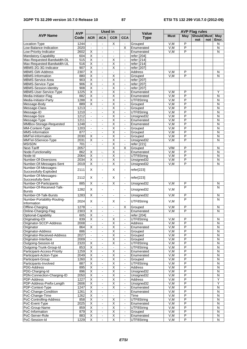### **3GPP TS 32.299 version 10.7.0 Release 10 87 ETSI TS 132 299 V10.7.0 (2012-09)**

|                                                    |                    |                                                    | <b>Used in</b>           |                              |                                  |                             | <b>AVP Flag rules</b> |                         |                           |     |                         |  |
|----------------------------------------------------|--------------------|----------------------------------------------------|--------------------------|------------------------------|----------------------------------|-----------------------------|-----------------------|-------------------------|---------------------------|-----|-------------------------|--|
| <b>AVP Name</b>                                    | <b>AVP</b><br>Code | <b>ACR</b>                                         | <b>ACA</b>               | <b>CCR</b>                   | <b>CCA</b>                       | <b>Value</b><br><b>Type</b> | <b>Must</b>           | May                     | <b>Should Must</b><br>not | not | <b>May</b><br>Encr.     |  |
| Location-Type                                      | 1244               | $\blacksquare$                                     | $\blacksquare$           | X                            | $\blacksquare$                   | Grouped                     | V,M                   | P                       |                           |     | N                       |  |
| Low-Balance-Indication                             | 2020               | $\mathbf{r}$                                       | $\overline{a}$           | $\overline{a}$               | $\overline{\mathsf{x}}$          | Enumerated                  | V, M                  | P                       |                           |     | N                       |  |
| Low-Priority-Indicator                             | 2602               | Χ                                                  |                          | ä,                           | $\blacksquare$                   | Enumerated                  | V, M                  | P                       |                           |     | N                       |  |
| Mandatory-Capability                               | 604                | $\overline{\mathsf{x}}$                            | $\blacksquare$           | $\blacksquare$               | $\blacksquare$                   | refer [204]                 |                       |                         |                           |     |                         |  |
| Max-Requested-Bandwidth-DL                         | 515                | Χ                                                  | $\blacksquare$           | $\overline{\mathsf{x}}$      | $\omega$                         | refer [214]                 |                       |                         |                           |     |                         |  |
| Max-Requested-Bandwidth-UL                         | 516                | X                                                  | $\blacksquare$           | $\overline{X}$               | $\blacksquare$                   | refer [214]                 |                       |                         |                           |     |                         |  |
| MBMS-2G-3G-Indicator                               | 907                | $\overline{\mathsf{x}}$                            | $\overline{a}$           | X                            | $\sim$                           | refer [207]                 |                       |                         |                           |     |                         |  |
| <b>MBMS GW-Address</b>                             | 2307               | $\overline{\mathsf{X}}$                            | $\overline{a}$           | $\blacksquare$               | $\blacksquare$                   | <b>Address</b>              | V,M                   | P                       |                           |     | N                       |  |
| <b>MBMS-Information</b>                            | 880                | $\overline{\mathsf{x}}$                            | $\blacksquare$           | $\overline{\mathsf{X}}$      | $\mathbf{r}$                     | Grouped                     | V.M                   | P                       |                           |     | N                       |  |
| MBMS-Service-Area                                  | 903                | $\overline{\mathsf{x}}$                            | ÷,                       | $\overline{\mathsf{x}}$      | $\Box$                           | refer [207]                 |                       |                         |                           |     |                         |  |
| MBMS-Service-Type                                  | 906                | $\overline{\mathsf{X}}$                            | ÷,                       | Χ                            | $\blacksquare$                   | refer [207]                 |                       |                         |                           |     |                         |  |
| <b>MBMS-Session-Identity</b>                       | 908                | Χ                                                  |                          | Χ                            | $\blacksquare$                   | refer [207]                 |                       |                         |                           |     |                         |  |
| MBMS-User-Service-Type                             | 1225               | $\overline{\mathsf{x}}$                            | $\blacksquare$           | $\overline{\mathsf{x}}$      | $\blacksquare$                   | Enumerated                  | V, M                  | P                       |                           |     | Υ                       |  |
| Media-Initiator-Flag                               | 882                | X                                                  | ÷,                       | Χ                            | $\blacksquare$                   | Enumerated                  | V,M                   | P                       |                           |     | $\mathsf{N}$            |  |
| Media-Initiator-Party                              | 1288               | $\overline{\mathsf{x}}$                            | ä,                       | $\overline{\mathsf{x}}$      | $\blacksquare$                   | UTF8String                  | V, M                  | $\overline{P}$          |                           |     | Ñ                       |  |
| Message-Body                                       | 889                | $\overline{\mathsf{X}}$                            | $\overline{a}$           | Χ                            | $\blacksquare$                   | Grouped                     | V, M                  | P                       |                           |     | N                       |  |
| Message-Class                                      | 1213               | $\blacksquare$                                     | $\overline{a}$           | Χ                            | $\blacksquare$                   | Grouped                     | V, M                  | $\overline{P}$          |                           |     | N                       |  |
| Message-ID                                         | 1210               | $\blacksquare$                                     | ÷,                       | $\overline{\mathsf{x}}$      | $\omega$                         | UTF8String                  | V, M                  | $\overline{P}$          |                           |     | Ñ                       |  |
| Message-Size                                       | 1212               | $\blacksquare$                                     | ÷,                       | Χ                            | $\blacksquare$                   | Unsigned32                  | V,M                   | P                       |                           |     | N                       |  |
| Message-Type                                       | 1211               | $\blacksquare$                                     |                          | $\overline{\mathsf{x}}$      | $\blacksquare$                   | Enumerated                  | V, M                  | $\overline{\mathsf{P}}$ |                           |     | N                       |  |
| MMBox-Storage-Requested                            | 1248               | $\blacksquare$                                     | $\blacksquare$           | $\overline{\mathsf{X}}$      | $\blacksquare$                   | Enumerated                  | V, M                  | P                       |                           |     | Ñ                       |  |
| MM-Content-Type                                    | 1203               | $\blacksquare$                                     | $\blacksquare$           | Χ                            | $\blacksquare$                   | Grouped                     | V,M                   | $\overline{P}$          |                           |     | N                       |  |
| MMS-Information                                    | 877                | $\mathbf{r}$                                       | ä,                       | $\overline{X}$               | $\sim$                           | Grouped                     | V, M                  | P                       |                           |     | N                       |  |
| MMTel-Information                                  | 2030               | X                                                  | ÷,                       | Χ                            | $\blacksquare$                   | Grouped                     | V,M                   | P                       |                           |     | N                       |  |
| MMTel-SService-Type                                | 2031               | $\overline{\mathsf{x}}$                            |                          | $\overline{\mathsf{x}}$      | $\blacksquare$                   | Unsigned32                  | V.M                   | P                       |                           |     | N                       |  |
| <b>MSISDN</b>                                      | 701                | $\blacksquare$                                     | $\blacksquare$           | $\overline{\mathsf{x}}$      | $\blacksquare$                   | refer [221]                 |                       |                         |                           |     |                         |  |
| <b>Next-Tariff</b>                                 | 2057               |                                                    |                          | $\overline{\mathsf{X}}$      | X                                | Grouped                     | V/M                   | P                       |                           |     | N                       |  |
| Node-Functionality                                 | 862                | $\overline{\mathsf{x}}$                            | $\mathcal{L}_\mathbf{a}$ | $\overline{\mathsf{x}}$      | $\omega$                         | Enumerated                  | V.M                   | P                       |                           |     | N                       |  |
| Node-Id                                            | 2064               | $\overline{\mathsf{x}}$                            | $\blacksquare$           | $\overline{\mathsf{X}}$      | $\mathbf{r}$                     | UTF8String                  | V,M                   | P                       |                           |     | $\overline{N}$          |  |
| Number-Of-Diversions                               | 2034               | $\overline{\mathsf{x}}$                            | ÷,                       | Χ                            | $\omega$                         | Unsigned32                  | V, M                  | $\overline{P}$          |                           |     | $\overline{N}$          |  |
| Number-Of-Messages-Sent                            | 2019               | X                                                  | $\overline{a}$           | $\overline{\mathsf{X}}$      | $\omega$                         | Unsigned32                  | V, M                  | P                       |                           |     | N                       |  |
| Number-Of-Messages-<br>Successfully-Exploded       | 2111               | X                                                  | ÷,                       | X                            | $\blacksquare$                   | refer[223]                  |                       |                         |                           |     |                         |  |
| Number-Of-Messages-<br>Successfully-Sent           | 2112               | X                                                  |                          | X                            | $\blacksquare$                   | refer[223]                  |                       |                         |                           |     |                         |  |
| Number-Of-Participants<br>Number-Of-Received-Talk- | 885                | $\overline{\mathsf{x}}$                            | $\ddot{\phantom{a}}$     | $\overline{\mathsf{x}}$      | $\blacksquare$                   | Unsigned32                  | V.M                   | P<br>P                  |                           |     | N<br>N                  |  |
| <b>Bursts</b>                                      | 1282               | X                                                  | ÷,                       | $\blacksquare$               | $\blacksquare$                   | Unsigned32                  | V,M                   |                         |                           |     |                         |  |
| Number-Of-Talk-Bursts                              | 1283               | $\overline{\mathsf{x}}$                            | $\blacksquare$           | $\blacksquare$               | $\blacksquare$                   | Unsigned32                  | V.M                   | P<br>P                  |                           |     | N                       |  |
| Number-Portability-Routing-<br>Information         | 2024               | X                                                  | $\ddot{\phantom{a}}$     | X                            | $\omega$                         | UTF8String                  | V, M                  |                         |                           |     | N                       |  |
| Offline-Charging                                   | 1278               |                                                    |                          |                              | X                                | Grouped                     | V,M                   | P                       |                           |     | N                       |  |
| Online-Charging-Flag                               | 2303               | Χ                                                  | $\blacksquare$           | $\blacksquare$               | $\omega$                         | Enumerated                  | V, M                  | $\overline{P}$          |                           |     | $\overline{\mathsf{N}}$ |  |
| Optional-Capability                                | 605                | X.                                                 | $\blacksquare$           | $\blacksquare$               |                                  | reter $[204]$               |                       |                         |                           |     |                         |  |
| Originating-IOI                                    | 839                | X                                                  | $\blacksquare$           | $\overline{X}$               | $\blacksquare$                   | UTF8String                  | V,M                   | P                       |                           |     | N                       |  |
| Originator-SCCP-Address                            | 2008               | $\blacksquare$                                     | $\blacksquare$           | Χ                            | $\blacksquare$                   | Address                     | V,M                   | P                       |                           |     | N                       |  |
| Originator                                         | 864                | $\overline{\mathsf{x}}$                            |                          | Χ                            | $\blacksquare$                   | Enumerated                  | V,M                   | P                       |                           |     | N                       |  |
| Originator-Address                                 | 886                | $\blacksquare$                                     | $\blacksquare$           | $\overline{\mathsf{X}}$      | $\blacksquare$                   | Grouped                     | V, M                  | $\overline{P}$          |                           |     | $\mathsf{N}$            |  |
| Originator-Received-Address                        | 2027               | $\blacksquare$                                     | $\blacksquare$           | $\overline{\mathsf{X}}$      | $\blacksquare$                   | Grouped                     | V,M                   | P                       |                           |     | N                       |  |
| Originator-Interface                               | 2009               | $\blacksquare$                                     | $\blacksquare$           | Χ                            | $\blacksquare$                   | Grouped                     | V,M                   | $\overline{P}$          |                           |     | N                       |  |
| Outgoing-Session-Id                                | 2320               | $\overline{X}$                                     | $\blacksquare$           | $\overline{\mathsf{X}}$      | $\blacksquare$                   | UTF8String                  | V, M                  | P<br>$\overline{P}$     |                           |     | N                       |  |
| Outgoing-Trunk-Group-Id                            | 853                | $\overline{\mathsf{x}}$<br>$\overline{\mathsf{x}}$ | $\blacksquare$           | $\blacksquare$               | $\blacksquare$                   | UTF8String                  | V,M                   | $\overline{P}$          |                           |     | N                       |  |
| Participant-Access-Priority                        | 1259               |                                                    | $\blacksquare$           | Χ                            | $\blacksquare$                   | Enumerated                  | V, M                  |                         |                           |     | $\mathsf{N}$            |  |
| Participant-Action-Type                            | 2049               | X<br>Χ                                             | $\blacksquare$           | $\overline{\mathsf{X}}$      | $\blacksquare$                   | Enumerated                  | V,M                   | P<br>$\overline{P}$     |                           |     | N                       |  |
| Participant-Group                                  | 1260               |                                                    |                          | Χ                            |                                  | Grouped                     | V,M                   |                         |                           |     | N                       |  |
| Participants-Involved                              | 887                | $\overline{X}$                                     | $\blacksquare$           | $\overline{\mathsf{X}}$      | $\blacksquare$                   | UTF8String                  | V, M                  | P                       |                           |     | N                       |  |
| PDG-Address                                        | 895                | X                                                  | $\blacksquare$           | $\overline{X}$               | $\blacksquare$                   | Address                     | V,M                   | P                       |                           |     | N                       |  |
| PDG-Charging-Id                                    | 896                | X                                                  | $\blacksquare$           | $\overline{X}$               | $\blacksquare$                   | Unsigned32                  | V,M                   | P<br>$\overline{P}$     |                           |     | N                       |  |
| PDN-Connection-Charging-ID                         | 2050               | X                                                  | $\blacksquare$           | $\overline{\mathsf{X}}$<br>Χ | $\blacksquare$                   | Unsigned32                  | V,M                   | P                       |                           |     | N                       |  |
| PDP-Address                                        | 1227               | $\overline{\mathsf{x}}$                            |                          |                              | $\blacksquare$                   | Address                     | V,M                   |                         |                           |     | Υ                       |  |
| PDP-Address-Prefix-Length                          | 2606               | $\overline{\mathsf{x}}$                            | $\blacksquare$           | $\overline{\mathsf{X}}$      | $\blacksquare$                   | Unsigned32                  | V, M                  | $\overline{P}$          |                           |     | Ϋ                       |  |
| PDP-Context-Type                                   | 1247               | X                                                  | $\blacksquare$           | Χ                            | $\blacksquare$                   | Enumerated                  | V,M                   | P<br>$\overline{P}$     |                           |     | N                       |  |
| PoC-Change-Condition                               | 1261               | $\overline{X}$                                     | $\blacksquare$           | $\blacksquare$               | $\blacksquare$                   | Enumerated                  | V, M                  |                         |                           |     | N                       |  |
| PoC-Change-Time                                    | 1262<br>858        | $\overline{X}$<br>$\overline{\mathsf{x}}$          | $\blacksquare$           | $\overline{\mathsf{X}}$      | $\blacksquare$                   | Time                        | V, M                  | P<br>$\overline{P}$     |                           |     | N<br>$\mathsf{N}$       |  |
| PoC-Controlling-Address                            | 2025               | $\overline{\mathsf{x}}$                            | $\blacksquare$           | Χ                            | $\blacksquare$<br>$\blacksquare$ | UTF8String                  | V,M<br>V, M           | $\overline{P}$          |                           |     | $\mathsf{N}$            |  |
| PoC-Event-Type                                     |                    |                                                    | $\blacksquare$           |                              |                                  | Enumerated                  |                       | $\overline{P}$          |                           |     |                         |  |
| PoC-Group-Name                                     | 859                | X<br>Χ                                             | $\blacksquare$           | X<br>$\overline{\mathsf{X}}$ | $\blacksquare$                   | UTF8String                  | V,M                   | $\overline{P}$          |                           |     | N                       |  |
| PoC-Information                                    | 879                | $\overline{\mathsf{x}}$                            |                          | $\overline{\mathsf{X}}$      |                                  | Grouped                     | V,M<br>V, M           | $\overline{P}$          |                           |     | N<br>$\mathsf{N}$       |  |
| PoC-Server-Role                                    | 883<br>1229        | X                                                  | $\blacksquare$           | $\overline{\mathsf{X}}$      | $\blacksquare$                   | Enumerated                  |                       | $\overline{P}$          |                           |     |                         |  |
| PoC-Session-Id                                     |                    |                                                    | $\blacksquare$           |                              | $\blacksquare$                   | UTF8String                  | V,M                   |                         |                           |     | Ν                       |  |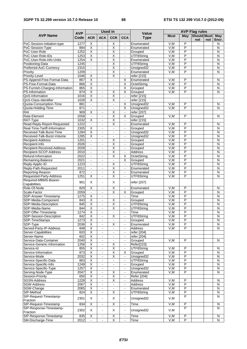|                                              | <b>AVP</b>   |                                           | <b>Used in</b>                   |                                                    |                                  | <b>Value</b>              | <b>AVP Flag rules</b> |                                           |                    |     |                         |
|----------------------------------------------|--------------|-------------------------------------------|----------------------------------|----------------------------------------------------|----------------------------------|---------------------------|-----------------------|-------------------------------------------|--------------------|-----|-------------------------|
| <b>AVP Name</b>                              | Code         | <b>ACR</b>                                | <b>ACA</b>                       | <b>CCR</b>                                         | <b>CCA</b>                       | <b>Type</b>               | <b>Must</b>           | May                                       | Should Must<br>not | not | May<br>Encr.            |
| PoC-Session-Initiation-type                  | 1277         | X                                         | $\blacksquare$                   | X                                                  |                                  | Enumerated                | V,M                   | P                                         |                    |     | N                       |
| PoC-Session-Type                             | 884          | $\overline{\mathsf{x}}$                   | ä,                               | Χ                                                  | $\blacksquare$                   | Enumerated                | V, M                  | $\overline{P}$                            |                    |     | N                       |
| PoC-User-Role                                | 1252         | $\overline{\mathsf{x}}$                   | $\blacksquare$                   | $\overline{\mathsf{X}}$                            | $\blacksquare$                   | Grouped                   | V, M                  | P                                         |                    |     | N                       |
| PoC-User-Role-IDs                            | 1253         | $\overline{\mathsf{x}}$                   | $\blacksquare$                   | Χ                                                  | $\sim$                           | UTF8String                | V,M                   | $\overline{P}$                            |                    |     | N                       |
| PoC-User-Role-info-Units                     | 1254         | $\overline{\mathsf{x}}$                   | $\blacksquare$                   | $\overline{\mathsf{x}}$                            | $\blacksquare$                   | Enumerated                | V, M                  | $\overline{\mathsf{P}}$                   |                    |     | N                       |
| Positioning-Data                             | 1245         | $\blacksquare$                            | ÷,                               | $\overline{\mathsf{x}}$                            | $\blacksquare$                   | UTF8String                | V, M                  | $\overline{P}$                            |                    |     | N                       |
| Preferred-AoC-Currency                       | 2315         | $\blacksquare$                            |                                  | Χ                                                  | $\blacksquare$                   | Unsigned32                | V, M                  | $\overline{\mathsf{P}}$                   |                    |     | N                       |
| Priority<br>Priority-Level                   | 1209<br>1046 | $\blacksquare$<br>$\overline{\mathsf{x}}$ | $\blacksquare$                   | $\overline{\mathsf{x}}$<br>$\overline{\mathsf{x}}$ | $\blacksquare$                   | Enumerated<br>refer [215] | V, M                  | $\overline{\mathsf{P}}$                   |                    |     | $\overline{\mathsf{N}}$ |
| PS-Append-Free-Format-Data                   | 867          | $\overline{\mathsf{x}}$                   | $\blacksquare$<br>$\blacksquare$ | $\blacksquare$                                     | $\blacksquare$<br>$\overline{X}$ | Enumerated                | V,M                   | $\overline{P}$                            |                    |     | N                       |
| PS-Free-Format-Data                          | 866          | $\overline{\mathsf{x}}$                   | $\blacksquare$                   | $\blacksquare$                                     | $\overline{\mathsf{x}}$          | OctetString               | V, M                  | P                                         |                    |     | $\overline{N}$          |
| PS-Furnish-Charging-Information              | 865          | $\overline{\mathsf{x}}$                   | $\blacksquare$                   | $\blacksquare$                                     | $\overline{\mathsf{X}}$          | Grouped                   | V, M                  | $\overline{\mathsf{P}}$                   |                    |     | $\overline{N}$          |
| PS-Information                               | 874          | $\overline{\mathsf{x}}$                   | $\blacksquare$                   | $\overline{\mathsf{X}}$                            | $\overline{\mathsf{X}}$          | Grouped                   | V.M                   | $\overline{P}$                            |                    |     | N                       |
| QoS-Information                              | 1016         | X                                         | $\blacksquare$                   | Χ                                                  | $\blacksquare$                   | refer [215]               |                       |                                           |                    |     |                         |
| QoS-Class-Identifier                         | 1028         | $\overline{\mathsf{x}}$                   | ÷,                               | Χ                                                  | $\Box$                           | refer [215]               |                       |                                           |                    |     |                         |
| Quota-Consumption-Time                       | 881          | $\blacksquare$                            | $\qquad \qquad \blacksquare$     | $\blacksquare$                                     | X                                | Unsigned32                | V,M                   | P                                         |                    |     | N                       |
| Quota-Holding-Time                           | 871          | $\mathbf{r}$                              | $\blacksquare$                   | $\sim$                                             | $\overline{\mathsf{x}}$          | Unsigned32                | V.M                   | P                                         |                    |     | N                       |
| RAI                                          | 909          | $\overline{\mathsf{x}}$                   | $\blacksquare$                   | X                                                  | $\omega$                         | refer [207]               |                       |                                           |                    |     |                         |
| Rate-Element                                 | 2058         | $\blacksquare$                            | $\overline{a}$                   | Χ                                                  | X                                | Grouped                   | V,M                   | $\overline{P}$                            |                    |     | N                       |
| RAT-Type                                     | 1032         | Χ                                         |                                  | $\overline{\mathsf{x}}$                            | $\blacksquare$                   | refer [215]               |                       |                                           |                    |     |                         |
| Read-Reply-Report-Requested                  | 1222         | $\omega$                                  | $\blacksquare$                   | $\overline{\mathsf{x}}$                            | $\omega$                         | Enumerated                | V,M                   | $\overline{P}$                            |                    |     | N                       |
| Real-Time-Tariff-Information                 | 2305         | Χ                                         | $\overline{a}$                   | $\blacksquare$                                     | $\blacksquare$                   | Grouped                   | V,M                   | P                                         |                    |     | N                       |
| Received-Talk-Burst-Time                     | 1284         | $\overline{\mathsf{x}}$                   | ÷,                               | $\sim$                                             | $\sim$                           | Unsigned32                | V, M                  | $\overline{P}$                            |                    |     | N                       |
| Received-Talk-Burst-Volume                   | 1285         | $\overline{\mathsf{x}}$                   | $\overline{a}$                   | $\blacksquare$                                     | $\blacksquare$                   | Unsigned32                | V, M                  | P                                         |                    |     | N                       |
| Recipient-Address                            | 1201         | $\blacksquare$                            | $\blacksquare$                   | $\overline{\mathsf{X}}$                            | $\blacksquare$                   | Grouped                   | V, M                  | $\overline{\mathsf{P}}$                   |                    |     | N                       |
| Recipient-Info                               | 2026         | $\overline{\phantom{a}}$                  | $\blacksquare$                   | Χ                                                  | $\omega$                         | Grouped                   | V, M                  | $\overline{\mathsf{P}}$<br>$\overline{P}$ |                    |     | N                       |
| Recipient-Received-Address                   | 2028<br>2010 | $\blacksquare$<br>$\blacksquare$          | $\overline{a}$<br>ä,             | Χ<br>$\overline{\mathsf{x}}$                       | $\blacksquare$<br>$\Box$         | Grouped<br>Address        | V,M<br>V, M           | $\overline{P}$                            |                    |     | N<br>N                  |
| Recipient-SCCP-Address<br>Refund-Information | 2022         | $\blacksquare$                            | $\overline{a}$                   | X                                                  | X                                | OctetString               | V, M                  | $\overline{P}$                            |                    |     | N                       |
| Remaining-Balance                            | 2021         | $\blacksquare$                            | $\blacksquare$                   | $\blacksquare$                                     | $\overline{\mathsf{x}}$          | Grouped                   | V,M                   | $\overline{\mathsf{P}}$                   |                    |     | N                       |
| Reply-Applic-ID                              | 1223         | $\Box$                                    | $\blacksquare$                   | Χ                                                  | $\blacksquare$                   | UTF8String                | V, M                  | $\overline{\mathsf{P}}$                   |                    |     | $\overline{\mathsf{N}}$ |
| Reply-Path-Requested                         | 2011         | $\blacksquare$                            | $\blacksquare$                   | $\overline{\mathsf{x}}$                            | $\blacksquare$                   | Enumerated                | V,M                   | $\overline{\mathsf{P}}$                   |                    |     | $\overline{N}$          |
| Reporting-Reason                             | 872          |                                           |                                  | $\overline{\mathsf{X}}$                            | $\blacksquare$                   | Enumerated                | V, M                  | $\overline{\mathsf{P}}$                   |                    |     | $\overline{\mathsf{N}}$ |
| Requested-Party-Address                      | 1251         | $\overline{\mathsf{x}}$                   | $\blacksquare$                   | $\overline{\mathsf{x}}$                            | $\blacksquare$                   | UTF8String                | V, M                  | $\overline{\mathsf{P}}$                   |                    |     | $\overline{\mathsf{N}}$ |
| Required-MBMS-Bearer-                        |              | $\times$                                  |                                  | X                                                  |                                  |                           |                       |                                           |                    |     |                         |
| Capabilities                                 | 901          |                                           | $\overline{a}$                   |                                                    | $\blacksquare$                   | refer [207]               |                       |                                           |                    |     |                         |
| Role-Of-Node                                 | 829          | X                                         | $\overline{a}$                   | X                                                  | $\blacksquare$                   | Enumerated                | V,M                   | P                                         |                    |     | N                       |
| Scale-Factor                                 | 2059         | $\blacksquare$                            |                                  | Χ                                                  | X                                | Grouped                   | V, M                  | $\overline{\mathsf{P}}$                   |                    |     | N                       |
| SDP-Answer-Timestamp                         | 1275         | $\overline{\mathsf{x}}$                   | $\blacksquare$                   | $\blacksquare$                                     | $\blacksquare$                   | Time                      | V, M                  | $\overline{P}$                            |                    |     | $\overline{N}$          |
| SDP-Media-Component                          | 843          | X                                         | $\blacksquare$                   | $\overline{\mathsf{X}}$                            | $\blacksquare$                   | Grouped                   | V,M                   | $\overline{\mathsf{P}}$                   |                    |     | N                       |
| SDP-Media-Description                        | 845          | $\overline{\mathsf{x}}$                   | $\blacksquare$                   | $\overline{\mathsf{x}}$                            | $\blacksquare$                   | UTF8String                | V, M                  | $\overline{\mathsf{P}}$                   |                    |     | Ñ                       |
| SDP-Media-Name                               | 844          | $\overline{\mathsf{X}}$                   | $\blacksquare$                   | Χ                                                  | $\blacksquare$                   | UTF8String                | V, M                  | P                                         |                    |     | N                       |
| SDP-Offer-Timestamp                          | 1274         | X                                         | $\blacksquare$                   | $\blacksquare$                                     | $\blacksquare$                   | Time                      | V, M                  | P                                         |                    |     | N                       |
| SDP-Session-Description<br>SDP-TimeStamps    | 842<br>1273  | Χ<br>$\overline{\mathsf{x}}$              | $\blacksquare$                   | X<br>$\sim$                                        | $\blacksquare$<br>$\blacksquare$ | UTF8String<br>Grouped     | V,M<br>V,M            | P<br>$\overline{P}$                       |                    |     | N<br>N                  |
| SDP-Type                                     | 2036         | $\overline{\mathsf{x}}$                   | ä,                               | Χ                                                  | $\blacksquare$                   | Enumerated                | V,M                   | $\overline{\mathsf{P}}$                   |                    |     | N                       |
| Served-Party-IP-Address                      | 848          | $\overline{X}$                            | $\blacksquare$                   | $\blacksquare$                                     | $\blacksquare$                   | <b>Address</b>            | V,M                   | P                                         |                    |     | N                       |
| Server-Capabilities                          | 603          | X                                         | $\blacksquare$                   | $\blacksquare$                                     | $\blacksquare$                   | refer [204]               |                       |                                           |                    |     |                         |
| Server-Name                                  | 602          | $\overline{X}$                            | $\blacksquare$                   | $\blacksquare$                                     | $\blacksquare$                   | refer [204]               |                       |                                           |                    |     |                         |
| Service-Data-Container                       | 2040         | $\overline{X}$                            | $\blacksquare$                   | $\sim$                                             | $\blacksquare$                   | Grouped                   | V, M                  | P                                         |                    |     | N                       |
| Service-Generic-Information                  | 1256         | $\overline{X}$                            |                                  | $\overline{\mathsf{X}}$                            |                                  | <b>Refer[223]</b>         |                       |                                           |                    |     |                         |
| Service-Id                                   | 855          | $\overline{\mathsf{x}}$                   | $\blacksquare$                   | $\overline{\mathsf{X}}$                            | $\blacksquare$                   | UTF8String                | V,M                   | P                                         |                    |     | N                       |
| Service-Information                          | 873          | X                                         | $\blacksquare$                   | X                                                  | X                                | Grouped                   | V, M                  | $\overline{P}$                            |                    |     | N                       |
| Service-Mode                                 | 2032         | $\overline{\mathsf{x}}$                   | $\blacksquare$                   | $\overline{\mathsf{X}}$                            | $\blacksquare$                   | Unsigned32                | V,M                   | $\overline{P}$                            |                    |     | N                       |
| Service-Specific-Data                        | 863          | X                                         | $\blacksquare$                   | $\blacksquare$                                     | $\blacksquare$                   | UTF8String                | V,M                   | $\overline{P}$                            |                    |     | N                       |
| Service-Specific-Info                        | 1249         | $\overline{\mathsf{x}}$                   |                                  | $\blacksquare$                                     | $\blacksquare$                   | Grouped                   | V,M                   | $\overline{\mathsf{P}}$                   |                    |     | N                       |
| Service-Specific-Type                        | 1257         | X                                         | $\blacksquare$                   | $\omega$                                           | $\blacksquare$                   | Unsigned32                | V, M                  | $\overline{P}$                            |                    |     | $\mathsf{N}$            |
| Serving-Node-Type                            | 2047         | X                                         | $\blacksquare$                   | Χ                                                  | $\blacksquare$                   | Enumerated                | V.M                   | P                                         |                    |     | N                       |
| Session-Priority                             | 650          | $\overline{\mathsf{x}}$                   | $\blacksquare$                   | $\overline{\mathsf{X}}$                            | $\blacksquare$                   | <b>Refer</b> [204]        |                       |                                           |                    |     |                         |
| <b>SGSN-Address</b><br>SGW-Address           | 1228<br>2067 | X<br>X                                    | $\blacksquare$                   | X                                                  | $\blacksquare$                   | Address<br>Address        | V,M<br>V,M            | P<br>P                                    |                    |     | N<br>N                  |
| SGW-Change                                   | 2065         | X                                         | $\blacksquare$<br>$\blacksquare$ | $\blacksquare$<br>$\blacksquare$                   | $\blacksquare$<br>$\blacksquare$ | Enumerated                | V,M                   | $\overline{P}$                            |                    |     | N                       |
| SIP-Method                                   | 824          | Х                                         | $\blacksquare$                   | X                                                  | $\blacksquare$                   | UTF8String                | V.M                   | P                                         |                    |     | N                       |
| SIP-Request-Timestamp-                       |              |                                           |                                  |                                                    |                                  |                           |                       | P                                         |                    |     | N                       |
| Fraction                                     | 2301         | X                                         | $\blacksquare$                   | X                                                  | $\blacksquare$                   | Unsigned32                | V, M                  |                                           |                    |     |                         |
| SIP-Request-Timestamp                        | 834          | X                                         | $\blacksquare$                   | X                                                  | $\sim$                           | <b>Time</b>               | V,M                   | P                                         |                    |     | N                       |
| SIP-Response-Timestamp-                      | 2302         | X                                         | $\blacksquare$                   | X                                                  | $\blacksquare$                   | Unsigned32                | V, M                  | P                                         |                    |     | N                       |
| Fraction                                     |              |                                           |                                  |                                                    |                                  |                           |                       |                                           |                    |     |                         |
| SIP-Response-Timestamp                       | 835          | $\overline{\mathsf{x}}$                   | $\blacksquare$                   | $\overline{X}$                                     | $\blacksquare$                   | Time                      | V,M                   | P                                         |                    |     | N                       |
| SM-Discharge-Time                            | 2012         | $\blacksquare$                            | $\blacksquare$                   | $\overline{X}$                                     | $\blacksquare$                   | Time                      | V, M                  | P                                         |                    |     | $\overline{N}$          |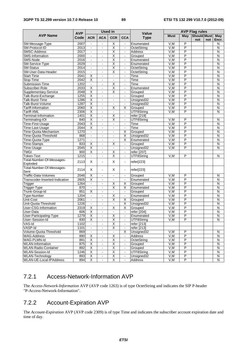|                                       | <b>Used in</b>     |                              |                              |                          | <b>AVP Flag rules</b>   |                             |             |                         |                           |     |                         |
|---------------------------------------|--------------------|------------------------------|------------------------------|--------------------------|-------------------------|-----------------------------|-------------|-------------------------|---------------------------|-----|-------------------------|
| <b>AVP Name</b>                       | <b>AVP</b><br>Code | <b>ACR</b>                   | <b>ACA</b>                   | <b>CCR</b>               | <b>CCA</b>              | <b>Value</b><br><b>Type</b> | <b>Must</b> | May                     | <b>Should Must</b><br>not | not | May<br>Encr.            |
| SM-Message-Type                       | 2007               | $\sim$                       | ä,                           | Χ                        | $\blacksquare$          | Enumerated                  | V,M         | P                       |                           |     | N                       |
| SM-Protocol-ID                        | 2013               | $\blacksquare$               |                              | $\overline{\mathsf{X}}$  | $\blacksquare$          | OctetString                 | V, M        | $\overline{P}$          |                           |     | $\overline{N}$          |
| <b>SMSC-Address</b>                   | 2017               | $\blacksquare$               | $\blacksquare$               | $\overline{\mathsf{X}}$  | $\blacksquare$          | <b>Address</b>              | V, M        | $\overline{P}$          |                           |     | $\overline{N}$          |
| SMS-Information                       | 2000               | $\blacksquare$               | $\blacksquare$               | $\overline{\mathsf{X}}$  | $\blacksquare$          | Grouped                     | V, M        | $\overline{P}$          |                           |     | N                       |
| SMS-Node                              | 2016               | $\blacksquare$               | ä,                           | $\overline{\mathsf{x}}$  | $\blacksquare$          | Enumerated                  | V, M        | $\overline{P}$          |                           |     | N                       |
| SM-Service-Type                       | 2029               | $\blacksquare$               | $\blacksquare$               | $\overline{X}$           | $\blacksquare$          | Enumerated                  | V, M        | P                       |                           |     | N                       |
| <b>SM-Status</b>                      | 2014               | $\blacksquare$               | $\overline{a}$               | $\overline{\mathsf{x}}$  | $\blacksquare$          | OctetString                 | V, M        | $\overline{P}$          |                           |     | N                       |
| SM-User-Data-Header                   | 2015               | $\omega$                     | $\blacksquare$               | $\overline{\mathsf{x}}$  | $\blacksquare$          | OctetString                 | V.M         | $\overline{P}$          |                           |     | $\overline{\mathsf{N}}$ |
| Start-Time                            | 2041               | X                            | $\overline{a}$               | $\blacksquare$           | $\blacksquare$          | Time                        | V,M         | $\overline{P}$          |                           |     | N                       |
| Stop-Time                             | 2042               | $\overline{\mathsf{x}}$      | $\blacksquare$               | ä,                       | $\blacksquare$          | Time                        | V.M         | $\overline{P}$          |                           |     | N                       |
| Submission-Time                       | 1202               | $\blacksquare$               | $\blacksquare$               | $\overline{\mathsf{x}}$  | $\blacksquare$          | Time                        | V, M        | P                       |                           |     | N                       |
| Subscriber-Role                       | 2033               | $\overline{\mathsf{x}}$      | $\blacksquare$               | Χ                        | $\blacksquare$          | Enumerated                  | V, M        | $\overline{P}$          |                           |     | N                       |
| Supplementary-Service                 | 2048               | $\overline{\mathsf{x}}$      | $\blacksquare$               | $\overline{\mathsf{x}}$  | $\blacksquare$          | Grouped                     | V,M         | P                       |                           |     | N                       |
| Talk-Burst-Exchange                   | 1255               | X                            | $\blacksquare$               | $\blacksquare$           | $\blacksquare$          | Grouped                     | V,M         | P                       |                           |     | N                       |
| Talk-Burst-Time                       | 1286               | X                            |                              |                          |                         | Unsigned32                  | V, M        | P                       |                           |     | N                       |
| Talk-Burst-Volume                     | 1287               | $\overline{\mathsf{x}}$      | $\qquad \qquad \blacksquare$ | $\blacksquare$           | $\blacksquare$          | Unsigned32                  | V, M        | P                       |                           |     | N                       |
| Tariff-Information                    | 2060               | X                            | $\blacksquare$               | X                        | X                       | Grouped                     | V,M         | $\overline{P}$          |                           |     | N                       |
| Tariff-XML                            | 2306               | $\overline{\mathsf{x}}$      | $\blacksquare$               | $\blacksquare$           | $\blacksquare$          | UTF8String                  | V, M        | $\overline{P}$          |                           |     | N                       |
| Terminal-Information                  | 1401               | $\overline{\mathsf{x}}$      | $\blacksquare$               | $\overline{\mathsf{X}}$  | $\blacksquare$          | refer [219]                 |             |                         |                           |     |                         |
| Terminating-IOI                       | 840                | $\overline{\mathsf{x}}$      | $\overline{a}$               | Χ                        | $\blacksquare$          | UTF8String                  | V,M         | $\overline{P}$          |                           |     | N                       |
| Time-First-Usage                      | 2043               | $\overline{\mathsf{x}}$      | $\blacksquare$               | $\blacksquare$           | $\blacksquare$          | Time                        | V, M        | P                       |                           |     | N                       |
| Time-Last-Usage                       | 2044               | $\overline{\mathsf{x}}$      | $\overline{a}$               | $\overline{a}$           | $\mathbf{r}$            | Time                        | V,M         | $\overline{P}$          |                           |     | N                       |
| Time-Quota-Mechanism                  | 1270               | $\mathbf{r}$                 | $\blacksquare$               | $\blacksquare$           | X                       | Grouped                     | V, M        | $\overline{P}$          |                           |     | N                       |
| Time-Quota-Threshold                  | 868                | $\blacksquare$               | ÷,                           | $\overline{a}$           | X                       | Unsigned32                  | V, M        | P                       |                           |     | N                       |
| Time-Quota-Type                       | 1271               | $\sim$                       |                              | $\blacksquare$           | $\overline{\mathsf{x}}$ | Enumerated                  | V, M        | $\overline{P}$          |                           |     | N                       |
| <b>Time-Stamps</b>                    | 833                | $\overline{X}$               | $\blacksquare$               | X                        | $\blacksquare$          | Grouped                     | V, M        | $\overline{P}$          |                           |     | N                       |
|                                       | 2045               | $\overline{\mathsf{x}}$      |                              | $\blacksquare$           | $\blacksquare$          |                             | V,M         | $\overline{\mathsf{P}}$ |                           |     | N                       |
| Time-Usage<br><b>TMGI</b>             | 900                | $\overline{X}$               | $\blacksquare$<br>ä,         | Χ                        | $\omega$                | Unsigned32<br>refer [207]   |             |                         |                           |     |                         |
|                                       |                    |                              |                              |                          |                         |                             |             | $\overline{P}$          |                           |     |                         |
| <b>Token-Text</b>                     | 1215               | $\blacksquare$               | $\overline{a}$               | $\overline{\mathsf{x}}$  | $\blacksquare$          | UTF8String                  | V, M        |                         |                           |     | N                       |
| Total-Number-Of-Messages-<br>Exploded | 2113               | X                            | ÷,                           | X                        | $\blacksquare$          | refer[223]                  |             |                         |                           |     |                         |
| Total-Number-Of-Messages-<br>Sent     | 2114               | X                            |                              | X                        | $\blacksquare$          | refer[223]                  |             |                         |                           |     |                         |
| Traffic-Data-Volumes                  | 2046               | X                            | $\overline{a}$               | $\blacksquare$           | $\blacksquare$          | Grouped                     | V,M         | $\mathsf{P}$            |                           |     | N                       |
| Transcoder-Inserted-Indication        | 2605               | $\overline{X}$               |                              |                          |                         | Enumerated                  | V, M        | $\overline{P}$          |                           |     | N                       |
| Trigger                               | 1264               | $\omega$                     | $\blacksquare$               | $\overline{\mathsf{X}}$  | X                       | Grouped                     | V, M        | $\overline{P}$          |                           |     | N                       |
| Trigger-Type                          | 870                | $\blacksquare$               | $\overline{a}$               | Χ                        | X                       | Enumerated                  | V,M         | P                       |                           |     | N                       |
| Trunk-Group-Id                        | 851                | $\overline{\mathsf{x}}$      | $\blacksquare$               | $\overline{\phantom{a}}$ | $\Box$                  | Grouped                     | V, M        | $\overline{P}$          |                           |     | $\overline{N}$          |
| Type-Number                           | 1204               | $\blacksquare$               | $\overline{a}$               | Χ                        | $\blacksquare$          | Enumerated                  | V, M        | P                       |                           |     | $\overline{N}$          |
| Unit-Cost                             | 2061               | $\sim$                       | $\blacksquare$               | Χ                        | $\overline{\mathsf{X}}$ | Grouped                     | V, M        | $\overline{P}$          |                           |     | $\overline{N}$          |
| Unit-Quota-Threshold                  | 1226               | $\blacksquare$               | ÷,                           | $\blacksquare$           | Χ                       | Unsigned32                  | V, M        | $\overline{P}$          |                           |     | $\overline{N}$          |
| User-CSG-Information                  | 2319               | $\overline{X}$               | ÷,                           | $\overline{\mathsf{X}}$  | Χ                       | Grouped                     | V,M         | P                       |                           |     | $\overline{N}$          |
| User-Data                             | 606                | $\overline{\mathsf{x}}$      |                              | ÷,                       | $\Box$                  | refer [204]                 | V, M        | P                       |                           |     | N                       |
| User-Participating-Type               | 1279               | $\overline{\mathsf{x}}$      | $\blacksquare$               | X                        | $\blacksquare$          | Enumerated                  | V, M        | P                       |                           |     | N                       |
| User-Session-Id                       | 830                | $\overline{\mathsf{x}}$      | $\blacksquare$               | χ                        | $\blacksquare$          | UTF8String                  | V.M         | P                       |                           |     | N                       |
| VAS-Id                                | 1102               |                              | $\blacksquare$               | $\overline{\mathsf{X}}$  | $\blacksquare$          | refer [213]                 |             |                         |                           |     |                         |
| VASP-Id                               | 1101               | $\blacksquare$               | $\blacksquare$               | X                        | $\blacksquare$          | refer [213]                 |             |                         |                           |     |                         |
| Volume-Quota-Threshold                | 869                |                              |                              |                          | X                       | Unsigned32                  | V,M         | P                       |                           |     | N                       |
| <b>WAG-Address</b>                    | 890                | $\overline{\mathsf{x}}$      | $\blacksquare$               | Χ                        | $\omega$                | <b>Address</b>              | V, M        | $\overline{P}$          |                           |     | N                       |
| WAG-PLMN-Id                           | 891                | X                            | $\blacksquare$               | $\overline{X}$           | $\blacksquare$          | OctetString                 | V,M         | P                       |                           |     | N                       |
| <b>WLAN-Information</b>               | 875                | X                            | $\blacksquare$               | $\overline{X}$           | $\blacksquare$          | Grouped                     | V, M        | $\overline{P}$          |                           |     | $\mathsf{N}$            |
|                                       | 892                |                              |                              | $\overline{\mathsf{X}}$  |                         | Grouped                     |             | P                       |                           |     | $\mathsf{N}$            |
| <b>WLAN-Radio-Container</b>           | 1246               | X<br>$\overline{\mathsf{x}}$ | $\qquad \qquad \blacksquare$ | $\overline{\mathsf{X}}$  | $\blacksquare$          | UTF8String                  | V,M         | $\overline{P}$          |                           |     |                         |
| <b>WLAN-Session-Id</b>                |                    |                              | $\blacksquare$               |                          | $\blacksquare$          |                             | V,M         | $\overline{P}$          |                           |     | N                       |
| <b>WLAN-Technology</b>                | 893                | $\overline{\mathsf{x}}$      | $\blacksquare$               | χ                        | $\sim$                  | Unsigned32                  | V, M        |                         |                           |     | N                       |
| <b>WLAN-UE-Local-IPAddress</b>        | 894                | X                            | $\blacksquare$               | $\overline{\mathsf{x}}$  | $\Box$                  | <b>Address</b>              | V,M         | $\overline{P}$          |                           |     | N                       |

### 7.2.1 Access-Network-Information AVP

The *Access-Network-Information* AVP (AVP code 1263) is of type OctetString and indicates the SIP P-header "P-Access-Network-Information".

### 7.2.2 Account-Expiration AVP

The *Account-Expiration* AVP (AVP code 2309) is of type Time and indicates the subscriber account expiration date and time of day.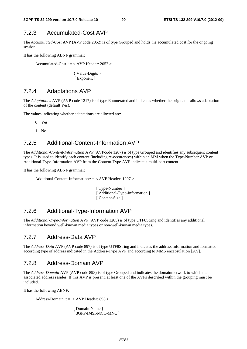### 7.2.3 Accumulated-Cost AVP

The *Accumulated-Cost* AVP (AVP code 2052) is of type Grouped and holds the accumulated cost for the ongoing session.

It has the following ABNF grammar:

Accumulated-Cost::  $=$  < AVP Header: 2052 >

{ Value-Digits } [ Exponent ]

### 7.2.4 Adaptations AVP

The *Adaptations* AVP (AVP code 1217) is of type Enumerated and indicates whether the originator allows adaptation of the content (default Yes).

The values indicating whether adaptations are allowed are:

0 Yes

1 No

### 7.2.5 Additional-Content-Information AVP

The *Additional-Content-Information* AVP (AVPcode 1207) is of type Grouped and identifies any subsequent content types. It is used to identify each content (including re-occurences) within an MM when the Type-Number AVP or Additional-Type-Information AVP from the Content-Type AVP indicate a multi-part content.

It has the following ABNF grammar:

Additional-Content-Information:: = < AVP Header: 1207 >

[ Type-Number ] [ Additional-Type-Information ] [ Content-Size ]

### 7.2.6 Additional-Type-Information AVP

The *Additional-Type-Information* AVP (AVP code 1205) is of type UTF8String and identifies any additional information beyond well-known media types or non-well-known media types.

### 7.2.7 Address-Data AVP

The *Address-Data* AVP (AVP code 897) is of type UTF8String and indicates the address information and formatted according type of address indicated in the Address-Type AVP and according to MMS encapsulation [209].

### 7.2.8 Address-Domain AVP

The *Address-Domain* AVP (AVP code 898) is of type Grouped and indicates the domain/network to which the associated address resides. If this AVP is present, at least one of the AVPs described within the grouping must be included.

It has the following ABNF:

Address-Domain :: = < AVP Header: 898 >

[ Domain-Name ] [ 3GPP-IMSI-MCC-MNC ]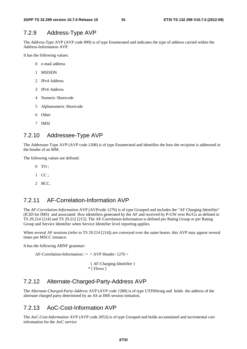### 7.2.9 Address-Type AVP

The *Address-Type* AVP (AVP code 899) is of type Enumerated and indicates the type of address carried within the Address-Information AVP.

It has the following values:

- 0 e-mail address
- 1 MSISDN
- 2 IPv4 Address
- 3 IPv6 Address
- 4 Numeric Shortcode
- 5 Alphanumeric Shortcode
- 6 Other
- 7 IMSI

### 7.2.10 Addressee-Type AVP

The Addressee-Type AVP (AVP code 1208) is of type Enumerated and identifies the how the recipient is addressed in the header of an MM.

The following values are defined:

- $0$  TO :
- 1 CC ;
- 2 BCC.

### 7.2.11 AF-Correlation-Information AVP

The *AF-Correlation-Information* AVP (AVPcode 1276) is of type Grouped and includes the "AF Charging Identifier" (ICID for IMS) and associated flow identifiers generated by the AF and received by P-GW over Rx/Gx as defined in TS 29.214 [214] and TS 29.212 [215]. The AF-Correlation-Information is defined per Rating Group or per Rating Group and Service Identifier when Service Identifier level reporting applies.

When several AF sessions (refer to TS 29.214 [214]) are conveyed over the same bearer, this AVP may appear several times per MSCC instance.

It has the following ABNF grammar:

AF-Correlation-Information:: = < AVP Header: 1276 >

```
 { AF-Charging-Identifier } 
 * [ Flows ]
```
# 7.2.12 Alternate-Charged-Party-Address AVP

The *Alternate-Charged-Party-Address* AVP (AVP code 1280) is of type UTF8String and holds the address of the alternate charged party determined by an AS at IMS session initiation.

### 7.2.13 AoC-Cost-Information AVP

The *AoC-Cost-Information* AVP (AVP code 2053) is of type Grouped and holds accumulated and incremental cost infromation for the AoC service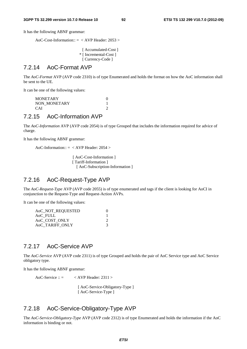It has the following ABNF grammar:

AoC-Cost-Information::  $=$  < AVP Header: 2053 >

[ Accumulated-Cost ] \* [ Incremental-Cost ] [ Currency-Code ]

#### 7.2.14 AoC-Format AVP

The *AoC-Format* AVP (AVP code 2310) is of type Enumerated and holds the format on how the AoC information shall be sent to the UE.

It can be one of the following values:

 MONETARY 0 NON MONETARY 1 CAI 2

### 7.2.15 AoC-Information AVP

The *AoC-Information* AVP (AVP code 2054) is of type Grouped that includes the information required for advice of charge.

It has the following ABNF grammar:

AoC-Information:: = < AVP Header: 2054 >

[ AoC-Cost-Information ] [ Tariff-Information ] [ AoC-Subscription-Information ]

### 7.2.16 AoC-Request-Type AVP

The *AoC-Request-Type* AVP (AVP code 2055) is of type enumerated and tags if the client is looking for AoCI in conjunction to the Request-Type and Request-Action AVPs.

It can be one of the following values:

| AoC_NOT_REQUESTED |  |
|-------------------|--|
| AoC FULL          |  |
| AoC_COST_ONLY     |  |
| AoC TARIFF ONLY   |  |

### 7.2.17 AoC-Service AVP

The *AoC-Service* AVP (AVP code 2311) is of type Grouped and holds the pair of AoC Service type and AoC Service obligatory type.

It has the following ABNF grammar:

 $AoC-Service :: = \langle AVP \text{Header}: 2311 \rangle$ 

 [ AoC-Service-Obligatory-Type ] [ AoC-Service-Type ]

### 7.2.18 AoC-Service-Obligatory-Type AVP

The *AoC-Service-Obligatory-Type* AVP (AVP code 2312) is of type Enumerated and holds the information if the AoC information is binding or not.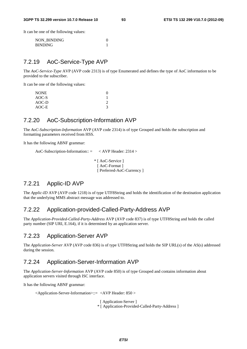It can be one of the following values:

| NON BINDING    |  |
|----------------|--|
| <b>BINDING</b> |  |

### 7.2.19 AoC-Service-Type AVP

The *AoC-Service-Type* AVP (AVP code 2313) is of type Enumerated and defines the type of AoC information to be provided to the subscriber.

It can be one of the following values:

| <b>NONE</b> |  |
|-------------|--|
| AOC-S       |  |
| $AOC-D$     |  |
| AOC-E       |  |

# 7.2.20 AoC-Subscription-Information AVP

The *AoC-Subscription-Information* AVP (AVP code 2314) is of type Grouped and holds the subscription and formatting parameters received from HSS.

It has the following ABNF grammar:

```
AoC-Subscription-Information:: = < AVP Header: 2314 > 
                                 * [ AoC-Service ] 
                                   [ AoC-Format ]
                                    [ Preferred-AoC-Currency ]
```
### 7.2.21 Applic-ID AVP

The *Applic-ID* AVP (AVP code 1218) is of type UTF8String and holds the identification of the destination application that the underlying MMS abstract message was addressed to.

#### 7.2.22 Application-provided-Called-Party-Address AVP

The *Application-Provided-Called-Party-Address* AVP (AVP code 837) is of type UTF8String and holds the called party number (SIP URI, E.164), if it is determined by an application server.

### 7.2.23 Application-Server AVP

The *Application-Server* AVP (AVP code 836) is of type UTF8String and holds the SIP URL(s) of the AS(s) addressed during the session.

### 7.2.24 Application-Server-Information AVP

The *Application-Server-Information* AVP (AVP code 850) is of type Grouped and contains information about application servers visited through ISC interface.

It has the following ABNF grammar:

<Application-Server-Information>::= <AVP Header: 850 >

[ Application-Server ]

\* [ Application-Provided-Called-Party-Address ]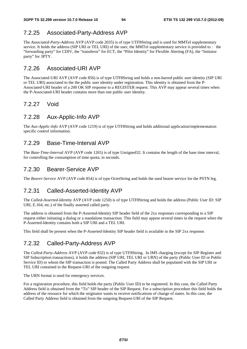### 7.2.25 Associated-Party-Address AVP

The *Associated-Party-Address* AVP (AVP code 2035) is of type UTF8String and is used for MMTel supplementary service. It holds the address (SIP URI or TEL URI) of the user, the MMTel supplementary service is provided to : the "forwarding party" for CDIV, the "transferor" for ECT, the "Pilot Identity" for Flexible Alerting (FA), the "Initiator party" for 3PTY.

### 7.2.26 Associated-URI AVP

The Associated-URI AVP (AVP code 856) is of type UTF8String and holds a non-barred public user identity (SIP URI or TEL URI) associated to the the public user identity under registration. This identity is obtained from the P-Associated-URI header of a 200 OK SIP response to a REGISTER request. This AVP may appear several times when the P-Associated-URI header contains more than one public user identity.

### 7.2.27 Void

### 7.2.28 Aux-Applic-Info AVP

The *Aux-Applic-Info* AVP (AVP code 1219) is of type UTF8String and holds additional application/implementation specific control information.

### 7.2.29 Base-Time-Interval AVP

The *Base-Time-Interval* AVP (AVP code 1265) is of type Unsigned32. It contains the length of the base time interval, for controlling the consumption of time quota, in seconds.

### 7.2.30 Bearer-Service AVP

The *Bearer-Service* AVP (AVP code 854) is of type OctetString and holds the used bearer service for the PSTN leg.

# 7.2.31 Called-Asserted-Identity AVP

The *Called-Asserted-Identity* AVP (AVP code 1250) is of type UTF8String and holds the address (Public User ID: SIP URI, E.164, etc.) of the finally asserted called party.

The address is obtained from the P-Asserted-Identity SIP header field of the 2xx responses corresponding to a SIP request either initiating a dialog or a standalone transaction. This field may appear several times in the request when the P-Asserted-Identity contains both a SIP URI and a TEL URI.

This field shall be present when the P-Asserted-Identity SIP header field is available in the SIP 2xx response.

### 7.2.32 Called-Party-Address AVP

The *Called-Party-Address* AVP (AVP code 832) is of type UTF8String. In IMS charging (except for SIP Register and SIP Subscription transactions), it holds the address (SIP URI, TEL URI or URN) of the party (Public User ID or Public Service ID) to whom the SIP transaction is posted. The Called Party Address shall be populated with the SIP URI or TEL URI contained in the Request-URI of the outgoing request.

The URN format is used for emergency services.

For a registration procedure, this field holds the party (Public User ID) to be registered. In this case, the Called Party Address field is obtained from the "To" SIP header of the SIP Request. For a subscription procedure this field holds the address of the resource for which the originator wants to receive notifications of change of states. In this case, the Called Party Address field is obtained from the outgoing Request-URI of the SIP Request.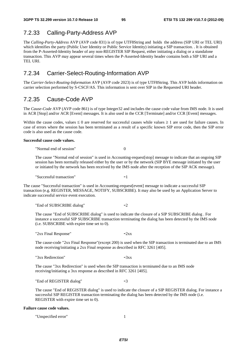### 7.2.33 Calling-Party-Address AVP

The *Calling-Party-Address* AVP (AVP code 831) is of type UTF8String and holds the address (SIP URI or TEL URI) which identifies the party (Public User Identity or Public Service Identity) initiating a SIP transaction. . It is obtained from the P-Asserted-Identity header of any non-REGISTER SIP Request, either initiating a dialog or a standalone transaction. This AVP may appear several times when the P-Asserted-Identity header contains both a SIP URI and a TEL URI.

### 7.2.34 Carrier-Select-Routing-Information AVP

The *Carrier-Select-Routing-Information* AVP (AVP code 2023) is of type UTF8String. This AVP holds information on carrier selection performed by S-CSCF/AS. This information is sent over SIP in the Requested URI header.

### 7.2.35 Cause-Code AVP

The *Cause-Code* AVP (AVP code 861) is of type Integer32 and includes the cause code value from IMS node. It is used in ACR [Stop] and/or ACR [Event] messages. It is also used in the CCR [Terminate] and/or CCR [Event] messages.

Within the cause codes, values  $\leq 0$  are reserved for successful causes while values  $\geq 1$  are used for failure causes. In case of errors where the session has been terminated as a result of a specific known SIP error code, then the SIP error code is also used as the cause code.

#### **Successful cause code values.**

"Normal end of session" 0

The cause "Normal end of session" is used in Accounting-request[stop] message to indicate that an ongoing SIP session has been normally released either by the user or by the network (SIP BYE message initiated by the user or initiated by the network has been received by the IMS node after the reception of the SIP ACK message).

"Successful transaction" -1

The cause "Successful transaction" is used in Accounting-request[event] message to indicate a successful SIP transaction (e.g. REGISTER, MESSAGE, NOTIFY, SUBSCRIBE). It may also be used by an Application Server to indicate successful service event execution.

"End of SUBSCRIBE dialog" -2

The cause "End of SUBSCRIBE dialog" is used to indicate the closure of a SIP SUBSCRIBE dialog . For instance a successful SIP SUBSCRIBE transaction terminating the dialog has been detected by the IMS node (i.e. SUBSCRIBE with expire time set to 0).

"2xx Final Response"  $-2xx$ 

The cause-code "2xx Final Response"(except 200) is used when the SIP transaction is terminated due to an IMS node receiving/initiating a 2xx Final response as described in RFC 3261 [405].

" $3xx$  Redirection"  $-3xx$ 

The cause "3xx Redirection" is used when the SIP transaction is terminated due to an IMS node receiving/initiating a 3xx response as described in RFC 3261 [405].

"End of REGISTER dialog" -3

The cause "End of REGISTER dialog" is used to indicate the closure of a SIP REGISTER dialog. For instance a successful SIP REGISTER transaction terminating the dialog has been detected by the IMS node (i.e. REGISTER with expire time set to 0).

#### **Failure cause code values.**

"Unspecified error" 1

*ETSI*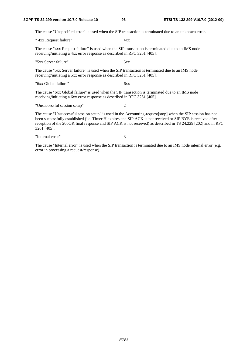The cause "Unspecified error" is used when the SIP transaction is terminated due to an unknown error.

" 4xx Request failure" 4xx

The cause "4xx Request failure" is used when the SIP transaction is terminated due to an IMS node receiving/initiating a 4xx error response as described in RFC 3261 [405].

"5xx Server failure" 5xx

The cause "5xx Server failure" is used when the SIP transaction is terminated due to an IMS node receiving/initiating a 5xx error response as described in RFC 3261 [405].

"6xx Global failure" 6xx

The cause "6xx Global failure" is used when the SIP transaction is terminated due to an IMS node receiving/initiating a 6xx error response as described in RFC 3261 [405].

"Unsuccessful session setup" 2

The cause "Unsuccessful session setup" is used in the Accounting-request[stop] when the SIP session has not been successfully established (i.e. Timer H expires and SIP ACK is not received or SIP BYE is received after reception of the 200OK final response and SIP ACK is not received) as described in TS 24.229 [202] and in RFC 3261 [405].

"Internal error" 3

The cause "Internal error" is used when the SIP transaction is terminated due to an IMS node internal error (e.g. error in processing a request/response).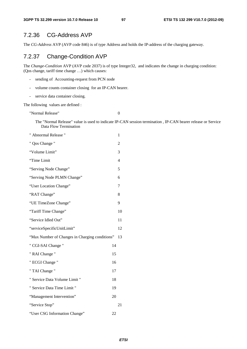# 7.2.36 CG-Address AVP

The *CG-Address* AVP (AVP code 846) is of type Address and holds the IP-address of the charging gateway.

### 7.2.37 Change-Condition AVP

The *Change-Condition* AVP (AVP code 2037) is of type Integer32, and indicates the change in charging condition: (Qos change, tariff time change …) which causes:

- sending of Accounting-request from PCN node
- volume counts container closing for an IP-CAN bearer.
- service data container closing.

The following values are defined :

"Normal Release" 0

The "Normal Release" value is used to indicate IP-CAN session termination , IP-CAN bearer release or Service Data Flow Termination

| " Abnormal Release "                           |    | 1              |
|------------------------------------------------|----|----------------|
| " Qos Change "                                 |    | $\overline{c}$ |
| "Volume Limit"                                 |    | 3              |
| "Time Limit                                    |    | 4              |
| "Serving Node Change"                          |    | 5              |
| "Serving Node PLMN Change"                     |    | 6              |
| "User Location Change"                         |    | 7              |
| "RAT Change"                                   |    | 8              |
| "UE TimeZone Change"                           |    | 9              |
| "Tariff Time Change"                           |    | 10             |
| "Service Idled Out"                            |    | 11             |
| "serviceSpecificUnitLimit"                     |    | 12             |
| "Max Number of Changes in Charging conditions" |    | 13             |
| " CGI-SAI Change "                             | 14 |                |
| " RAI Change "                                 | 15 |                |
| " ECGI Change "                                | 16 |                |
| " TAI Change "                                 | 17 |                |
| " Service Data Volume Limit "                  | 18 |                |
| " Service Data Time Limit "                    | 19 |                |
| "Management Intervention"                      | 20 |                |
| "Service Stop"                                 |    | 21             |
| "User CSG Information Change"                  | 22 |                |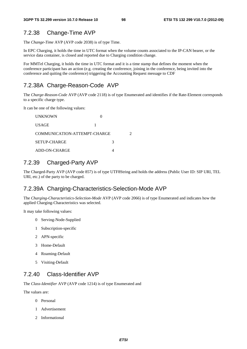### 7.2.38 Change-Time AVP

The *Change-Time* AVP (AVP code 2038) is of type Time.

In EPC Charging, it holds the time in UTC format when the volume counts associated to the IP-CAN bearer, or the service data container, is closed and reported due to Charging condition change.

For MMTel Charging, it holds the time in UTC format and it is a time stamp that defines the moment when the conference participant has an action (e.g. creating the conference, joining in the conference, being invited into the conference and quiting the conference) triggering the Accounting Request message to CDF

### 7.2.38A Charge-Reason-Code AVP

The *Charge-Reason-Code* AVP (AVP code 2118) is of type Enumerated and identifies if the Rate-Element corresponds to a specific charge type.

It can be one of the following values:

| <b>UNKNOWN</b>               |   |  |
|------------------------------|---|--|
| <b>USAGE</b>                 |   |  |
| COMMUNICATION-ATTEMPT-CHARGE |   |  |
| <b>SETUP-CHARGE</b>          | 3 |  |
| ADD-ON-CHARGE                |   |  |

### 7.2.39 Charged-Party AVP

The Charged-Party AVP (AVP code 857) is of type UTF8String and holds the address (Public User ID: SIP URI, TEL URI, etc.) of the party to be charged.

### 7.2.39A Charging-Characteristics-Selection-Mode AVP

The *Charging-Characteristics-Selection-Mode* AVP (AVP code 2066) is of type Enumerated and indicates how the applied Charging-Characteristics was selected.

It may take following values:

- 0 Serving-Node-Supplied
- 1 Subscription-specific
- 2 APN-specific
- 3 Home-Default
- 4 Roaming-Default
- 5 Visiting-Default

### 7.2.40 Class-Identifier AVP

The *Class-Identifier* AVP (AVP code 1214) is of type Enumerated and

The values are:

- 0 Personal
- 1 Advertisement
- 2 Informational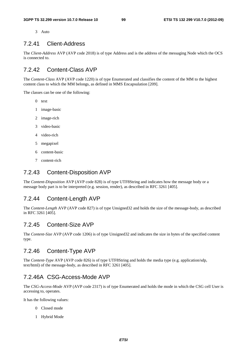3 Auto

### 7.2.41 Client-Address

The *Client-Address* AVP (AVP code 2018) is of type Address and is the address of the messaging Node which the OCS is connected to.

### 7.2.42 Content-Class AVP

The *Content-Class* AVP (AVP code 1220) is of type Enumerated and classifies the content of the MM to the highest content class to which the MM belongs, as defined in MMS Encapsulation [209].

The classes can be one of the following:

- 0 text
- 1 image-basic
- 2 image-rich
- 3 video-basic
- 4 video-rich
- 5 megapixel
- 6 content-basic
- 7 content-rich

### 7.2.43 Content-Disposition AVP

The *Content-Disposition* AVP (AVP code 828) is of type UTF8String and indicates how the message body or a message body part is to be interpreted (e.g. session, render), as described in RFC 3261 [405].

### 7.2.44 Content-Length AVP

The *Content-Length* AVP (AVP code 827) is of type Unsigned32 and holds the size of the message-body, as described in RFC 3261 [405].

### 7.2.45 Content-Size AVP

The *Content-Size* AVP (AVP code 1206) is of type Unsigned32 and indicates the size in bytes of the specified content type.

### 7.2.46 Content-Type AVP

The *Content-Type* AVP (AVP code 826) is of type UTF8String and holds the media type (e.g. application/sdp, text/html) of the message-body, as described in RFC 3261 [405].

#### 7.2.46A CSG-Access-Mode AVP

The *CSG-Access-Mode* AVP (AVP code 2317) is of type Enumerated and holds the mode in which the CSG cell User is accessing to, operates.

It has the following values:

- 0 Closed mode
- 1 Hybrid Mode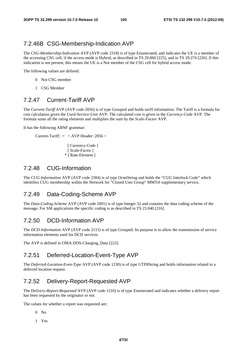### 7.2.46B CSG-Membership-Indication AVP

The *CSG-Membership-Indication* AVP (AVP code 2318) is of type Enumerated, and indicates the UE is a member of the accessing CSG cell, if the access mode is Hybrid, as described in TS 29.060 [225], and in TS 29.274 [226]. If this indication is not present, this means the UE is a Not member of the CSG cell for hybrid access mode.

The following values are defined:

- 0 Not CSG member
- 1 CSG Member

### 7.2.47 Current-Tariff AVP

The *Current-Tariff* AVP (AVP code 2056) is of type Grouped and holds tariff information. The Tariff is a formula for cost calculation given the *Used-Service-Unit* AVP. The calculated cost is given in the *Currency-Code* AVP. The formula sums all the rating elements and multiplies the sum by the *Scale-Factor* AVP.

It has the following ABNF grammar:

Current-Tariff::  $=$  < AVP Header: 2056 >

[ Currency-Code ] [ Scale-Factor ] \* [ Rate-Element ]

### 7.2.48 CUG-Information

The *CUG-Information* AVP (AVP code 2304) is of type OctetString and holds the "CUG Interlock Code" which identifies CUG membership within the Network for "Closed User Group" MMTel supplementary service.

### 7.2.49 Data-Coding-Scheme AVP

The *Data-Coding-Scheme* AVP (AVP code 2001) is of type Integer 32 and contains the data coding scheme of the message. For SM applications the specific coding is as described in TS 23.040 [216].

### 7.2.50 DCD-Information AVP

The *DCD-Information* AVP (AVP code 2115) is of type Grouped. Its purpose is to allow the transmission of service information elements used for DCD services.

The AVP is defined in OMA-DDS-Charging\_Data [223].

### 7.2.51 Deferred-Location-Event-Type AVP

The *Deferred-Location-Even-Type* AVP (AVP code 1230) is of type UTF8String and holds information related to a deferred location request.

### 7.2.52 Delivery-Report-Requested AVP

The *Delivery-Report-Requested* AVP (AVP code 1216) is of type Enumerated and indicates whether a delivery report has been requested by the originator or not.

The values for whether a report was requested are:

- $0$  No
- 1 Yes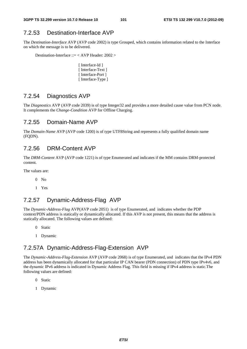### 7.2.53 Destination-Interface AVP

The *Destination-Interface* AVP (AVP code 2002) is type Grouped, which contains information related to the Interface on which the message is to be delivered.

Destination-Interface ::= < AVP Header: 2002 >

[ Interface-Id ] [ Interface-Text ] [ Interface-Port ] [ Interface-Type ]

### 7.2.54 Diagnostics AVP

The *Diagnostics* AVP (AVP code 2039) is of type Integer32 and provides a more detailed cause value from PCN node. It complements the *Change-Condition* AVP for Offline Charging.

#### 7.2.55 Domain-Name AVP

The *Domain-Name* AVP (AVP code 1200) is of type UTF8String and represents a fully qualified domain name (FQDN).

#### 7.2.56 DRM-Content AVP

The *DRM-Content* AVP (AVP code 1221) is of type Enumerated and indicates if the MM contains DRM-protected content.

The values are:

- $0$  No
- 1 Yes

### 7.2.57 Dynamic-Address-Flag AVP

The *Dynamic-Address-Flag* AVP(AVP code 2051) is of type Enumerated, and indicates whether the PDP context/PDN address is statically or dynamically allocated. If this AVP is not present, this means that the address is statically allocated. The following values are defined:

- 0 Static
- 1 Dynamic

### 7.2.57A Dynamic-Address-Flag-Extension AVP

The *Dynamic-Address-Flag*-*Extension* AVP (AVP code 2068) is of type Enumerated, and indicates that the IPv4 PDN address has been dynamically allocated for that particular IP CAN bearer (PDN connection) of PDN type IPv4v6, and the dynamic IPv6 address is indicated in Dynamic Address Flag. This field is missing if IPv4 address is static.The following values are defined:

- 0 Static
- 1 Dynamic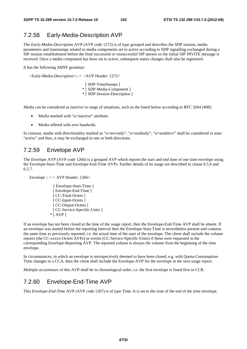### 7.2.58 Early-Media-Description AVP

The *Early-Media-Description* AVP (AVP code 1272) is of type grouped and describes the SDP session, media parameters and timestamps related to media components set to active according to SDP signalling exchanged during a SIP session establishment before the final successful or unsuccessful SIP answer to the initial SIP INVITE message is received. Once a media component has been set to active, subsequent status changes shall also be registered.

It has the following ABNF grammar:

```
 <Early-Media-Description>:: = <AVP Header: 1272>
```

```
[ SDP-TimeStamps ]
* [ SDP-Media-Component ] 
* [ SDP-Session-Description ]
```
Media can be considered as inactive in range of situations, such as the listed below according to RFC 3264 [408]:

- Media marked with "a=inactive" attribute.
- Media offered with zero bandwith.

In contrast, media with directionality marked as "a=recvonly", "a=sendonly", "a=sendrecv" shall be considered in state "active" and thus, it may be exchanged in one or both directions.

### 7.2.59 Envelope AVP

The *Envelope* AVP (AVP code 1266) is a grouped AVP which reports the start and end time of one time envelope using the Envelope-Start-Time and Envelope-End-Time AVPs. Further details of its usage are described in clause 6.5.6 and 6.5.7.

Envelope ::  $=$  < AVP Header: 1266>

{ Envelope-Start-Time } [ Envelope-End-Time ] [ CC-Total-Octets ] [ CC-Input-Octets ] [ CC-Output-Octets ] [ CC-Service-Specific-Units ] \* [ AVP ]

If an envelope has not been closed at the time of the usage report, then the Envelope-End-Time AVP shall be absent. If an envelope was started before the reporting interval then the Envelope-Start-Time is nevertheless present and contains the same time as previously reported, i.e. the actual time of the start of the envelope. The client shall include the volume reports (the CC-xxxxx-Octets AVPs) or events (CC-Service-Specific-Units) if these were requested in the corresponding Envelope-Reporting AVP. The reported volume is always the volume from the beginning of the time envelope.

In circumstances, in which an envelope is retrospectively deemed to have been closed, e.g. with Quota-Consumption-Time changes in a CCA, then the client shall include the Envelope-AVP for the envelope in the next usage report.

Multiple occurrences of this AVP shall be in chronological order, i.e. the first envelope is listed first in CCR.

### 7.2.60 Envelope-End-Time AVP

This *Envelope-End-Time* AVP (AVP code 1267) is of type Time. It is set to the time of the end of the time envelope.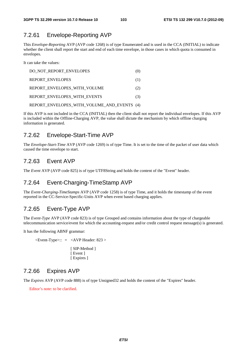### 7.2.61 Envelope-Reporting AVP

This *Envelope-Reporting* AVP (AVP code 1268) is of type Enumerated and is used in the CCA (INITIAL) to indicate whether the client shall report the start and end of each time envelope, in those cases in which quota is consumed in envelopes.

It can take the values:

| DO NOT REPORT ENVELOPES                     | (O) |
|---------------------------------------------|-----|
| <b>REPORT ENVELOPES</b>                     | (1) |
| REPORT ENVELOPES WITH VOLUME                | (2) |
| REPORT ENVELOPES WITH EVENTS                | (3) |
| REPORT ENVELOPES WITH VOLUME AND EVENTS (4) |     |

If this AVP is not included in the CCA (INITIAL) then the client shall not report the individual envelopes. If this AVP is included within the Offline-Charging AVP, the value shall dictate the mechanism by which offline charging information is generated.

### 7.2.62 Envelope-Start-Time AVP

The *Envelope-Start-Time* AVP (AVP code 1269) is of type Time. It is set to the time of the packet of user data which caused the time envelope to start.

### 7.2.63 Event AVP

The *Event* AVP (AVP code 825) is of type UTF8String and holds the content of the "Event" header.

### 7.2.64 Event-Charging-TimeStamp AVP

The *Event-Charging-TimeStamps* AVP (AVP code 1258) is of type Time, and it holds the timestamp of the event reported in the CC-Service-Specific-Units AVP when event based charging applies.

# 7.2.65 Event-Type AVP

The *Event-Type* AVP (AVP code 823) is of type Grouped and contains information about the type of chargeable telecommunication service/event for which the accounting-request and/or credit control request message(s) is generated.

It has the following ABNF grammar:

 $\leq$ Event-Type $\geq$ :: =  $\leq$ AVP Header: 823  $>$ [ SIP-Method ] [ Event ] [ Expires ]

### 7.2.66 Expires AVP

The *Expires* AVP (AVP code 888) is of type Unsigned32 and holds the content of the "Expires" header.

Editor's note: to be clarified.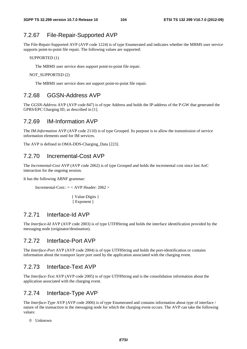### 7.2.67 File-Repair-Supported AVP

The File-Repair-Supported AVP (AVP code 1224) is of type Enumerated and indicates whether the MBMS user service supports point-to-point file repair. The following values are supported:

SUPPORTED (1)

The MBMS user service does support point-to-point file repair.

NOT SUPPORTED (2)

The MBMS user service does not support point-to-point file repair.

### 7.2.68 GGSN-Address AVP

The *GGSN-Address* AVP (AVP code 847) is of type Address and holds the IP-address of the P-GW that generated the GPRS/EPC Charging ID, as described in [1].

#### 7.2.69 IM-Information AVP

The *IM-Information* AVP (AVP code 2110) is of type Grouped. Its purpose is to allow the transmission of service information elements used for IM services.

The AVP is defined in OMA-DDS-Charging\_Data [223].

### 7.2.70 Incremental-Cost AVP

The *Incremental-Cost* AVP (AVP code 2062) is of type Grouped and holds the incremental cost since last AoC interaction for the ongoing session.

It has the following ABNF grammar:

Incremental-Cost::  $=$  < AVP Header: 2062 >

 { Value-Digits } [ Exponent ]

### 7.2.71 Interface-Id AVP

The *Interface-Id* AVP (AVP code 2003) is of type UTF8String and holds the interface identification provided by the messaging node (originator/destination).

### 7.2.72 Interface-Port AVP

The *Interface-Port* AVP (AVP code 2004) is of type UTF8String and holds the port-identification or contains information about the transport layer port used by the application associated with the charging event.

### 7.2.73 Interface-Text AVP

The *Interface-Text* AVP (AVP code 2005) is of type UTF8String and is the consolidation information about the application associated with the charging event.

### 7.2.74 Interface-Type AVP

The *Interface-Type* AVP (AVP code 2006) is of type Enumerated and contains information about type of interface / nature of the transaction in the messaging node for which the charging event occurs. The AVP can take the following values:

0 Unknown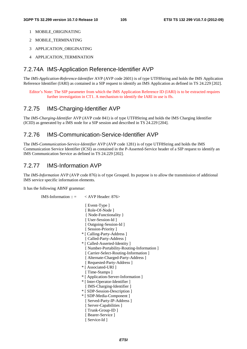- 1 MOBILE\_ORIGINATING
- 2 MOBILE\_TERMINATING
- 3 APPLICATION\_ORIGINATING
- 4 APPLICATION TERMINATION

### 7.2.74A IMS-Application Reference-Identifier AVP

The *IMS-Application-Reference-Identifier* AVP (AVP code 2601) is of type UTF8String and holds the IMS Application Reference Identifier (IARI) as contained in a SIP request to identify an IMS Application as defined in TS 24.229 [202].

Editor's Note: The SIP parameter from which the IMS Application Reference ID (IARI) is to be extracted requires further investigation in CT1. A mechanism to identify the IARI in use is ffs.

### 7.2.75 IMS-Charging-Identifier AVP

The *IMS-Charging-Identifier* AVP (AVP code 841) is of type UTF8String and holds the IMS Charging Identifier (ICID) as generated by a IMS node for a SIP session and described in TS 24.229 [204].

### 7.2.76 IMS-Communication-Service-Identifier AVP

The *IMS-Communication-Service-Identifier* AVP (AVP code 1281) is of type UTF8String and holds the IMS Communication Service Identifier (ICSI) as contained in the P-Asserted-Service header of a SIP request to identify an IMS Communication Service as defined in TS 24.229 [202].

### 7.2.77 IMS-Information AVP

The *IMS-Information* AVP (AVP code 876) is of type Grouped. Its purpose is to allow the transmission of additional IMS service specific information elements.

It has the following ABNF grammar:

IMS-Information ::  $=$  < AVP Header: 876> [ Event-Type ] [ Role-Of-Node ] { Node-Functionality } [ User-Session-Id ] [ Outgoing-Session-Id ] [ Session-Priority ] \* [ Calling-Party-Address ] [ Called-Party-Address ] \* [ Called-Asserted-Identity ] [ Number-Portability-Routing-Information ] [ Carrier-Select-Routing-Information ] [ Alternate-Charged-Party-Address ] [ Requested-Party-Address ] \* [ Associated-URI ] [ Time-Stamps ] \* [ Application-Server-Information ] \* [ Inter-Operator-Identifier ] [ IMS-Charging-Identifier ] \* [ SDP-Session-Description ] \* [ SDP-Media-Component ] [ Served-Party-IP-Address ] [ Server-Capabilities ] [ Trunk-Group-ID ] [ Bearer-Service ] [ Service-Id ]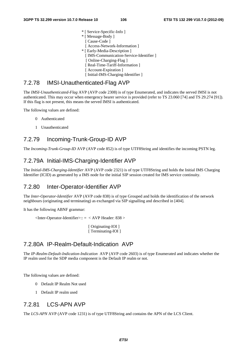\* [ Service-Specific-Info ] \* [ Message-Body ] [ Cause-Code ] [ Access-Network-Information ] \* [ Early-Media-Description ] [ IMS-Communication-Service-Identifier ] [ Online-Charging-Flag ] [ Real-Time-Tariff-Information ] [ Account-Expiration ] [ Initial-IMS-Charging-Identifier ]

### 7.2.78 IMSI-Unauthenticated-Flag AVP

The *IMSI-Unauthenticated-Flag* AVP (AVP code 2308) is of type Enumerated, and indicates the served IMSI is not authenticated. This may occur when emergency bearer service is provided (refer to TS 23.060 [74] and TS 29.274 [91]). If this flag is not present, this means the served IMSI is authenticated.

The following values are defined:

- 0 Authenticated
- 1 Unauthenticated

### 7.2.79 Incoming-Trunk-Group-ID AVP

The *Incoming-Trunk-Group-ID* AVP (AVP code 852) is of type UTF8String and identifies the incoming PSTN leg.

### 7.2.79A Initial-IMS-Charging-Identifier AVP

The *Initial-IMS-Charging-Identifier* AVP (AVP code 2321) is of type UTF8String and holds the Initial IMS Charging Identifier (ICID) as generated by a IMS node for the initial SIP session created for IMS service continuity.

### 7.2.80 Inter-Operator-Identifier AVP

The *Inter-Operator-Identifier* AVP (AVP code 838) is of type Grouped and holds the identification of the network neighbours (originating and terminating) as exchanged via SIP signalling and described in [404].

It has the following ABNF grammar:

<Inter-Operator-Identifier>:: = < AVP Header: 838 >

 [ Originating-IOI ] [ Terminating-IOI ]

### 7.2.80A IP-Realm-Default-Indication AVP

The *IP-Realm-Default-Indication-Indication* AVP (AVP code 2603) is of type Enumerated and indicates whether the IP realm used for the SDP media component is the Default IP realm or not.

The following values are defined:

- 0 Default IP Realm Not used
- 1 Default IP realm used

#### 7.2.81 LCS-APN AVP

The *LCS-APN* AVP (AVP code 1231) is of type UTF8String and contains the APN of the LCS Client.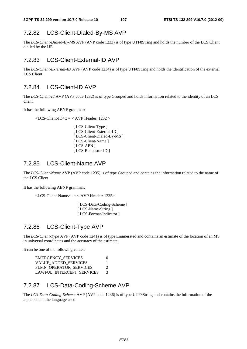# 7.2.82 LCS-Client-Dialed-By-MS AVP

The *LCS-Client-Dialed-By-MS* AVP (AVP code 1233) is of type UTF8String and holds the number of the LCS Client dialled by the UE.

### 7.2.83 LCS-Client-External-ID AVP

The *LCS-Client-External-ID* AVP (AVP code 1234) is of type UTF8String and holds the identification of the external LCS Client.

### 7.2.84 LCS-Client-ID AVP

The *LCS-Client-Id* AVP (AVP code 1232) is of type Grouped and holds information related to the identity of an LCS client.

It has the following ABNF grammar:

<LCS-Client-ID>:: = < AVP Header: 1232 >

[ LCS-Client-Type ] [ LCS-Client-External-ID ] [ LCS-Client-Dialed-By-MS ] [ LCS-Client-Name ] [ LCS-APN ] [ LCS-Requestor-ID ]

### 7.2.85 LCS-Client-Name AVP

The *LCS-Client-Name* AVP (AVP code 1235) is of type Grouped and contains the information related to the name of the LCS Client.

It has the following ABNF grammar:

<LCS-Client-Name>:: = < AVP Header: 1235>

[ LCS-Data-Coding-Scheme ] [ LCS-Name-String ] [ LCS-Format-Indicator ]

### 7.2.86 LCS-Client-Type AVP

The *LCS-Client-Type* AVP (AVP code 1241) is of type Enumerated and contains an estimate of the location of an MS in universal coordinates and the accuracy of the estimate.

It can be one of the following values:

| <b>EMERGENCY SERVICES</b> |               |
|---------------------------|---------------|
| VALUE ADDED SERVICES      |               |
| PLMN OPERATOR SERVICES    | $\mathcal{D}$ |
| LAWFUL INTERCEPT SERVICES | $\mathcal{E}$ |

# 7.2.87 LCS-Data-Coding-Scheme AVP

The *LCS-Data-Coding-Scheme* AVP (AVP code 1236) is of type UTF8String and contains the information of the alphabet and the language used.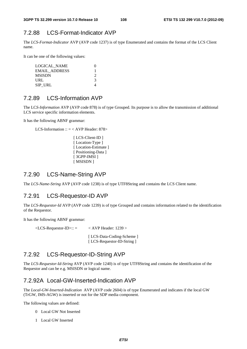# 7.2.88 LCS-Format-Indicator AVP

The *LCS-Format-Indicator* AVP (AVP code 1237) is of type Enumerated and contains the format of the LCS Client name.

It can be one of the following values:

| LOGICAL NAME         |   |
|----------------------|---|
| <b>EMAIL ADDRESS</b> |   |
| <b>MSISDN</b>        |   |
| URL                  | 3 |
| SIP URL              |   |

### 7.2.89 LCS-Information AVP

The LC*S-Information* AVP (AVP code 878) is of type Grouped. Its purpose is to allow the transmission of additional LCS service specific information elements.

It has the following ABNF grammar:

LCS-Information  $:: = <$  AVP Header: 878>

```
[ LCS-Client-ID ]
[Location-Type]
[ Location-Estimate ] 
[ Positioning-Data ]
[ 3GPP-IMSI ]
[ MSISDN ]
```
### 7.2.90 LCS-Name-String AVP

The *LCS-Name-String* AVP (AVP code 1238) is of type UTF8String and contains the LCS Client name.

### 7.2.91 LCS-Requestor-ID AVP

The *LCS-Requestor-Id* AVP (AVP code 1239) is of type Grouped and contains information related to the identification of the Requestor.

It has the following ABNF grammar:

 $\angle$ LCS-Requestor-ID>:: =  $\angle$  AVP Header: 1239 > [ LCS-Data-Coding-Scheme ] [ LCS-Requestor-ID-String ]

#### 7.2.92 LCS-Requestor-ID-String AVP

The *LCS-Requestor-Id-String* AVP (AVP code 1240) is of type UTF8String and contains the identification of the Requestor and can be e.g. MSISDN or logical name.

# 7.2.92A Local-GW-Inserted-Indication AVP

The *Local-GW-Inserted-Indication* AVP (AVP code 2604) is of type Enumerated and indicates if the local GW (TrGW, IMS-AGW) is inserted or not for the SDP media component.

The following values are defined:

- 0 Local GW Not Inserted
- 1 Local GW Inserted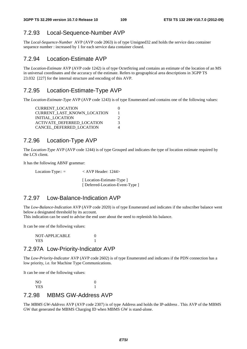# 7.2.93 Local-Sequence-Number AVP

The *Local-Sequence-Number* AVP (AVP code 2063) is of type Unsigned32 and holds the service data container sequence number : increased by 1 for each service data container closed.

#### 7.2.94 Location-Estimate AVP

The *Location-Estimate* AVP (AVP code 1242) is of type OctetString and contains an estimate of the location of an MS in universal coordinates and the accuracy of the estimate. Refers to geographical area descriptions in 3GPP TS 23.032 [227] for the internal structure and encoding of this AVP.

#### 7.2.95 Location-Estimate-Type AVP

The *Location-Estimate-Type* AVP (AVP code 1243) is of type Enumerated and contains one of the following values:

| <b>CURRENT LOCATION</b>           |   |
|-----------------------------------|---|
| CURRENT_LAST_KNOWN_LOCATION       |   |
| INITIAL LOCATION                  |   |
| <b>ACTIVATE DEFERRED LOCATION</b> | 3 |
| CANCEL DEFERRED LOCATION          |   |

#### 7.2.96 Location-Type AVP

The *Location-Type* AVP (AVP code 1244) is of type Grouped and indicates the type of location estimate required by the LCS client.

It has the following ABNF grammar:

Location-Type:: = < AVP Header: 1244>

[Location-Estimate-Type ] [ Deferred-Location-Event-Type ]

# 7.2.97 Low-Balance-Indication AVP

The *Low-Balance-Indication* AVP (AVP code 2020) is of type Enumerated and indicates if the subscriber balance went below a designated threshold by its account.

This indication can be used to advise the end user about the need to replenish his balance.

It can be one of the following values:

 NOT-APPLICABLE 0 YES 1

#### 7.2.97A Low-Priority-Indicator AVP

The *Low-Priority-Indicator* AVP (AVP code 2602) is of type Enumerated and indicates if the PDN connection has a low priority, i.e. for Machine Type Communications.

It can be one of the following values:

| NO         | U |
|------------|---|
| <b>YES</b> |   |

#### 7.2.98 MBMS GW-Address AVP

The *MBMS GW-Address* AVP (AVP code 2307) is of type Address and holds the IP-address . This AVP of the MBMS GW that generated the MBMS Charging ID when MBMS GW is stand-alone.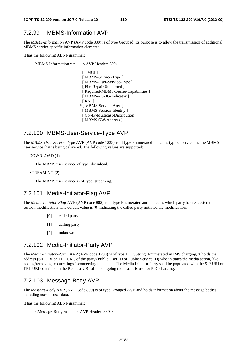### 7.2.99 MBMS-Information AVP

The *MBMS-Information* AVP (AVP code 880) is of type Grouped. Its purpose is to allow the transmission of additional MBMS service specific information elements.

It has the following ABNF grammar:

MBMS-Information  $\therefore$  = < AVP Header: 880> [ TMGI ] [ MBMS-Service-Type ] [ MBMS-User-Service-Type ] [ File-Repair-Supported ] [ Required-MBMS-Bearer-Capabilities ] [ MBMS-2G-3G-Indicator ]  $[RAI]$  \* [ MBMS-Service-Area ] [ MBMS-Session-Identity ] [ CN-IP-Multicast-Distribution ] [ MBMS GW-Address ]

### 7.2.100 MBMS-User-Service-Type AVP

The *MBMS-User-Service-Type* AVP (AVP code 1225) is of type Enumerated indicates type of service the the MBMS user service that is being delivered. The following values are supported:

DOWNLOAD (1)

The MBMS user service of type: download.

STREAMING (2)

The MBMS user service is of type: streaming.

### 7.2.101 Media-Initiator-Flag AVP

The *Media-Initiator-Flag* AVP (AVP code 882) is of type Enumerated and indicates which party has requested the session modification. The default value is '0' indicating the called party initiated the modification.

- [0] called party
- [1] calling party
- [2] unknown

#### 7.2.102 Media-Initiator-Party AVP

The *Media-Initiator-Party* AVP (AVP code 1288) is of type UTF8String. Enumerated in IMS charging, it holds the address (SIP URI or TEL URI) of the party (Public User ID or Public Service ID) who initiates the media action, like adding/removing, connecting/disconnecting the media. The Media Initiator Party shall be populated with the SIP URI or TEL URI contained in the Request-URI of the outgoing request. It is use for PoC charging.

### 7.2.103 Message-Body AVP

The *Message-Body* AVP (AVP Code 889) is of type Grouped AVP and holds information about the message bodies including user-to-user data.

It has the following ABNF grammar:

<Message-Body>::= < AVP Header: 889 >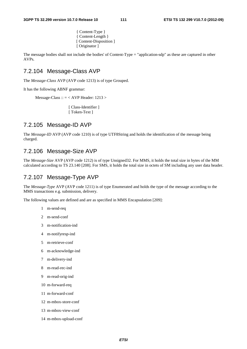{ Content-Type } { Content-Length } [ Content-Disposition ] [ Originator ]

The message bodies shall not include the bodies' of Content-Type = "application-sdp" as these are captured in other AVPs.

#### 7.2.104 Message-Class AVP

The *Message-Class* AVP (AVP code 1213) is of type Grouped.

It has the following ABNF grammar:

```
Message-Class :: = < AVP Header: 1213 >
```
[ Class-Identifier ] [ Token-Text ]

# 7.2.105 Message-ID AVP

The *Message-ID* AVP (AVP code 1210) is of type UTF8String and holds the identification of the message being charged.

#### 7.2.106 Message-Size AVP

The *Message-Size* AVP (AVP code 1212) is of type Unsigned32. For MMS, it holds the total size in bytes of the MM calculated according to TS 23.140 [208]. For SMS, it holds the total size in octets of SM including any user data header.

#### 7.2.107 Message-Type AVP

The *Message-Type* AVP (AVP code 1211) is of type Enumerated and holds the type of the message according to the MMS transactions e.g. submission, delivery.

The following values are defined and are as specified in MMS Encapsulation [209]:

- 1 m-send-req
- 2 m-send-conf
- 3 m-notification-ind
- 4 m-notifyresp-ind
- 5 m-retrieve-conf
- 6 m-acknowledge-ind
- 7 m-delivery-ind
- 8 m-read-rec-ind
- 9 m-read-orig-ind
- 10 m-forward-req
- 11 m-forward-conf
- 12 m-mbox-store-conf
- 13 m-mbox-view-conf
- 14 m-mbox-upload-conf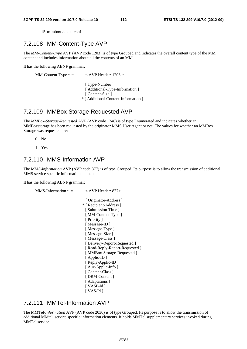15 m-mbox-delete-conf

#### 7.2.108 MM-Content-Type AVP

The *MM-Content-Type* AVP (AVP code 1203) is of type Grouped and indicates the overall content type of the MM content and includes information about all the contents of an MM.

It has the following ABNF grammar:

MM-Content-Type ::  $=$   $\langle$  AVP Header: 1203  $>$ 

[ Type-Number ] [ Additional-Type-Information ] [ Content-Size ] \* [ Additional-Content-Information ]

#### 7.2.109 MMBox-Storage-Requested AVP

The *MMBox-Storage-Requested* AVP (AVP code 1248) is of type Enumerated and indicates whether an MMBoxstorage has been requested by the originator MMS User Agent or not. The values for whether an MMBox Storage was requested are:

 $0$  No

1 Yes

# 7.2.110 MMS-Information AVP

The MM*S-Information* AVP (AVP code 877) is of type Grouped. Its purpose is to allow the transmission of additional MMS service specific information elements.

It has the following ABNF grammar:

```
MMS-Information :: = \langle AVP Header: 877>
                              [ Originator-Address ] 
                            * [ Recipient-Address ] 
                             [ Submission-Time ]
                             [ MM-Content-Type ] 
                             [ Priority ] 
                             [ Message-ID ] 
                             [Message-Type ]
                             [ Message-Size ]
                             [ Message-Class ]
                             [ Delivery-Report-Requested ]
                             [ Read-Reply-Report-Requested ]
                             [ MMBox-Storage-Requested ] 
                             [ Applic-ID ]
                             [ Reply-Applic-ID ] 
                             [ Aux-Applic-Info ] 
                             [ Content-Class ] 
                             [ DRM-Content ] 
                             [ Adaptations ]
                             [ VASP-Id ] 
                             [ VAS-Id ]
```
#### 7.2.111 MMTel-Information AVP

The MMTel*-Information* AVP (AVP code 2030) is of type Grouped. Its purpose is to allow the transmission of additional MMtel service specific information elements. It holds MMTel supplementary services invoked during MMTel service.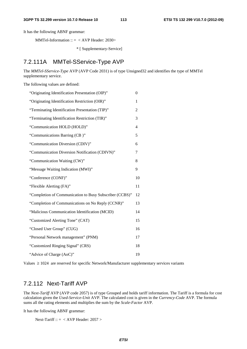It has the following ABNF grammar:

MMTel-Information ::  $=$  < AVP Header: 2030>

\* [ Supplementary-Service]

### 7.2.111A MMTel-SService-Type AVP

The *MMTel-SService-Type* AVP (AVP Code 2031) is of type Unsigned32 and identifies the type of MMTel supplementary service.

The following values are defined:

| "Originating Identification Presentation (OIP)"         | 0              |
|---------------------------------------------------------|----------------|
| "Originating Identification Restriction (OIR)"          | 1              |
| "Terminating Identification Presentation (TIP)"         | 2              |
| "Terminating Identification Restriction (TIR)"          | 3              |
| "Communication HOLD (HOLD)"                             | $\overline{4}$ |
| "Communications Barring (CB)"                           | 5              |
| "Communication Diversion (CDIV)"                        | 6              |
| "Communication Diversion Notification (CDIVN)"          | 7              |
| "Communication Waiting (CW)"                            | 8              |
| "Message Waiting Indication (MWI)"                      | 9              |
| "Conference (CONF)"                                     | 10             |
| "Flexible Alerting (FA)"                                | 11             |
| "Completion of Communication to Busy Subscriber (CCBS)" | 12             |
| "Completion of Communications on No Reply (CCNR)"       | 13             |
| "Malicious Communication Identification (MCID)          | 14             |
| "Customized Alerting Tone" (CAT)                        | 15             |
| "Closed User Group" (CUG)                               | 16             |
| "Personal Network management" (PNM)                     | 17             |
| "Customized Ringing Signal" (CRS)                       | 18             |
| "Advice of Charge (AoC)"                                | 19             |

Values ≥ 1024 are reserved for specific Network/Manufacturer supplementary services variants

#### 7.2.112 Next-Tariff AVP

The *Next-Tariff* AVP (AVP code 2057) is of type Grouped and holds tariff information. The Tariff is a formula for cost calculation given the *Used-Service-Unit* AVP. The calculated cost is given in the *Currency-Code* AVP. The formula sums all the rating elements and multiplies the sum by the *Scale-Factor* AVP.

It has the following ABNF grammar:

Next-Tariff :: = < AVP Header: 2057 >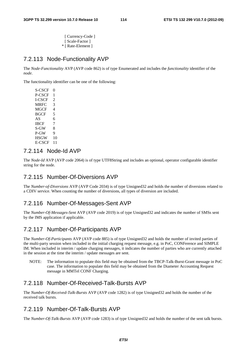[ Currency-Code ] [ Scale-Factor ] \* [ Rate-Element ]

#### 7.2.113 Node-Functionality AVP

The *Node-Functionality* AVP (AVP code 862) is of type Enumerated and includes the *functionality* identifier of the *node*.

The functionality identifier can be one of the following:

S-CSCF 0 P-CSCF 1 I-CSCF 2 MRFC 3 MGCF<sub>4</sub> BGCF 5 AS 6 IBCF 7  $S-GW = 8$  $P-GW = 9$ HSGW 10 E-CSCF 11

#### 7.2.114 Node-Id AVP

The *Node-Id* AVP (AVP code 2064) is of type UTF8String and includes an optional, operator configurable identifier string for the node.

#### 7.2.115 Number-Of-Diversions AVP

The *Number-of-Diversions* AVP (AVP Code 2034) is of type Unsigned32 and holds the number of diversions related to a CDIV service. When counting the number of diversions, all types of diversion are included.

### 7.2.116 Number-Of-Messages-Sent AVP

The *Number-Of-Messages-Sent* AVP (AVP code 2019) is of type Unsigned32 and indicates the number of SMSs sent by the IMS application if applicable.

#### 7.2.117 Number-Of-Participants AVP

The *Number-Of-Participants* AVP (AVP code 885) is of type Unsigned32 and holds the number of invited parties of the multi-party session when included in the initial charging request message, e.g. in PoC, CONFerence and SIMPLE IM. When included in interim / update charging messages, it indicates the number of parties who are currently attached in the session at the time the interim / update messages are sent.

NOTE: The information to populate this field may be obtained from the TBCP-Talk-Burst-Grant message in PoC case. The information to populate this field may be obtained from the Diameter Accounting Request message in MMTel CONF Charging.

# 7.2.118 Number-Of-Received-Talk-Bursts AVP

The *Number-Of-Received-Talk-Bursts* AVP (AVP code 1282) is of type Unsigned32 and holds the number of the received talk bursts.

## 7.2.119 Number-Of-Talk-Bursts AVP

The *Number-Of-Talk-Bursts* AVP (AVP code 1283) is of type Unsigned32 and holds the number of the sent talk bursts.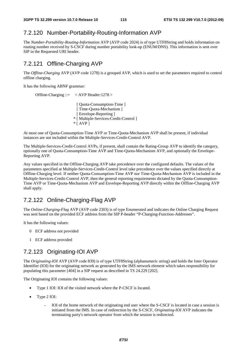#### 7.2.120 Number-Portability-Routing-Information AVP

The *Number-Portability-Routing-Information* AVP (AVP code 2024) is of type UTF8String and holds information on routing number received by S-CSCF during number portability look-up (ENUM/DNS). This information is sent over SIP in the Requested URI header.

#### 7.2.121 Offline-Charging AVP

The *Offline-Charging* AVP (AVP code 1278) is a grouped AVP, which is used to set the parameters required to control offline charging.

It has the following ABNF grammar:

Offline-Charging ::= < AVP Header:1278 > [ Quota-Consumption-Time ] [ Time-Quota-Mechanism ] [ Envelope-Reporting ] \* [ Multiple-Services-Credit-Control ]  $*$  [ AVP ]

At most one of Quota-Consumption-Time AVP or Time-Quota-Mechanism AVP shall be present, if individual instances are not included within the Multiple-Services-Credit-Control AVP.

The Multiple-Services-Credit-Control AVPs, if present, shall contain the Rating-Group AVP to identify the category, optionally one of Quota-Consumption-Time AVP and Time-Quota-Mechanism AVP, and optionally the Envelope-Reporting AVP.

Any values specified in the Offline-Charging AVP take precedence over the configured defaults. The values of the parameters specified at Multiple-Services-Credit-Control level take precedence over the values specified directly at Offline-Charging level. If neither Quota-Consumption-Time AVP nor Time-Quota-Mechanism AVP is included in the Multiple-Services-Credit-Control AVP, then the general reporting requirements dictated by the Quota-Consumption-Time AVP or Time-Quota-Mechanism AVP and Envelope-Reporting AVP directly within the Offline-Charging AVP shall apply.

### 7.2.122 Online-Charging-Flag AVP

The *Online-Charging-Flag* AVP (AVP code 2303) is of type Enumerated and indicates the Online Charging Request was sent based on the provided ECF address from the SIP P-header "P-Charging-Function-Addresses".

It has the following values:

- 0 ECF address not provided
- 1 ECF address provided

### 7.2.123 Originating-IOI AVP

The *Originating-IOI* AVP (AVP code 839) is of type UTF8String (alphanumeric string) and holds the Inter Operator Identifier (IOI) for the originating network as generated by the IMS network element which takes responsibility for populating this parameter [404] in a SIP request as described in TS 24.229 [202].

The Originating IOI contains the following values:

- Type 1 IOI: IOI of the visited network where the P-CSCF is located.
- Type 2 IOI:
	- IOI of the home network of the originating end user where the S-CSCF is located in case a session is initiated from the IMS. In case of redirection by the S-CSCF, *Originating-IOI* AVP indicates the terminating party's network operator from which the session is redirected.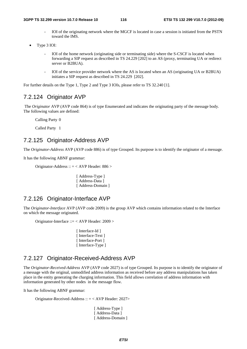- IOI of the originating network where the MGCF is located in case a session is initiated from the PSTN toward the IMS.
- Type 3 IOI:
	- IOI of the home network (originating side or terminating side) where the S-CSCF is located when forwarding a SIP request as described in TS 24.229 [202] to an AS (proxy, terminating UA or redirect server or B2BUA).
	- IOI of the service provider network where the AS is located when an AS (originating UA or B2BUA) initiates a SIP request as described in TS 24.229 [202].

For further details on the Type 1, Type 2 and Type 3 IOIs, please refer to TS 32.240 [1].

#### 7.2.124 Originator AVP

 The *Originator* AVP (AVP code 864) is of type Enumerated and indicates the originating party of the message body. The following values are defined:

Calling Party 0

Called Party 1

#### 7.2.125 Originator-Address AVP

The *Originator-Address* AVP (AVP code 886) is of type Grouped. Its purpose is to identify the originator of a message.

It has the following ABNF grammar:

Originator-Address :: = < AVP Header: 886 >

[ Address-Type ] [ Address-Data ] [ Address-Domain ]

# 7.2.126 Originator-Interface AVP

The *Originator-Interface* AVP (AVP code 2009) is the group AVP which contains information related to the Interface on which the message originated.

Originator-Interface ::= < AVP Header: 2009 >

[ Interface-Id ] [ Interface-Text ] [ Interface-Port ] [ Interface-Type ]

#### 7.2.127 Originator-Received-Address AVP

The *Originator-Received-Address* AVP (AVP code 2027) is of type Grouped. Its purpose is to identify the originator of a message with the original, unmodified address information as received before any address manipulations has taken place in the entity generating the charging information. This field allows correlation of address information with information generated by other nodes in the message flow.

It has the following ABNF grammar:

Originator-Received-Address ::  $=$  < AVP Header: 2027>

[ Address-Type ] [ Address-Data ] [ Address-Domain ]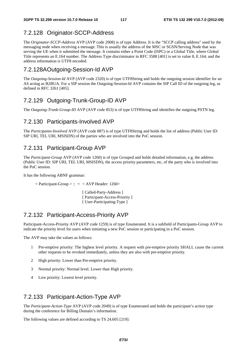### 7.2.128 Originator-SCCP-Address

The *Originator-SCCP-Address* AVP (AVP code 2008) is of type Address. It is the "SCCP calling address" used by the messaging node when receiving a message. This is usually the address of the MSC or SGSN/Serving Node that was serving the UE when it submitted the message. It contains either a Point Code (ISPC) or a Global Title, where Global Title represents an E.164 number. The Address Type discriminator in RFC 3588 [401] is set to value 8, E.164, and the address information is UTF8 encoded.

#### 7.2.128A Outgoing-Session-Id AVP

The *Outgoing-Session-Id* AVP (AVP code 2320) is of type UTF8String and holds the outgoing session identifier for an AS acting as B2BUA. For a SIP session the Outgoing-Session-Id AVP contains the SIP Call ID of the outgoing leg, as defined in RFC 3261 [405].

### 7.2.129 Outgoing-Trunk-Group-ID AVP

The *Outgoing-Trunk-Group-ID* AVP (AVP code 853) is of type UTF8String and identifies the outgoing PSTN leg.

#### 7.2.130 Participants-Involved AVP

The *Participants-Involved* AVP (AVP code 887) is of type UTF8String and holds the list of address (Public User ID: SIP URI, TEL URI, MSISDN) of the parties who are involved into the PoC session.

#### 7.2.131 Participant-Group AVP

The *Participant-Group* AVP (AVP code 1260) is of type Grouped and holds detailed information, e.g. the address (Public User ID: SIP URI, TEL URI, MSISDN), the access priority parameters, etc, of the party who is involved into the PoC session.

It has the following ABNF grammar:

 $\langle$  Participant-Group  $>$  :: =  $\langle$  AVP Header: 1260 $>$ 

[ Called-Party-Address ] [ Participant-Access-Priority ] [ User-Participating-Type ]

#### 7.2.132 Participant-Access-Priority AVP

Participant-Access-Priority AVP (AVP code 1259) is of type Enumerated. It is a subfield of Participants-Group AVP to indicate the priority level for users when initiating a new PoC session or participating in a PoC session.

The AVP may take the values as follows:

- 1 Pre-emptive priority: The highest level priority. A request with pre-emptive priority SHALL cause the current other requests to be revoked immediately, unless they are also with pre-emptive priority.
- 2 High priority: Lower than Pre-emptive priority.
- 3 Normal priority: Normal level. Lower than High priority.
- 4 Low priority: Lowest level priority.

#### 7.2.133 Participant-Action-Type AVP

The *Participant-Action-Type* AVP (AVP code 2049) is of type Enumerated and holds the participant's action type during the conference for Billing Domain's information.

The following values are defined according to TS 24.605 [219]: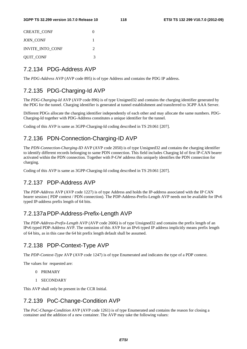| <b>CREATE CONF</b> | 0                           |
|--------------------|-----------------------------|
| <b>JOIN CONF</b>   |                             |
| INVITE_INTO_CONF   | $\mathcal{D}_{\mathcal{A}}$ |
| <b>QUIT_CONF</b>   | 3                           |

#### 7.2.134 PDG-Address AVP

The *PDG-Address* AVP (AVP code 895) is of type Address and contains the PDG IP address.

# 7.2.135 PDG-Charging-Id AVP

The *PDG-Charging-Id* AVP (AVP code 896) is of type Unsigned32 and contains the charging identifier generated by the PDG for the tunnel. Charging identifier is generated at tunnel establishment and transferred to 3GPP AAA Server.

Different PDGs allocate the charging identifier independently of each other and may allocate the same numbers. PDG-Charging-Id together with PDG-Address constitutes a unique identifier for the tunnel.

Coding of this AVP is same as 3GPP-Charging-Id coding described in TS 29.061 [207].

### 7.2.136 PDN-Connection-Charging-ID AVP

The *PDN-Connection-Charging-ID* AVP (AVP code 2050) is of type Unsigned32 and contains the charging identifier to identify different records belonging to same PDN connection. This field includes Charging Id of first IP-CAN bearer activated within the PDN connection. Together with P-GW address this uniquely identifies the PDN connection for charging.

Coding of this AVP is same as 3GPP-Charging-Id coding described in TS 29.061 [207].

### 7.2.137 PDP-Address AVP

The *PDP-Address* AVP (AVP code 1227) is of type Address and holds the IP-address associated with the IP CAN bearer session ( PDP context / PDN connection). The PDP-Address-Prefix-Length AVP needs not be available for IPv6 typed IP-address prefix length of 64 bits.

### 7.2.137a PDP-Address-Prefix-Length AVP

The *PDP-Address*-*Prefix-Length* AVP (AVP code 2606) is of type Unsigned32 and contains the prefix length of an IPv6 typed PDP-Address AVP. The omission of this AVP for an IPv6 typed IP address implicitly means prefix length of 64 bits, as in this case the 64 bit prefix length default shall be assumed.

# 7.2.138 PDP-Context-Type AVP

The *PDP-Context-Type* AVP (AVP code 1247) is of type Enumerated and indicates the type of a PDP context.

The values for requested are:

- 0 PRIMARY
- 1 SECONDARY

This AVP shall only be present in the CCR Initial.

# 7.2.139 PoC-Change-Condition AVP

The *PoC-Change-Condition* AVP (AVP code 1261) is of type Enumerated and contains the reason for closing a container and the addition of a new container. The AVP may take the following values: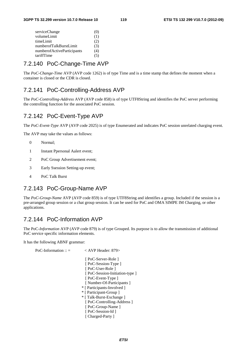| serviceChange              | (U) |
|----------------------------|-----|
| volumeLimit                | (1) |
| timeLimit                  | (2) |
| numberofTalkBurstLimit     | (3) |
| numberofActiveParticipants | (4) |
| tariffTime                 | C)  |

#### 7.2.140 PoC-Change-Time AVP

The *PoC-Change-Time* AVP (AVP code 1262) is of type Time and is a time stamp that defines the moment when a container is closed or the CDR is closed.

#### 7.2.141 PoC-Controlling-Address AVP

The *PoC-Controlling-Address* AVP (AVP code 858) is of type UTF8String and identifies the PoC server performing the controlling function for the associated PoC session.

#### 7.2.142 PoC-Event-Type AVP

The *PoC-Event-Type* AVP (AVP code 2025) is of type Enumerated and indicates PoC session unrelated charging event.

The AVP may take the values as follows:

- 0 Normal;
- 1 Instant Ppersonal Aalert event;
- 2 PoC Group Advertisement event;
- 3 Early Ssession Setting-up event;
- 4 PoC Talk Burst

# 7.2.143 PoC-Group-Name AVP

The *PoC-Group-Name* AVP (AVP code 859) is of type UTF8String and identifies a group. Included if the session is a pre-arranged group session or a chat group session. It can be used for PoC and OMA SIMPE IM Charging, or other applications.

#### 7.2.144 PoC-Information AVP

The PoC*-Information* AVP (AVP code 879) is of type Grouped. Its purpose is to allow the transmission of additional PoC service specific information elements.

It has the following ABNF grammar:

| PoC-Information :: $=$ | $<$ AVP Header: 879 $>$       |
|------------------------|-------------------------------|
|                        | [PoC-Server-Role]             |
|                        | [PoC-Session-Type]            |
|                        | [PoC-User-Role]               |
|                        | [PoC-Session-Initiation-type] |
|                        | [PoC-Event-Type]              |
|                        | [Number-Of-Participants]      |
|                        | * [ Participants-Involved ]   |
|                        | * [ Participant-Group ]       |

 \* [ Talk-Burst-Exchange ] [ PoC-Controlling-Address ] [ PoC-Group-Name ] [ PoC-Session-Id ] [ Charged-Party ]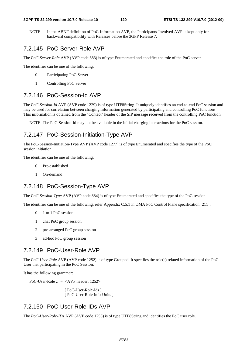NOTE: In the ABNF definition of PoC-Information AVP, the Participants-Involved AVP is kept only for backward compatibility with Releases before the 3GPP Release 7.

# 7.2.145 PoC-Server-Role AVP

The *PoC-Server-Role* AVP (AVP code 883) is of type Enumerated and specifies the role of the PoC server.

The identifier can be one of the following:

- 0 Participating PoC Server
- 1 Controlling PoC Server

### 7.2.146 PoC-Session-Id AVP

The *PoC-Session-Id* AVP (AVP code 1229) is of type UTF8String. It uniquely identifies an end-to-end PoC session and may be used for correlation between charging information generated by participating and controlling PoC functions. This information is obtained from the "Contact" header of the SIP message received from the controlling PoC function.

NOTE: The PoC-Session-Id may not be available in the initial charging interactions for the PoC session.

# 7.2.147 PoC-Session-Initiation-Type AVP

The PoC-Session-Initiation-Type AVP (AVP code 1277) is of type Enumerated and specifies the type of the PoC session initiation.

The identifier can be one of the following:

- 0 Pre-established
- 1 On-demand

### 7.2.148 PoC-Session-Type AVP

The *PoC-Session-Type* AVP (AVP code 884) is of type Enumerated and specifies the type of the PoC session.

The identifier can be one of the following, refer Appendix C.5.1 in OMA PoC Control Plane specification [211]:

- 0 1 to 1 PoC session
- 1 chat PoC group session
- 2 pre-arranged PoC group session
- 3 ad-hoc PoC group session

#### 7.2.149 PoC-User-Role AVP

The *PoC-User-Role* AVP (AVP code 1252) is of type Grouped. It specifies the role(s) related information of the PoC User that participating in the PoC Session.

It has the following grammar:

PoC-User-Role  $\therefore$  = <AVP header: 1252>

[ PoC-User-Role-Ids ] [ PoC-User-Role-info-Units ]

# 7.2.150 PoC-User-Role-IDs AVP

The *PoC-User-Role-IDs* AVP (AVP code 1253) is of type UTF8String and identifies the PoC user role.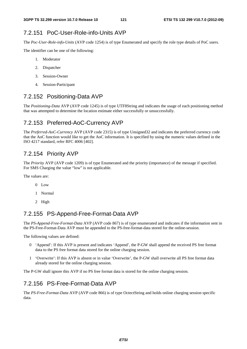# 7.2.151 PoC-User-Role-info-Units AVP

The *Poc-User-Role-info-Units* (AVP code 1254) is of type Enumerated and specify the role type details of PoC users.

The identifier can be one of the following:

- 1. Moderator
- 2. Dispatcher
- 3. Session-Owner
- 4. Session-Participant

# 7.2.152 Positioning-Data AVP

The *Positioning-Data* AVP (AVP code 1245) is of type UTF8String and indicates the usage of each positioning method that was attempted to determine the location estimate either successfully or unsuccessfully.

# 7.2.153 Preferred-AoC-Currency AVP

The *Preferred-AoC-Currency* AVP (AVP code 2315) is of type Unsigned32 and indicates the preferred currency code that the AoC function would like to get the AoC information. It is specified by using the numeric values defined in the ISO 4217 standard, refer RFC 4006 [402].

# 7.2.154 Priority AVP

The *Priority* AVP (AVP code 1209) is of type Enumerated and the priority (importance) of the message if specified. For SMS Charging the value "low" is not applicable.

The values are:

- 0 Low
- 1 Normal
- 2 High

# 7.2.155 PS-Append-Free-Format-Data AVP

The *PS-Append-Free-Format-Data* AVP (AVP code 867) is of type enumerated and indicates if the information sent in the PS-Free-Format-Data AVP must be appended to the PS-free-format-data stored for the online-session.

The following values are defined:

- 0 'Append': If this AVP is present and indicates 'Append', the P-GW shall append the received PS free format data to the PS free format data stored for the online charging session.
- 1 'Overwrite': If this AVP is absent or in value 'Overwrite', the P-GW shall overwrite all PS free format data already stored for the online charging session.

The P-GW shall ignore this AVP if no PS free format data is stored for the online charging session.

# 7.2.156 PS-Free-Format-Data AVP

The *PS-Free-Format-Data* AVP (AVP code 866) is of type OctectString and holds online charging session specific data.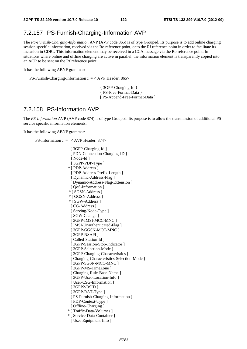### 7.2.157 PS-Furnish-Charging-Information AVP

The *PS-Furnish-Charging-Information* AVP (AVP code 865) is of type Grouped. Its purpose is to add online charging session specific information, received via the Ro reference point, onto the Rf reference point in order to facilitate its inclusion in CDRs. This information element may be received in a CCA message via the Ro reference point. In situations where online and offline charging are active in parallel, the information element is transparently copied into an ACR to be sent on the Rf reference point.

It has the following ABNF grammar:

PS-Furnish-Charging-Information :: = < AVP Header: 865>

{ 3GPP-Charging-Id } { PS-Free-Format-Data } [ PS-Append-Free-Format-Data ]

### 7.2.158 PS-Information AVP

The *PS-Information* AVP (AVP code 874) is of type Grouped. Its purpose is to allow the transmission of additional PS service specific information elements.

It has the following ABNF grammar:

PS-Information ::  $=$  < AVP Header: 874>

[ 3GPP-Charging-Id ] [ PDN-Connection-Charging-ID ] [ Node-Id ] [ 3GPP-PDP-Type ] \* [ PDP-Address ] [ PDP-Address-Prefix-Length ] [ Dynamic-Address-Flag ] [ Dynamic-Address-Flag-Extension ] [  $QoS$ -Information ] \* [ SGSN-Address ] \* [ GGSN-Address ] \* [ SGW-Address ] [ CG-Address ] [ Serving-Node-Type ] [ SGW-Change ] [ 3GPP-IMSI-MCC-MNC ] [ IMSI-Unauthenticated-Flag ] [ 3GPP-GGSN-MCC-MNC ] [ 3GPP-NSAPI ] [ Called-Station-Id ] [ 3GPP-Session-Stop-Indicator ] [ 3GPP-Selection-Mode ] [ 3GPP-Charging-Characteristics ] [ Charging-Characteristics-Selection-Mode ] [ 3GPP-SGSN-MCC-MNC ] [ 3GPP-MS-TimeZone ] [ Charging-Rule-Base-Name ] [ 3GPP-User-Location-Info ] [ User-CSG-Information ] [ 3GPP2-BSID ] [ 3GPP-RAT-Type ] [ PS-Furnish-Charging-Information ] [ PDP-Context-Type ] [ Offline-Charging ] \* [ Traffic-Data-Volumes ] \* [ Service-Data-Container ]

[ User-Equipment-Info ]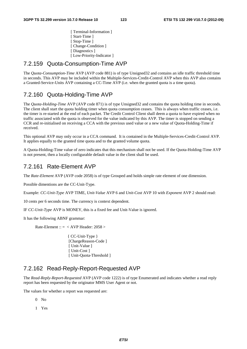[ Terminal-Information ] [ Start-Time ] [ Stop-Time ] [ Change-Condition ] [ Diagnostics ] [ Low-Priority-Indicator ]

### 7.2.159 Quota-Consumption-Time AVP

The *Quota-Consumption-Time* AVP (AVP code 881) is of type Unsigned32 and contains an idle traffic threshold time in seconds. This AVP may be included within the Multiple-Services-Credit-Control AVP when this AVP also contains a Granted-Service-Units AVP containing a CC-Time AVP (i.e. when the granted quota is a time quota).

#### 7.2.160 Quota-Holding-Time AVP

The *Quota-Holding-Time* AVP (AVP code 871) is of type Unsigned32 and contains the quota holding time in seconds. The client shall start the quota holding timer when quota consumption ceases. This is always when traffic ceases, i.e. the timer is re-started at the end of each packet. The Credit Control Client shall deem a quota to have expired when no traffic associated with the quota is observed for the value indicated by this AVP. The timer is stopped on sending a CCR and re-initialised on receiving a CCA with the previous used value or a new value of Quota-Holding-Time if received.

This optional AVP may only occur in a CCA command. It is contained in the Multiple-Services-Credit-Control AVP. It applies equally to the granted time quota and to the granted volume quota.

A Quota-Holding-Time value of zero indicates that this mechanism shall not be used. If the Quota-Holding-Time AVP is not present, then a locally configurable default value in the client shall be used.

#### 7.2.161 Rate-Element AVP

The *Rate-Element* AVP (AVP code 2058) is of type Grouped and holds simple rate element of one dimension.

Possible dimentions are the CC-Unit-Type.

Example: *CC-Unit-Type* AVP TIME, *Unit-Value* AVP 6 and *Unit-Cost* AVP 10 with *Exponent* AVP 2 should read:

10 cents per 6 seconds time. The currency is context dependent.

IF *CC-Unit-Type* AVP is MONEY, this is a fixed fee and Unit-Value is ignored.

It has the following ABNF grammar:

Rate-Element ::  $=$  < AVP Header: 2058 >

{ CC-Unit-Type } [ChargeReason-Code ] [ Unit-Value ] [ Unit-Cost ] [ Unit-Quota-Threshold ]

#### 7.2.162 Read-Reply-Report-Requested AVP

The *Read-Reply-Report-Requested* AVP (AVP code 1222) is of type Enumerated and indicates whether a read reply report has been requested by the originator MMS User Agent or not.

The values for whether a report was requested are:

 $0$  No

1 Yes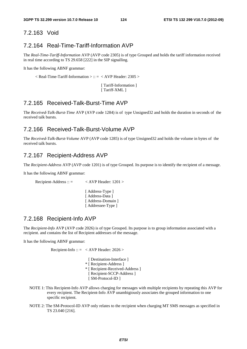#### 7.2.163 Void

#### 7.2.164 Real-Time-Tariff-Information AVP

The *Real-Time-Tariff-Information* AVP (AVP code 2305) is of type Grouped and holds the tariff information received in real time according to TS 29.658 [222] in the SIP signalling.

It has the following ABNF grammar:

 $\langle$  Real-Time-Tariff-Information  $\rangle$  :: =  $\langle$  AVP Header: 2305  $\rangle$ 

 [ Tariff-Information ] [ Tariff-XML ]

### 7.2.165 Received-Talk-Burst-Time AVP

The *Received-Talk-Burst-Time* AVP (AVP code 1284) is of type Unsigned32 and holds the duration in seconds of the received talk bursts.

#### 7.2.166 Received-Talk-Burst-Volume AVP

The *Received-Talk-Burst-Volume* AVP (AVP code 1285) is of type Unsigned32 and holds the volume in bytes of the received talk bursts.

#### 7.2.167 Recipient-Address AVP

The *Recipient-Address* AVP (AVP code 1201) is of type Grouped. Its purpose is to identify the recipient of a message.

It has the following ABNF grammar:

Recipient-Address :: = < AVP Header: 1201 > [Address-Type ] [ Address-Data ] [ Address-Domain ] [Addressee-Type ]

#### 7.2.168 Recipient-Info AVP

The *Recipient-Info* AVP (AVP code 2026) is of type Grouped. Its purpose is to group information associated with a recipient. and contains the list of Recipient addresses of the message.

It has the following ABNF grammar:

Recipient-Info ::  $=$  < AVP Header: 2026 >

- [ Destination-Interface ] \* [ Recipient-Address ] \* [ Recipient-Received-Address ] [ Recipient-SCCP-Address ] [ SM-Protocol-ID ]
- NOTE 1: This Recipient-Info AVP allows charging for messages with multiple recipients by repeating this AVP for every recipient. The Recipient-Info AVP unambigiously associates the grouped information to one specific recipient.
- NOTE 2: The SM-Protocol-ID AVP only relates to the recipient when charging MT SMS messages as specified in TS 23.040 [216].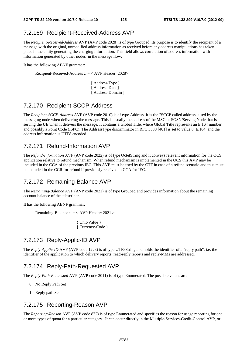### 7.2.169 Recipient-Received-Address AVP

The *Recipient-Received-Address* AVP (AVP code 2028) is of type Grouped. Its purpose is to identify the recipient of a message with the original, unmodified address information as received before any address manipulations has taken place in the entity generating the charging information. This field allows correlation of address information with information generated by other nodes in the message flow.

It has the following ABNF grammar:

Recipient-Received-Address :: = < AVP Header: 2028>

[ Address-Type ] [ Address-Data ] [ Address-Domain ]

#### 7.2.170 Recipient-SCCP-Address

The *Recipient-SCCP-Address* AVP (AVP code 2010) is of type Address. It is the "SCCP called address" used by the messaging node when delivering the message. This is usually the address of the MSC or SGSN/Serving Node that is serving the UE when it delivers the message. It contains a Global Title, where Global Title represents an E.164 number, and possibly a Point Code (ISPC). The AddressType discriminator in RFC 3588 [401] is set to value 8, E.164, and the address information is UTF8 encoded.

#### 7.2.171 Refund-Information AVP

The *Refund-Information* AVP (AVP code 2022) is of type OctetString and it conveys relevant information for the OCS application relative to refund mechanism. When refund mechanism is implemented in the OCS this AVP may be included in the CCA of the previous IEC. This AVP must be used by the CTF in case of a refund scenario and thus must be included in the CCR for refund if previously received in CCA for IEC.

#### 7.2.172 Remaining-Balance AVP

The *Remaining-Balance* AVP (AVP code 2021) is of type Grouped and provides information about the remaining account balance of the subscriber.

It has the following ABNF grammar:

Remaining-Balance :: = < AVP Header: 2021 >

{ Unit-Value } { Currency-Code }

### 7.2.173 Reply-Applic-ID AVP

The *Reply-Applic-ID* AVP (AVP code 1223) is of type UTF8String and holds the identifier of a "reply path", i.e. the identifier of the application to which delivery reports, read-reply reports and reply-MMs are addressed.

#### 7.2.174 Reply-Path-Requested AVP

The *Reply-Path-Requested* AVP (AVP code 2011) is of type Enumerated. The possible values are:

- 0 No Reply Path Set
- 1 Reply path Set

#### 7.2.175 Reporting-Reason AVP

The *Reporting-Reason* AVP (AVP code 872) is of type Enumerated and specifies the reason for usage reporting for one or more types of quota for a particular category. It can occur directly in the Multiple-Services-Credit-Control AVP, or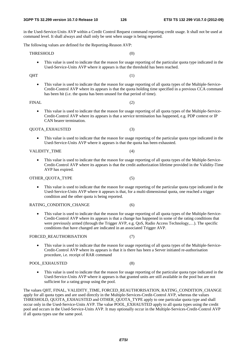in the Used-Service-Units AVP within a Credit Control Request command reporting credit usage. It shall not be used at command level. It shall always and shall only be sent when usage is being reported.

The following values are defined for the Reporting-Reason AVP:

 $QHT$  (1)

THRESHOLD (0)

- This value is used to indicate that the reason for usage reporting of the particular quota type indicated in the Used-Service-Units AVP where it appears is that the threshold has been reached.
- This value is used to indicate that the reason for usage reporting of all quota types of the Multiple-Service-Credit-Control AVP where its appears is that the quota holding time specified in a previous CCA command has been hit (i.e. the quota has been unused for that period of time).

#### FINAL (2)

• This value is used to indicate that the reason for usage reporting of all quota types of the Multiple-Service-Credit-Control AVP where its appears is that a service termination has happened, e.g. PDP context or IP CAN bearer termination.

#### QUOTA\_EXHAUSTED (3)

• This value is used to indicate that the reason for usage reporting of the particular quota type indicated in the Used-Service-Units AVP where it appears is that the quota has been exhausted.

#### VALIDITY\_TIME (4)

• This value is used to indicate that the reason for usage reporting of all quota types of the Multiple-Service-Credit-Control AVP where its appears is that the credit authorization lifetime provided in the Validity-Time AVP has expired.

#### OTHER\_QUOTA\_TYPE (5)

• This value is used to indicate that the reason for usage reporting of the particular quota type indicated in the Used-Service-Units AVP where it appears is that, for a multi-dimensional quota, one reached a trigger condition and the other quota is being reported.

#### RATING\_CONDITION\_CHANGE (6)

• This value is used to indicate that the reason for usage reporting of all quota types of the Multiple-Service-Credit-Control AVP where its appears is that a change has happened in some of the rating conditions that were previously armed (through the Trigger AVP, e.g. QoS, Radio Access Technology,…). The specific conditions that have changed are indicated in an associated Trigger AVP.

#### FORCED REAUTHORISATION (7)

• This value is used to indicate that the reason for usage reporting of all quota types of the Multiple-Service-Credit-Control AVP where its appears is that it is there has been a Server initiated re-authorisation procedure, i.e. receipt of RAR command

#### POOL EXHAUSTED (8)

• This value is used to indicate that the reason for usage reporting of the particular quota type indicated in the Used-Service-Units AVP where it appears is that granted units are still available in the pool but are not sufficient for a rating group using the pool.

The values QHT, FINAL, VALIDITY\_TIME, FORCED\_REAUTHORISATION, RATING\_CONDITION\_CHANGE apply for all quota types and are used directly in the Multiple-Services-Credit-Control AVP, whereas the values THRESHOLD, QUOTA\_EXHAUSTED and OTHER\_QUOTA\_TYPE apply to one particular quota type and shall occur only in the Used-Service-Units AVP. The value POOL\_EXHAUSTED apply to all quota types using the credit pool and occurs in the Used-Service-Units AVP. It may optionally occur in the Multiple-Services-Credit-Control AVP if all quota types use the same pool.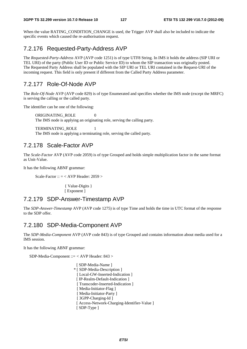When the value RATING CONDITION CHANGE is used, the Trigger AVP shall also be included to indicate the specific events which caused the re-authorisation request.

# 7.2.176 Requested-Party-Address AVP

The *Requested-Party-Address* AVP (AVP code 1251) is of type UTF8 String. In IMS it holds the address (SIP URI or TEL URI) of the party (Public User ID or Public Service ID) to whom the SIP transaction was originally posted. The Requested Party Address shall be populated with the SIP URI or TEL URI contained in the Request-URI of the incoming request. This field is only present if different from the Called Party Address parameter.

# 7.2.177 Role-Of-Node AVP

The *Role-Of-Node* AVP (AVP code 829) is of type Enumerated and specifies whether the IMS node (except the MRFC) is serving the calling or the called party.

The identifier can be one of the following:

ORIGINATING\_ROLE 0 The IMS node is applying an originating role, serving the calling party.

TERMINATING ROLE The IMS node is applying a terminating role, serving the called party.

### 7.2.178 Scale-Factor AVP

The *Scale-Factor* AVP (AVP code 2059) is of type Grouped and holds simple multiplication factor in the same format as Unit-Value.

It has the following ABNF grammar:

Scale-Factor ::  $=$  < AVP Header: 2059 >

{ Value-Digits } [ Exponent ]

#### 7.2.179 SDP-Answer-Timestamp AVP

The *SDP-Answer-Timestamp* AVP (AVP code 1275) is of type Time and holds the time in UTC format of the response to the SDP offer.

### 7.2.180 SDP-Media-Component AVP

The *SDP-Media-Component* AVP (AVP code 843) is of type Grouped and contains information about media used for a IMS session.

It has the following ABNF grammar:

SDP-Media-Component ::= < AVP Header: 843 >

[ SDP-Media-Name ] \* [ SDP-Media-Description ] [ Local-GW-Inserted-Indication ] [ IP-Realm-Default-Indication ] [ Transcoder-Inserted-Indication ] [ Media-Initiator-Flag ] [ Media-Initiator-Party ] [ 3GPP-Charging-Id ] [ Access-Network-Charging-Identifier-Value ] [ SDP-Type ]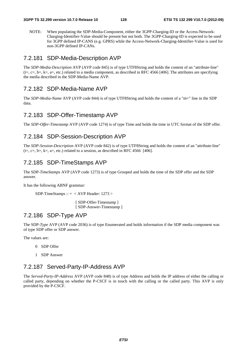NOTE: When populating the SDP-Media-Component, either the 3GPP-Charging-ID or the Access-Network-Charging-Identifier-Value should be present but not both. The 3GPP-Charging-ID is expected to be used for 3GPP defined IP-CANS (e.g. GPRS) while the Access-Network-Charging-Identifier-Value is used for non-3GPP defined IP-CANs.

#### 7.2.181 SDP-Media-Description AVP

The *SDP-Media-Description* AVP (AVP code 845) is of type UTF8String and holds the content of an "attribute-line"  $(i=, c=, b=, k=, a=, etc.)$  related to a media component, as described in RFC 4566 [406]. The attributes are specifying the media described in the SDP-Media-Name AVP.

#### 7.2.182 SDP-Media-Name AVP

The *SDP-Media-Name* AVP (AVP code 844) is of type UTF8String and holds the content of a "m=" line in the SDP data.

#### 7.2.183 SDP-Offer-Timestamp AVP

The *SDP-Offer-Timestamp* AVP (AVP code 1274) is of type Time and holds the time in UTC format of the SDP offer.

#### 7.2.184 SDP-Session-Description AVP

The *SDP-Session-Description* AVP (AVP code 842) is of type UTF8String and holds the content of an "attribute-line"  $(i=, c=, b=, k=, a=, etc.)$  related to a session, as described in RFC 4566 [406].

### 7.2.185 SDP-TimeStamps AVP

The SDP-*TimeStamps* AVP (AVP code 1273) is of type Grouped and holds the time of the SDP offer and the SDP answer.

It has the following ABNF grammar:

 $SDP-TimeStamps :: = < AVP Header: 1273 >$ 

 [ SDP-Offer-Timestamp ] [ SDP-Answer-Timestamp ]

#### 7.2.186 SDP-Type AVP

The SDP-*Type* AVP (AVP code 2036) is of type Enumerated and holds information if the SDP media component was of type SDP offer or SDP answer.

The values are:

- 0 SDP Offer
- 1 SDP Answer

### 7.2.187 Served-Party-IP-Address AVP

The *Served-Party-IP-Address* AVP (AVP code 848) is of type Address and holds the IP address of either the calling or called party, depending on whether the P-CSCF is in touch with the calling or the called party. This AVP is only provided by the P-CSCF.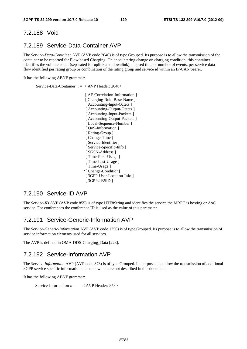#### 7.2.188 Void

#### 7.2.189 Service-Data-Container AVP

The *Service-Data-Container* AVP (AVP code 2040) is of type Grouped. Its purpose is to allow the transmission of the container to be reported for Flow based Charging. On encountering change on charging condition, this container identifies the volume count (separated for uplink and downlink), elapsed time or number of events, per service data flow identified per rating group or combination of the rating group and service id within an IP-CAN bearer.

It has the following ABNF grammar:

Service-Data-Container :: = < AVP Header: 2040>

 [ AF-Correlation-Information ] [ Charging-Rule-Base-Name ] [ Accounting-Input-Octets ] [ Accounting-Output-Octets ] [ Accounting-Input-Packets ] [ Accounting-Output-Packets ] [ Local-Sequence-Number ] [ QoS-Information ] [ Rating-Group ] [ Change-Time ] [ Service-Identifier ] [ Service-Specific-Info ] [ SGSN-Address ] [ Time-First-Usage ] [ Time-Last-Usage ] [ Time-Usage ] \*[ Change-Condition] [ 3GPP-User-Location-Info ] [ 3GPP2-BSID ]

#### 7.2.190 Service-ID AVP

The *Service-ID* AVP (AVP code 855) is of type UTF8String and identifies the service the MRFC is hosting or AoC service. For conferences the conference ID is used as the value of this parameter.

#### 7.2.191 Service-Generic-Information AVP

The *Service-Generic-Information* AVP (AVP code 1256) is of type Grouped. Its purpose is to allow the transmission of service information elements used for all services.

The AVP is defined in OMA-DDS-Charging\_Data [223].

#### 7.2.192 Service-Information AVP

The *Service-Information* AVP (AVP code 873) is of type Grouped. Its purpose is to allow the transmission of additional 3GPP service specific information elements which are not described in this document.

It has the following ABNF grammar:

```
Service-Information :: = < AVP Header: 873>
```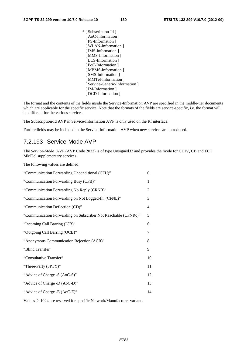\* [ Subscription-Id ] [ AoC-Information ] [ PS-Information ] [ WLAN-Information ] [IMS-Information] [ MMS-Information ] [ LCS-Information ] [ PoC-Information ] [ MBMS-Information ] [ SMS-Information ] [ MMTel-Information ] [ Service-Generic-Information ] [ IM-Information ] [ DCD-Information ]

The format and the contents of the fields inside the Service-Information AVP are specified in the middle-tier documents which are applicable for the specific service. Note that the formats of the fields are service-specific, i.e. the format will be different for the various services.

The Subscription-Id AVP in Service-Information AVP is only used on the Rf interface.

Further fields may be included in the Service-Information AVP when new services are introduced.

#### 7.2.193 Service-Mode AVP

The *Service-Mode* AVP (AVP Code 2032) is of type Unsigned32 and provides the mode for CDIV, CB and ECT MMTel supplementary services.

The following values are defined:

| $\overline{0}$ |
|----------------|
| 1              |
| 2              |
| 3              |
| $\overline{4}$ |
| 5              |
| 6              |
| 7              |
| 8              |
| 9              |
| 10             |
| 11             |
| 12             |
| 13             |
| 14             |
|                |

Values ≥ 1024 are reserved for specific Network/Manufacturer variants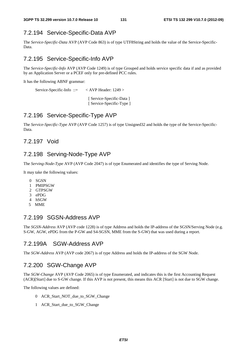# 7.2.194 Service-Specific-Data AVP

The *Service-Specific-Data* AVP (AVP Code 863) is of type UTF8String and holds the value of the Service-Specific-Data.

## 7.2.195 Service-Specific-Info AVP

The *Service-Specific-Info* AVP (AVP Code 1249) is of type Grouped and holds service specific data if and as provided by an Application Server or a PCEF only for pre-defined PCC rules.

It has the following ABNF grammar:

Service-Specific-Info ::= < AVP Header: 1249 >

 [ Service-Specific-Data ] [ Service-Specific-Type ]

### 7.2.196 Service-Specific-Type AVP

The *Service-Specific-Type* AVP (AVP Code 1257) is of type Unsigned32 and holds the type of the Service-Specific-Data.

#### 7.2.197 Void

### 7.2.198 Serving-Node-Type AVP

The *Serving-Node-Type* AVP (AVP Code 2047) is of type Enumerated and identifies the type of Serving Node.

It may take the following values:

- 0 SGSN
- 1 PMIPSGW
- 2 GTPSGW
- 3 ePDG
- 4 hSGW
- 5 MME

# 7.2.199 SGSN-Address AVP

The *SGSN-Address* AVP (AVP code 1228) is of type Address and holds the IP-address of the SGSN/Serving Node (e.g. S-GW, AGW, ePDG from the P-GW and S4-SGSN, MME from the S-GW) that was used during a report.

### 7.2.199A SGW-Address AVP

The *SGW-Address* AVP (AVP code 2067) is of type Address and holds the IP-address of the SGW Node.

# 7.2.200 SGW-Change AVP

The *SGW-Change* AVP (AVP Code 2065) is of type Enumerated, and indicates this is the first Accounting Request (ACR)[Start] due to S-GW change. If this AVP is not present, this means this ACR [Start] is not due to SGW change.

The following values are defined:

- 0 ACR\_Start\_NOT\_due\_to\_SGW\_Change
- 1 ACR\_Start\_due\_to\_SGW\_Change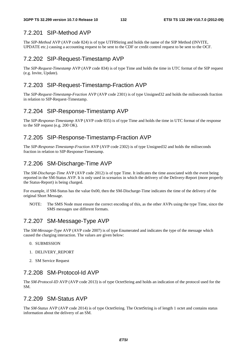# 7.2.201 SIP-Method AVP

The *SIP-Method* AVP (AVP code 824) is of type UTF8String and holds the name of the SIP Method (INVITE, UPDATE etc.) causing a accounting request to be sent to the CDF or credit control request to be sent to the OCF.

# 7.2.202 SIP-Request-Timestamp AVP

The *SIP-Request-Timestamp* AVP (AVP code 834) is of type Time and holds the time in UTC format of the SIP request (e.g. Invite, Update).

# 7.2.203 SIP-Request-Timestamp-Fraction AVP

The *SIP-Request-Timestamp-Fraction* AVP (AVP code 2301) is of type Unsigned32 and holds the miliseconds fraction in relation to SIP-Request-Timestamp.

# 7.2.204 SIP-Response-Timestamp AVP

The *SIP-Response-Timestamp* AVP (AVP code 835) is of type Time and holds the time in UTC format of the response to the SIP request (e.g. 200 OK).

# 7.2.205 SIP-Response-Timestamp-Fraction AVP

The *SIP-Response-Timestamp-Fraction* AVP (AVP code 2302) is of type Unsigned32 and holds the miliseconds fraction in relation to SIP-Response-Timestamp.

# 7.2.206 SM-Discharge-Time AVP

The *SM-Discharge-Time* AVP (AVP code 2012) is of type Time. It indicates the time associated with the event being reported in the SM-Status AVP. It is only used in scenarios in which the delivery of the Delivery-Report (more properly the Status-Report) is being charged.

For example, if SM-Status has the value 0x00, then the SM-Discharge-Time indicates the time of the delivery of the original Short Message.

NOTE: The SMS Node must ensure the correct encoding of this, as the other AVPs using the type Time, since the SMS messages use different formats.

# 7.2.207 SM-Message-Type AVP

The *SM*-*Message-Type* AVP (AVP code 2007) is of type Enumerated and indicates the type of the message which caused the charging interaction. The values are given below:

- 0. SUBMISSION
- 1. DELIVERY\_REPORT
- 2. SM Service Request

# 7.2.208 SM-Protocol-Id AVP

The *SM-Protocol-ID* AVP (AVP code 2013) is of type OctetString and holds an indication of the protocol used for the SM.

# 7.2.209 SM-Status AVP

The *SM-Status* AVP (AVP code 2014) is of type OctetString. The OctetString is of length 1 octet and contains status information about the delivery of an SM.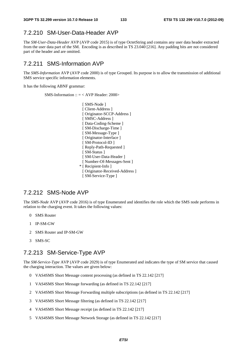## 7.2.210 SM-User-Data-Header AVP

The *SM-User-Data-Header* AVP (AVP code 2015) is of type OctetString and contains any user data header extracted from the user data part of the SM. Encoding is as described in TS 23.040 [216]. Any padding bits are not considered part of the header and are omitted.

#### 7.2.211 SMS-Information AVP

The *SMS-Information* AVP (AVP code 2000) is of type Grouped. Its purpose is to allow the transmission of additional SMS service specific information elements.

It has the following ABNF grammar:

SMS-Information :: = < AVP Header: 2000>

[ SMS-Node ] [ Client-Address ] [ Originator-SCCP-Address ] [ SMSC-Address ] [ Data-Coding-Scheme ] [ SM-Discharge-Time ] [ SM-Message-Type ] [ Originator-Interface ] [ SM-Protocol-ID ] [ Reply-Path-Requested ] [ SM-Status ] [ SM-User-Data-Header ] [ Number-Of-Messages-Sent ] \* [ Recipient-Info ] [ Originator-Received-Address ] [ SM-Service-Type ]

### 7.2.212 SMS-Node AVP

The *SMS-Node* AVP (AVP code 2016) is of type Enumerated and identifies the role which the SMS node performs in relation to the charging event. It takes the following values:

- 0 SMS Router
- 1 IP-SM-GW
- 2 SMS Router and IP-SM-GW
- 3 SMS-SC

#### 7.2.213 SM-Service-Type AVP

The *SM-Service-Type* AVP (AVP code 2029) is of type Enumerated and indicates the type of SM service that caused the charging interaction. The values are given below:

- 0 VAS4SMS Short Message content processing (as defined in TS 22.142 [217]
- 1 VAS4SMS Short Message forwarding (as defined in TS 22.142 [217]
- 2 VAS4SMS Short Message Forwarding multiple subscriptions (as defined in TS 22.142 [217]
- 3 VAS4SMS Short Message filtering (as defined in TS 22.142 [217]
- 4 VAS4SMS Short Message receipt (as defined in TS 22.142 [217]
- 5 VAS4SMS Short Message Network Storage (as defined in TS 22.142 [217]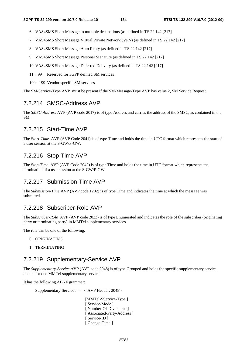- 6 VAS4SMS Short Message to multiple destinations (as defined in TS 22.142 [217]
- 7 VAS4SMS Short Message Virtual Private Network (VPN) (as defined in TS 22.142 [217]
- 8 VAS4SMS Short Message Auto Reply (as defined in TS 22.142 [217]
- 9 VAS4SMS Short Message Personal Signature (as defined in TS 22.142 [217]
- 10 VAS4SMS Short Message Deferred Delivery (as defined in TS 22.142 [217]
- 11 .. 99 Reserved for 3GPP defined SM services
- 100 199 Vendor specific SM services

The SM-Service-Type AVP must be present if the SM-Message-Type AVP has value 2, SM Service Request.

#### 7.2.214 SMSC-Address AVP

The *SMSC-Address* AVP (AVP code 2017) is of type Address and carries the address of the SMSC, as contained in the SM.

#### 7.2.215 Start-Time AVP

The S*tart-Time* AVP (AVP Code 2041) is of type Time and holds the time in UTC format which represents the start of a user session at the S-GW/P-GW.

#### 7.2.216 Stop-Time AVP

The S*top-Time* AVP (AVP Code 2042) is of type Time and holds the time in UTC format which represents the termination of a user session at the S-GW/P-GW.

### 7.2.217 Submission-Time AVP

The *Submission-Time* AVP (AVP code 1202) is of type Time and indicates the time at which the message was submitted.

### 7.2.218 Subscriber-Role AVP

The *Subscriber-Role* AVP (AVP code 2033) is of type Enumerated and indicates the role of the subscriber (originating party or terminating party) in MMTel supplementary services.

The role can be one of the following:

- 0. ORIGINATING
- 1. TERMINATING

#### 7.2.219 Supplementary-Service AVP

The *Supplementary-Service* AVP (AVP code 2048) is of type Grouped and holds the specific supplementary service details for one MMTel supplementary service.

It has the following ABNF grammar:

Supplementary-Service  $\therefore$  = < AVP Header: 2048>

 [MMTel-SService-Type ] [ Service-Mode ] [ Number-Of-Diversions ] [ Associated-Party-Address ] [ Service-ID ] [ Change-Time ]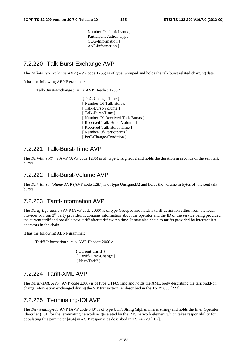[ Number-Of-Participants ] [ Participant-Action-Type ] [ CUG-Information ] [ AoC-Information ]

# 7.2.220 Talk-Burst-Exchange AVP

The *Talk-Burst-Exchange* AVP (AVP code 1255) is of type Grouped and holds the talk burst related charging data.

It has the following ABNF grammar:

Talk-Burst-Exchange :: = < AVP Header: 1255 >

{ PoC-Change-Time } [ Number-Of-Talk-Bursts ] [ Talk-Burst-Volume ] [ Talk-Burst-Time ] [ Number-Of-Received-Talk-Bursts ] [ Received-Talk-Burst-Volume ] [ Received-Talk-Burst-Time ] [ Number-Of-Participants ] [ PoC-Change-Condition ]

### 7.2.221 Talk-Burst-Time AVP

The *Talk-Burst-Time* AVP (AVP code 1286) is of type Unsigned32 and holds the duration in seconds of the sent talk bursts.

### 7.2.222 Talk-Burst-Volume AVP

The *Talk-Burst-Volume* AVP (AVP code 1287) is of type Unsigned32 and holds the volume in bytes of the sent talk bursts.

#### 7.2.223 Tariff-Information AVP

The *Tariff-Information* AVP (AVP code 2060) is of type Grouped and holds a tariff definition either from the local provider or from 3rd party provider. It contains information about the operator and the ID of the service being provided, the current tariff and possible next tariff after tariff switch time. It may also chain to tariffs provided by intermediate operators in the chain.

It has the following ABNF grammar:

Tariff-Information ::  $=$  < AVP Header: 2060 >

 { Current-Tariff } [ Tariff-Time-Change ] [ Next-Tariff ]

#### 7.2.224 Tariff-XML AVP

The *Tariff-XML* AVP (AVP code 2306) is of type UTF8String and holds the XML body describing the tariff/add-on charge information exchanged during the SIP transaction, as described in the TS 29.658 [222].

# 7.2.225 Terminating-IOI AVP

The *Terminating-IOI* AVP (AVP code 840) is of type UTF8String (alphanumeric string) and holds the Inter Operator Identifier (IOI) for the terminating network as generated by the IMS network element which takes responsibility for populating this parameter [404] in a SIP response as described in TS 24.229 [202].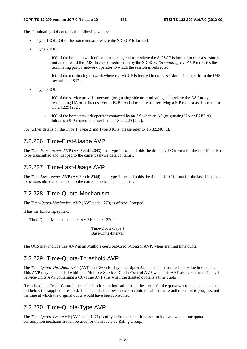The Terminating IOI contains the following values:

- Type 1 IOI: IOI of the home network where the S-CSCF is located.
- Type 2 IOI:
	- IOI of the home network of the terminating end user where the S-CSCF is located in case a session is initiated toward the IMS. In case of redirection by the S-CSCF, *Terminating-IOI* AVP indicates the terminating party's network operator to which the session is redirected.
	- IOI of the terminating network where the MGCF is located in case a session is initiated from the IMS toward the PSTN.
- Type 3 IOI:
	- IOI of the service provider network (originating side or terminating side) where the AS (proxy, terminating UA or redirect server or B2BUA) is located when receiving a SIP request as described in TS 24.229 [202].
	- IOI of the home network operator contacted by an AS when an AS (originating UA or B2BUA) initiates a SIP request as described in TS 24.229 [202].

For further details on the Type 1, Type 2 and Type 3 IOIs, please refer to TS 32.240 [1].

### 7.2.226 Time-First-Usage AVP

The *Time-First-Usage* AVP (AVP code 2043) is of type Time and holds the time in UTC format for the first IP packet to be transmitted and mapped to the current service data container.

#### 7.2.227 Time-Last-Usage AVP

The *Time-Last-Usage* AVP (AVP code 2044) is of type Time and holds the time in UTC format for the last IP packet to be transmitted and mapped to the current service data container.

#### 7.2.228 Time-Quota-Mechanism

The *Time-Quota-Mechanism* AVP (AVP code 1270) is of type Grouped.

It has the following syntax:

Time-Quota-Mechanism ::= < AVP Header: 1270>

{ Time-Quota-Type } { Base-Time-Interval }

The OCS may include this AVP in an Multiple-Services-Credit-Control AVP, when granting time quota.

### 7.2.229 Time-Quota-Threshold AVP

The *Time-Quota-Threshold* AVP (AVP code 868) is of type Unsigned32 and contains a threshold value in seconds. This AVP may be included within the Multiple-Services-Credit-Control AVP when this AVP also contains a Granted-Service-Units AVP containing a CC-Time AVP (i.e. when the granted quota is a time quota).

If received, the Credit Control client shall seek re-authorisation from the server for the quota when the quota contents fall below the supplied threshold. The client shall allow service to continue whilst the re-authorisation is progress, until the time at which the original quota would have been consumed.

### 7.2.230 Time-Quota-Type AVP

The *Time-Quota-Type* AVP (AVP code 1271) is of type Enumerated. It is used to indicate which time quota consumption mechanism shall be used for the associated Rating Group.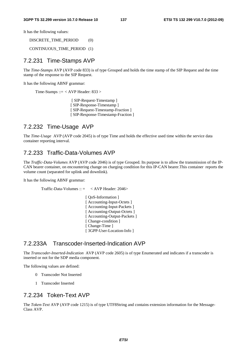It has the following values:

DISCRETE\_TIME\_PERIOD (0)

CONTINUOUS\_TIME\_PERIOD (1)

#### 7.2.231 Time-Stamps AVP

The *Time-Stamps* AVP (AVP code 833) is of type Grouped and holds the time stamp of the SIP Request and the time stamp of the response to the SIP Request.

It has the following ABNF grammar:

Time-Stamps ::= < AVP Header: 833 >

 [ SIP-Request-Timestamp ] [ SIP-Response-Timestamp ] [ SIP-Request-Timestamp-Fraction ] [ SIP-Response-Timestamp-Fraction ]

# 7.2.232 Time-Usage AVP

The *Time-Usage* AVP (AVP code 2045) is of type Time and holds the effective used time within the service data container reporting interval.

# 7.2.233 Traffic-Data-Volumes AVP

The *Traffic-Data-Volumes* AVP (AVP code 2046) is of type Grouped. Its purpose is to allow the transmission of the IP-CAN bearer container, on encountering change on charging condition for this IP-CAN bearer.This container reports the volume count (separated for uplink and downlink).

It has the following ABNF grammar:

Traffic-Data-Volumes  $\therefore$   $\leq$   $\lt$  AVP Header: 2046>

[ QoS-Information ] [ Accounting-Input-Octets ] [ Accounting-Input-Packets ] [ Accounting-Output-Octets ] [ Accounting-Output-Packets ] [ Change-condition ] [ Change-Time ] [ 3GPP-User-Location-Info ]

#### 7.2.233A Transcoder-Inserted-Indication AVP

The *Transcoder-Inserted*-*Indication* AVP (AVP code 2605) is of type Enumerated and indicates if a transcoder is inserted or not for the SDP media component.

The following values are defined:

- 0 Transcoder Not Inserted
- 1 Transcoder Inserted

### 7.2.234 Token-Text AVP

The *Token-Text* AVP (AVP code 1215) is of type UTF8String and contains extension information for the Message-Class AVP.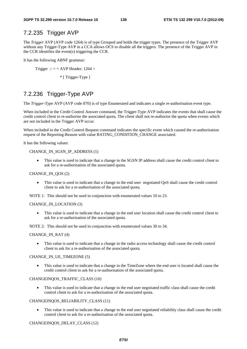### 7.2.235 Trigger AVP

The *Trigger* AVP (AVP code 1264) is of type Grouped and holds the trigger types. The presence of the Trigger AVP without any Trigger-Type AVP in a CCA allows OCS to disable all the triggers. The presence of the Trigger AVP in the CCR identifies the event(s) triggering the CCR.

It has the following ABNF grammar:

Trigger :: = < AVP Header:  $1264 >$ 

\* [ Trigger-Type ]

# 7.2.236 Trigger-Type AVP

The *Trigger-Type* AVP (AVP code 870) is of type Enumerated and indicates a single re-authorisation event type.

When included in the Credit Control Answer command, the Trigger-Type AVP indicates the events that shall cause the credit control client to re-authorise the associated quota. The client shall not re-authorise the quota when events which are not included in the Trigger AVP occur.

When included in the Credit Control Request command indicates the specific event which caused the re-authorisation request of the Reporting-Reason with value RATING\_CONDITION\_CHANGE associated.

It has the following values:

#### CHANGE\_IN\_SGSN\_IP\_ADDRESS (1)

• This value is used to indicate that a change in the SGSN IP address shall cause the credit control client to ask for a re-authorisation of the associated quota.

CHANGE\_IN\_QOS (2)

• This value is used to indicate that a change in the end user negotiated QoS shall cause the credit control client to ask for a re-authorisation of the associated quota.

NOTE 1: This should not be used in conjunction with enumerated values 10 to 23.

#### CHANGE\_IN\_LOCATION (3)

• This value is used to indicate that a change in the end user location shall cause the credit control client to ask for a re-authorisation of the associated quota.

NOTE 2: This should not be used in conjunction with enumerated values 30 to 34.

#### CHANGE\_IN\_RAT (4)

• This value is used to indicate that a change in the radio access technology shall cause the credit control client to ask for a re-authorisation of the associated quota.

#### CHANGE\_IN\_UE\_TIMEZONE (5)

• This value is used to indicate that a change in the TimeZone where the end user is located shall cause the credit control client to ask for a re-authorisation of the associated quota.

#### CHANGEINQOS\_TRAFFIC\_CLASS (10)

• This value is used to indicate that a change in the end user negotiated traffic class shall cause the credit control client to ask for a re-authorisation of the associated quota.

#### CHANGEINQOS\_RELIABILITY\_CLASS (11)

• This value is used to indicate that a change in the end user negotiated reliability class shall cause the credit control client to ask for a re-authorisation of the associated quota.

#### CHANGEINQOS\_DELAY\_CLASS (12)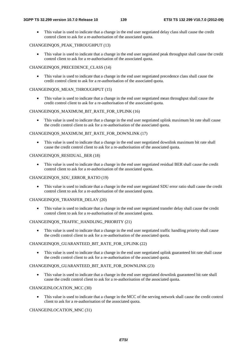• This value is used to indicate that a change in the end user negotiated delay class shall cause the credit control client to ask for a re-authorisation of the associated quota.

#### CHANGEINQOS\_PEAK\_THROUGHPUT (13)

• This value is used to indicate that a change in the end user negotiated peak throughput shall cause the credit control client to ask for a re-authorisation of the associated quota.

#### CHANGEINQOS\_PRECEDENCE\_CLASS (14)

This value is used to indicate that a change in the end user negotiated precedence class shall cause the credit control client to ask for a re-authorisation of the associated quota.

#### CHANGEINOOS MEAN THROUGHPUT (15)

This value is used to indicate that a change in the end user negotiated mean throughput shall cause the credit control client to ask for a re-authorisation of the associated quota.

#### CHANGEINQOS\_MAXIMUM\_BIT\_RATE\_FOR\_UPLINK (16)

This value is used to indicate that a change in the end user negotiated uplink maximum bit rate shall cause the credit control client to ask for a re-authorisation of the associated quota.

#### CHANGEINQOS\_MAXIMUM\_BIT\_RATE\_FOR\_DOWNLINK (17)

• This value is used to indicate that a change in the end user negotiated downlink maximum bit rate shall cause the credit control client to ask for a re-authorisation of the associated quota.

#### CHANGEINQOS\_RESIDUAL\_BER (18)

• This value is used to indicate that a change in the end user negotiated residual BER shall cause the credit control client to ask for a re-authorisation of the associated quota.

#### CHANGEINQOS\_SDU\_ERROR\_RATIO (19)

• This value is used to indicate that a change in the end user negotiated SDU error ratio shall cause the credit control client to ask for a re-authorisation of the associated quota.

#### CHANGEINQOS\_TRANSFER\_DELAY (20)

• This value is used to indicate that a change in the end user negotiated transfer delay shall cause the credit control client to ask for a re-authorisation of the associated quota.

#### CHANGEINQOS\_TRAFFIC\_HANDLING\_PRIORITY (21)

• This value is used to indicate that a change in the end user negotiated traffic handling priority shall cause the credit control client to ask for a re-authorisation of the associated quota.

#### CHANGEINQOS\_GUARANTEED\_BIT\_RATE\_FOR\_UPLINK (22)

• This value is used to indicate that a change in the end user negotiated uplink guaranteed bit rate shall cause the credit control client to ask for a re-authorisation of the associated quota.

#### CHANGEINOOS\_GUARANTEED\_BIT\_RATE\_FOR\_DOWNLINK (23)

This value is used to indicate that a change in the end user negotiated downlink guaranteed bit rate shall cause the credit control client to ask for a re-authorisation of the associated quota.

#### CHANGEINLOCATION\_MCC (30)

• This value is used to indicate that a change in the MCC of the serving network shall cause the credit control client to ask for a re-authorisation of the associated quota.

#### CHANGEINLOCATION\_MNC (31)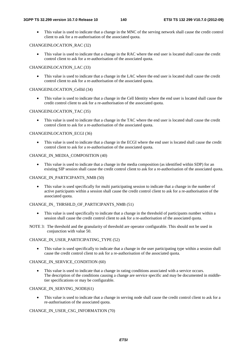• This value is used to indicate that a change in the MNC of the serving network shall cause the credit control client to ask for a re-authorisation of the associated quota.

#### CHANGEINLOCATION\_RAC (32)

• This value is used to indicate that a change in the RAC where the end user is located shall cause the credit control client to ask for a re-authorisation of the associated quota.

#### CHANGEINLOCATION\_LAC (33)

• This value is used to indicate that a change in the LAC where the end user is located shall cause the credit control client to ask for a re-authorisation of the associated quota.

#### CHANGEINLOCATION\_CellId (34)

• This value is used to indicate that a change in the Cell Identity where the end user is located shall cause the credit control client to ask for a re-authorisation of the associated quota.

#### CHANGEINLOCATION\_TAC (35)

• This value is used to indicate that a change in the TAC where the end user is located shall cause the credit control client to ask for a re-authorisation of the associated quota.

#### CHANGEINLOCATION\_ECGI (36)

• This value is used to indicate that a change in the ECGI where the end user is located shall cause the credit control client to ask for a re-authorisation of the associated quota.

#### CHANGE\_IN\_MEDIA\_COMPOSITION (40)

This value is used to indicate that a change in the media composition (as identified within SDP) for an existing SIP session shall cause the credit control client to ask for a re-authorisation of the associated quota.

#### CHANGE\_IN\_PARTICIPANTS\_NMB (50)

• This value is used specifically for multi participating session to indicate that a change in the number of active participants within a session shall cause the credit control client to ask for a re-authorisation of the associated quota.

#### CHANGE\_IN\_THRSHLD\_OF\_PARTICIPANTS\_NMB (51)

- This value is used specifically to indicate that a change in the threshold of participants number within a session shall cause the credit control client to ask for a re-authorisation of the associated quota.
- NOTE 3: The threshold and the granularity of threshold are operator configurable. This should not be used in conjunction with value 50.

#### CHANGE\_IN\_USER\_PARTICIPATING\_TYPE (52)

This value is used specifically to indicate that a change in the user participating type within a session shall cause the credit control client to ask for a re-authorisation of the associated quota.

#### CHANGE\_IN\_SERVICE\_CONDITION (60)

• This value is used to indicate that a change in rating conditions associated with a service occurs. The description of the conditions causing a change are service specific and may be documented in middletier specifications or may be configurable.

#### CHANGE\_IN\_SERVING\_NODE(61)

This value is used to indicate that a change in serving node shall cause the credit control client to ask for a re-authorisation of the associated quota.

#### CHANGE\_IN\_USER\_CSG\_INFORMATION (70)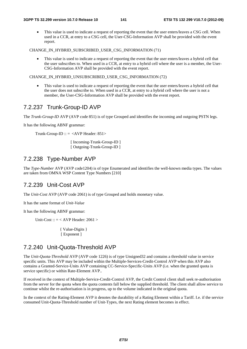• This value is used to indicate a request of reporting the event that the user enters/leaves a CSG cell. When used in a CCR, at entry to a CSG cell, the User-CSG-Information AVP shall be provided with the event report.

CHANGE\_IN\_HYBRID\_SUBSCRIBED\_USER\_CSG\_INFORMATION (71)

• This value is used to indicate a request of reporting the event that the user enters/leaves a hybrid cell that the user subscribes to. When used in a CCR, at entry to a hybrid cell where the user is a member, the User-CSG-Information AVP shall be provided with the event report.

CHANGE\_IN\_HYBRID\_UNSUBSCRIBED\_USER\_CSG\_INFORMATION (72)

• This value is used to indicate a request of reporting the event that the user enters/leaves a hybrid cell that the user does not subscribe to. When used in a CCR, at entry to a hybrid cell where the user is not a member, the User-CSG-Information AVP shall be provided with the event report.

### 7.2.237 Trunk-Group-ID AVP

The *Trunk-Group-ID* AVP (AVP code 851) is of type Grouped and identifies the incoming and outgoing PSTN legs.

It has the following ABNF grammar:

Trunk-Group-ID ::  $=$  <AVP Header: 851>

 [ Incoming-Trunk-Group-ID ] [ Outgoing-Trunk-Group-ID ]

# 7.2.238 Type-Number AVP

The *Type-Number* AVP (AVP code1204) is of type Enumerated and identifies the well-known media types. The values are taken from OMNA WSP Content Type Numbers [210]

### 7.2.239 Unit-Cost AVP

The *Unit-Cost* AVP (AVP code 2061) is of type Grouped and holds monetary value.

It has the same format of *Unit-Value*

It has the following ABNF grammar:

Unit-Cost ::  $=$  < AVP Header: 2061 >

 { Value-Digits } [ Exponent ]

### 7.2.240 Unit-Quota-Threshold AVP

The *Unit-Quota-Threshold* AVP (AVP code 1226) is of type Unsigned32 and contains a threshold value in service specific units. This AVP may be included within the Multiple-Services-Credit-Control AVP when this AVP also contains a Granted-Service-Units AVP containing CC-Service-Specific-Units AVP (i.e. when the granted quota is service specific) or within Rate-Element AVP..

If received in the context of Multiple-Service-Credit-Control AVP, the Credit Control client shall seek re-authorisation from the server for the quota when the quota contents fall below the supplied threshold. The client shall allow service to continue whilst the re-authorisation is in progress, up to the volume indicated in the original quota.

In the context of the Rating-Element AVP it denotes the durability of a Rating Element within a Tariff. I.e. if the service consumed Unit-Quota-Threshold number of Unit-Types, the next Rating element becomes in effect.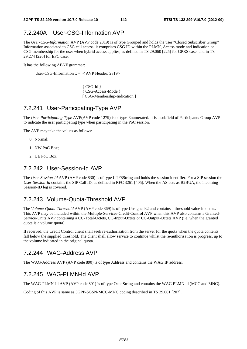# 7.2.240A User-CSG-Information AVP

The *User-CSG-Information* AVP (AVP code 2319) is of type Grouped and holds the user "Closed Subscriber Group" Information associated to CSG cell access: it comprises CSG ID within the PLMN, Access mode and indication on CSG membership for the user when hybrid access applies, as defined in TS 29.060 [225] for GPRS case, and in TS 29.274 [226] for EPC case.

It has the following ABNF grammar:

User-CSG-Information ::  $=$  < AVP Header: 2319>

{ CSG-Id } { CSG-Access-Mode } [ CSG-Membership-Indication ]

# 7.2.241 User-Participating-Type AVP

The *User-Participating-Type* AVP(AVP code 1279) is of type Enumerated. It is a subfield of Participants-Group AVP to indicate the user participating type when participating in the PoC session.

The AVP may take the values as follows:

- 0 Normal;
- 1 NW PoC Box;
- 2 UE PoC Box.

#### 7.2.242 User-Session-Id AVP

The *User-Session-Id* AVP (AVP code 830) is of type UTF8String and holds the session identifier. For a SIP session the *User-Session-Id* contains the SIP Call ID, as defined in RFC 3261 [405]. When the AS acts as B2BUA, the incoming Session-ID leg is covered.

#### 7.2.243 Volume-Quota-Threshold AVP

The *Volume-Quota-Threshold* AVP (AVP code 869) is of type Unsigned32 and contains a threshold value in octets. This AVP may be included within the Multiple-Services-Credit-Control AVP when this AVP also contains a Granted-Service-Units AVP containing a CC-Total-Octets, CC-Input-Octets or CC-Output-Octets AVP (i.e. when the granted quota is a volume quota).

If received, the Credit Control client shall seek re-authorisation from the server for the quota when the quota contents fall below the supplied threshold. The client shall allow service to continue whilst the re-authorisation is progress, up to the volume indicated in the original quota.

### 7.2.244 WAG-Address AVP

The WAG-Address AVP (AVP code 890) is of type Address and contains the WAG IP address.

#### 7.2.245 WAG-PLMN-Id AVP

The WAG-PLMN-Id AVP (AVP code 891) is of type OctetString and contains the WAG PLMN id (MCC and MNC).

Coding of this AVP is same as 3GPP-SGSN-MCC-MNC coding described in TS 29.061 [207].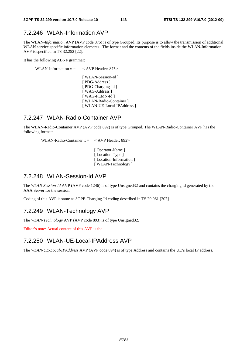### 7.2.246 WLAN-Information AVP

The WLAN*-Information* AVP (AVP code 875) is of type Grouped. Its purpose is to allow the transmission of additional WLAN service specific information elements. The format and the contents of the fields inside the WLAN-Information AVP is specified in TS 32.252 [22].

It has the following ABNF grammar:

WLAN-Information  $\therefore$  = < AVP Header: 875>

[ WLAN-Session-Id ] [ PDG-Address ] [ PDG-Charging-Id ] [ WAG-Address ] [ WAG-PLMN-Id ] [ WLAN-Radio-Container ] [ WLAN-UE-Local-IPAddress ]

#### 7.2.247 WLAN-Radio-Container AVP

The WLAN-Radio-Container AVP (AVP code 892) is of type Grouped. The WLAN-Radio-Container AVP has the following format:

WLAN-Radio-Container :: = < AVP Header: 892>

 [ Operator-Name ] [ Location-Type ] [Location-Information] [ WLAN-Technology ]

### 7.2.248 WLAN-Session-Id AVP

The *WLAN-Session-Id* AVP (AVP code 1246) is of type Unsigned32 and contains the charging id generated by the AAA Server for the session.

Coding of this AVP is same as 3GPP-Charging-Id coding described in TS 29.061 [207].

### 7.2.249 WLAN-Technology AVP

The *WLAN-Technology* AVP (AVP code 893) is of type Unsigned32.

Editor's note: Actual content of this AVP is tbd.

### 7.2.250 WLAN-UE-Local-IPAddress AVP

The *WLAN-UE-Local-IPAddress* AVP (AVP code 894) is of type Address and contains the UE's local IP address.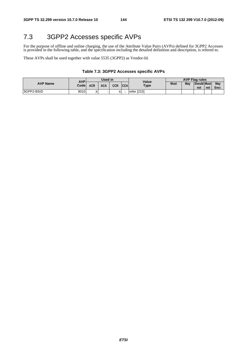### 7.3 3GPP2 Accesses specific AVPs

For the purpose of offline and online charging, the use of the Attribute Value Pairs (AVPs) defined for 3GPP2 Accesses is provided in the following table, and the specification including the detailed definition and description, is refered to.

These AVPs shall be used together with value 5535 (3GPP2) as Vendor-Id.

### **Table 7.3: 3GPP2 Accesses specific AVPs**

|                 | <b>AVP</b> | Used in           |            |     |            | Value       | <b>AVP Flag rules</b> |     |                           |     |              |
|-----------------|------------|-------------------|------------|-----|------------|-------------|-----------------------|-----|---------------------------|-----|--------------|
| <b>AVP Name</b> | Codel      | ACR               | <b>ACA</b> | CCR | <b>CCA</b> | <b>Type</b> | <b>Must</b>           | May | <b>Should Must</b><br>not | not | May<br>Encr. |
| 3GPP2-BSID      | 9010       | $\checkmark$<br>∧ |            |     |            | refer [215] |                       |     |                           |     |              |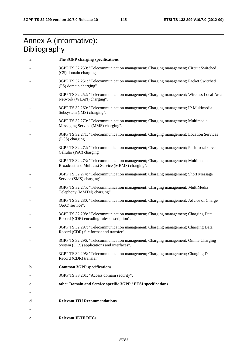### Annex A (informative): **Bibliography**

| a           | The 3GPP charging specifications                                                                                                    |
|-------------|-------------------------------------------------------------------------------------------------------------------------------------|
|             | 3GPP TS 32.250: "Telecommunication management; Charging management; Circuit Switched<br>(CS) domain charging".                      |
|             | 3GPP TS 32.251: "Telecommunication management; Charging management; Packet Switched<br>(PS) domain charging".                       |
|             | 3GPP TS 32.252: "Telecommunication management; Charging management; Wireless Local Area<br>Network (WLAN) charging".                |
|             | 3GPP TS 32.260: "Telecommunication management; Charging management; IP Multimedia<br>Subsystem (IMS) charging".                     |
|             | 3GPP TS 32.270: "Telecommunication management; Charging management; Multimedia<br>Messaging Service (MMS) charging".                |
|             | 3GPP TS 32.271: "Telecommunication management; Charging management; Location Services<br>(LCS) charging".                           |
|             | 3GPP TS 32.272: "Telecommunication management; Charging management; Push-to-talk over<br>Cellular (PoC) charging".                  |
|             | 3GPP TS 32.273: "Telecommunication management; Charging management; Multimedia<br>Broadcast and Multicast Service (MBMS) charging". |
|             | 3GPP TS 32.274: "Telecommunication management; Charging management; Short Message<br>Service (SMS) charging".                       |
|             | 3GPP TS 32.275: "Telecommunication management; Charging management; MultiMedia<br>Telephony (MMTel) charging".                      |
|             | 3GPP TS 32.280: "Telecommunication management; Charging management; Advice of Charge<br>(AoC) service".                             |
|             | 3GPP TS 32.298: "Telecommunication management; Charging management; Charging Data<br>Record (CDR) encoding rules description".      |
|             | 3GPP TS 32.297: "Telecommunication management; Charging management; Charging Data<br>Record (CDR) file format and transfer".        |
|             | 3GPP TS 32.296: "Telecommunication management; Charging management; Online Charging<br>System (OCS) applications and interfaces".   |
|             | 3GPP TS 32.295: "Telecommunication management; Charging management; Charging Data<br>Record (CDR) transfer".                        |
| $\mathbf b$ | <b>Common 3GPP specifications</b>                                                                                                   |
|             | 3GPP TS 33.201: "Access domain security".                                                                                           |
| c           | other Domain and Service specific 3GPP / ETSI specifications                                                                        |
| d           | <b>Relevant ITU Recommendations</b>                                                                                                 |
|             |                                                                                                                                     |
| e           | <b>Relevant IETF RFCs</b>                                                                                                           |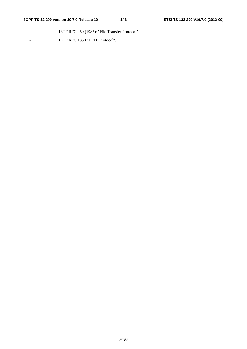- IETF RFC 959 (1985): "File Transfer Protocol".
- IETF RFC 1350 "TFTP Protocol".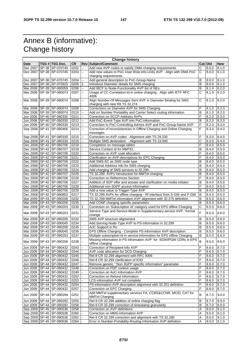## Annex B (informative): Change history

| <b>Change history</b> |  |                                                              |              |                          |                                                                                                                                          |                       |                    |                |
|-----------------------|--|--------------------------------------------------------------|--------------|--------------------------|------------------------------------------------------------------------------------------------------------------------------------------|-----------------------|--------------------|----------------|
| Date                  |  | TSG # TSG Doc.                                               | <b>CR</b>    |                          | <b>Rev Subject/Comment</b>                                                                                                               |                       | Cat Old            | <b>New</b>     |
| Dec 2007              |  | SP-38 SP-070745                                              | 0202         | Щ,                       | Add new AVP codes to satisfy OMA charging requirements                                                                                   | С                     | 8.0.0              | 8.1.0          |
|                       |  | Dec 2007   SP-38   SP-070745                                 | 0203         | ц.                       | Add new values to PoC-User-Role-info-Units AVP - Align with OMA PoC                                                                      | C                     | 8.0.0              | 8.1.0          |
|                       |  |                                                              |              |                          | charging requirements                                                                                                                    |                       |                    |                |
| Dec 2007              |  | SP-38 SP-070745                                              | 0204         | ц,                       | Add general description to PoC-Group-Name                                                                                                | B                     | 8.0.0              | 8.1.0          |
|                       |  | Dec 2007   SP-38   SP-070925                                 | 0205         |                          | Introduce Diameter details for SMS charging                                                                                              | B                     | 8.0.0              | 8.1.0          |
|                       |  | Mar 2008 SP-39 SP-080059                                     | 0206         | $\overline{\phantom{a}}$ | Add IBCF to Node-Functionality AVP list of NEs                                                                                           | B                     | 8.1.0              | 8.2.0          |
| Mar 2008              |  | SP-39 SP-080074                                              | 0207         | цц.                      | Usage of CC-Correlation-Id in online charging - Align with IETF RFC                                                                      | C                     | 8.1.0              | 8.2.0          |
|                       |  |                                                              |              |                          | 4006                                                                                                                                     |                       |                    |                |
| Mar 2008              |  | SP-39 SP-080074                                              | 0208         | --                       | Align Number-Of-Messages-Sent AVP in Diameter Binding for SMS                                                                            | С                     | 8.1.0              | 8.2.0          |
|                       |  |                                                              |              |                          | charging with new R8 TS 32.274                                                                                                           |                       |                    |                |
|                       |  | Mar 2008   SP-39 SP-080074<br>Mar 2008 SP-39 SP-080074       | 0209         | --<br>щ.                 | Corrections on Diameter AVP for SMS Charging                                                                                             | F<br>B                | 8.1.0              | 8.2.0          |
|                       |  |                                                              | 0210         |                          | Add on Number Portability and Carrier Select routing information                                                                         | F                     | 8.1.0              | 8.2.0          |
|                       |  | Jun 2008   SP-40   SP-080330<br>Jun 2008   SP-40   SP-080330 | 0211         | ш,<br>Щ,                 | Correction on SCCP-Address AVPs                                                                                                          | в                     | 8.2.0              | 8.3.0          |
| Jun 2008              |  | SP-40 SP-080330                                              | 0212<br>0213 | ш.                       | Add PoC-Event-Type AVP into PoC-Information                                                                                              | F                     | 8.2.0              | 8.3.0          |
|                       |  | Sep 2008   SP-41   SP-080466                                 | 0214         | Щ.                       | Correction to PoC-Controlling-Adress AVP and PoC-Group-Name AVP<br>Correction of inconsistencies in Offline Charging and Online Charging | F                     | 8.2.0<br>8.3.0     | 8.3.0<br>8.4.0 |
|                       |  |                                                              |              |                          | messages                                                                                                                                 |                       |                    |                |
|                       |  | Sep 2008 SP-41 SP-080330                                     | 0215         | ш.                       | Correction on AVP codes - Alignment with TS 29.230                                                                                       | F                     | 8.3.0              | 8.4.0          |
|                       |  | Sep 2008 SP-41 SP-080330                                     | 0216         | --                       | Multiple SMS destination - Alignment with TS 23.040                                                                                      | C                     | 8.3.0              | 8.4.0          |
|                       |  | Dec 2008   SP-42   SP-080706                                 | 0218         |                          | Completion on message tables                                                                                                             | F                     | 8.4.0              | 8.5.0          |
|                       |  | Dec 2008   SP-42   SP-080707                                 | 0219         |                          | Service Context Id for MMTEL                                                                                                             | B                     | 8.4.0              | 8.5.0          |
|                       |  | Dec 2008   SP-42   SP-080706                                 | 0220         |                          | Correction on AVP code allocation                                                                                                        | F                     | 8.4.0              | 8.5.0          |
|                       |  | Dec 2008   SP-42   SP-080706                                 | 0221         |                          | Clarification on AVP descriptions for EPC Charging                                                                                       | F                     | 8.4.0              | 8.5.0          |
|                       |  | Dec 2008   SP-42   SP-080706                                 | 0222         |                          | Add SMS-SC as SMS node type                                                                                                              | B                     | 8.4.0              | 8.5.0          |
|                       |  | Dec 2008   SP-42   SP-080706                                 | 0223         |                          | Additional Address Info for SMS charging                                                                                                 | B                     | 8.4.0              | 8.5.0          |
|                       |  | Dec 2008 SP-42 SP-080706                                     | 0224         |                          | Add charging of SMS services to 32.299                                                                                                   | B                     | 8.4.0              | 8.5.0          |
|                       |  | Dec 2008   SP-42   SP-080707                                 | 0225         |                          | TS 32.299 AVPs Introduction for MMTel charging                                                                                           | В                     | 8.4.0              | 8.5.0          |
|                       |  | Dec 2008   SP-42   SP-080706                                 | 0226         |                          | Correction on References Section                                                                                                         | F                     | 8.4.0              | 8.5.0          |
|                       |  | Dec 2008   SP-42   SP-080706                                 | 0227         |                          | Addition of SDP offer and answer and clarification on media initiator                                                                    | B                     | 8.4.0              | 8.5.0          |
|                       |  | Dec 2008   SP-42   SP-080706                                 | 0228         |                          | Additional non-3GPP access information                                                                                                   | F                     | 8.4.0              | 8.5.0          |
|                       |  | Dec 2008   SP-42   SP-080706                                 | 0229         |                          | Add a new value to Trigger-Type AVP                                                                                                      | B                     | 8.4.0              | 8.5.0          |
|                       |  | Dec 2008   SP-42   SP-080852                                 | 0217         |                          | TS 32.299 AVPs for offline charging - Rf interface from S-GW and P-GW                                                                    | B                     | 8.4.0              | 8.5.0          |
|                       |  | Mar 2009   SP-43   SP-090206                                 | 0232         |                          | TS 32.299 MMTel information AVP alignment with 32.275 definition                                                                         | B                     | 8.5.0              | 8.6.0          |
|                       |  | Mar 2009   SP-43   SP-090206                                 | 0235         |                          | Add CONF charging specific parameters                                                                                                    | B                     | 8.5.0              | 8.6.0          |
| Mar 2009              |  | SP-43 SP-090203                                              | 0230         |                          | Correction on 'Subscription Id' category used for EPS offline Charging                                                                   | $\overline{\text{c}}$ | 8.5.0              | 8.6.0          |
|                       |  |                                                              |              |                          | Service-Type and Service-Mode in Supplementary-service AVP : format                                                                      |                       |                    |                |
| Mar 2009              |  | SP-43 SP-090203                                              | 0231         |                          | change                                                                                                                                   | F                     | 8.5.0              | 8.6.0          |
| Mar 2009              |  | SP-43 SP-090206                                              | 0232         |                          | SMS AVP structure alignement                                                                                                             | В                     | 8.5.0              | 8.6.0          |
|                       |  | Mar 2009   SP-43   SP-090045                                 | 0234         |                          | Add Serving-Node-Type AVP to PS-Information in 32.299                                                                                    | B                     | 8.5.0              | 8.6.0          |
|                       |  | Mar 2009   SP-43   SP-090206                                 | 0235         |                          | AoC Support in Ro                                                                                                                        | В                     | 8.5.0              | 8.6.0          |
| Mar 2009              |  | SP-43 SP-090045                                              | 0236         |                          | EPS Offline Charging - Complete PS-information AVP description                                                                           | B                     | 8.5.0              | 8.6.0          |
| Mar 2009              |  | SP-43 SP-090203                                              | 0237         |                          | Multiple subscription-id in service-information for EPS offline Charging                                                                 | B                     | 8.5.0              | 8.6.0          |
|                       |  | Mar 2009   SP-43   SP-090206                                 | 0238         |                          | Missing information in PS information AVP for SGW/PGW CDRs in EPS                                                                        | B                     | 8.5.0              | 8.6.0          |
|                       |  |                                                              |              |                          | offline charging                                                                                                                         |                       |                    |                |
|                       |  | Jun 2009   SP-44   SP-090432                                 | 0243         |                          | Correction of Recipient-Info AVP                                                                                                         | F                     | 8.6.0 8.7.0        |                |
|                       |  | Jun 2009   SP-44   SP-090432                                 | 0244         |                          | AVP code allocation for DCD Charging                                                                                                     | F                     | 8.6.0              | 8.7.0          |
|                       |  | Jun 2009   SP-44   SP-090432                                 | 0245         |                          | Rel-8 CR 32.299 alignment with RFC 4006                                                                                                  | F                     | 8.6.0              | 8.7.0          |
|                       |  | Jun 2009   SP-44   SP-090432                                 | 0246         |                          | Rel-8 CR 32.299 clarification of ICID                                                                                                    | F                     | 8.6.0              | 8.7.0          |
| Jun 2009              |  | SP-44 SP-090432                                              | 0247         |                          | Remove generic "Non 3GPP specific information" parameter                                                                                 | F                     | 8.6.0              | 8.7.0          |
|                       |  | Jun 2009   SP-44   SP-090432                                 | 0248         |                          | Correction on PDP context usage                                                                                                          | F                     | 8.6.0              | 8.7.0          |
| Jun 2009              |  | SP-44 SP-090432                                              | 0249         |                          | Correction on AoC-Information AVP                                                                                                        | F                     | 8.6.0              | 8.7.0          |
| Jun 2009              |  | SP-44 SP-090432                                              | 0252         |                          | Correction on Refund Information                                                                                                         | F                     | 8.6.0              | 8.7.0          |
|                       |  | Jun 2009   SP-44   SP-090432                                 | 0253         |                          | LCS-information AVP not complete                                                                                                         | F                     | $0.8.\overline{8}$ | 8.7.0          |
| Jun 2009              |  | SP-44 SP-090432                                              | 0254         |                          | PS-information AVP description alignment with 32.251 definition                                                                          | F                     | 8.6.0              | 8.7.0          |
| Jun 2009              |  | SP-44 SP-090432                                              | 0257         |                          | Correction on EPC Charging                                                                                                               | F                     | 8.6.0              | 8.7.0          |
| Jun 2009              |  | SP-44 SP-090294                                              | 0251         |                          | Add MMTel supplementary services FA, CCBS&CCNR, MCID, CAT for                                                                            | B                     | 8.7.0              | 9.0.0          |
|                       |  |                                                              |              |                          | <b>MMTel Charging</b>                                                                                                                    |                       |                    |                |
|                       |  | Jun 2009   SP-44   SP-090292                                 | 0255         |                          | Rel-9 CR 32.299 addition of online charging flag                                                                                         | B                     | 8.7.0              | 9.0.0          |
|                       |  | Jun 2009   SP-44   SP-090292                                 | 0256         |                          | Rel-9 CR 32.299 correction of timestamp granularity                                                                                      | B                     | 8.7.0              | 9.0.0          |
|                       |  | Sep 2009   SP-45   SP-090536                                 | 0258         |                          | Correction on AVP definitions                                                                                                            | Α                     | 9.0.0              | 9.1.0          |
|                       |  | Sep 2009   SP-45   SP-090536                                 | 0260         |                          | Correction on MMS-Information AVP                                                                                                        | Α                     | 9.0.0              | 9.1.0          |
|                       |  | Sep 2009   SP-45   SP-090536                                 | 0262         |                          | Rel-9 CR 32.299 correction and alignment with TS 32.280                                                                                  | Α                     | 9.0.0              | 9.1.0          |
|                       |  | Sep 2009   SP-45   SP-090536                                 | 0264         |                          | Error in Number-Portability-Routing-Information AVP definition                                                                           | Α                     | 9.0.0              | 9.1.0          |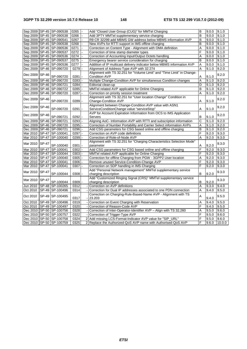| Sep 2009   SP-45   SP-090538<br>Add 3PTY MMTel supplementary service charging<br>B<br>0266<br>9.0.0<br>9.1.0<br>Sep 2009   SP-45   SP-090541<br>0267<br>R9 CR 32299 add MBMS GW address below MBMS information AVP<br>B<br>9.0.0<br>9.1.0<br>Sep 2009 SP-45 SP-090538<br>0268<br>New AVPs for RTTI support in IMS offline charging<br>B<br>9.0.0<br>9.1.0<br>0271<br>Correction on Content Type - Alignment with OMA definition<br>A<br>Sep 2009 SP-45 SP-090536<br>9.0.0<br>9.1.0<br>F<br>Sep 2009 SP-45 SP-090537<br>0272<br>9.1.0<br>Correction of time stamp diameter types<br>9.0.0<br>Sep 2009   SP-45   SP-090536<br>0274<br>A<br>Correction of Accounting Input/Output Octets handling<br>9.0.0<br>9.1.0<br>0275<br>Sep 2009   SP-45   SP-090537<br>Emergency bearer service consideration for charging<br>B<br>9.1.0<br>9.0.0<br>0277<br>Addition of IP multicast delivery indicator below MBMS information AVP<br>A<br>Sep 2009   SP-45   SP-090536<br>9.0.0<br>9.1.0<br>Dec 2009<br>SP-46 SP-090720<br>0279<br>Alignment of Address-Type AVP with 32.274<br>A<br>9.1.0<br>9.2.0<br>Alignment with TS 32.251 for "Volume Limit" and "Time Limit" in Change-<br>Dec 2009<br><b>SP-46</b><br>9.2.0<br>SP-090720<br>0281<br><b>Condition AVP</b><br>Α<br>9.1.0<br>SP-46 SP-090720<br>Multiple Change-Condition AVP for simultaneous Condition changes<br>A<br>9.2.0<br>Dec 2009<br>0283<br>9.1.0<br>Dec 2009 SP-46 SP-090721<br>0284<br>D<br>Editorial clean-up<br>9.1.0<br>9.2.0<br>MMTel related AVP applicable for Online Charging<br>Dec 2009   SP-46   SP-090722<br>0285<br>B<br>9.1.0<br>9.2.0<br>Dec 2009<br>SP-46 SP-090720<br>0287<br>A<br>9.1.0<br>9.2.0<br>Correction on priority session treatment<br>Alignment with TS 32.251 for "User location Change" Condition in<br>Dec 2009<br><b>SP-46</b><br>9.2.0<br>SP-090720<br>0289<br>9.1.0<br>Change-Condition AVP<br>Α<br>Alignment between Change-Condition AVP value with ASN1<br>SP-46<br>9.2.0<br>Dec 2009<br>SP-090720<br>9.1.0<br>0291<br>ServiceConditionChange value "serviceStop"<br>Α<br>AVP for Account Expiration Information from OCS to IMS Application<br>Dec 2009<br>SP-46<br>9.2.0<br>SP-090721<br>B<br>0292<br>9.1.0<br>Servers<br>$\overline{\text{c}}$<br>SP-46 SP-090721<br>0293<br>Aligning AoC- Information AVP with RTTI and subscription information<br>9.2.0<br>Dec 2009<br>9.1.0<br>0295<br>Correction of Number Portability and Carrier Select information AVPs<br>A<br>Dec 2009   SP-46   SP-090720<br>9.1.0<br>9.2.0<br>Dec 2009   SP-46   SP-090721<br>0296<br>Add CSG parameters for CSG based online and offline charging<br>B<br>9.1.0<br>9.2.0<br>F<br>SP-47 SP-100041<br>0297<br>Mar 2010<br>Correction on AVP code definitions<br>9.2.0<br>9.3.0<br>A<br>Mar 2010<br>SP-47 SP-100040<br>0299<br>Correction of Role-of-Node AVP<br>9.2.0<br>9.3.0<br>Alignment with TS 32.251 for "Charging Characteristics Selection Mode"<br>Mar 2010<br><b>SP-47</b><br>9.3.0<br>SP-100040<br>0301<br>parameter<br>Α<br>9.2.0<br>F<br>SP-47 SP-100041<br>Add CSG parameters for CSG based online and offline charging<br>Mar 2010<br>0302<br>9.2.0<br>9.3.0<br>F<br>Mar 2010   SP-47   SP-100044<br>0303<br>MMTel related AVP applicable for Online Charging<br>9.2.0<br>9.3.0<br>Correction for offline Charging from PGW - 3GPP2 User location<br>Mar 2010<br>SP-47 SP-100040<br>0305<br>Α<br>9.2.0<br>9.3.0 |
|----------------------------------------------------------------------------------------------------------------------------------------------------------------------------------------------------------------------------------------------------------------------------------------------------------------------------------------------------------------------------------------------------------------------------------------------------------------------------------------------------------------------------------------------------------------------------------------------------------------------------------------------------------------------------------------------------------------------------------------------------------------------------------------------------------------------------------------------------------------------------------------------------------------------------------------------------------------------------------------------------------------------------------------------------------------------------------------------------------------------------------------------------------------------------------------------------------------------------------------------------------------------------------------------------------------------------------------------------------------------------------------------------------------------------------------------------------------------------------------------------------------------------------------------------------------------------------------------------------------------------------------------------------------------------------------------------------------------------------------------------------------------------------------------------------------------------------------------------------------------------------------------------------------------------------------------------------------------------------------------------------------------------------------------------------------------------------------------------------------------------------------------------------------------------------------------------------------------------------------------------------------------------------------------------------------------------------------------------------------------------------------------------------------------------------------------------------------------------------------------------------------------------------------------------------------------------------------------------------------------------------------------------------------------------------------------------------------------------------------------------------------------------------------------------------------------------------------------------------------------------------------------------------------------------------------------------------------------------------------------------------------------------------------------------------------------------------------------------------------------------------------------------------------------------------------------------------------------------------------------------------------------------------------------------------------------------------------------------------------------------------------------------------|
|                                                                                                                                                                                                                                                                                                                                                                                                                                                                                                                                                                                                                                                                                                                                                                                                                                                                                                                                                                                                                                                                                                                                                                                                                                                                                                                                                                                                                                                                                                                                                                                                                                                                                                                                                                                                                                                                                                                                                                                                                                                                                                                                                                                                                                                                                                                                                                                                                                                                                                                                                                                                                                                                                                                                                                                                                                                                                                                                                                                                                                                                                                                                                                                                                                                                                                                                                                                                          |
|                                                                                                                                                                                                                                                                                                                                                                                                                                                                                                                                                                                                                                                                                                                                                                                                                                                                                                                                                                                                                                                                                                                                                                                                                                                                                                                                                                                                                                                                                                                                                                                                                                                                                                                                                                                                                                                                                                                                                                                                                                                                                                                                                                                                                                                                                                                                                                                                                                                                                                                                                                                                                                                                                                                                                                                                                                                                                                                                                                                                                                                                                                                                                                                                                                                                                                                                                                                                          |
|                                                                                                                                                                                                                                                                                                                                                                                                                                                                                                                                                                                                                                                                                                                                                                                                                                                                                                                                                                                                                                                                                                                                                                                                                                                                                                                                                                                                                                                                                                                                                                                                                                                                                                                                                                                                                                                                                                                                                                                                                                                                                                                                                                                                                                                                                                                                                                                                                                                                                                                                                                                                                                                                                                                                                                                                                                                                                                                                                                                                                                                                                                                                                                                                                                                                                                                                                                                                          |
|                                                                                                                                                                                                                                                                                                                                                                                                                                                                                                                                                                                                                                                                                                                                                                                                                                                                                                                                                                                                                                                                                                                                                                                                                                                                                                                                                                                                                                                                                                                                                                                                                                                                                                                                                                                                                                                                                                                                                                                                                                                                                                                                                                                                                                                                                                                                                                                                                                                                                                                                                                                                                                                                                                                                                                                                                                                                                                                                                                                                                                                                                                                                                                                                                                                                                                                                                                                                          |
|                                                                                                                                                                                                                                                                                                                                                                                                                                                                                                                                                                                                                                                                                                                                                                                                                                                                                                                                                                                                                                                                                                                                                                                                                                                                                                                                                                                                                                                                                                                                                                                                                                                                                                                                                                                                                                                                                                                                                                                                                                                                                                                                                                                                                                                                                                                                                                                                                                                                                                                                                                                                                                                                                                                                                                                                                                                                                                                                                                                                                                                                                                                                                                                                                                                                                                                                                                                                          |
|                                                                                                                                                                                                                                                                                                                                                                                                                                                                                                                                                                                                                                                                                                                                                                                                                                                                                                                                                                                                                                                                                                                                                                                                                                                                                                                                                                                                                                                                                                                                                                                                                                                                                                                                                                                                                                                                                                                                                                                                                                                                                                                                                                                                                                                                                                                                                                                                                                                                                                                                                                                                                                                                                                                                                                                                                                                                                                                                                                                                                                                                                                                                                                                                                                                                                                                                                                                                          |
|                                                                                                                                                                                                                                                                                                                                                                                                                                                                                                                                                                                                                                                                                                                                                                                                                                                                                                                                                                                                                                                                                                                                                                                                                                                                                                                                                                                                                                                                                                                                                                                                                                                                                                                                                                                                                                                                                                                                                                                                                                                                                                                                                                                                                                                                                                                                                                                                                                                                                                                                                                                                                                                                                                                                                                                                                                                                                                                                                                                                                                                                                                                                                                                                                                                                                                                                                                                                          |
|                                                                                                                                                                                                                                                                                                                                                                                                                                                                                                                                                                                                                                                                                                                                                                                                                                                                                                                                                                                                                                                                                                                                                                                                                                                                                                                                                                                                                                                                                                                                                                                                                                                                                                                                                                                                                                                                                                                                                                                                                                                                                                                                                                                                                                                                                                                                                                                                                                                                                                                                                                                                                                                                                                                                                                                                                                                                                                                                                                                                                                                                                                                                                                                                                                                                                                                                                                                                          |
|                                                                                                                                                                                                                                                                                                                                                                                                                                                                                                                                                                                                                                                                                                                                                                                                                                                                                                                                                                                                                                                                                                                                                                                                                                                                                                                                                                                                                                                                                                                                                                                                                                                                                                                                                                                                                                                                                                                                                                                                                                                                                                                                                                                                                                                                                                                                                                                                                                                                                                                                                                                                                                                                                                                                                                                                                                                                                                                                                                                                                                                                                                                                                                                                                                                                                                                                                                                                          |
|                                                                                                                                                                                                                                                                                                                                                                                                                                                                                                                                                                                                                                                                                                                                                                                                                                                                                                                                                                                                                                                                                                                                                                                                                                                                                                                                                                                                                                                                                                                                                                                                                                                                                                                                                                                                                                                                                                                                                                                                                                                                                                                                                                                                                                                                                                                                                                                                                                                                                                                                                                                                                                                                                                                                                                                                                                                                                                                                                                                                                                                                                                                                                                                                                                                                                                                                                                                                          |
|                                                                                                                                                                                                                                                                                                                                                                                                                                                                                                                                                                                                                                                                                                                                                                                                                                                                                                                                                                                                                                                                                                                                                                                                                                                                                                                                                                                                                                                                                                                                                                                                                                                                                                                                                                                                                                                                                                                                                                                                                                                                                                                                                                                                                                                                                                                                                                                                                                                                                                                                                                                                                                                                                                                                                                                                                                                                                                                                                                                                                                                                                                                                                                                                                                                                                                                                                                                                          |
|                                                                                                                                                                                                                                                                                                                                                                                                                                                                                                                                                                                                                                                                                                                                                                                                                                                                                                                                                                                                                                                                                                                                                                                                                                                                                                                                                                                                                                                                                                                                                                                                                                                                                                                                                                                                                                                                                                                                                                                                                                                                                                                                                                                                                                                                                                                                                                                                                                                                                                                                                                                                                                                                                                                                                                                                                                                                                                                                                                                                                                                                                                                                                                                                                                                                                                                                                                                                          |
|                                                                                                                                                                                                                                                                                                                                                                                                                                                                                                                                                                                                                                                                                                                                                                                                                                                                                                                                                                                                                                                                                                                                                                                                                                                                                                                                                                                                                                                                                                                                                                                                                                                                                                                                                                                                                                                                                                                                                                                                                                                                                                                                                                                                                                                                                                                                                                                                                                                                                                                                                                                                                                                                                                                                                                                                                                                                                                                                                                                                                                                                                                                                                                                                                                                                                                                                                                                                          |
|                                                                                                                                                                                                                                                                                                                                                                                                                                                                                                                                                                                                                                                                                                                                                                                                                                                                                                                                                                                                                                                                                                                                                                                                                                                                                                                                                                                                                                                                                                                                                                                                                                                                                                                                                                                                                                                                                                                                                                                                                                                                                                                                                                                                                                                                                                                                                                                                                                                                                                                                                                                                                                                                                                                                                                                                                                                                                                                                                                                                                                                                                                                                                                                                                                                                                                                                                                                                          |
|                                                                                                                                                                                                                                                                                                                                                                                                                                                                                                                                                                                                                                                                                                                                                                                                                                                                                                                                                                                                                                                                                                                                                                                                                                                                                                                                                                                                                                                                                                                                                                                                                                                                                                                                                                                                                                                                                                                                                                                                                                                                                                                                                                                                                                                                                                                                                                                                                                                                                                                                                                                                                                                                                                                                                                                                                                                                                                                                                                                                                                                                                                                                                                                                                                                                                                                                                                                                          |
|                                                                                                                                                                                                                                                                                                                                                                                                                                                                                                                                                                                                                                                                                                                                                                                                                                                                                                                                                                                                                                                                                                                                                                                                                                                                                                                                                                                                                                                                                                                                                                                                                                                                                                                                                                                                                                                                                                                                                                                                                                                                                                                                                                                                                                                                                                                                                                                                                                                                                                                                                                                                                                                                                                                                                                                                                                                                                                                                                                                                                                                                                                                                                                                                                                                                                                                                                                                                          |
|                                                                                                                                                                                                                                                                                                                                                                                                                                                                                                                                                                                                                                                                                                                                                                                                                                                                                                                                                                                                                                                                                                                                                                                                                                                                                                                                                                                                                                                                                                                                                                                                                                                                                                                                                                                                                                                                                                                                                                                                                                                                                                                                                                                                                                                                                                                                                                                                                                                                                                                                                                                                                                                                                                                                                                                                                                                                                                                                                                                                                                                                                                                                                                                                                                                                                                                                                                                                          |
|                                                                                                                                                                                                                                                                                                                                                                                                                                                                                                                                                                                                                                                                                                                                                                                                                                                                                                                                                                                                                                                                                                                                                                                                                                                                                                                                                                                                                                                                                                                                                                                                                                                                                                                                                                                                                                                                                                                                                                                                                                                                                                                                                                                                                                                                                                                                                                                                                                                                                                                                                                                                                                                                                                                                                                                                                                                                                                                                                                                                                                                                                                                                                                                                                                                                                                                                                                                                          |
|                                                                                                                                                                                                                                                                                                                                                                                                                                                                                                                                                                                                                                                                                                                                                                                                                                                                                                                                                                                                                                                                                                                                                                                                                                                                                                                                                                                                                                                                                                                                                                                                                                                                                                                                                                                                                                                                                                                                                                                                                                                                                                                                                                                                                                                                                                                                                                                                                                                                                                                                                                                                                                                                                                                                                                                                                                                                                                                                                                                                                                                                                                                                                                                                                                                                                                                                                                                                          |
|                                                                                                                                                                                                                                                                                                                                                                                                                                                                                                                                                                                                                                                                                                                                                                                                                                                                                                                                                                                                                                                                                                                                                                                                                                                                                                                                                                                                                                                                                                                                                                                                                                                                                                                                                                                                                                                                                                                                                                                                                                                                                                                                                                                                                                                                                                                                                                                                                                                                                                                                                                                                                                                                                                                                                                                                                                                                                                                                                                                                                                                                                                                                                                                                                                                                                                                                                                                                          |
|                                                                                                                                                                                                                                                                                                                                                                                                                                                                                                                                                                                                                                                                                                                                                                                                                                                                                                                                                                                                                                                                                                                                                                                                                                                                                                                                                                                                                                                                                                                                                                                                                                                                                                                                                                                                                                                                                                                                                                                                                                                                                                                                                                                                                                                                                                                                                                                                                                                                                                                                                                                                                                                                                                                                                                                                                                                                                                                                                                                                                                                                                                                                                                                                                                                                                                                                                                                                          |
|                                                                                                                                                                                                                                                                                                                                                                                                                                                                                                                                                                                                                                                                                                                                                                                                                                                                                                                                                                                                                                                                                                                                                                                                                                                                                                                                                                                                                                                                                                                                                                                                                                                                                                                                                                                                                                                                                                                                                                                                                                                                                                                                                                                                                                                                                                                                                                                                                                                                                                                                                                                                                                                                                                                                                                                                                                                                                                                                                                                                                                                                                                                                                                                                                                                                                                                                                                                                          |
|                                                                                                                                                                                                                                                                                                                                                                                                                                                                                                                                                                                                                                                                                                                                                                                                                                                                                                                                                                                                                                                                                                                                                                                                                                                                                                                                                                                                                                                                                                                                                                                                                                                                                                                                                                                                                                                                                                                                                                                                                                                                                                                                                                                                                                                                                                                                                                                                                                                                                                                                                                                                                                                                                                                                                                                                                                                                                                                                                                                                                                                                                                                                                                                                                                                                                                                                                                                                          |
|                                                                                                                                                                                                                                                                                                                                                                                                                                                                                                                                                                                                                                                                                                                                                                                                                                                                                                                                                                                                                                                                                                                                                                                                                                                                                                                                                                                                                                                                                                                                                                                                                                                                                                                                                                                                                                                                                                                                                                                                                                                                                                                                                                                                                                                                                                                                                                                                                                                                                                                                                                                                                                                                                                                                                                                                                                                                                                                                                                                                                                                                                                                                                                                                                                                                                                                                                                                                          |
|                                                                                                                                                                                                                                                                                                                                                                                                                                                                                                                                                                                                                                                                                                                                                                                                                                                                                                                                                                                                                                                                                                                                                                                                                                                                                                                                                                                                                                                                                                                                                                                                                                                                                                                                                                                                                                                                                                                                                                                                                                                                                                                                                                                                                                                                                                                                                                                                                                                                                                                                                                                                                                                                                                                                                                                                                                                                                                                                                                                                                                                                                                                                                                                                                                                                                                                                                                                                          |
|                                                                                                                                                                                                                                                                                                                                                                                                                                                                                                                                                                                                                                                                                                                                                                                                                                                                                                                                                                                                                                                                                                                                                                                                                                                                                                                                                                                                                                                                                                                                                                                                                                                                                                                                                                                                                                                                                                                                                                                                                                                                                                                                                                                                                                                                                                                                                                                                                                                                                                                                                                                                                                                                                                                                                                                                                                                                                                                                                                                                                                                                                                                                                                                                                                                                                                                                                                                                          |
|                                                                                                                                                                                                                                                                                                                                                                                                                                                                                                                                                                                                                                                                                                                                                                                                                                                                                                                                                                                                                                                                                                                                                                                                                                                                                                                                                                                                                                                                                                                                                                                                                                                                                                                                                                                                                                                                                                                                                                                                                                                                                                                                                                                                                                                                                                                                                                                                                                                                                                                                                                                                                                                                                                                                                                                                                                                                                                                                                                                                                                                                                                                                                                                                                                                                                                                                                                                                          |
|                                                                                                                                                                                                                                                                                                                                                                                                                                                                                                                                                                                                                                                                                                                                                                                                                                                                                                                                                                                                                                                                                                                                                                                                                                                                                                                                                                                                                                                                                                                                                                                                                                                                                                                                                                                                                                                                                                                                                                                                                                                                                                                                                                                                                                                                                                                                                                                                                                                                                                                                                                                                                                                                                                                                                                                                                                                                                                                                                                                                                                                                                                                                                                                                                                                                                                                                                                                                          |
|                                                                                                                                                                                                                                                                                                                                                                                                                                                                                                                                                                                                                                                                                                                                                                                                                                                                                                                                                                                                                                                                                                                                                                                                                                                                                                                                                                                                                                                                                                                                                                                                                                                                                                                                                                                                                                                                                                                                                                                                                                                                                                                                                                                                                                                                                                                                                                                                                                                                                                                                                                                                                                                                                                                                                                                                                                                                                                                                                                                                                                                                                                                                                                                                                                                                                                                                                                                                          |
|                                                                                                                                                                                                                                                                                                                                                                                                                                                                                                                                                                                                                                                                                                                                                                                                                                                                                                                                                                                                                                                                                                                                                                                                                                                                                                                                                                                                                                                                                                                                                                                                                                                                                                                                                                                                                                                                                                                                                                                                                                                                                                                                                                                                                                                                                                                                                                                                                                                                                                                                                                                                                                                                                                                                                                                                                                                                                                                                                                                                                                                                                                                                                                                                                                                                                                                                                                                                          |
| F<br>Mar 2010<br>SP-47 SP-100041<br>0306<br>Remove unused Service-Condition-Change AVP<br>9.2.0<br>9.3.0                                                                                                                                                                                                                                                                                                                                                                                                                                                                                                                                                                                                                                                                                                                                                                                                                                                                                                                                                                                                                                                                                                                                                                                                                                                                                                                                                                                                                                                                                                                                                                                                                                                                                                                                                                                                                                                                                                                                                                                                                                                                                                                                                                                                                                                                                                                                                                                                                                                                                                                                                                                                                                                                                                                                                                                                                                                                                                                                                                                                                                                                                                                                                                                                                                                                                                 |
| F<br>Mar 2010<br>SP-47 SP-100041<br>0307<br>Correction on SDP handling in IMS Charging<br>9.2.0<br>9.3.0                                                                                                                                                                                                                                                                                                                                                                                                                                                                                                                                                                                                                                                                                                                                                                                                                                                                                                                                                                                                                                                                                                                                                                                                                                                                                                                                                                                                                                                                                                                                                                                                                                                                                                                                                                                                                                                                                                                                                                                                                                                                                                                                                                                                                                                                                                                                                                                                                                                                                                                                                                                                                                                                                                                                                                                                                                                                                                                                                                                                                                                                                                                                                                                                                                                                                                 |
| Add "Personal Network management" MMTel supplementary service<br><b>SP-47</b><br>Mar 2010<br>9.3.0<br>B<br>SP-100044<br>0308<br>9.2.0<br>charging description                                                                                                                                                                                                                                                                                                                                                                                                                                                                                                                                                                                                                                                                                                                                                                                                                                                                                                                                                                                                                                                                                                                                                                                                                                                                                                                                                                                                                                                                                                                                                                                                                                                                                                                                                                                                                                                                                                                                                                                                                                                                                                                                                                                                                                                                                                                                                                                                                                                                                                                                                                                                                                                                                                                                                                                                                                                                                                                                                                                                                                                                                                                                                                                                                                            |
| Add "Customized Ringing Signal (CRS)" MMTel supplementary service<br>Mar 2010 SP-47<br>9.3.0                                                                                                                                                                                                                                                                                                                                                                                                                                                                                                                                                                                                                                                                                                                                                                                                                                                                                                                                                                                                                                                                                                                                                                                                                                                                                                                                                                                                                                                                                                                                                                                                                                                                                                                                                                                                                                                                                                                                                                                                                                                                                                                                                                                                                                                                                                                                                                                                                                                                                                                                                                                                                                                                                                                                                                                                                                                                                                                                                                                                                                                                                                                                                                                                                                                                                                             |
| SP-100044<br>$0309 -$<br>B<br>9.2.0<br>charging description                                                                                                                                                                                                                                                                                                                                                                                                                                                                                                                                                                                                                                                                                                                                                                                                                                                                                                                                                                                                                                                                                                                                                                                                                                                                                                                                                                                                                                                                                                                                                                                                                                                                                                                                                                                                                                                                                                                                                                                                                                                                                                                                                                                                                                                                                                                                                                                                                                                                                                                                                                                                                                                                                                                                                                                                                                                                                                                                                                                                                                                                                                                                                                                                                                                                                                                                              |
| SP-48 SP-100265<br>Correction on AVP definitions<br>A<br>9.4.0<br>Jun 2010<br>0312<br>9.3.0                                                                                                                                                                                                                                                                                                                                                                                                                                                                                                                                                                                                                                                                                                                                                                                                                                                                                                                                                                                                                                                                                                                                                                                                                                                                                                                                                                                                                                                                                                                                                                                                                                                                                                                                                                                                                                                                                                                                                                                                                                                                                                                                                                                                                                                                                                                                                                                                                                                                                                                                                                                                                                                                                                                                                                                                                                                                                                                                                                                                                                                                                                                                                                                                                                                                                                              |
| Correction for Dual IP addresses associated to one PDN connection<br>A<br>Oct 2010<br>SP-49 SP-100496<br>0314<br>9.4.0<br>9.5.0                                                                                                                                                                                                                                                                                                                                                                                                                                                                                                                                                                                                                                                                                                                                                                                                                                                                                                                                                                                                                                                                                                                                                                                                                                                                                                                                                                                                                                                                                                                                                                                                                                                                                                                                                                                                                                                                                                                                                                                                                                                                                                                                                                                                                                                                                                                                                                                                                                                                                                                                                                                                                                                                                                                                                                                                                                                                                                                                                                                                                                                                                                                                                                                                                                                                          |
| Correction on Charging-Rule-Based-Name AVP - Alignment with TS<br>SP-49 SP-100495<br>Oct 2010<br>Α<br>9.5.0<br>0317<br>23.203<br>9.4.0                                                                                                                                                                                                                                                                                                                                                                                                                                                                                                                                                                                                                                                                                                                                                                                                                                                                                                                                                                                                                                                                                                                                                                                                                                                                                                                                                                                                                                                                                                                                                                                                                                                                                                                                                                                                                                                                                                                                                                                                                                                                                                                                                                                                                                                                                                                                                                                                                                                                                                                                                                                                                                                                                                                                                                                                                                                                                                                                                                                                                                                                                                                                                                                                                                                                   |
| SP-49 SP-100496<br>0319<br>Correction on Event Charging with Reservation<br>Oct 2010<br>A<br>9.4.0<br>9.5.0                                                                                                                                                                                                                                                                                                                                                                                                                                                                                                                                                                                                                                                                                                                                                                                                                                                                                                                                                                                                                                                                                                                                                                                                                                                                                                                                                                                                                                                                                                                                                                                                                                                                                                                                                                                                                                                                                                                                                                                                                                                                                                                                                                                                                                                                                                                                                                                                                                                                                                                                                                                                                                                                                                                                                                                                                                                                                                                                                                                                                                                                                                                                                                                                                                                                                              |
| Correction of Reason-Code AVP<br>F<br>Oct 2010<br>SP-49 SP-100497<br>0320<br>9.4.0<br>9.5.0                                                                                                                                                                                                                                                                                                                                                                                                                                                                                                                                                                                                                                                                                                                                                                                                                                                                                                                                                                                                                                                                                                                                                                                                                                                                                                                                                                                                                                                                                                                                                                                                                                                                                                                                                                                                                                                                                                                                                                                                                                                                                                                                                                                                                                                                                                                                                                                                                                                                                                                                                                                                                                                                                                                                                                                                                                                                                                                                                                                                                                                                                                                                                                                                                                                                                                              |
| SP-50 SP-100756<br>0328<br>Correction of Inter-Operator-Identifier AVP - Align with TS 32.260<br>Dec 2010<br>Α<br>9.5.0<br>9.6.0                                                                                                                                                                                                                                                                                                                                                                                                                                                                                                                                                                                                                                                                                                                                                                                                                                                                                                                                                                                                                                                                                                                                                                                                                                                                                                                                                                                                                                                                                                                                                                                                                                                                                                                                                                                                                                                                                                                                                                                                                                                                                                                                                                                                                                                                                                                                                                                                                                                                                                                                                                                                                                                                                                                                                                                                                                                                                                                                                                                                                                                                                                                                                                                                                                                                         |
| Dec 2010   SP-50   SP-100757<br>0322<br>F<br>Correction of Trigger-Type AVP<br>9.5.0<br>9.6.0                                                                                                                                                                                                                                                                                                                                                                                                                                                                                                                                                                                                                                                                                                                                                                                                                                                                                                                                                                                                                                                                                                                                                                                                                                                                                                                                                                                                                                                                                                                                                                                                                                                                                                                                                                                                                                                                                                                                                                                                                                                                                                                                                                                                                                                                                                                                                                                                                                                                                                                                                                                                                                                                                                                                                                                                                                                                                                                                                                                                                                                                                                                                                                                                                                                                                                            |
| Dec 2010 SP-50 SP-100758<br>0324<br>2 Add missing LCS-Format-Indicator AVP value for "SIP_URL"<br>F<br>9.5.0<br>9.6.0                                                                                                                                                                                                                                                                                                                                                                                                                                                                                                                                                                                                                                                                                                                                                                                                                                                                                                                                                                                                                                                                                                                                                                                                                                                                                                                                                                                                                                                                                                                                                                                                                                                                                                                                                                                                                                                                                                                                                                                                                                                                                                                                                                                                                                                                                                                                                                                                                                                                                                                                                                                                                                                                                                                                                                                                                                                                                                                                                                                                                                                                                                                                                                                                                                                                                    |
| F<br>Dec 2010 SP-50 SP-100759<br>0325<br>2 Replace the Authorized-QoS AVP name with Authorised-QoS AVP<br>9.6.0<br>10.0.0                                                                                                                                                                                                                                                                                                                                                                                                                                                                                                                                                                                                                                                                                                                                                                                                                                                                                                                                                                                                                                                                                                                                                                                                                                                                                                                                                                                                                                                                                                                                                                                                                                                                                                                                                                                                                                                                                                                                                                                                                                                                                                                                                                                                                                                                                                                                                                                                                                                                                                                                                                                                                                                                                                                                                                                                                                                                                                                                                                                                                                                                                                                                                                                                                                                                                |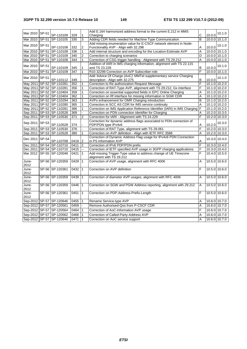| Mar 2010 SP-51 | SP-110109                    | 329  | $\mathbf{1}$            | Add E.164 harmonized address format to the current E.212 in MMS                             | C              | 10.0.0          | 10.1.0          |
|----------------|------------------------------|------|-------------------------|---------------------------------------------------------------------------------------------|----------------|-----------------|-----------------|
|                | Mar 2010 SP-51 SP-110105     | 330  | 3                       | Charging<br>Adding CDR fields needed for Machine Type Communication                         | B              | $10.0.0$ 10.1.0 |                 |
|                |                              |      |                         | Add missing enumeration value for E-CSCF network element in Node-                           |                |                 |                 |
| Mar 2010 SP-51 | SP-110108                    | 332  | $\overline{\mathbf{c}}$ | Functionality AVP - Align with 32.298                                                       | Α              | 10.0.0          | 10.1.0          |
|                | Mar 2010 SP-51 SP-110108     | 336  | $\overline{1}$          | Add internal structure and encoding for the Location-Estimate AVP                           | Α              | $10.00$ 10.1.0  |                 |
|                | Mar 2010   SP-51   SP-110109 | 340  | $\overline{\mathbf{c}}$ | Correction to charging scenarios                                                            | D              |                 | 10.0.0 10.1.0   |
|                | Mar 2010   SP-51   SP-110108 | 344  | 1                       | Correction of CSG trigger handling - Alignment with TS 29.212                               | A              |                 | 10.0.0 10.1.0   |
|                |                              |      |                         | Addition of IARI in IMS charging information, alignment with TS 22.115                      |                |                 |                 |
| Mar 2010 SP-51 | SP-110109                    | 345  | 1                       | and TS 23.228                                                                               | B              | 10.0.0          | 10.1.0          |
|                | Mar 2010   SP-51   SP-110109 | 347  | $\mathbf{1}$            | R10 32299 Correction on AVP Subscriber-role                                                 | F              | 10.0.0 10.1.0   |                 |
|                |                              |      |                         | Add 'Advice Of Charge (AoC)' MMTel supplementary service Charging                           |                |                 |                 |
| Mar 2010 SP-51 | SP-110112                    | 349  |                         | description - Align with 32.275                                                             | B              | 10.0.0          | 10.1.0          |
|                | May 2011 SP-52 SP-110281     | 352  | $\mathbf{1}$            | Correction to Re-authorization Request Message                                              | F              | $10.1.0$ 10.2.0 |                 |
|                | May 2011 SP-52 SP-110281     | 356  | $\mathbf{1}$            | Correction of RAT-Type AVP, alignment with TS 29.212, Gx interface                          | F              |                 | 10.1.0 10.2.0   |
|                | May 2011 SP-52 SP-110404     | 359  | $\mathbf{1}$            | Correction on essential supported fields in EPC Online Charging                             | Α              | 10.1.0 10.2.0   |                 |
|                | May 2011 SP-52 SP-110404     | 362  | $\mathbf{1}$            | Correction on Rf interface for missing information in SGW CDR                               | A              |                 | 10.1.0 10.2.0   |
|                | May 2011 SP-52 SP-110294     | 363  | $\mathbf{1}$            | AVPs enhancement for OMR Charging introduction                                              | B              |                 | 10.1.0 10.2.0   |
|                | May 2011 SP-52 SP-110280     | 365  | $\mathbf{1}$            | Correction in SCC AS CDR for IMS service continuity                                         | A              |                 | 10.1.0 10.2.0   |
|                | May 2011 SP-52 SP-110281     | 366  | 1                       | Correction on IMS Application Reference Identifier (IARI) in IMS Charging                   | ١F             |                 | $10.1.0$ 10.2.0 |
|                | Sep 2011 SP-53 SP-110528     | 369  |                         | Correction on PDN connection identifier for Charging                                        | A              | 10.2.0 10.3.0   |                 |
|                | Sep 2011 SP-53 SP-110530     | 371  | $\overline{\mathbf{c}}$ | Correction for IARI - Alignment with TS 24.229                                              | F              | 10.2.0 10.3.0   |                 |
| Sep 2011 SP-53 | SP-110528                    | 374  |                         | Correction for dynamic address flags associated to PDN connection of<br>PDP/PDN type IPv4v6 | Α              | 10.2.0          | 10.3.0          |
|                | Sep 2011 SP-53 SP-110530     | 376  |                         | Correction of RAT Type, alignment with TS 29.061                                            | F              | 10.2.0 10.3.0   |                 |
|                | Sep 2011 SP-53 SP-110528     | 380  | $\mathbf{1}$            | Correction on AVP definition - Align with IETF RFC 3588                                     | A              | 10.2.0 10.3.0   |                 |
| Dec 2011 SP-54 | SP-110708                    | 0419 | $\overline{c}$          | Correction of Dynamic Address Flag usage for IPv4v6 PDN Connection<br>in PS Information AVP | Α              | 10.3.0 10.4.0   |                 |
|                | Dec 2011   SP-54   SP-110710 | 0411 | $\overline{2}$          | Correction of IPv6 PDP/PDN prefix                                                           | F              | 10.3.0 10.4.0   |                 |
|                | Dec 2011   SP-54   SP-110710 | 0415 | -−                      | Correction of IETF specified AVP usage in 3GPP charging applications                        | F              |                 | 10.3.0 10.4.0   |
|                | Mar 2012 SP-55 SP-120048     | 0421 | $\mathbf{1}$            | Add missing Trigger-Type value to address change of UE Timezone<br>alignment with TS 29.212 | F              | 10.4.0 10.5.0   |                 |
| June-          | SP-56 SP-120359              | 0429 | $\mathbf{1}$            | Correction of AVP usage, alignment with RFC 4006                                            | A              | 10.5.0 10.6.0   |                 |
| 2012           |                              |      |                         |                                                                                             |                |                 |                 |
| June-<br>2012  | SP-56 SP-120361              | 0432 | $\mathbf{1}$            | Correction on AVP definition                                                                | F              | 10.5.0 10.6.0   |                 |
| June-<br>2012  | SP-56 SP-120359              | 0439 | $\mathbf{1}$            | Correction of diameter AVP usages, alignment with RFC 4006                                  | A              | 10.5.0 10.6.0   |                 |
| June-<br>2012  | SP-56 SP-120359              | 0446 | $\mathbf{1}$            | Correction on SGW and PGW Address reporting, alignment with 29.212                          | Α              | 10.5.0 10.6.0   |                 |
| June-          | SP-56 SP-120361              | 0451 | $\mathbf{1}$            | Correction on PDP-Address-Prefix-Length                                                     | F              | 10.5.0 10.6.0   |                 |
| 2012           |                              |      |                         |                                                                                             |                |                 |                 |
|                | Sep-2012 SP-57 SP-120646     | 0455 | 1                       | Rename Service-type AVP                                                                     | A              | 10.6.0 10.7.0   |                 |
|                | Sep-2012 SP-57 SP-120561     | 0459 |                         | Remove Authorised-Qos from P-CSCF CDR                                                       | A              | 10.6.0 10.7.0   |                 |
|                | Sep-2012 SP-57 SP-120564     | 0464 | $\mathbf{1}$            | Correction of AoC-Information AVP usage                                                     | F              | 10.6.0 10.7.0   |                 |
|                | Sep-2012 SP-57 SP-120562     | 0466 | $\mathbf{1}$            | Correction of Called-Party-Address AVP                                                      | A              |                 | 10.6.0 10.7.0   |
|                | Sep-2012 SP-57 SP-120646     | 0471 | $\vert$ 1               | Correction on AoC service support                                                           | $\overline{A}$ | 10.6.0 10.7.0   |                 |
|                |                              |      |                         |                                                                                             |                |                 |                 |